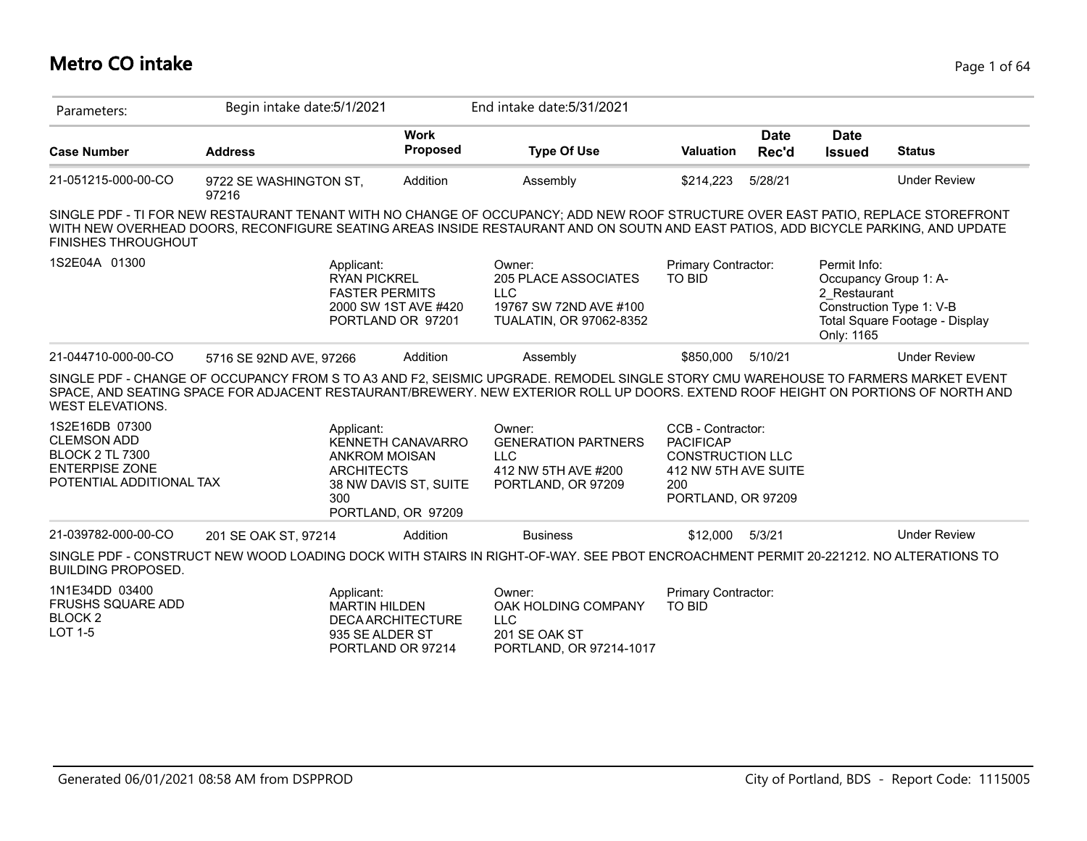# **Metro CO intake** Page 1 of 64

| Parameters:                                                                                                         | Begin intake date: 5/1/2021                                                                                                                                                                                                                                             |                                                                         | End intake date: 5/31/2021                                                                               |                                                                                                                       |                      |                                            |                                                                                     |
|---------------------------------------------------------------------------------------------------------------------|-------------------------------------------------------------------------------------------------------------------------------------------------------------------------------------------------------------------------------------------------------------------------|-------------------------------------------------------------------------|----------------------------------------------------------------------------------------------------------|-----------------------------------------------------------------------------------------------------------------------|----------------------|--------------------------------------------|-------------------------------------------------------------------------------------|
| <b>Case Number</b>                                                                                                  | <b>Address</b>                                                                                                                                                                                                                                                          | <b>Work</b><br><b>Proposed</b>                                          | <b>Type Of Use</b>                                                                                       | <b>Valuation</b>                                                                                                      | <b>Date</b><br>Rec'd | <b>Date</b><br><b>Issued</b>               | <b>Status</b>                                                                       |
| 21-051215-000-00-CO                                                                                                 | 9722 SE WASHINGTON ST,<br>97216                                                                                                                                                                                                                                         | Addition                                                                | Assembly                                                                                                 | \$214,223                                                                                                             | 5/28/21              |                                            | <b>Under Review</b>                                                                 |
| <b>FINISHES THROUGHOUT</b>                                                                                          | SINGLE PDF - TI FOR NEW RESTAURANT TENANT WITH NO CHANGE OF OCCUPANCY; ADD NEW ROOF STRUCTURE OVER EAST PATIO, REPLACE STOREFRONT<br>WITH NEW OVERHEAD DOORS, RECONFIGURE SEATING AREAS INSIDE RESTAURANT AND ON SOUTN AND EAST PATIOS, ADD BICYCLE PARKING, AND UPDATE |                                                                         |                                                                                                          |                                                                                                                       |                      |                                            |                                                                                     |
| 1S2E04A 01300                                                                                                       | Applicant:<br><b>RYAN PICKREL</b><br><b>FASTER PERMITS</b>                                                                                                                                                                                                              | 2000 SW 1ST AVE #420<br>PORTLAND OR 97201                               | Owner:<br><b>205 PLACE ASSOCIATES</b><br><b>LLC</b><br>19767 SW 72ND AVE #100<br>TUALATIN, OR 97062-8352 | Primary Contractor:<br><b>TO BID</b>                                                                                  |                      | Permit Info:<br>2 Restaurant<br>Only: 1165 | Occupancy Group 1: A-<br>Construction Type 1: V-B<br>Total Square Footage - Display |
| 21-044710-000-00-CO                                                                                                 | 5716 SE 92ND AVE, 97266                                                                                                                                                                                                                                                 | Addition                                                                | Assembly                                                                                                 | \$850,000                                                                                                             | 5/10/21              |                                            | <b>Under Review</b>                                                                 |
| <b>WEST ELEVATIONS.</b>                                                                                             | SINGLE PDF - CHANGE OF OCCUPANCY FROM S TO A3 AND F2, SEISMIC UPGRADE. REMODEL SINGLE STORY CMU WAREHOUSE TO FARMERS MARKET EVENT<br>SPACE, AND SEATING SPACE FOR ADJACENT RESTAURANT/BREWERY. NEW EXTERIOR ROLL UP DOORS. EXTEND ROOF HEIGHT ON PORTIONS OF NORTH AND  |                                                                         |                                                                                                          |                                                                                                                       |                      |                                            |                                                                                     |
| 1S2E16DB 07300<br><b>CLEMSON ADD</b><br><b>BLOCK 2 TL 7300</b><br><b>ENTERPISE ZONE</b><br>POTENTIAL ADDITIONAL TAX | Applicant:<br><b>ANKROM MOISAN</b><br><b>ARCHITECTS</b><br>300                                                                                                                                                                                                          | <b>KENNETH CANAVARRO</b><br>38 NW DAVIS ST, SUITE<br>PORTLAND, OR 97209 | Owner:<br><b>GENERATION PARTNERS</b><br><b>LLC</b><br>412 NW 5TH AVE #200<br>PORTLAND, OR 97209          | CCB - Contractor:<br><b>PACIFICAP</b><br><b>CONSTRUCTION LLC</b><br>412 NW 5TH AVE SUITE<br>200<br>PORTLAND, OR 97209 |                      |                                            |                                                                                     |
| 21-039782-000-00-CO                                                                                                 | 201 SE OAK ST, 97214                                                                                                                                                                                                                                                    | Addition                                                                | <b>Business</b>                                                                                          | \$12,000                                                                                                              | 5/3/21               |                                            | <b>Under Review</b>                                                                 |
| <b>BUILDING PROPOSED.</b>                                                                                           | SINGLE PDF - CONSTRUCT NEW WOOD LOADING DOCK WITH STAIRS IN RIGHT-OF-WAY. SEE PBOT ENCROACHMENT PERMIT 20-221212. NO ALTERATIONS TO                                                                                                                                     |                                                                         |                                                                                                          |                                                                                                                       |                      |                                            |                                                                                     |
| 1N1E34DD 03400<br><b>FRUSHS SQUARE ADD</b><br>BLOCK <sub>2</sub><br><b>LOT 1-5</b>                                  | Applicant:<br><b>MARTIN HILDEN</b><br>935 SE ALDER ST                                                                                                                                                                                                                   | <b>DECA ARCHITECTURE</b><br>PORTLAND OR 97214                           | Owner:<br>OAK HOLDING COMPANY<br><b>LLC</b><br>201 SE OAK ST<br>PORTLAND, OR 97214-1017                  | Primary Contractor:<br><b>TO BID</b>                                                                                  |                      |                                            |                                                                                     |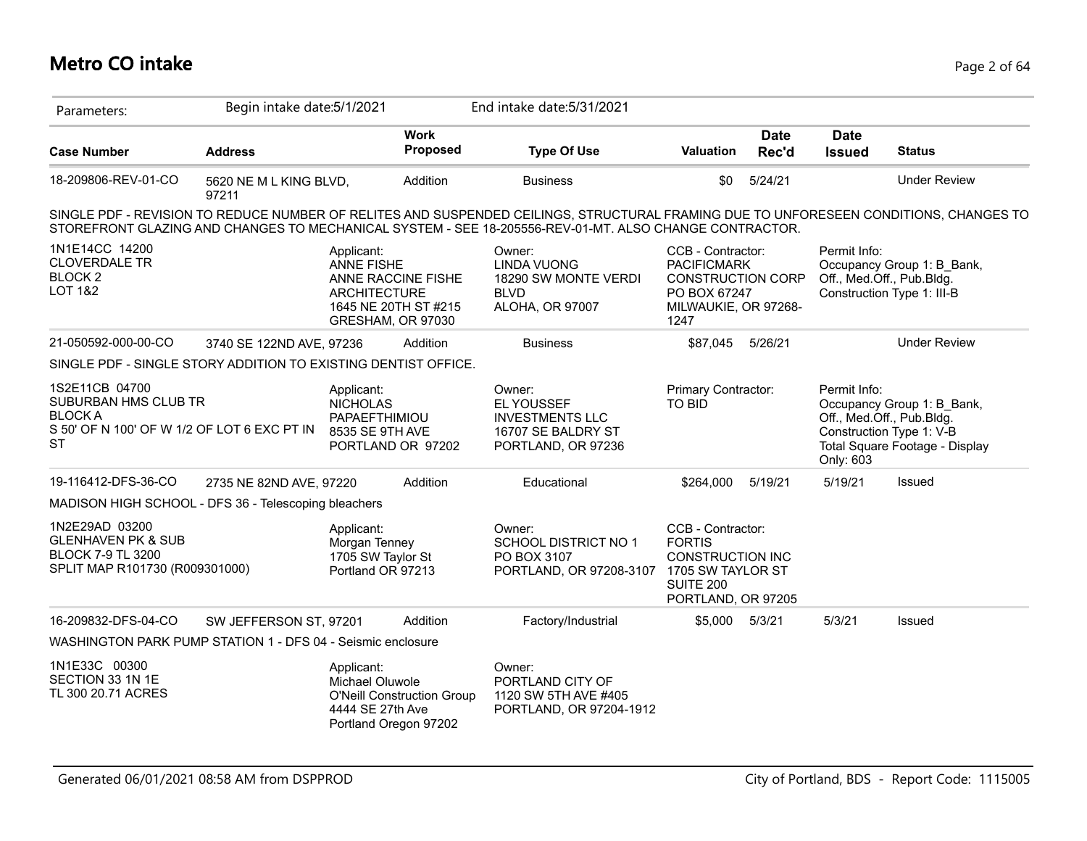# **Metro CO intake** Page 2 of 64

| Parameters:                                                                                                          | Begin intake date: 5/1/2021     |                                                                       |                                                                 | End intake date: 5/31/2021                                                                                                                                                                                                                      |                                                                                                                     |                      |                              |                                                                                                                       |
|----------------------------------------------------------------------------------------------------------------------|---------------------------------|-----------------------------------------------------------------------|-----------------------------------------------------------------|-------------------------------------------------------------------------------------------------------------------------------------------------------------------------------------------------------------------------------------------------|---------------------------------------------------------------------------------------------------------------------|----------------------|------------------------------|-----------------------------------------------------------------------------------------------------------------------|
| <b>Case Number</b>                                                                                                   | <b>Address</b>                  |                                                                       | <b>Work</b><br>Proposed                                         | <b>Type Of Use</b>                                                                                                                                                                                                                              | <b>Valuation</b>                                                                                                    | <b>Date</b><br>Rec'd | <b>Date</b><br><b>Issued</b> | <b>Status</b>                                                                                                         |
| 18-209806-REV-01-CO                                                                                                  | 5620 NE M L KING BLVD,<br>97211 |                                                                       | Addition                                                        | <b>Business</b>                                                                                                                                                                                                                                 | \$0                                                                                                                 | 5/24/21              |                              | <b>Under Review</b>                                                                                                   |
|                                                                                                                      |                                 |                                                                       |                                                                 | SINGLE PDF - REVISION TO REDUCE NUMBER OF RELITES AND SUSPENDED CEILINGS, STRUCTURAL FRAMING DUE TO UNFORESEEN CONDITIONS, CHANGES TO<br>STOREFRONT GLAZING AND CHANGES TO MECHANICAL SYSTEM - SEE 18-205556-REV-01-MT. ALSO CHANGE CONTRACTOR. |                                                                                                                     |                      |                              |                                                                                                                       |
| 1N1E14CC 14200<br><b>CLOVERDALE TR</b><br>BLOCK <sub>2</sub><br><b>LOT 1&amp;2</b>                                   |                                 | Applicant:<br><b>ANNE FISHE</b><br><b>ARCHITECTURE</b>                | ANNE RACCINE FISHE<br>1645 NE 20TH ST #215<br>GRESHAM, OR 97030 | Owner:<br><b>LINDA VUONG</b><br>18290 SW MONTE VERDI<br><b>BLVD</b><br>ALOHA, OR 97007                                                                                                                                                          | CCB - Contractor:<br><b>PACIFICMARK</b><br><b>CONSTRUCTION CORP</b><br>PO BOX 67247<br>MILWAUKIE, OR 97268-<br>1247 |                      | Permit Info:                 | Occupancy Group 1: B_Bank,<br>Off., Med.Off., Pub.Bldg.<br>Construction Type 1: III-B                                 |
| 21-050592-000-00-CO                                                                                                  | 3740 SE 122ND AVE, 97236        |                                                                       | Addition                                                        | <b>Business</b>                                                                                                                                                                                                                                 | \$87,045 5/26/21                                                                                                    |                      |                              | <b>Under Review</b>                                                                                                   |
| SINGLE PDF - SINGLE STORY ADDITION TO EXISTING DENTIST OFFICE.                                                       |                                 |                                                                       |                                                                 |                                                                                                                                                                                                                                                 |                                                                                                                     |                      |                              |                                                                                                                       |
| 1S2E11CB 04700<br>SUBURBAN HMS CLUB TR<br><b>BLOCK A</b><br>S 50' OF N 100' OF W 1/2 OF LOT 6 EXC PT IN<br><b>ST</b> |                                 | Applicant:<br><b>NICHOLAS</b><br>PAPAEFTHIMIOU<br>8535 SE 9TH AVE     | PORTLAND OR 97202                                               | Owner:<br><b>EL YOUSSEF</b><br><b>INVESTMENTS LLC</b><br>16707 SE BALDRY ST<br>PORTLAND, OR 97236                                                                                                                                               | Primary Contractor:<br>TO BID                                                                                       |                      | Permit Info:<br>Only: 603    | Occupancy Group 1: B Bank,<br>Off., Med.Off., Pub.Bldg.<br>Construction Type 1: V-B<br>Total Square Footage - Display |
| 19-116412-DFS-36-CO                                                                                                  | 2735 NE 82ND AVE, 97220         |                                                                       | Addition                                                        | Educational                                                                                                                                                                                                                                     | \$264.000                                                                                                           | 5/19/21              | 5/19/21                      | <b>Issued</b>                                                                                                         |
| MADISON HIGH SCHOOL - DFS 36 - Telescoping bleachers                                                                 |                                 |                                                                       |                                                                 |                                                                                                                                                                                                                                                 |                                                                                                                     |                      |                              |                                                                                                                       |
| 1N2E29AD 03200<br><b>GLENHAVEN PK &amp; SUB</b><br><b>BLOCK 7-9 TL 3200</b><br>SPLIT MAP R101730 (R009301000)        |                                 | Applicant:<br>Morgan Tenney<br>1705 SW Taylor St<br>Portland OR 97213 |                                                                 | Owner:<br>SCHOOL DISTRICT NO 1<br>PO BOX 3107<br>PORTLAND, OR 97208-3107 1705 SW TAYLOR ST                                                                                                                                                      | CCB - Contractor:<br><b>FORTIS</b><br><b>CONSTRUCTION INC</b><br><b>SUITE 200</b><br>PORTLAND, OR 97205             |                      |                              |                                                                                                                       |
| 16-209832-DFS-04-CO                                                                                                  | SW JEFFERSON ST, 97201          |                                                                       | Addition                                                        | Factory/Industrial                                                                                                                                                                                                                              | \$5,000                                                                                                             | 5/3/21               | 5/3/21                       | Issued                                                                                                                |
| WASHINGTON PARK PUMP STATION 1 - DFS 04 - Seismic enclosure                                                          |                                 |                                                                       |                                                                 |                                                                                                                                                                                                                                                 |                                                                                                                     |                      |                              |                                                                                                                       |
| 1N1E33C 00300<br>SECTION 33 1N 1E<br>TL 300 20.71 ACRES                                                              |                                 | Applicant:<br>Michael Oluwole<br>4444 SE 27th Ave                     | <b>O'Neill Construction Group</b><br>Portland Oregon 97202      | Owner:<br>PORTLAND CITY OF<br>1120 SW 5TH AVE #405<br>PORTLAND, OR 97204-1912                                                                                                                                                                   |                                                                                                                     |                      |                              |                                                                                                                       |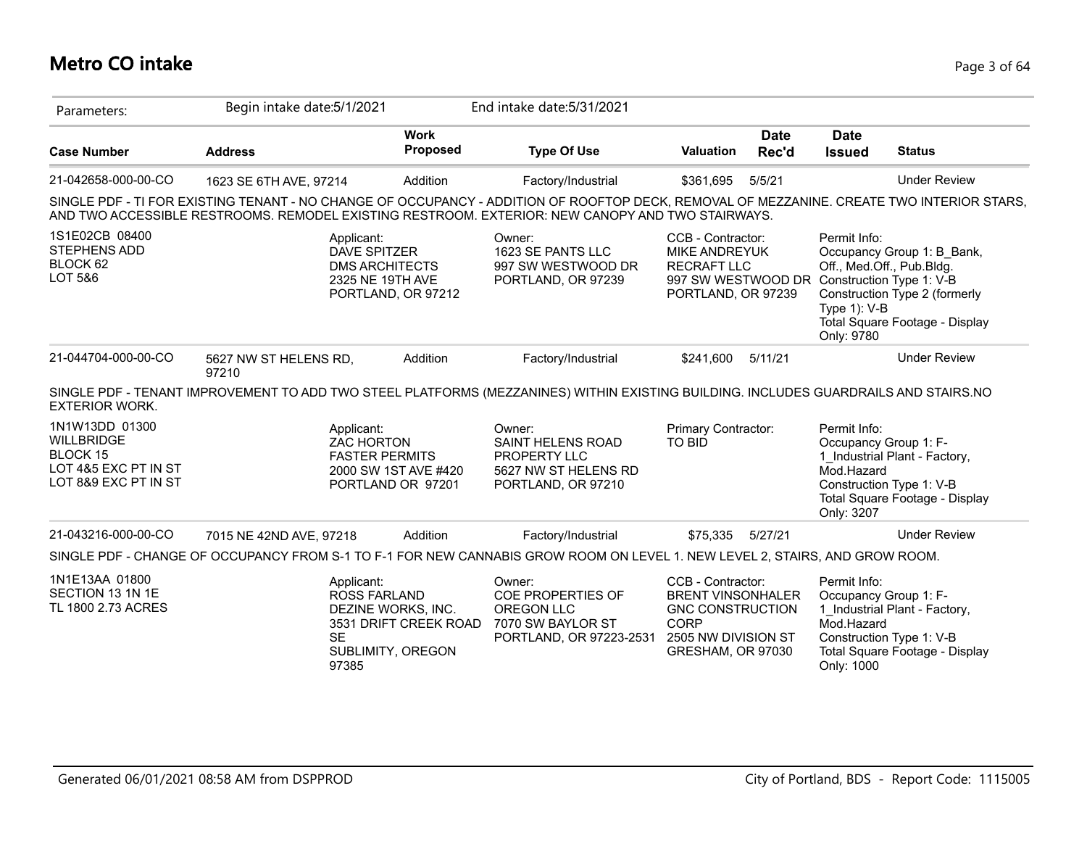# **Metro CO intake** Page 3 of 64

| Parameters:                                                                                     | Begin intake date: 5/1/2021                                                                                                                                                                                                                   |                                           | End intake date: 5/31/2021                                                                       |                                                                                                                                      |                      |                                                                            |                                                                                               |
|-------------------------------------------------------------------------------------------------|-----------------------------------------------------------------------------------------------------------------------------------------------------------------------------------------------------------------------------------------------|-------------------------------------------|--------------------------------------------------------------------------------------------------|--------------------------------------------------------------------------------------------------------------------------------------|----------------------|----------------------------------------------------------------------------|-----------------------------------------------------------------------------------------------|
| <b>Case Number</b>                                                                              | <b>Address</b>                                                                                                                                                                                                                                | <b>Work</b><br><b>Proposed</b>            | <b>Type Of Use</b>                                                                               | Valuation                                                                                                                            | <b>Date</b><br>Rec'd | <b>Date</b><br><b>Issued</b>                                               | <b>Status</b>                                                                                 |
| 21-042658-000-00-CO                                                                             | 1623 SE 6TH AVE, 97214                                                                                                                                                                                                                        | Addition                                  | Factory/Industrial                                                                               | \$361,695                                                                                                                            | 5/5/21               |                                                                            | <b>Under Review</b>                                                                           |
|                                                                                                 | SINGLE PDF - TI FOR EXISTING TENANT - NO CHANGE OF OCCUPANCY - ADDITION OF ROOFTOP DECK, REMOVAL OF MEZZANINE. CREATE TWO INTERIOR STARS,<br>AND TWO ACCESSIBLE RESTROOMS. REMODEL EXISTING RESTROOM. EXTERIOR: NEW CANOPY AND TWO STAIRWAYS. |                                           |                                                                                                  |                                                                                                                                      |                      |                                                                            |                                                                                               |
| 1S1E02CB 08400<br>STEPHENS ADD<br>BLOCK 62<br>LOT 5&6                                           | Applicant:<br><b>DAVE SPITZER</b><br><b>DMS ARCHITECTS</b><br>2325 NE 19TH AVE                                                                                                                                                                | PORTLAND, OR 97212                        | Owner:<br>1623 SE PANTS LLC<br>997 SW WESTWOOD DR<br>PORTLAND, OR 97239                          | CCB - Contractor:<br><b>MIKE ANDREYUK</b><br><b>RECRAFT LLC</b><br>997 SW WESTWOOD DR Construction Type 1: V-B<br>PORTLAND, OR 97239 |                      | Permit Info:<br>Off., Med.Off., Pub.Bldg.<br>Type $1$ ): V-B<br>Only: 9780 | Occupancy Group 1: B_Bank,<br>Construction Type 2 (formerly<br>Total Square Footage - Display |
| 21-044704-000-00-CO                                                                             | 5627 NW ST HELENS RD,<br>97210                                                                                                                                                                                                                | Addition                                  | Factory/Industrial                                                                               | \$241,600                                                                                                                            | 5/11/21              |                                                                            | <b>Under Review</b>                                                                           |
| <b>EXTERIOR WORK.</b>                                                                           | SINGLE PDF - TENANT IMPROVEMENT TO ADD TWO STEEL PLATFORMS (MEZZANINES) WITHIN EXISTING BUILDING. INCLUDES GUARDRAILS AND STAIRS.NO                                                                                                           |                                           |                                                                                                  |                                                                                                                                      |                      |                                                                            |                                                                                               |
| 1N1W13DD 01300<br><b>WILLBRIDGE</b><br>BLOCK 15<br>LOT 4&5 EXC PT IN ST<br>LOT 8&9 EXC PT IN ST | Applicant:<br><b>ZAC HORTON</b><br><b>FASTER PERMITS</b>                                                                                                                                                                                      | 2000 SW 1ST AVE #420<br>PORTLAND OR 97201 | Owner:<br><b>SAINT HELENS ROAD</b><br>PROPERTY LLC<br>5627 NW ST HELENS RD<br>PORTLAND, OR 97210 | Primary Contractor:<br><b>TO BID</b>                                                                                                 |                      | Permit Info:<br>Occupancy Group 1: F-<br>Mod.Hazard<br>Only: 3207          | 1 Industrial Plant - Factory,<br>Construction Type 1: V-B<br>Total Square Footage - Display   |
| 21-043216-000-00-CO                                                                             | 7015 NE 42ND AVE, 97218                                                                                                                                                                                                                       | Addition                                  | Factory/Industrial                                                                               | \$75,335                                                                                                                             | 5/27/21              |                                                                            | <b>Under Review</b>                                                                           |
|                                                                                                 | SINGLE PDF - CHANGE OF OCCUPANCY FROM S-1 TO F-1 FOR NEW CANNABIS GROW ROOM ON LEVEL 1. NEW LEVEL 2, STAIRS, AND GROW ROOM.                                                                                                                   |                                           |                                                                                                  |                                                                                                                                      |                      |                                                                            |                                                                                               |
| 1N1E13AA 01800<br>SECTION 13 1N 1E<br>TL 1800 2.73 ACRES                                        | Applicant:<br><b>ROSS FARLAND</b><br>DEZINE WORKS, INC.<br><b>SE</b><br>SUBLIMITY, OREGON<br>97385                                                                                                                                            | 3531 DRIFT CREEK ROAD                     | Owner:<br>COE PROPERTIES OF<br>OREGON LLC<br>7070 SW BAYLOR ST<br>PORTLAND, OR 97223-2531        | CCB - Contractor:<br><b>BRENT VINSONHALER</b><br><b>GNC CONSTRUCTION</b><br><b>CORP</b><br>2505 NW DIVISION ST<br>GRESHAM, OR 97030  |                      | Permit Info:<br>Occupancy Group 1: F-<br>Mod.Hazard<br>Only: 1000          | 1 Industrial Plant - Factory,<br>Construction Type 1: V-B<br>Total Square Footage - Display   |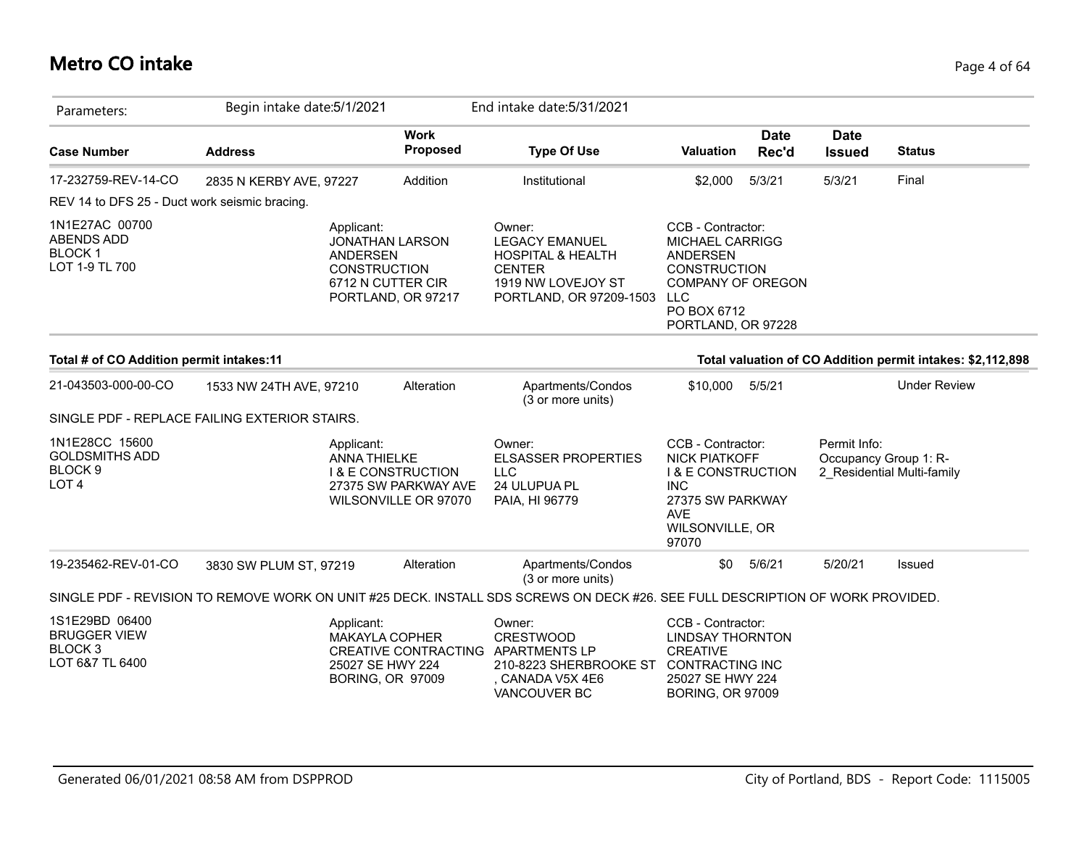# **Metro CO intake** Page 4 of 64

| Parameters:                                                                       | Begin intake date: 5/1/2021                   |                                                                                                             | End intake date: 5/31/2021                                                                                                        |                                                                                                                                                                      |                      |                              |                                                            |
|-----------------------------------------------------------------------------------|-----------------------------------------------|-------------------------------------------------------------------------------------------------------------|-----------------------------------------------------------------------------------------------------------------------------------|----------------------------------------------------------------------------------------------------------------------------------------------------------------------|----------------------|------------------------------|------------------------------------------------------------|
| <b>Case Number</b>                                                                | <b>Address</b>                                | <b>Work</b><br><b>Proposed</b>                                                                              | <b>Type Of Use</b>                                                                                                                | Valuation                                                                                                                                                            | <b>Date</b><br>Rec'd | <b>Date</b><br><b>Issued</b> | <b>Status</b>                                              |
| 17-232759-REV-14-CO                                                               | 2835 N KERBY AVE, 97227                       | Addition                                                                                                    | Institutional                                                                                                                     | \$2,000                                                                                                                                                              | 5/3/21               | 5/3/21                       | Final                                                      |
| REV 14 to DFS 25 - Duct work seismic bracing.                                     |                                               |                                                                                                             |                                                                                                                                   |                                                                                                                                                                      |                      |                              |                                                            |
| 1N1E27AC 00700<br>ABENDS ADD<br><b>BLOCK1</b><br>LOT 1-9 TL 700                   | Applicant:                                    | <b>JONATHAN LARSON</b><br><b>ANDERSEN</b><br><b>CONSTRUCTION</b><br>6712 N CUTTER CIR<br>PORTLAND, OR 97217 | Owner:<br><b>LEGACY EMANUEL</b><br><b>HOSPITAL &amp; HEALTH</b><br><b>CENTER</b><br>1919 NW LOVEJOY ST<br>PORTLAND, OR 97209-1503 | CCB - Contractor:<br><b>MICHAEL CARRIGG</b><br><b>ANDERSEN</b><br><b>CONSTRUCTION</b><br><b>COMPANY OF OREGON</b><br><b>LLC</b><br>PO BOX 6712<br>PORTLAND, OR 97228 |                      |                              |                                                            |
| Total # of CO Addition permit intakes:11                                          |                                               |                                                                                                             |                                                                                                                                   |                                                                                                                                                                      |                      |                              | Total valuation of CO Addition permit intakes: \$2,112,898 |
| 21-043503-000-00-CO                                                               | 1533 NW 24TH AVE, 97210                       | Alteration                                                                                                  | Apartments/Condos<br>(3 or more units)                                                                                            | \$10,000                                                                                                                                                             | 5/5/21               |                              | <b>Under Review</b>                                        |
|                                                                                   | SINGLE PDF - REPLACE FAILING EXTERIOR STAIRS. |                                                                                                             |                                                                                                                                   |                                                                                                                                                                      |                      |                              |                                                            |
| 1N1E28CC 15600<br><b>GOLDSMITHS ADD</b><br>BLOCK <sub>9</sub><br>LOT <sub>4</sub> | Applicant:                                    | <b>ANNA THIELKE</b><br><b>I &amp; E CONSTRUCTION</b><br>27375 SW PARKWAY AVE<br>WILSONVILLE OR 97070        | Owner:<br><b>ELSASSER PROPERTIES</b><br><b>LLC</b><br>24 ULUPUA PL<br>PAIA, HI 96779                                              | CCB - Contractor:<br><b>NICK PIATKOFF</b><br><b>I &amp; E CONSTRUCTION</b><br><b>INC</b><br>27375 SW PARKWAY<br><b>AVE</b><br>WILSONVILLE, OR<br>97070               |                      | Permit Info:                 | Occupancy Group 1: R-<br>2 Residential Multi-family        |
| 19-235462-REV-01-CO                                                               | 3830 SW PLUM ST, 97219                        | Alteration                                                                                                  | Apartments/Condos<br>(3 or more units)                                                                                            | \$0                                                                                                                                                                  | 5/6/21               | 5/20/21                      | Issued                                                     |
|                                                                                   |                                               |                                                                                                             | SINGLE PDF - REVISION TO REMOVE WORK ON UNIT #25 DECK. INSTALL SDS SCREWS ON DECK #26. SEE FULL DESCRIPTION OF WORK PROVIDED.     |                                                                                                                                                                      |                      |                              |                                                            |
| 1S1E29BD 06400<br><b>BRUGGER VIEW</b><br><b>BLOCK3</b><br>LOT 6&7 TL 6400         | Applicant:                                    | <b>MAKAYLA COPHER</b><br>CREATIVE CONTRACTING<br>25027 SE HWY 224<br><b>BORING, OR 97009</b>                | Owner:<br><b>CRESTWOOD</b><br><b>APARTMENTS LP</b><br>210-8223 SHERBROOKE ST<br>CANADA V5X 4E6<br>VANCOUVER BC                    | CCB - Contractor:<br><b>LINDSAY THORNTON</b><br><b>CREATIVE</b><br><b>CONTRACTING INC</b><br>25027 SE HWY 224<br><b>BORING, OR 97009</b>                             |                      |                              |                                                            |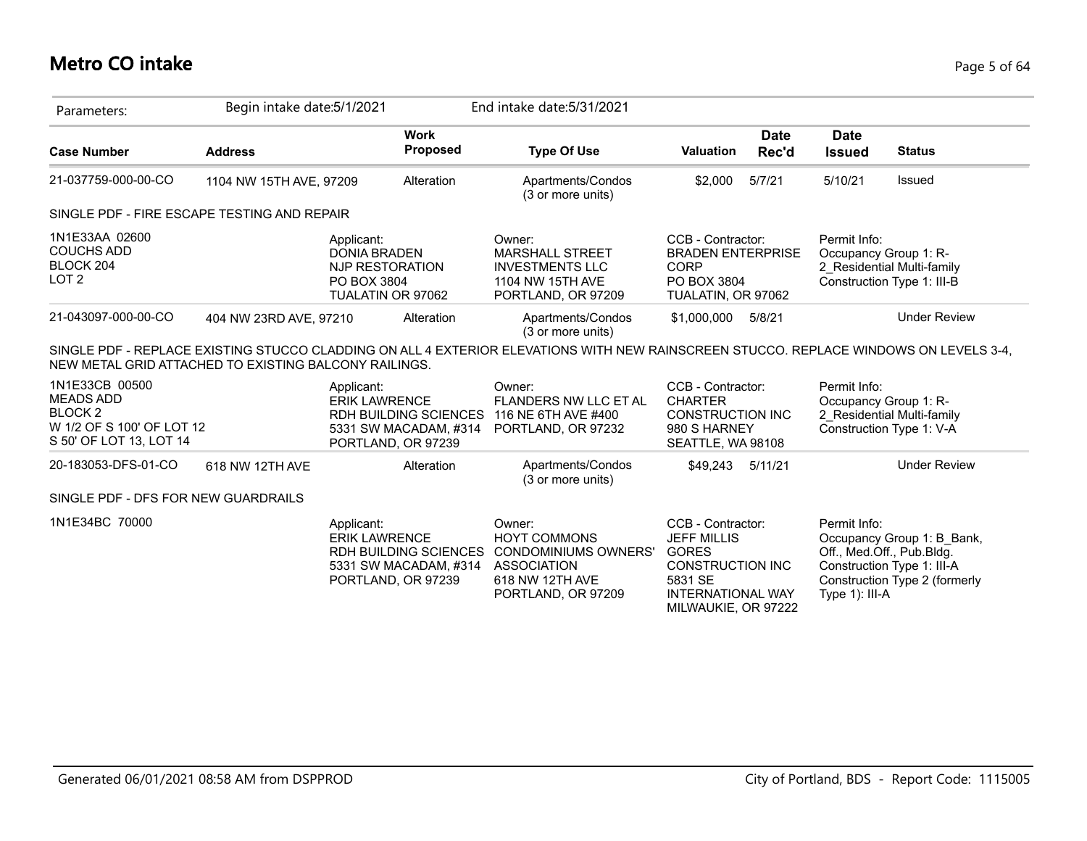# **Metro CO intake** Page 5 of 64

| Parameters:                                                                                                 | Begin intake date: 5/1/2021 |                                                                                                                   | End intake date: 5/31/2021                                                                                                            |                                                                                                                    |                      |                                                             |                                                                                           |
|-------------------------------------------------------------------------------------------------------------|-----------------------------|-------------------------------------------------------------------------------------------------------------------|---------------------------------------------------------------------------------------------------------------------------------------|--------------------------------------------------------------------------------------------------------------------|----------------------|-------------------------------------------------------------|-------------------------------------------------------------------------------------------|
| <b>Case Number</b>                                                                                          | <b>Address</b>              | <b>Work</b><br>Proposed                                                                                           | <b>Type Of Use</b>                                                                                                                    | <b>Valuation</b>                                                                                                   | <b>Date</b><br>Rec'd | <b>Date</b><br><b>Issued</b>                                | <b>Status</b>                                                                             |
| 21-037759-000-00-CO                                                                                         | 1104 NW 15TH AVE, 97209     | Alteration                                                                                                        | Apartments/Condos<br>(3 or more units)                                                                                                | \$2,000                                                                                                            | 5/7/21               | 5/10/21                                                     | Issued                                                                                    |
| SINGLE PDF - FIRE ESCAPE TESTING AND REPAIR                                                                 |                             |                                                                                                                   |                                                                                                                                       |                                                                                                                    |                      |                                                             |                                                                                           |
| 1N1E33AA 02600<br><b>COUCHS ADD</b><br>BLOCK 204<br>LOT <sub>2</sub>                                        |                             | Applicant:<br><b>DONIA BRADEN</b><br>NJP RESTORATION<br>PO BOX 3804<br>TUALATIN OR 97062                          | Owner:<br><b>MARSHALL STREET</b><br><b>INVESTMENTS LLC</b><br>1104 NW 15TH AVE<br>PORTLAND, OR 97209                                  | CCB - Contractor:<br><b>BRADEN ENTERPRISE</b><br><b>CORP</b><br>PO BOX 3804<br>TUALATIN, OR 97062                  |                      | Permit Info:<br>Occupancy Group 1: R-                       | 2 Residential Multi-family<br>Construction Type 1: III-B                                  |
| 21-043097-000-00-CO                                                                                         | 404 NW 23RD AVE, 97210      | Alteration                                                                                                        | Apartments/Condos<br>(3 or more units)                                                                                                | \$1,000,000                                                                                                        | 5/8/21               |                                                             | <b>Under Review</b>                                                                       |
| NEW METAL GRID ATTACHED TO EXISTING BALCONY RAILINGS.                                                       |                             |                                                                                                                   | SINGLE PDF - REPLACE EXISTING STUCCO CLADDING ON ALL 4 EXTERIOR ELEVATIONS WITH NEW RAINSCREEN STUCCO. REPLACE WINDOWS ON LEVELS 3-4, |                                                                                                                    |                      |                                                             |                                                                                           |
| 1N1E33CB 00500<br><b>MEADS ADD</b><br><b>BLOCK2</b><br>W 1/2 OF S 100' OF LOT 12<br>S 50' OF LOT 13, LOT 14 |                             | Applicant:<br><b>ERIK LAWRENCE</b><br><b>RDH BUILDING SCIENCES</b><br>5331 SW MACADAM, #314<br>PORTLAND, OR 97239 | Owner:<br>FLANDERS NW LLC ET AL<br>116 NE 6TH AVE #400<br>PORTLAND, OR 97232                                                          | CCB - Contractor:<br><b>CHARTER</b><br><b>CONSTRUCTION INC</b><br>980 S HARNEY<br>SEATTLE, WA 98108                |                      | Permit Info:<br>Occupancy Group 1: R-                       | 2 Residential Multi-family<br>Construction Type 1: V-A                                    |
| 20-183053-DFS-01-CO                                                                                         | 618 NW 12TH AVE             | Alteration                                                                                                        | Apartments/Condos<br>(3 or more units)                                                                                                | \$49,243                                                                                                           | 5/11/21              |                                                             | <b>Under Review</b>                                                                       |
| SINGLE PDF - DFS FOR NEW GUARDRAILS                                                                         |                             |                                                                                                                   |                                                                                                                                       |                                                                                                                    |                      |                                                             |                                                                                           |
| 1N1E34BC 70000                                                                                              |                             | Applicant:<br><b>ERIK LAWRENCE</b><br><b>RDH BUILDING SCIENCES</b><br>5331 SW MACADAM, #314<br>PORTLAND, OR 97239 | Owner:<br><b>HOYT COMMONS</b><br><b>CONDOMINIUMS OWNERS'</b><br><b>ASSOCIATION</b><br>618 NW 12TH AVE<br>PORTLAND, OR 97209           | CCB - Contractor:<br><b>JEFF MILLIS</b><br><b>GORES</b><br>CONSTRUCTION INC<br>5831 SE<br><b>INTERNATIONAL WAY</b> |                      | Permit Info:<br>Off., Med.Off., Pub.Bldg.<br>Type 1): III-A | Occupancy Group 1: B_Bank,<br>Construction Type 1: III-A<br>Construction Type 2 (formerly |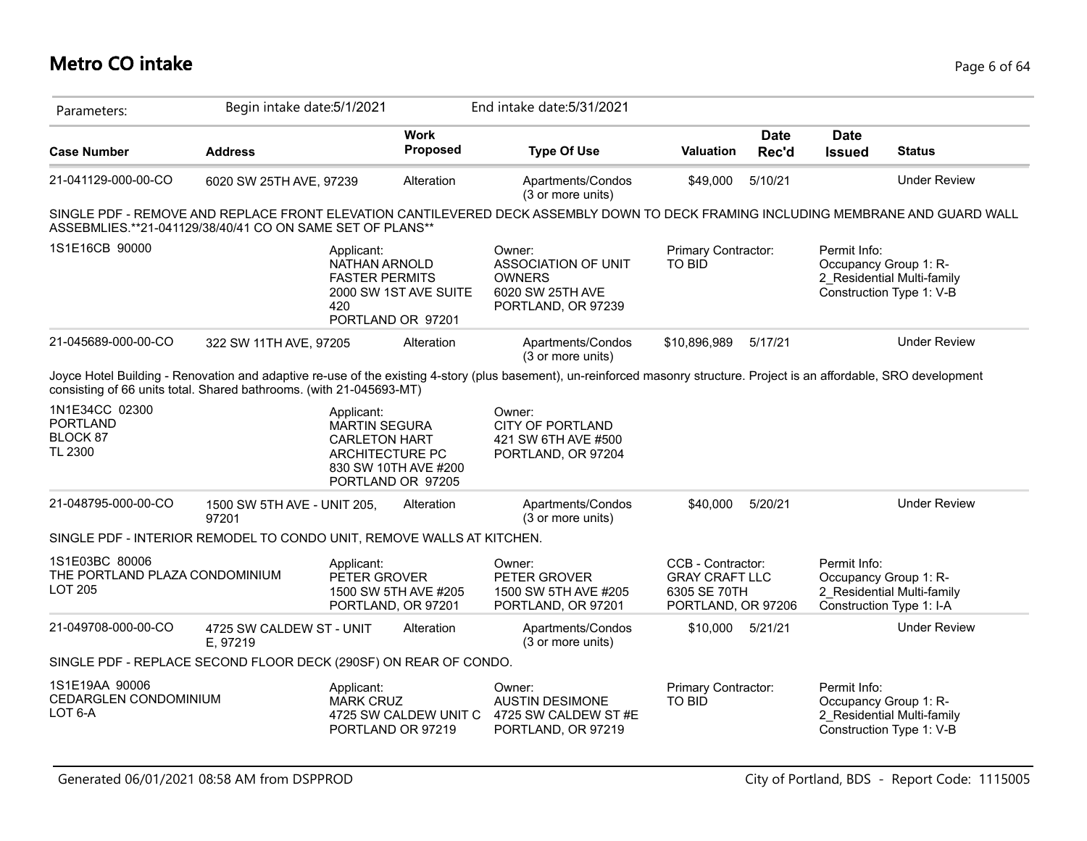# **Metro CO intake** Page 6 of 64

| Parameters:                                                           | Begin intake date: 5/1/2021          |                                                                               |                                            | End intake date: 5/31/2021                                                                                                                                                |                                                                                  |                      |                              |                                                                                 |
|-----------------------------------------------------------------------|--------------------------------------|-------------------------------------------------------------------------------|--------------------------------------------|---------------------------------------------------------------------------------------------------------------------------------------------------------------------------|----------------------------------------------------------------------------------|----------------------|------------------------------|---------------------------------------------------------------------------------|
| <b>Case Number</b>                                                    | <b>Address</b>                       |                                                                               | <b>Work</b><br><b>Proposed</b>             | <b>Type Of Use</b>                                                                                                                                                        | <b>Valuation</b>                                                                 | <b>Date</b><br>Rec'd | <b>Date</b><br><b>Issued</b> | <b>Status</b>                                                                   |
| 21-041129-000-00-CO                                                   | 6020 SW 25TH AVE, 97239              |                                                                               | Alteration                                 | Apartments/Condos<br>(3 or more units)                                                                                                                                    | \$49,000                                                                         | 5/10/21              |                              | <b>Under Review</b>                                                             |
| ASSEBMLIES.**21-041129/38/40/41 CO ON SAME SET OF PLANS**             |                                      |                                                                               |                                            | SINGLE PDF - REMOVE AND REPLACE FRONT ELEVATION CANTILEVERED DECK ASSEMBLY DOWN TO DECK FRAMING INCLUDING MEMBRANE AND GUARD WALL                                         |                                                                                  |                      |                              |                                                                                 |
| 1S1E16CB 90000                                                        |                                      | Applicant:<br>NATHAN ARNOLD<br><b>FASTER PERMITS</b><br>420                   | 2000 SW 1ST AVE SUITE<br>PORTLAND OR 97201 | Owner:<br><b>ASSOCIATION OF UNIT</b><br><b>OWNERS</b><br>6020 SW 25TH AVE<br>PORTLAND, OR 97239                                                                           | Primary Contractor:<br><b>TO BID</b>                                             |                      | Permit Info:                 | Occupancy Group 1: R-<br>2 Residential Multi-family<br>Construction Type 1: V-B |
| 21-045689-000-00-CO                                                   | 322 SW 11TH AVE, 97205               |                                                                               | Alteration                                 | Apartments/Condos<br>(3 or more units)                                                                                                                                    | \$10,896,989                                                                     | 5/17/21              |                              | <b>Under Review</b>                                                             |
| consisting of 66 units total. Shared bathrooms. (with 21-045693-MT)   |                                      |                                                                               |                                            | Joyce Hotel Building - Renovation and adaptive re-use of the existing 4-story (plus basement), un-reinforced masonry structure. Project is an affordable, SRO development |                                                                                  |                      |                              |                                                                                 |
| 1N1E34CC 02300<br><b>PORTLAND</b><br>BLOCK 87<br>TL 2300              |                                      | Applicant:<br><b>MARTIN SEGURA</b><br><b>CARLETON HART</b><br>ARCHITECTURE PC | 830 SW 10TH AVE #200<br>PORTLAND OR 97205  | Owner:<br><b>CITY OF PORTLAND</b><br>421 SW 6TH AVE #500<br>PORTLAND, OR 97204                                                                                            |                                                                                  |                      |                              |                                                                                 |
| 21-048795-000-00-CO                                                   | 1500 SW 5TH AVE - UNIT 205,<br>97201 |                                                                               | Alteration                                 | Apartments/Condos<br>(3 or more units)                                                                                                                                    | \$40,000                                                                         | 5/20/21              |                              | <b>Under Review</b>                                                             |
| SINGLE PDF - INTERIOR REMODEL TO CONDO UNIT, REMOVE WALLS AT KITCHEN. |                                      |                                                                               |                                            |                                                                                                                                                                           |                                                                                  |                      |                              |                                                                                 |
| 1S1E03BC 80006<br>THE PORTLAND PLAZA CONDOMINIUM<br><b>LOT 205</b>    |                                      | Applicant:<br>PETER GROVER                                                    | 1500 SW 5TH AVE #205<br>PORTLAND, OR 97201 | Owner:<br>PETER GROVER<br>1500 SW 5TH AVE #205<br>PORTLAND, OR 97201                                                                                                      | CCB - Contractor:<br><b>GRAY CRAFT LLC</b><br>6305 SE 70TH<br>PORTLAND, OR 97206 |                      | Permit Info:                 | Occupancy Group 1: R-<br>2 Residential Multi-family<br>Construction Type 1: I-A |
| 21-049708-000-00-CO                                                   | 4725 SW CALDEW ST - UNIT<br>E, 97219 |                                                                               | Alteration                                 | Apartments/Condos<br>(3 or more units)                                                                                                                                    | \$10,000 5/21/21                                                                 |                      |                              | <b>Under Review</b>                                                             |
| SINGLE PDF - REPLACE SECOND FLOOR DECK (290SF) ON REAR OF CONDO.      |                                      |                                                                               |                                            |                                                                                                                                                                           |                                                                                  |                      |                              |                                                                                 |
| 1S1E19AA 90006<br><b>CEDARGLEN CONDOMINIUM</b><br>LOT 6-A             |                                      | Applicant:<br><b>MARK CRUZ</b>                                                | 4725 SW CALDEW UNIT C<br>PORTLAND OR 97219 | Owner:<br><b>AUSTIN DESIMONE</b><br>4725 SW CALDEW ST#E<br>PORTLAND, OR 97219                                                                                             | Primary Contractor:<br><b>TO BID</b>                                             |                      | Permit Info:                 | Occupancy Group 1: R-<br>2 Residential Multi-family<br>Construction Type 1: V-B |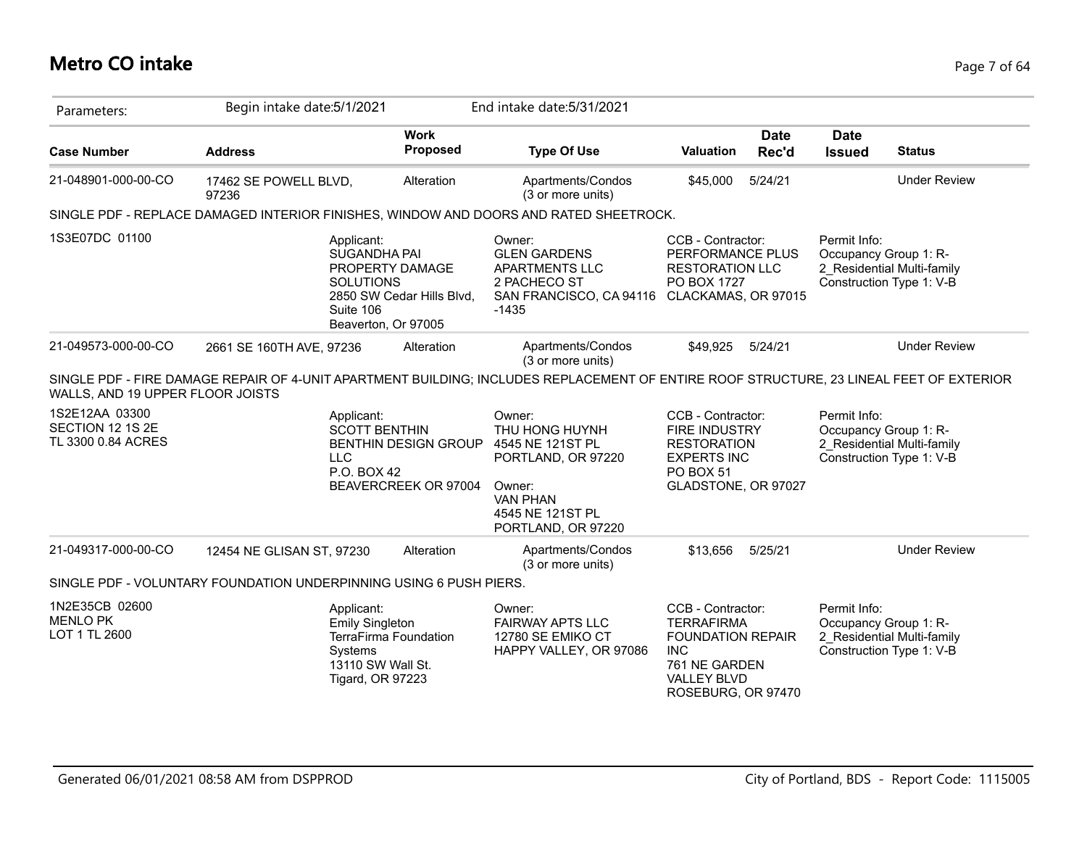# **Metro CO intake** Page 7 of 64

| Parameters:                                              | Begin intake date: 5/1/2021                                        |                                                                                                                                    | End intake date: 5/31/2021                                                                                                                |                                                                                                                                               |                      |                                       |                                                        |
|----------------------------------------------------------|--------------------------------------------------------------------|------------------------------------------------------------------------------------------------------------------------------------|-------------------------------------------------------------------------------------------------------------------------------------------|-----------------------------------------------------------------------------------------------------------------------------------------------|----------------------|---------------------------------------|--------------------------------------------------------|
| <b>Case Number</b>                                       | <b>Address</b>                                                     | <b>Work</b><br>Proposed                                                                                                            | <b>Type Of Use</b>                                                                                                                        | Valuation                                                                                                                                     | <b>Date</b><br>Rec'd | <b>Date</b><br><b>Issued</b>          | <b>Status</b>                                          |
| 21-048901-000-00-CO                                      | 17462 SE POWELL BLVD,<br>97236                                     | Alteration                                                                                                                         | Apartments/Condos<br>(3 or more units)                                                                                                    | \$45,000                                                                                                                                      | 5/24/21              |                                       | <b>Under Review</b>                                    |
|                                                          |                                                                    |                                                                                                                                    | SINGLE PDF - REPLACE DAMAGED INTERIOR FINISHES, WINDOW AND DOORS AND RATED SHEETROCK.                                                     |                                                                                                                                               |                      |                                       |                                                        |
| 1S3E07DC 01100                                           |                                                                    | Applicant:<br>SUGANDHA PAI<br>PROPERTY DAMAGE<br><b>SOLUTIONS</b><br>2850 SW Cedar Hills Blvd,<br>Suite 106<br>Beaverton, Or 97005 | Owner:<br><b>GLEN GARDENS</b><br><b>APARTMENTS LLC</b><br>2 PACHECO ST<br>SAN FRANCISCO, CA 94116 CLACKAMAS, OR 97015<br>$-1435$          | CCB - Contractor:<br>PERFORMANCE PLUS<br><b>RESTORATION LLC</b><br>PO BOX 1727                                                                |                      | Permit Info:<br>Occupancy Group 1: R- | 2_Residential Multi-family<br>Construction Type 1: V-B |
| 21-049573-000-00-CO                                      | 2661 SE 160TH AVE, 97236                                           | Alteration                                                                                                                         | Apartments/Condos<br>(3 or more units)                                                                                                    | \$49,925                                                                                                                                      | 5/24/21              |                                       | <b>Under Review</b>                                    |
| WALLS, AND 19 UPPER FLOOR JOISTS                         |                                                                    |                                                                                                                                    | SINGLE PDF - FIRE DAMAGE REPAIR OF 4-UNIT APARTMENT BUILDING; INCLUDES REPLACEMENT OF ENTIRE ROOF STRUCTURE, 23 LINEAL FEET OF EXTERIOR   |                                                                                                                                               |                      |                                       |                                                        |
| 1S2E12AA 03300<br>SECTION 12 1S 2E<br>TL 3300 0.84 ACRES | <b>LLC</b>                                                         | Applicant:<br><b>SCOTT BENTHIN</b><br><b>BENTHIN DESIGN GROUP</b><br>P.O. BOX 42<br>BEAVERCREEK OR 97004                           | Owner:<br>THU HONG HUYNH<br>4545 NE 121ST PL<br>PORTLAND, OR 97220<br>Owner:<br><b>VAN PHAN</b><br>4545 NE 121ST PL<br>PORTLAND, OR 97220 | CCB - Contractor:<br>FIRE INDUSTRY<br><b>RESTORATION</b><br><b>EXPERTS INC</b><br><b>PO BOX 51</b><br>GLADSTONE, OR 97027                     |                      | Permit Info:<br>Occupancy Group 1: R- | 2 Residential Multi-family<br>Construction Type 1: V-B |
| 21-049317-000-00-CO                                      | 12454 NE GLISAN ST, 97230                                          | Alteration                                                                                                                         | Apartments/Condos<br>(3 or more units)                                                                                                    | \$13,656                                                                                                                                      | 5/25/21              |                                       | <b>Under Review</b>                                    |
|                                                          | SINGLE PDF - VOLUNTARY FOUNDATION UNDERPINNING USING 6 PUSH PIERS. |                                                                                                                                    |                                                                                                                                           |                                                                                                                                               |                      |                                       |                                                        |
| 1N2E35CB 02600<br><b>MENLO PK</b><br>LOT 1 TL 2600       |                                                                    | Applicant:<br><b>Emily Singleton</b><br>TerraFirma Foundation<br>Systems<br>13110 SW Wall St.<br><b>Tigard, OR 97223</b>           | Owner:<br><b>FAIRWAY APTS LLC</b><br>12780 SE EMIKO CT<br>HAPPY VALLEY, OR 97086                                                          | CCB - Contractor:<br><b>TERRAFIRMA</b><br><b>FOUNDATION REPAIR</b><br><b>INC</b><br>761 NE GARDEN<br><b>VALLEY BLVD</b><br>ROSEBURG, OR 97470 |                      | Permit Info:<br>Occupancy Group 1: R- | 2 Residential Multi-family<br>Construction Type 1: V-B |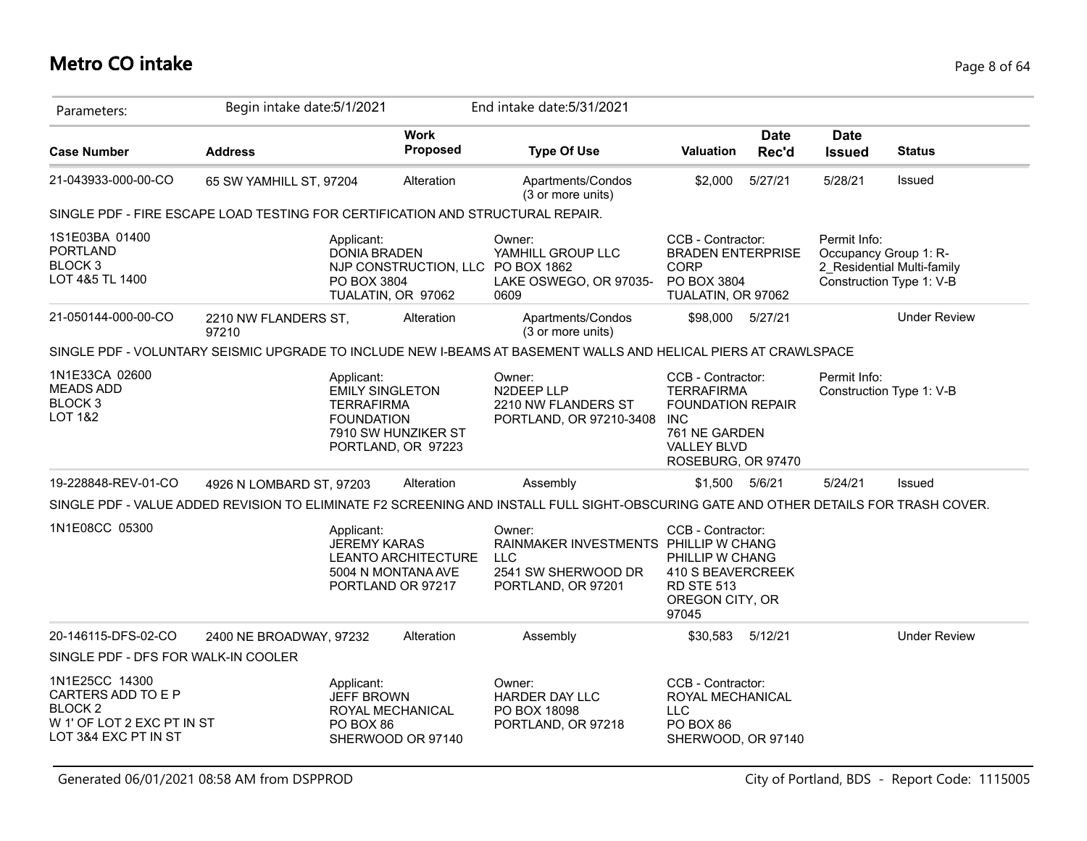| Parameters:                                                                                                      | Begin intake date: 5/1/2021   |                                                                                |                                                                | End intake date: 5/31/2021                                                                                                           |                                                                                                                                               |                      |                                       |                                                        |
|------------------------------------------------------------------------------------------------------------------|-------------------------------|--------------------------------------------------------------------------------|----------------------------------------------------------------|--------------------------------------------------------------------------------------------------------------------------------------|-----------------------------------------------------------------------------------------------------------------------------------------------|----------------------|---------------------------------------|--------------------------------------------------------|
| <b>Case Number</b>                                                                                               | <b>Address</b>                |                                                                                | <b>Work</b><br><b>Proposed</b>                                 | <b>Type Of Use</b>                                                                                                                   | <b>Valuation</b>                                                                                                                              | <b>Date</b><br>Rec'd | <b>Date</b><br><b>Issued</b>          | <b>Status</b>                                          |
| 21-043933-000-00-CO                                                                                              | 65 SW YAMHILL ST, 97204       |                                                                                | Alteration                                                     | Apartments/Condos<br>(3 or more units)                                                                                               | \$2,000                                                                                                                                       | 5/27/21              | 5/28/21                               | Issued                                                 |
| SINGLE PDF - FIRE ESCAPE LOAD TESTING FOR CERTIFICATION AND STRUCTURAL REPAIR.                                   |                               |                                                                                |                                                                |                                                                                                                                      |                                                                                                                                               |                      |                                       |                                                        |
| 1S1E03BA 01400<br><b>PORTLAND</b><br><b>BLOCK3</b><br>LOT 4&5 TL 1400                                            |                               | Applicant:<br><b>DONIA BRADEN</b><br>PO BOX 3804                               | NJP CONSTRUCTION, LLC PO BOX 1862<br>TUALATIN, OR 97062        | Owner:<br>YAMHILL GROUP LLC<br>LAKE OSWEGO, OR 97035-<br>0609                                                                        | CCB - Contractor:<br><b>BRADEN ENTERPRISE</b><br><b>CORP</b><br>PO BOX 3804<br>TUALATIN, OR 97062                                             |                      | Permit Info:<br>Occupancy Group 1: R- | 2 Residential Multi-family<br>Construction Type 1: V-B |
| 21-050144-000-00-CO                                                                                              | 2210 NW FLANDERS ST,<br>97210 |                                                                                | Alteration                                                     | Apartments/Condos<br>(3 or more units)                                                                                               | \$98,000 5/27/21                                                                                                                              |                      |                                       | <b>Under Review</b>                                    |
|                                                                                                                  |                               |                                                                                |                                                                | SINGLE PDF - VOLUNTARY SEISMIC UPGRADE TO INCLUDE NEW I-BEAMS AT BASEMENT WALLS AND HELICAL PIERS AT CRAWLSPACE                      |                                                                                                                                               |                      |                                       |                                                        |
| 1N1E33CA 02600<br><b>MEADS ADD</b><br>BLOCK <sub>3</sub><br><b>LOT 1&amp;2</b>                                   |                               | Applicant:<br><b>EMILY SINGLETON</b><br><b>TERRAFIRMA</b><br><b>FOUNDATION</b> | 7910 SW HUNZIKER ST<br>PORTLAND, OR 97223                      | Owner:<br>N2DEEP LLP<br>2210 NW FLANDERS ST<br>PORTLAND, OR 97210-3408                                                               | CCB - Contractor:<br><b>TERRAFIRMA</b><br><b>FOUNDATION REPAIR</b><br><b>INC</b><br>761 NE GARDEN<br><b>VALLEY BLVD</b><br>ROSEBURG, OR 97470 |                      | Permit Info:                          | Construction Type 1: V-B                               |
| 19-228848-REV-01-CO                                                                                              | 4926 N LOMBARD ST, 97203      |                                                                                | Alteration                                                     | Assembly                                                                                                                             | \$1,500 5/6/21                                                                                                                                |                      | 5/24/21                               | Issued                                                 |
|                                                                                                                  |                               |                                                                                |                                                                | SINGLE PDF - VALUE ADDED REVISION TO ELIMINATE F2 SCREENING AND INSTALL FULL SIGHT-OBSCURING GATE AND OTHER DETAILS FOR TRASH COVER. |                                                                                                                                               |                      |                                       |                                                        |
| 1N1E08CC 05300                                                                                                   |                               | Applicant:<br><b>JEREMY KARAS</b>                                              | LEANTO ARCHITECTURE<br>5004 N MONTANA AVE<br>PORTLAND OR 97217 | Owner:<br>RAINMAKER INVESTMENTS PHILLIP W CHANG<br><b>LLC</b><br>2541 SW SHERWOOD DR<br>PORTLAND, OR 97201                           | CCB - Contractor:<br>PHILLIP W CHANG<br>410 S BEAVERCREEK<br><b>RD STE 513</b><br>OREGON CITY, OR<br>97045                                    |                      |                                       |                                                        |
| 20-146115-DFS-02-CO                                                                                              | 2400 NE BROADWAY, 97232       |                                                                                | Alteration                                                     | Assembly                                                                                                                             | \$30,583                                                                                                                                      | 5/12/21              |                                       | <b>Under Review</b>                                    |
| SINGLE PDF - DFS FOR WALK-IN COOLER                                                                              |                               |                                                                                |                                                                |                                                                                                                                      |                                                                                                                                               |                      |                                       |                                                        |
| 1N1E25CC 14300<br>CARTERS ADD TO E P<br>BLOCK <sub>2</sub><br>W 1' OF LOT 2 EXC PT IN ST<br>LOT 3&4 EXC PT IN ST |                               | Applicant:<br><b>JEFF BROWN</b><br>ROYAL MECHANICAL<br>PO BOX 86               | SHERWOOD OR 97140                                              | Owner:<br>HARDER DAY LLC<br>PO BOX 18098<br>PORTLAND, OR 97218                                                                       | CCB - Contractor:<br>ROYAL MECHANICAL<br><b>LLC</b><br>PO BOX 86<br>SHERWOOD, OR 97140                                                        |                      |                                       |                                                        |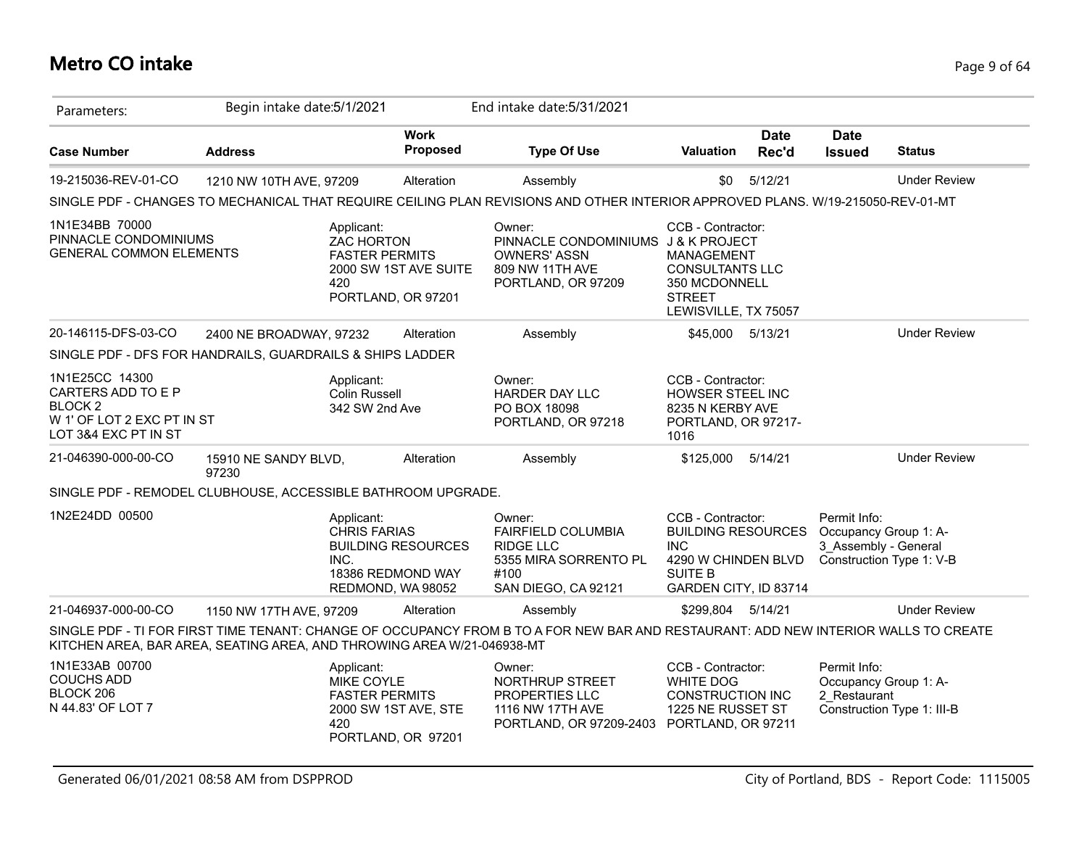# **Metro CO intake** Page 9 of 64

| Parameters:                                                                                                      | Begin intake date: 5/1/2021   |                                                          |                                                                     | End intake date: 5/31/2021                                                                                                          |                                                                                                                                |                      |                                      |                                                     |
|------------------------------------------------------------------------------------------------------------------|-------------------------------|----------------------------------------------------------|---------------------------------------------------------------------|-------------------------------------------------------------------------------------------------------------------------------------|--------------------------------------------------------------------------------------------------------------------------------|----------------------|--------------------------------------|-----------------------------------------------------|
| <b>Case Number</b>                                                                                               | <b>Address</b>                |                                                          | <b>Work</b><br>Proposed                                             | <b>Type Of Use</b>                                                                                                                  | <b>Valuation</b>                                                                                                               | <b>Date</b><br>Rec'd | <b>Date</b><br><b>Issued</b>         | <b>Status</b>                                       |
| 19-215036-REV-01-CO                                                                                              | 1210 NW 10TH AVE, 97209       |                                                          | Alteration                                                          | Assembly                                                                                                                            | \$0                                                                                                                            | 5/12/21              |                                      | <b>Under Review</b>                                 |
|                                                                                                                  |                               |                                                          |                                                                     | SINGLE PDF - CHANGES TO MECHANICAL THAT REQUIRE CEILING PLAN REVISIONS AND OTHER INTERIOR APPROVED PLANS. W/19-215050-REV-01-MT     |                                                                                                                                |                      |                                      |                                                     |
| 1N1E34BB 70000<br>PINNACLE CONDOMINIUMS<br><b>GENERAL COMMON ELEMENTS</b>                                        |                               | Applicant:<br>ZAC HORTON<br><b>FASTER PERMITS</b><br>420 | 2000 SW 1ST AVE SUITE<br>PORTLAND, OR 97201                         | Owner:<br>PINNACLE CONDOMINIUMS J & K PROJECT<br><b>OWNERS' ASSN</b><br>809 NW 11TH AVE<br>PORTLAND, OR 97209                       | CCB - Contractor:<br>MANAGEMENT<br><b>CONSULTANTS LLC</b><br>350 MCDONNELL<br><b>STREET</b><br>LEWISVILLE, TX 75057            |                      |                                      |                                                     |
| 20-146115-DFS-03-CO                                                                                              | 2400 NE BROADWAY, 97232       |                                                          | Alteration                                                          | Assembly                                                                                                                            | \$45,000 5/13/21                                                                                                               |                      |                                      | <b>Under Review</b>                                 |
| SINGLE PDF - DFS FOR HANDRAILS, GUARDRAILS & SHIPS LADDER                                                        |                               |                                                          |                                                                     |                                                                                                                                     |                                                                                                                                |                      |                                      |                                                     |
| 1N1E25CC 14300<br>CARTERS ADD TO E P<br>BLOCK <sub>2</sub><br>W 1' OF LOT 2 EXC PT IN ST<br>LOT 3&4 EXC PT IN ST |                               | Applicant:<br><b>Colin Russell</b><br>342 SW 2nd Ave     |                                                                     | Owner:<br>HARDER DAY LLC<br>PO BOX 18098<br>PORTLAND, OR 97218                                                                      | CCB - Contractor:<br>HOWSER STEEL INC<br>8235 N KERBY AVE<br>PORTLAND, OR 97217-<br>1016                                       |                      |                                      |                                                     |
| 21-046390-000-00-CO                                                                                              | 15910 NE SANDY BLVD,<br>97230 |                                                          | Alteration                                                          | Assembly                                                                                                                            | \$125,000                                                                                                                      | 5/14/21              |                                      | <b>Under Review</b>                                 |
| SINGLE PDF - REMODEL CLUBHOUSE, ACCESSIBLE BATHROOM UPGRADE.                                                     |                               |                                                          |                                                                     |                                                                                                                                     |                                                                                                                                |                      |                                      |                                                     |
| 1N2E24DD 00500                                                                                                   |                               | Applicant:<br><b>CHRIS FARIAS</b><br>INC.                | <b>BUILDING RESOURCES</b><br>18386 REDMOND WAY<br>REDMOND, WA 98052 | Owner:<br>FAIRFIELD COLUMBIA<br>RIDGE LLC<br>5355 MIRA SORRENTO PL<br>#100<br>SAN DIEGO, CA 92121                                   | CCB - Contractor:<br><b>BUILDING RESOURCES</b><br><b>INC</b><br>4290 W CHINDEN BLVD<br><b>SUITE B</b><br>GARDEN CITY, ID 83714 |                      | Permit Info:<br>3 Assembly - General | Occupancy Group 1: A-<br>Construction Type 1: V-B   |
| 21-046937-000-00-CO                                                                                              | 1150 NW 17TH AVE, 97209       |                                                          | Alteration                                                          | Assembly                                                                                                                            | \$299,804 5/14/21                                                                                                              |                      |                                      | <b>Under Review</b>                                 |
| KITCHEN AREA, BAR AREA, SEATING AREA, AND THROWING AREA W/21-046938-MT                                           |                               |                                                          |                                                                     | SINGLE PDF - TI FOR FIRST TIME TENANT: CHANGE OF OCCUPANCY FROM B TO A FOR NEW BAR AND RESTAURANT: ADD NEW INTERIOR WALLS TO CREATE |                                                                                                                                |                      |                                      |                                                     |
| 1N1E33AB 00700<br><b>COUCHS ADD</b><br>BLOCK 206<br>N 44.83' OF LOT 7                                            |                               | Applicant:<br>MIKE COYLE<br><b>FASTER PERMITS</b><br>420 | 2000 SW 1ST AVE, STE<br>PORTLAND, OR 97201                          | Owner:<br>NORTHRUP STREET<br><b>PROPERTIES LLC</b><br>1116 NW 17TH AVE<br>PORTLAND, OR 97209-2403                                   | CCB - Contractor:<br><b>WHITE DOG</b><br><b>CONSTRUCTION INC</b><br>1225 NE RUSSET ST<br>PORTLAND, OR 97211                    |                      | Permit Info:<br>2 Restaurant         | Occupancy Group 1: A-<br>Construction Type 1: III-B |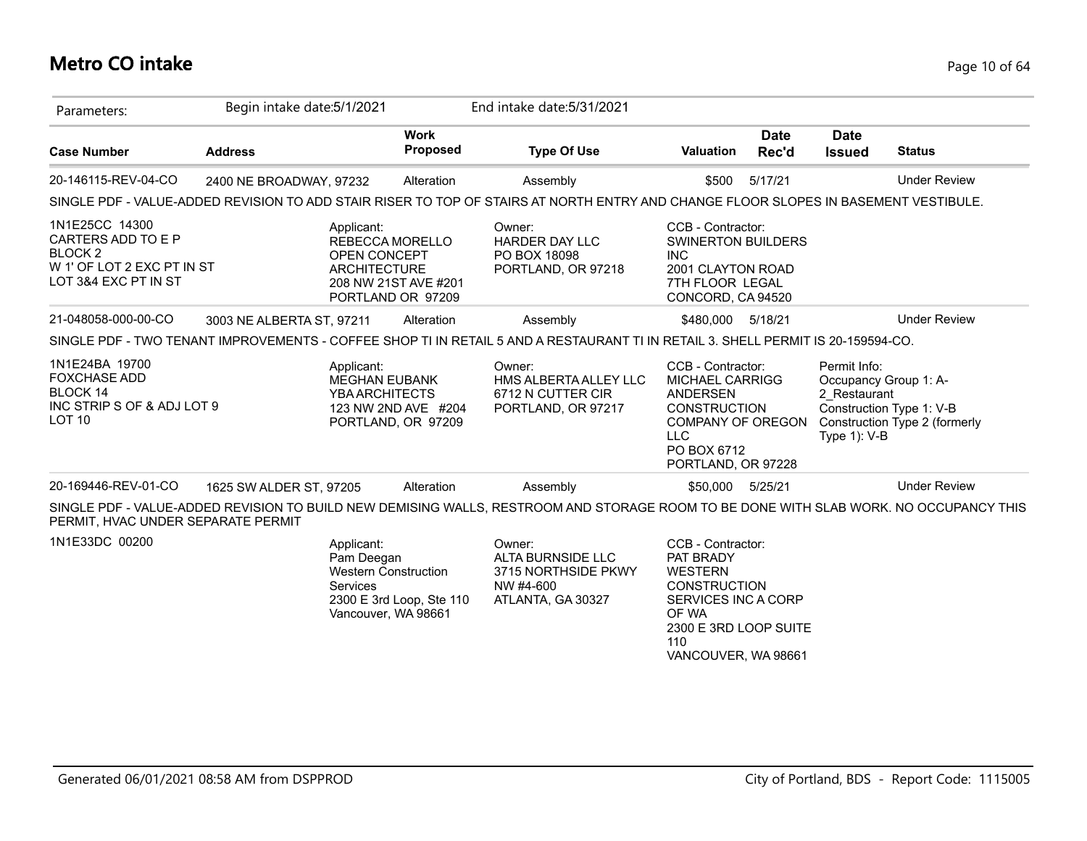## **Metro CO intake** Page 10 of 64

| Parameters:                                                                                                 | Begin intake date: 5/1/2021 |                                                                                                   |                                           | End intake date: 5/31/2021                                                                                                            |                                                                                                                                                                |                      |                                                   |                                                                                    |
|-------------------------------------------------------------------------------------------------------------|-----------------------------|---------------------------------------------------------------------------------------------------|-------------------------------------------|---------------------------------------------------------------------------------------------------------------------------------------|----------------------------------------------------------------------------------------------------------------------------------------------------------------|----------------------|---------------------------------------------------|------------------------------------------------------------------------------------|
| <b>Case Number</b>                                                                                          | <b>Address</b>              |                                                                                                   | <b>Work</b><br>Proposed                   | <b>Type Of Use</b>                                                                                                                    | <b>Valuation</b>                                                                                                                                               | <b>Date</b><br>Rec'd | <b>Date</b><br><b>Issued</b>                      | <b>Status</b>                                                                      |
| 20-146115-REV-04-CO                                                                                         | 2400 NE BROADWAY, 97232     |                                                                                                   | Alteration                                | Assembly                                                                                                                              | \$500                                                                                                                                                          | 5/17/21              |                                                   | <b>Under Review</b>                                                                |
|                                                                                                             |                             |                                                                                                   |                                           | SINGLE PDF - VALUE-ADDED REVISION TO ADD STAIR RISER TO TOP OF STAIRS AT NORTH ENTRY AND CHANGE FLOOR SLOPES IN BASEMENT VESTIBULE.   |                                                                                                                                                                |                      |                                                   |                                                                                    |
| 1N1E25CC 14300<br>CARTERS ADD TO E P<br><b>BLOCK2</b><br>W 1' OF LOT 2 EXC PT IN ST<br>LOT 3&4 EXC PT IN ST |                             | Applicant:<br>REBECCA MORELLO<br>OPEN CONCEPT<br><b>ARCHITECTURE</b>                              | 208 NW 21ST AVE #201<br>PORTLAND OR 97209 | Owner:<br>HARDER DAY LLC<br>PO BOX 18098<br>PORTLAND, OR 97218                                                                        | CCB - Contractor:<br><b>SWINERTON BUILDERS</b><br><b>INC</b><br>2001 CLAYTON ROAD<br>7TH FLOOR LEGAL<br>CONCORD, CA 94520                                      |                      |                                                   |                                                                                    |
| 21-048058-000-00-CO                                                                                         | 3003 NE ALBERTA ST, 97211   |                                                                                                   | Alteration                                | Assembly                                                                                                                              | \$480,000 5/18/21                                                                                                                                              |                      |                                                   | <b>Under Review</b>                                                                |
|                                                                                                             |                             |                                                                                                   |                                           | SINGLE PDF - TWO TENANT IMPROVEMENTS - COFFEE SHOP TI IN RETAIL 5 AND A RESTAURANT TI IN RETAIL 3. SHELL PERMIT IS 20-159594-CO.      |                                                                                                                                                                |                      |                                                   |                                                                                    |
| 1N1E24BA 19700<br><b>FOXCHASE ADD</b><br>BLOCK 14<br>INC STRIPS OF & ADJ LOT 9<br>LOT <sub>10</sub>         |                             | Applicant:<br><b>MEGHAN EUBANK</b><br><b>YBA ARCHITECTS</b>                                       | 123 NW 2ND AVE #204<br>PORTLAND, OR 97209 | Owner:<br>HMS ALBERTA ALLEY LLC<br>6712 N CUTTER CIR<br>PORTLAND, OR 97217                                                            | CCB - Contractor:<br><b>MICHAEL CARRIGG</b><br><b>ANDERSEN</b><br><b>CONSTRUCTION</b><br>COMPANY OF OREGON<br><b>LLC</b><br>PO BOX 6712<br>PORTLAND, OR 97228  |                      | Permit Info:<br>2 Restaurant<br>Type $1$ ): $V-B$ | Occupancy Group 1: A-<br>Construction Type 1: V-B<br>Construction Type 2 (formerly |
| 20-169446-REV-01-CO                                                                                         | 1625 SW ALDER ST, 97205     |                                                                                                   | Alteration                                | Assembly                                                                                                                              | \$50,000 5/25/21                                                                                                                                               |                      |                                                   | <b>Under Review</b>                                                                |
| PERMIT, HVAC UNDER SEPARATE PERMIT                                                                          |                             |                                                                                                   |                                           | SINGLE PDF - VALUE-ADDED REVISION TO BUILD NEW DEMISING WALLS, RESTROOM AND STORAGE ROOM TO BE DONE WITH SLAB WORK. NO OCCUPANCY THIS |                                                                                                                                                                |                      |                                                   |                                                                                    |
| 1N1E33DC 00200                                                                                              |                             | Applicant:<br>Pam Deegan<br><b>Western Construction</b><br><b>Services</b><br>Vancouver, WA 98661 | 2300 E 3rd Loop, Ste 110                  | Owner:<br>ALTA BURNSIDE LLC<br>3715 NORTHSIDE PKWY<br>NW #4-600<br>ATLANTA, GA 30327                                                  | CCB - Contractor:<br>PAT BRADY<br><b>WESTERN</b><br><b>CONSTRUCTION</b><br>SERVICES INC A CORP<br>OF WA<br>2300 E 3RD LOOP SUITE<br>110<br>VANCOUVER, WA 98661 |                      |                                                   |                                                                                    |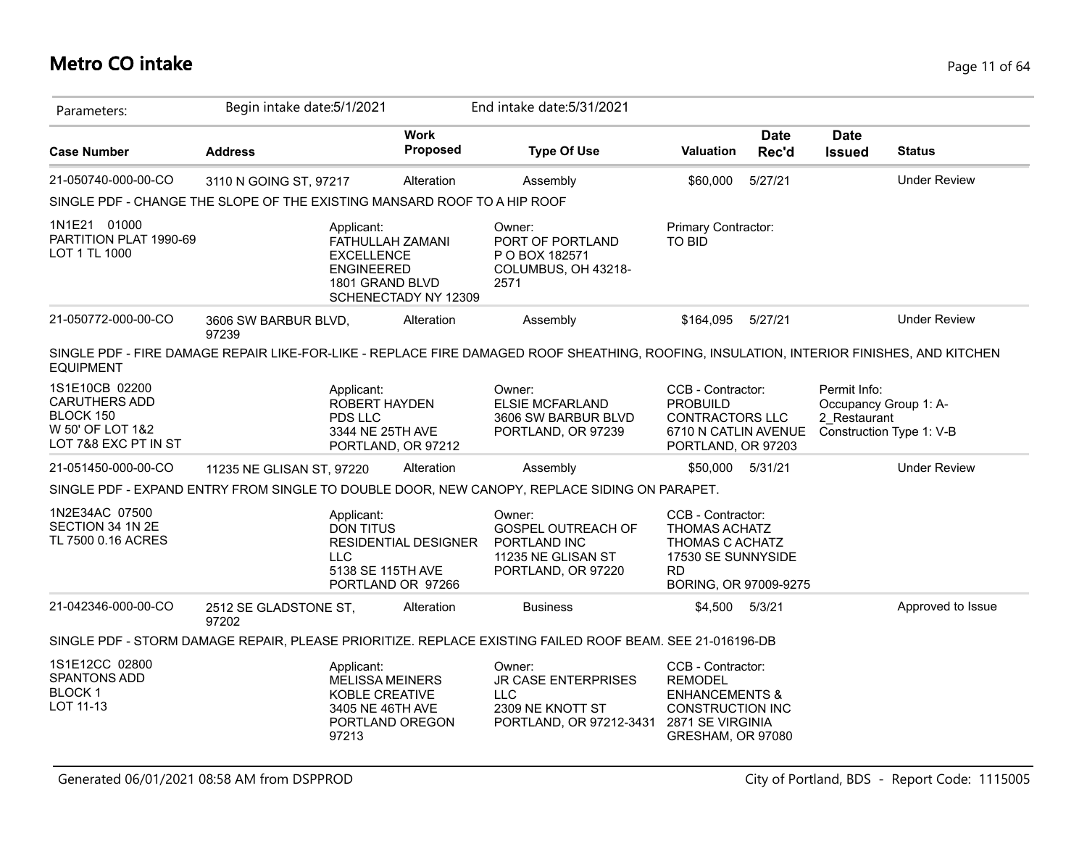## **Metro CO intake** Page 11 of 64

| Parameters:                                                                                     | Begin intake date: 5/1/2021                                              |                                                                                                       | End intake date: 5/31/2021                                                                                                               |                                                                                                                                      |                      |                                                       |                          |
|-------------------------------------------------------------------------------------------------|--------------------------------------------------------------------------|-------------------------------------------------------------------------------------------------------|------------------------------------------------------------------------------------------------------------------------------------------|--------------------------------------------------------------------------------------------------------------------------------------|----------------------|-------------------------------------------------------|--------------------------|
| <b>Case Number</b>                                                                              | <b>Address</b>                                                           | <b>Work</b><br><b>Proposed</b>                                                                        | <b>Type Of Use</b>                                                                                                                       | <b>Valuation</b>                                                                                                                     | <b>Date</b><br>Rec'd | <b>Date</b><br><b>Issued</b>                          | <b>Status</b>            |
| 21-050740-000-00-CO                                                                             | 3110 N GOING ST, 97217                                                   | Alteration                                                                                            | Assembly                                                                                                                                 | \$60,000                                                                                                                             | 5/27/21              |                                                       | <b>Under Review</b>      |
|                                                                                                 | SINGLE PDF - CHANGE THE SLOPE OF THE EXISTING MANSARD ROOF TO A HIP ROOF |                                                                                                       |                                                                                                                                          |                                                                                                                                      |                      |                                                       |                          |
| 1N1E21 01000<br>PARTITION PLAT 1990-69<br>LOT 1 TL 1000                                         | Applicant:                                                               | FATHULLAH ZAMANI<br><b>EXCELLENCE</b><br><b>ENGINEERED</b><br>1801 GRAND BLVD<br>SCHENECTADY NY 12309 | Owner:<br>PORT OF PORTLAND<br>P O BOX 182571<br>COLUMBUS, OH 43218-<br>2571                                                              | Primary Contractor:<br><b>TO BID</b>                                                                                                 |                      |                                                       |                          |
| 21-050772-000-00-CO                                                                             | 3606 SW BARBUR BLVD,<br>97239                                            | Alteration                                                                                            | Assembly                                                                                                                                 | \$164,095                                                                                                                            | 5/27/21              |                                                       | <b>Under Review</b>      |
| <b>EQUIPMENT</b>                                                                                |                                                                          |                                                                                                       | SINGLE PDF - FIRE DAMAGE REPAIR LIKE-FOR-LIKE - REPLACE FIRE DAMAGED ROOF SHEATHING, ROOFING, INSULATION, INTERIOR FINISHES, AND KITCHEN |                                                                                                                                      |                      |                                                       |                          |
| 1S1E10CB 02200<br><b>CARUTHERS ADD</b><br>BLOCK 150<br>W 50' OF LOT 1&2<br>LOT 7&8 EXC PT IN ST | Applicant:<br><b>PDS LLC</b>                                             | ROBERT HAYDEN<br>3344 NE 25TH AVE<br>PORTLAND, OR 97212                                               | Owner:<br><b>ELSIE MCFARLAND</b><br>3606 SW BARBUR BLVD<br>PORTLAND, OR 97239                                                            | CCB - Contractor:<br>PROBUILD<br><b>CONTRACTORS LLC</b><br>6710 N CATLIN AVENUE<br>PORTLAND, OR 97203                                |                      | Permit Info:<br>Occupancy Group 1: A-<br>2 Restaurant | Construction Type 1: V-B |
| 21-051450-000-00-CO                                                                             | 11235 NE GLISAN ST, 97220                                                | Alteration                                                                                            | Assembly                                                                                                                                 | \$50,000                                                                                                                             | 5/31/21              |                                                       | <b>Under Review</b>      |
|                                                                                                 |                                                                          |                                                                                                       | SINGLE PDF - EXPAND ENTRY FROM SINGLE TO DOUBLE DOOR, NEW CANOPY, REPLACE SIDING ON PARAPET.                                             |                                                                                                                                      |                      |                                                       |                          |
| 1N2E34AC 07500<br>SECTION 34 1N 2E<br>TL 7500 0.16 ACRES                                        | Applicant:<br><b>DON TITUS</b><br>LLC                                    | <b>RESIDENTIAL DESIGNER</b><br>5138 SE 115TH AVE<br>PORTLAND OR 97266                                 | Owner:<br><b>GOSPEL OUTREACH OF</b><br>PORTLAND INC<br>11235 NE GLISAN ST<br>PORTLAND, OR 97220                                          | CCB - Contractor:<br><b>THOMAS ACHATZ</b><br>THOMAS C ACHATZ<br>17530 SE SUNNYSIDE<br><b>RD</b><br>BORING, OR 97009-9275             |                      |                                                       |                          |
| 21-042346-000-00-CO                                                                             | 2512 SE GLADSTONE ST,<br>97202                                           | Alteration                                                                                            | <b>Business</b>                                                                                                                          | \$4,500 5/3/21                                                                                                                       |                      |                                                       | Approved to Issue        |
|                                                                                                 |                                                                          |                                                                                                       | SINGLE PDF - STORM DAMAGE REPAIR, PLEASE PRIORITIZE. REPLACE EXISTING FAILED ROOF BEAM. SEE 21-016196-DB                                 |                                                                                                                                      |                      |                                                       |                          |
| 1S1E12CC 02800<br><b>SPANTONS ADD</b><br><b>BLOCK1</b><br>LOT 11-13                             | Applicant:<br>97213                                                      | <b>MELISSA MEINERS</b><br>KOBLE CREATIVE<br>3405 NE 46TH AVE<br>PORTLAND OREGON                       | Owner:<br><b>JR CASE ENTERPRISES</b><br><b>LLC</b><br>2309 NE KNOTT ST<br>PORTLAND, OR 97212-3431                                        | CCB - Contractor:<br><b>REMODEL</b><br><b>ENHANCEMENTS &amp;</b><br><b>CONSTRUCTION INC</b><br>2871 SE VIRGINIA<br>GRESHAM, OR 97080 |                      |                                                       |                          |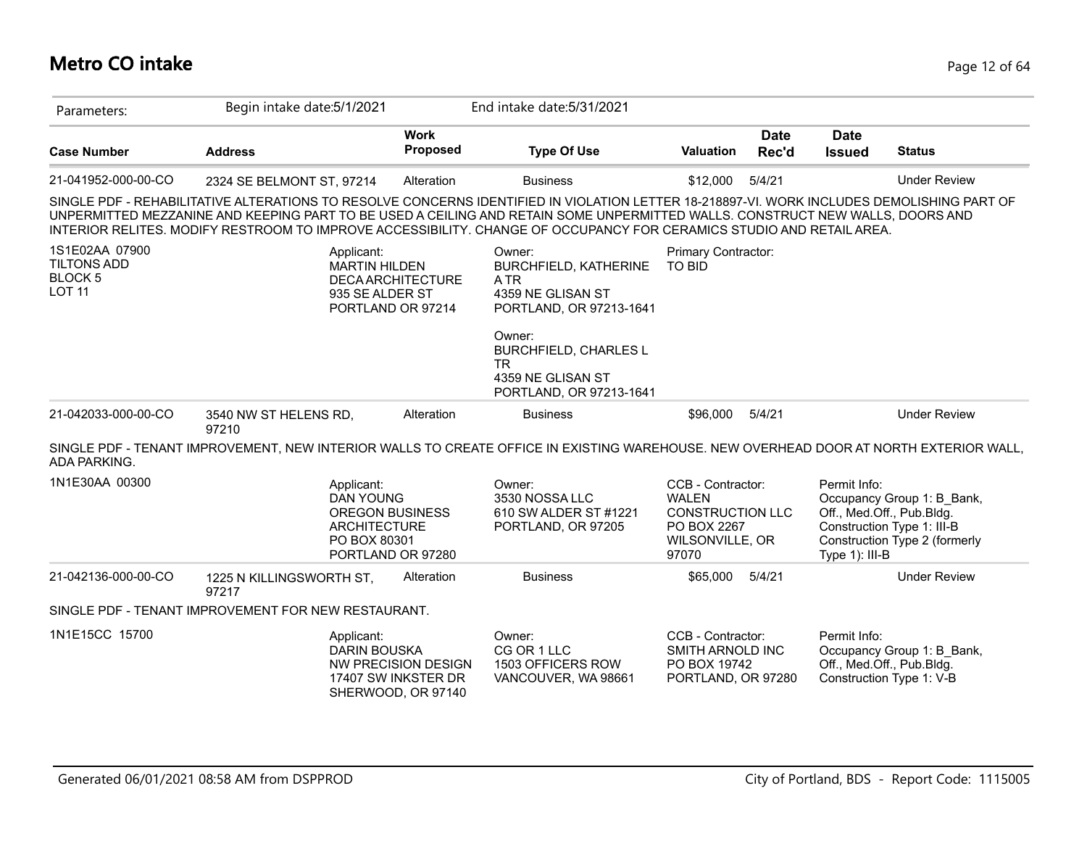# **Metro CO intake** Page 12 of 64

| Parameters:                                                             | Begin intake date: 5/1/2021                                                                                                                                                                                                                                                                                                                                                                         |                                                                  | End intake date: 5/31/2021                                                                                                                                                                           |                                                                                                         |                      |                                                                                              |                                                             |
|-------------------------------------------------------------------------|-----------------------------------------------------------------------------------------------------------------------------------------------------------------------------------------------------------------------------------------------------------------------------------------------------------------------------------------------------------------------------------------------------|------------------------------------------------------------------|------------------------------------------------------------------------------------------------------------------------------------------------------------------------------------------------------|---------------------------------------------------------------------------------------------------------|----------------------|----------------------------------------------------------------------------------------------|-------------------------------------------------------------|
| <b>Case Number</b>                                                      | <b>Address</b>                                                                                                                                                                                                                                                                                                                                                                                      | <b>Work</b><br>Proposed                                          | <b>Type Of Use</b>                                                                                                                                                                                   | <b>Valuation</b>                                                                                        | <b>Date</b><br>Rec'd | <b>Date</b><br><b>Issued</b>                                                                 | <b>Status</b>                                               |
| 21-041952-000-00-CO                                                     | 2324 SE BELMONT ST, 97214                                                                                                                                                                                                                                                                                                                                                                           | Alteration                                                       | <b>Business</b>                                                                                                                                                                                      | \$12,000                                                                                                | 5/4/21               |                                                                                              | <b>Under Review</b>                                         |
|                                                                         | SINGLE PDF - REHABILITATIVE ALTERATIONS TO RESOLVE CONCERNS IDENTIFIED IN VIOLATION LETTER 18-218897-VI. WORK INCLUDES DEMOLISHING PART OF<br>UNPERMITTED MEZZANINE AND KEEPING PART TO BE USED A CEILING AND RETAIN SOME UNPERMITTED WALLS. CONSTRUCT NEW WALLS, DOORS AND<br>INTERIOR RELITES. MODIFY RESTROOM TO IMPROVE ACCESSIBILITY. CHANGE OF OCCUPANCY FOR CERAMICS STUDIO AND RETAIL AREA. |                                                                  |                                                                                                                                                                                                      |                                                                                                         |                      |                                                                                              |                                                             |
| 1S1E02AA 07900<br><b>TILTONS ADD</b><br><b>BLOCK 5</b><br><b>LOT 11</b> | Applicant:<br><b>MARTIN HILDEN</b><br>935 SE ALDER ST<br>PORTLAND OR 97214                                                                                                                                                                                                                                                                                                                          | <b>DECA ARCHITECTURE</b>                                         | Owner:<br>BURCHFIELD, KATHERINE<br><b>ATR</b><br>4359 NE GLISAN ST<br>PORTLAND, OR 97213-1641<br>Owner:<br><b>BURCHFIELD, CHARLES L</b><br><b>TR</b><br>4359 NE GLISAN ST<br>PORTLAND, OR 97213-1641 | Primary Contractor:<br><b>TO BID</b>                                                                    |                      |                                                                                              |                                                             |
| 21-042033-000-00-CO                                                     | 3540 NW ST HELENS RD,<br>97210                                                                                                                                                                                                                                                                                                                                                                      | Alteration                                                       | <b>Business</b>                                                                                                                                                                                      | \$96,000                                                                                                | 5/4/21               |                                                                                              | <b>Under Review</b>                                         |
| ADA PARKING.                                                            | SINGLE PDF - TENANT IMPROVEMENT, NEW INTERIOR WALLS TO CREATE OFFICE IN EXISTING WAREHOUSE. NEW OVERHEAD DOOR AT NORTH EXTERIOR WALL,                                                                                                                                                                                                                                                               |                                                                  |                                                                                                                                                                                                      |                                                                                                         |                      |                                                                                              |                                                             |
| 1N1E30AA 00300                                                          | Applicant:<br><b>DAN YOUNG</b><br><b>OREGON BUSINESS</b><br><b>ARCHITECTURE</b><br>PO BOX 80301<br>PORTLAND OR 97280                                                                                                                                                                                                                                                                                |                                                                  | Owner:<br>3530 NOSSA LLC<br>610 SW ALDER ST #1221<br>PORTLAND, OR 97205                                                                                                                              | CCB - Contractor:<br><b>WALEN</b><br><b>CONSTRUCTION LLC</b><br>PO BOX 2267<br>WILSONVILLE, OR<br>97070 |                      | Permit Info:<br>Off., Med.Off., Pub.Bldg.<br>Construction Type 1: III-B<br>Type $1$ ): III-B | Occupancy Group 1: B_Bank,<br>Construction Type 2 (formerly |
| 21-042136-000-00-CO                                                     | 1225 N KILLINGSWORTH ST,<br>97217                                                                                                                                                                                                                                                                                                                                                                   | Alteration                                                       | <b>Business</b>                                                                                                                                                                                      | \$65,000                                                                                                | 5/4/21               |                                                                                              | <b>Under Review</b>                                         |
|                                                                         | SINGLE PDF - TENANT IMPROVEMENT FOR NEW RESTAURANT.                                                                                                                                                                                                                                                                                                                                                 |                                                                  |                                                                                                                                                                                                      |                                                                                                         |                      |                                                                                              |                                                             |
| 1N1E15CC 15700                                                          | Applicant:<br><b>DARIN BOUSKA</b>                                                                                                                                                                                                                                                                                                                                                                   | NW PRECISION DESIGN<br>17407 SW INKSTER DR<br>SHERWOOD, OR 97140 | Owner:<br>CG OR 1 LLC<br>1503 OFFICERS ROW<br>VANCOUVER, WA 98661                                                                                                                                    | CCB - Contractor:<br>SMITH ARNOLD INC<br>PO BOX 19742<br>PORTLAND, OR 97280                             |                      | Permit Info:<br>Off., Med.Off., Pub.Bldg.<br>Construction Type 1: V-B                        | Occupancy Group 1: B_Bank,                                  |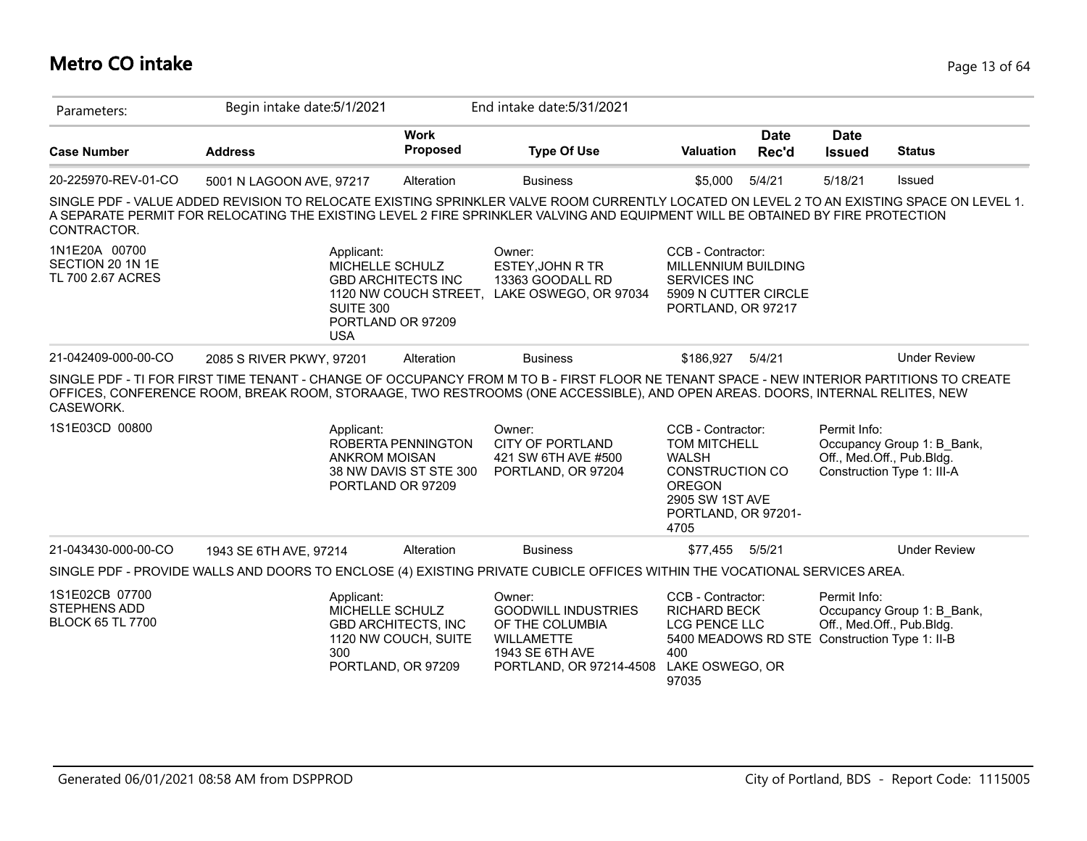# **Metro CO intake** Page 13 of 64

| Parameters:                                                      | Begin intake date: 5/1/2021                                                                                                                                                                                                                                                 |                                                                          | End intake date: 5/31/2021                                                                                                 |                                                                                                                                                |                      |                              |                                                                                       |
|------------------------------------------------------------------|-----------------------------------------------------------------------------------------------------------------------------------------------------------------------------------------------------------------------------------------------------------------------------|--------------------------------------------------------------------------|----------------------------------------------------------------------------------------------------------------------------|------------------------------------------------------------------------------------------------------------------------------------------------|----------------------|------------------------------|---------------------------------------------------------------------------------------|
| <b>Case Number</b>                                               | <b>Address</b>                                                                                                                                                                                                                                                              | <b>Work</b><br>Proposed                                                  | <b>Type Of Use</b>                                                                                                         | <b>Valuation</b>                                                                                                                               | <b>Date</b><br>Rec'd | <b>Date</b><br><b>Issued</b> | <b>Status</b>                                                                         |
| 20-225970-REV-01-CO                                              | 5001 N LAGOON AVE, 97217                                                                                                                                                                                                                                                    | Alteration                                                               | <b>Business</b>                                                                                                            | \$5,000                                                                                                                                        | 5/4/21               | 5/18/21                      | Issued                                                                                |
| CONTRACTOR.                                                      | SINGLE PDF - VALUE ADDED REVISION TO RELOCATE EXISTING SPRINKLER VALVE ROOM CURRENTLY LOCATED ON LEVEL 2 TO AN EXISTING SPACE ON LEVEL 1.<br>A SEPARATE PERMIT FOR RELOCATING THE EXISTING LEVEL 2 FIRE SPRINKLER VALVING AND EQUIPMENT WILL BE OBTAINED BY FIRE PROTECTION |                                                                          |                                                                                                                            |                                                                                                                                                |                      |                              |                                                                                       |
| 1N1E20A 00700<br>SECTION 20 1N 1E<br>TL 700 2.67 ACRES           | Applicant:<br>MICHELLE SCHULZ<br><b>SUITE 300</b><br><b>USA</b>                                                                                                                                                                                                             | <b>GBD ARCHITECTS INC</b><br>1120 NW COUCH STREET,<br>PORTLAND OR 97209  | Owner:<br>ESTEY, JOHN R TR<br>13363 GOODALL RD<br>LAKE OSWEGO, OR 97034                                                    | CCB - Contractor:<br>MILLENNIUM BUILDING<br>SERVICES INC<br>5909 N CUTTER CIRCLE<br>PORTLAND, OR 97217                                         |                      |                              |                                                                                       |
| 21-042409-000-00-CO                                              | 2085 S RIVER PKWY, 97201                                                                                                                                                                                                                                                    | Alteration                                                               | <b>Business</b>                                                                                                            | \$186.927                                                                                                                                      | 5/4/21               |                              | <b>Under Review</b>                                                                   |
| CASEWORK.                                                        | SINGLE PDF - TI FOR FIRST TIME TENANT - CHANGE OF OCCUPANCY FROM M TO B - FIRST FLOOR NE TENANT SPACE - NEW INTERIOR PARTITIONS TO CREATE<br>OFFICES, CONFERENCE ROOM, BREAK ROOM, STORAAGE, TWO RESTROOMS (ONE ACCESSIBLE), AND OPEN AREAS. DOORS, INTERNAL RELITES, NEW   |                                                                          |                                                                                                                            |                                                                                                                                                |                      |                              |                                                                                       |
| 1S1E03CD 00800                                                   | Applicant:<br><b>ANKROM MOISAN</b>                                                                                                                                                                                                                                          | ROBERTA PENNINGTON<br>38 NW DAVIS ST STE 300<br>PORTLAND OR 97209        | Owner:<br><b>CITY OF PORTLAND</b><br>421 SW 6TH AVE #500<br>PORTLAND, OR 97204                                             | CCB - Contractor:<br><b>TOM MITCHELL</b><br><b>WALSH</b><br>CONSTRUCTION CO<br><b>OREGON</b><br>2905 SW 1ST AVE<br>PORTLAND, OR 97201-<br>4705 |                      | Permit Info:                 | Occupancy Group 1: B_Bank,<br>Off., Med.Off., Pub.Bldg.<br>Construction Type 1: III-A |
| 21-043430-000-00-CO                                              | 1943 SE 6TH AVE, 97214                                                                                                                                                                                                                                                      | Alteration                                                               | <b>Business</b>                                                                                                            | \$77,455                                                                                                                                       | 5/5/21               |                              | <b>Under Review</b>                                                                   |
|                                                                  | SINGLE PDF - PROVIDE WALLS AND DOORS TO ENCLOSE (4) EXISTING PRIVATE CUBICLE OFFICES WITHIN THE VOCATIONAL SERVICES AREA.                                                                                                                                                   |                                                                          |                                                                                                                            |                                                                                                                                                |                      |                              |                                                                                       |
| 1S1E02CB 07700<br><b>STEPHENS ADD</b><br><b>BLOCK 65 TL 7700</b> | Applicant:<br>MICHELLE SCHULZ<br>300                                                                                                                                                                                                                                        | <b>GBD ARCHITECTS, INC</b><br>1120 NW COUCH, SUITE<br>PORTLAND, OR 97209 | Owner:<br><b>GOODWILL INDUSTRIES</b><br>OF THE COLUMBIA<br><b>WILLAMETTE</b><br>1943 SE 6TH AVE<br>PORTLAND, OR 97214-4508 | CCB - Contractor:<br><b>RICHARD BECK</b><br>LCG PENCE LLC<br>5400 MEADOWS RD STE Construction Type 1: II-B<br>400<br>LAKE OSWEGO, OR<br>97035  |                      | Permit Info:                 | Occupancy Group 1: B_Bank,<br>Off., Med.Off., Pub.Bldg.                               |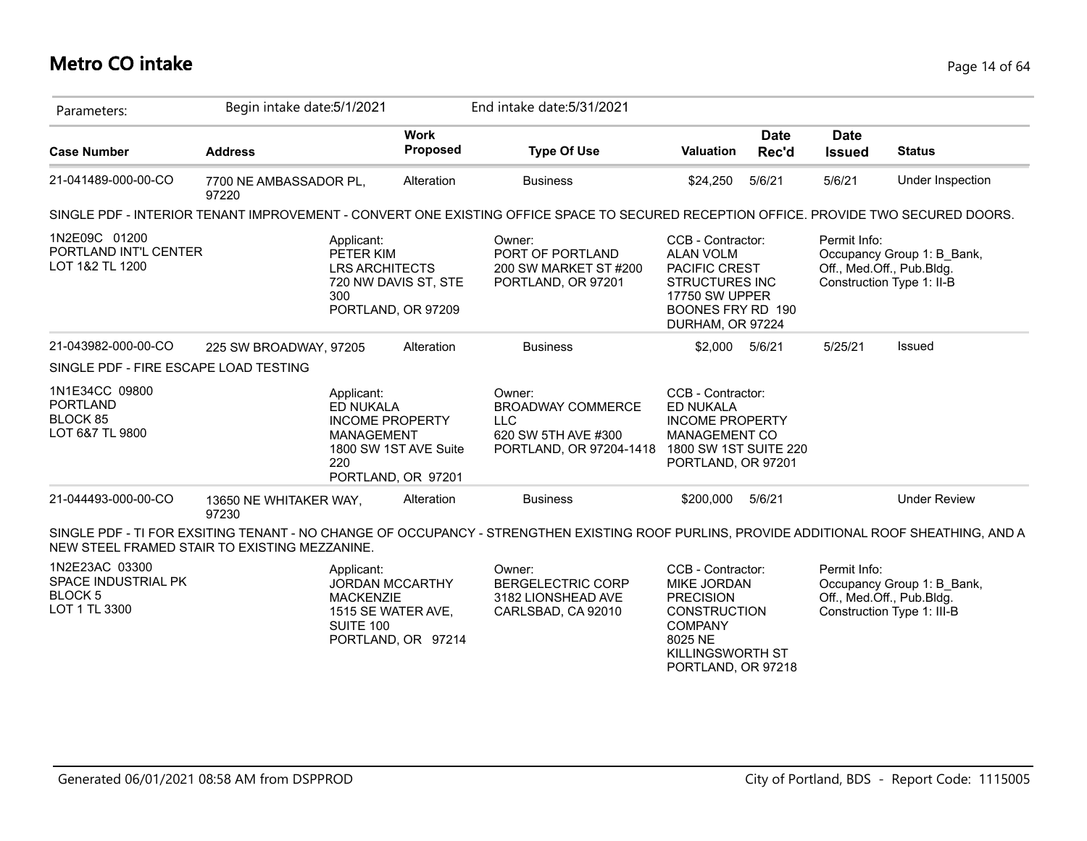## **Metro CO intake** Page 14 of 64

| Parameters:                                                              | Begin intake date: 5/1/2021     |                                                         |                                                                       | End intake date: 5/31/2021                                                                                                                |                                                                                                                                                    |                      |                              |                                                                                       |
|--------------------------------------------------------------------------|---------------------------------|---------------------------------------------------------|-----------------------------------------------------------------------|-------------------------------------------------------------------------------------------------------------------------------------------|----------------------------------------------------------------------------------------------------------------------------------------------------|----------------------|------------------------------|---------------------------------------------------------------------------------------|
| <b>Case Number</b>                                                       | <b>Address</b>                  |                                                         | <b>Work</b><br>Proposed                                               | <b>Type Of Use</b>                                                                                                                        | Valuation                                                                                                                                          | <b>Date</b><br>Rec'd | <b>Date</b><br><b>Issued</b> | <b>Status</b>                                                                         |
| 21-041489-000-00-CO                                                      | 7700 NE AMBASSADOR PL,<br>97220 |                                                         | Alteration                                                            | <b>Business</b>                                                                                                                           | \$24,250                                                                                                                                           | 5/6/21               | 5/6/21                       | Under Inspection                                                                      |
|                                                                          |                                 |                                                         |                                                                       | SINGLE PDF - INTERIOR TENANT IMPROVEMENT - CONVERT ONE EXISTING OFFICE SPACE TO SECURED RECEPTION OFFICE. PROVIDE TWO SECURED DOORS.      |                                                                                                                                                    |                      |                              |                                                                                       |
| 1N2E09C 01200<br>PORTLAND INT'L CENTER<br>LOT 1&2 TL 1200                |                                 | Applicant:<br>PETER KIM<br><b>LRS ARCHITECTS</b><br>300 | 720 NW DAVIS ST, STE<br>PORTLAND, OR 97209                            | Owner:<br>PORT OF PORTLAND<br>200 SW MARKET ST #200<br>PORTLAND, OR 97201                                                                 | CCB - Contractor:<br><b>ALAN VOLM</b><br><b>PACIFIC CREST</b><br><b>STRUCTURES INC</b><br>17750 SW UPPER<br>BOONES FRY RD 190<br>DURHAM, OR 97224  |                      | Permit Info:                 | Occupancy Group 1: B_Bank,<br>Off., Med.Off., Pub.Bldg.<br>Construction Type 1: II-B  |
| 21-043982-000-00-CO                                                      | 225 SW BROADWAY, 97205          |                                                         | Alteration                                                            | <b>Business</b>                                                                                                                           | \$2,000                                                                                                                                            | 5/6/21               | 5/25/21                      | Issued                                                                                |
| SINGLE PDF - FIRE ESCAPE LOAD TESTING                                    |                                 |                                                         |                                                                       |                                                                                                                                           |                                                                                                                                                    |                      |                              |                                                                                       |
| 1N1E34CC 09800<br><b>PORTLAND</b><br>BLOCK 85<br>LOT 6&7 TL 9800         |                                 | Applicant:<br>ED NUKALA<br>MANAGEMENT<br>220            | <b>INCOME PROPERTY</b><br>1800 SW 1ST AVE Suite<br>PORTLAND, OR 97201 | Owner:<br><b>BROADWAY COMMERCE</b><br><b>LLC</b><br>620 SW 5TH AVE #300<br>PORTLAND, OR 97204-1418                                        | CCB - Contractor:<br><b>ED NUKALA</b><br><b>INCOME PROPERTY</b><br>MANAGEMENT CO<br>1800 SW 1ST SUITE 220<br>PORTLAND, OR 97201                    |                      |                              |                                                                                       |
| 21-044493-000-00-CO                                                      | 13650 NE WHITAKER WAY,<br>97230 |                                                         | Alteration                                                            | <b>Business</b>                                                                                                                           | \$200,000                                                                                                                                          | 5/6/21               |                              | <b>Under Review</b>                                                                   |
| NEW STEEL FRAMED STAIR TO EXISTING MEZZANINE.                            |                                 |                                                         |                                                                       | SINGLE PDF - TI FOR EXSITING TENANT - NO CHANGE OF OCCUPANCY - STRENGTHEN EXISTING ROOF PURLINS, PROVIDE ADDITIONAL ROOF SHEATHING, AND A |                                                                                                                                                    |                      |                              |                                                                                       |
| 1N2E23AC 03300<br>SPACE INDUSTRIAL PK<br><b>BLOCK 5</b><br>LOT 1 TL 3300 |                                 | Applicant:<br><b>MACKENZIE</b><br><b>SUITE 100</b>      | <b>JORDAN MCCARTHY</b><br>1515 SE WATER AVE,<br>PORTLAND, OR 97214    | Owner:<br><b>BERGELECTRIC CORP</b><br>3182 LIONSHEAD AVE<br>CARLSBAD, CA 92010                                                            | CCB - Contractor:<br>MIKE JORDAN<br><b>PRECISION</b><br><b>CONSTRUCTION</b><br><b>COMPANY</b><br>8025 NE<br>KILLINGSWORTH ST<br>PORTLAND, OR 97218 |                      | Permit Info:                 | Occupancy Group 1: B_Bank,<br>Off., Med.Off., Pub.Bldg.<br>Construction Type 1: III-B |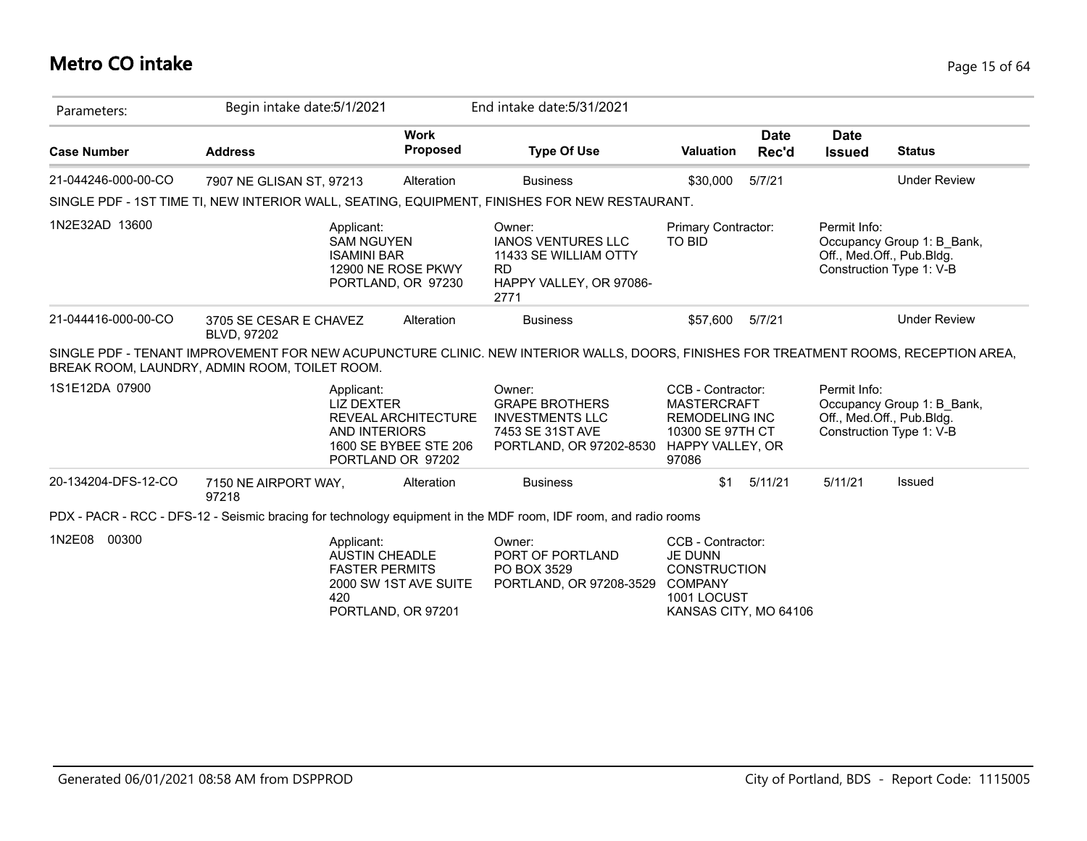# **Metro CO intake** Page 15 of 64

| Parameters:         | Begin intake date: 5/1/2021                                                                                                                                                           |                                                                   | End intake date: 5/31/2021                                                                                   |                                                                                                                      |                      |                              |                                                                                     |
|---------------------|---------------------------------------------------------------------------------------------------------------------------------------------------------------------------------------|-------------------------------------------------------------------|--------------------------------------------------------------------------------------------------------------|----------------------------------------------------------------------------------------------------------------------|----------------------|------------------------------|-------------------------------------------------------------------------------------|
| <b>Case Number</b>  | <b>Address</b>                                                                                                                                                                        | <b>Work</b><br><b>Proposed</b>                                    | <b>Type Of Use</b>                                                                                           | <b>Valuation</b>                                                                                                     | <b>Date</b><br>Rec'd | <b>Date</b><br><b>Issued</b> | <b>Status</b>                                                                       |
| 21-044246-000-00-CO | 7907 NE GLISAN ST, 97213                                                                                                                                                              | Alteration                                                        | <b>Business</b>                                                                                              | \$30,000                                                                                                             | 5/7/21               |                              | <b>Under Review</b>                                                                 |
|                     | SINGLE PDF - 1ST TIME TI, NEW INTERIOR WALL, SEATING, EQUIPMENT, FINISHES FOR NEW RESTAURANT.                                                                                         |                                                                   |                                                                                                              |                                                                                                                      |                      |                              |                                                                                     |
| 1N2E32AD 13600      | Applicant:<br><b>SAM NGUYEN</b><br><b>ISAMINI BAR</b>                                                                                                                                 | 12900 NE ROSE PKWY<br>PORTLAND, OR 97230                          | Owner:<br><b>IANOS VENTURES LLC</b><br>11433 SE WILLIAM OTTY<br><b>RD</b><br>HAPPY VALLEY, OR 97086-<br>2771 | Primary Contractor:<br><b>TO BID</b>                                                                                 |                      | Permit Info:                 | Occupancy Group 1: B_Bank,<br>Off., Med.Off., Pub.Bldg.<br>Construction Type 1: V-B |
| 21-044416-000-00-CO | 3705 SE CESAR E CHAVEZ<br><b>BLVD, 97202</b>                                                                                                                                          | Alteration                                                        | <b>Business</b>                                                                                              | \$57,600                                                                                                             | 5/7/21               |                              | <b>Under Review</b>                                                                 |
|                     | SINGLE PDF - TENANT IMPROVEMENT FOR NEW ACUPUNCTURE CLINIC. NEW INTERIOR WALLS, DOORS, FINISHES FOR TREATMENT ROOMS, RECEPTION AREA,<br>BREAK ROOM, LAUNDRY, ADMIN ROOM, TOILET ROOM. |                                                                   |                                                                                                              |                                                                                                                      |                      |                              |                                                                                     |
| 1S1E12DA 07900      | Applicant:<br><b>LIZ DEXTER</b><br><b>AND INTERIORS</b>                                                                                                                               | REVEAL ARCHITECTURE<br>1600 SE BYBEE STE 206<br>PORTLAND OR 97202 | Owner:<br><b>GRAPE BROTHERS</b><br><b>INVESTMENTS LLC</b><br>7453 SE 31ST AVE<br>PORTLAND, OR 97202-8530     | CCB - Contractor:<br><b>MASTERCRAFT</b><br><b>REMODELING INC</b><br>10300 SE 97TH CT<br>HAPPY VALLEY, OR<br>97086    |                      | Permit Info:                 | Occupancy Group 1: B_Bank,<br>Off., Med.Off., Pub.Bldg.<br>Construction Type 1: V-B |
| 20-134204-DFS-12-CO | 7150 NE AIRPORT WAY,<br>97218                                                                                                                                                         | Alteration                                                        | <b>Business</b>                                                                                              | \$1                                                                                                                  | 5/11/21              | 5/11/21                      | <b>Issued</b>                                                                       |
|                     | PDX - PACR - RCC - DFS-12 - Seismic bracing for technology equipment in the MDF room, IDF room, and radio rooms                                                                       |                                                                   |                                                                                                              |                                                                                                                      |                      |                              |                                                                                     |
| 1N2E08 00300        | Applicant:<br><b>AUSTIN CHEADLE</b><br><b>FASTER PERMITS</b><br>420                                                                                                                   | 2000 SW 1ST AVE SUITE<br>PORTLAND, OR 97201                       | Owner:<br>PORT OF PORTLAND<br>PO BOX 3529<br>PORTLAND, OR 97208-3529                                         | CCB - Contractor:<br><b>JE DUNN</b><br><b>CONSTRUCTION</b><br><b>COMPANY</b><br>1001 LOCUST<br>KANSAS CITY, MO 64106 |                      |                              |                                                                                     |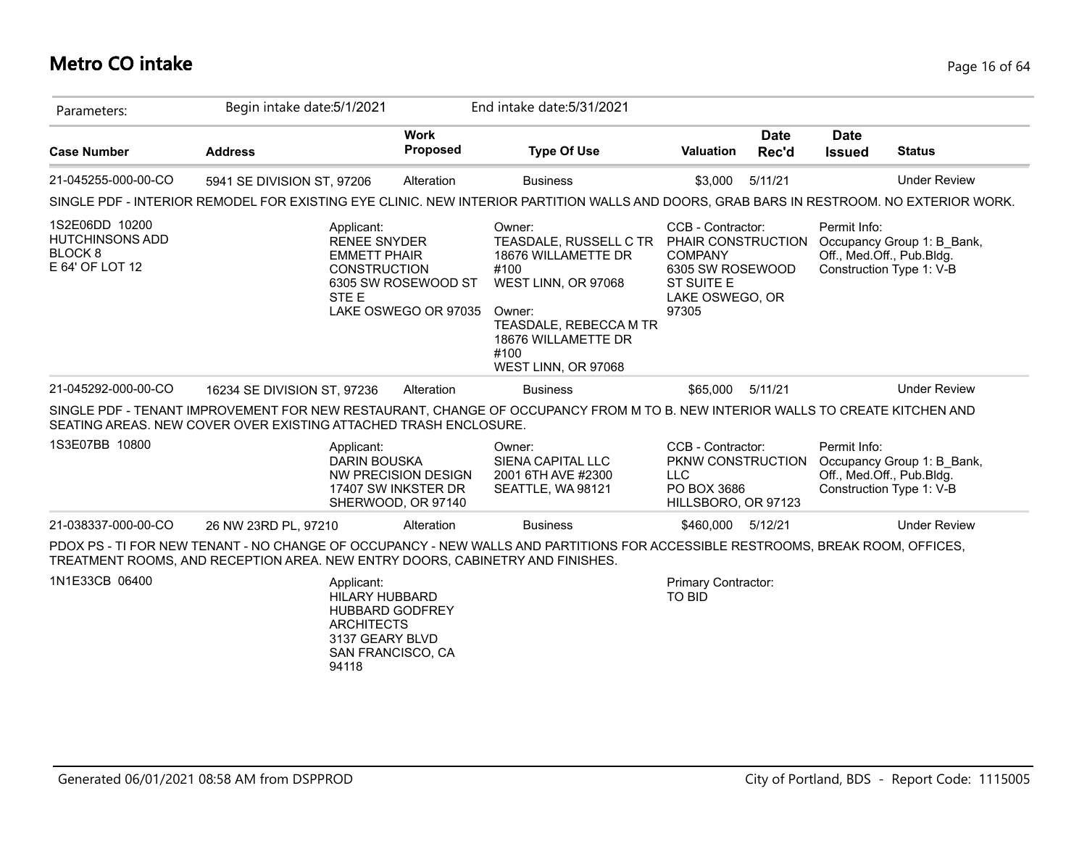# **Metro CO intake** Page 16 of 64

| Parameters:                                                                  | Begin intake date: 5/1/2021                                                                                                                                                                                     |                                                                  | End intake date: 5/31/2021                                                                                                                                                       |                                                                                                                         |                      |                              |                                                                                     |
|------------------------------------------------------------------------------|-----------------------------------------------------------------------------------------------------------------------------------------------------------------------------------------------------------------|------------------------------------------------------------------|----------------------------------------------------------------------------------------------------------------------------------------------------------------------------------|-------------------------------------------------------------------------------------------------------------------------|----------------------|------------------------------|-------------------------------------------------------------------------------------|
| <b>Case Number</b>                                                           | <b>Address</b>                                                                                                                                                                                                  | <b>Work</b><br><b>Proposed</b>                                   | <b>Type Of Use</b>                                                                                                                                                               | <b>Valuation</b>                                                                                                        | <b>Date</b><br>Rec'd | <b>Date</b><br><b>Issued</b> | <b>Status</b>                                                                       |
| 21-045255-000-00-CO                                                          | 5941 SE DIVISION ST, 97206                                                                                                                                                                                      | Alteration                                                       | <b>Business</b>                                                                                                                                                                  | \$3,000                                                                                                                 | 5/11/21              |                              | <b>Under Review</b>                                                                 |
|                                                                              | SINGLE PDF - INTERIOR REMODEL FOR EXISTING EYE CLINIC. NEW INTERIOR PARTITION WALLS AND DOORS, GRAB BARS IN RESTROOM. NO EXTERIOR WORK.                                                                         |                                                                  |                                                                                                                                                                                  |                                                                                                                         |                      |                              |                                                                                     |
| 1S2E06DD 10200<br><b>HUTCHINSONS ADD</b><br><b>BLOCK8</b><br>E 64' OF LOT 12 | Applicant:<br><b>RENEE SNYDER</b><br><b>EMMETT PHAIR</b><br><b>CONSTRUCTION</b><br>STE E                                                                                                                        | 6305 SW ROSEWOOD ST<br>LAKE OSWEGO OR 97035                      | Owner:<br>TEASDALE, RUSSELL C TR<br>18676 WILLAMETTE DR<br>#100<br>WEST LINN, OR 97068<br>Owner:<br>TEASDALE, REBECCA M TR<br>18676 WILLAMETTE DR<br>#100<br>WEST LINN, OR 97068 | CCB - Contractor:<br>PHAIR CONSTRUCTION<br><b>COMPANY</b><br>6305 SW ROSEWOOD<br>ST SUITE E<br>LAKE OSWEGO, OR<br>97305 |                      | Permit Info:                 | Occupancy Group 1: B Bank,<br>Off., Med.Off., Pub.Bldg.<br>Construction Type 1: V-B |
| 21-045292-000-00-CO                                                          | 16234 SE DIVISION ST, 97236                                                                                                                                                                                     | Alteration                                                       | <b>Business</b>                                                                                                                                                                  | \$65,000                                                                                                                | 5/11/21              |                              | <b>Under Review</b>                                                                 |
|                                                                              | SINGLE PDF - TENANT IMPROVEMENT FOR NEW RESTAURANT, CHANGE OF OCCUPANCY FROM M TO B. NEW INTERIOR WALLS TO CREATE KITCHEN AND<br>SEATING AREAS. NEW COVER OVER EXISTING ATTACHED TRASH ENCLOSURE.               |                                                                  |                                                                                                                                                                                  |                                                                                                                         |                      |                              |                                                                                     |
| 1S3E07BB 10800                                                               | Applicant:<br><b>DARIN BOUSKA</b>                                                                                                                                                                               | NW PRECISION DESIGN<br>17407 SW INKSTER DR<br>SHERWOOD, OR 97140 | Owner:<br>SIENA CAPITAL LLC<br>2001 6TH AVE #2300<br>SEATTLE, WA 98121                                                                                                           | CCB - Contractor:<br>PKNW CONSTRUCTION<br><b>LLC</b><br>PO BOX 3686<br>HILLSBORO, OR 97123                              |                      | Permit Info:                 | Occupancy Group 1: B_Bank,<br>Off., Med.Off., Pub.Bldg.<br>Construction Type 1: V-B |
| 21-038337-000-00-CO                                                          | 26 NW 23RD PL, 97210                                                                                                                                                                                            | Alteration                                                       | <b>Business</b>                                                                                                                                                                  | \$460,000 5/12/21                                                                                                       |                      |                              | <b>Under Review</b>                                                                 |
|                                                                              | PDOX PS - TI FOR NEW TENANT - NO CHANGE OF OCCUPANCY - NEW WALLS AND PARTITIONS FOR ACCESSIBLE RESTROOMS, BREAK ROOM, OFFICES,<br>TREATMENT ROOMS, AND RECEPTION AREA. NEW ENTRY DOORS, CABINETRY AND FINISHES. |                                                                  |                                                                                                                                                                                  |                                                                                                                         |                      |                              |                                                                                     |
| 1N1E33CB 06400                                                               | Applicant:<br>HILARY HUBBARD<br>HUBBARD GODFREY<br><b>ARCHITECTS</b><br>3137 GEARY BLVD<br>SAN FRANCISCO, CA<br>94118                                                                                           |                                                                  |                                                                                                                                                                                  | <b>Primary Contractor:</b><br><b>TO BID</b>                                                                             |                      |                              |                                                                                     |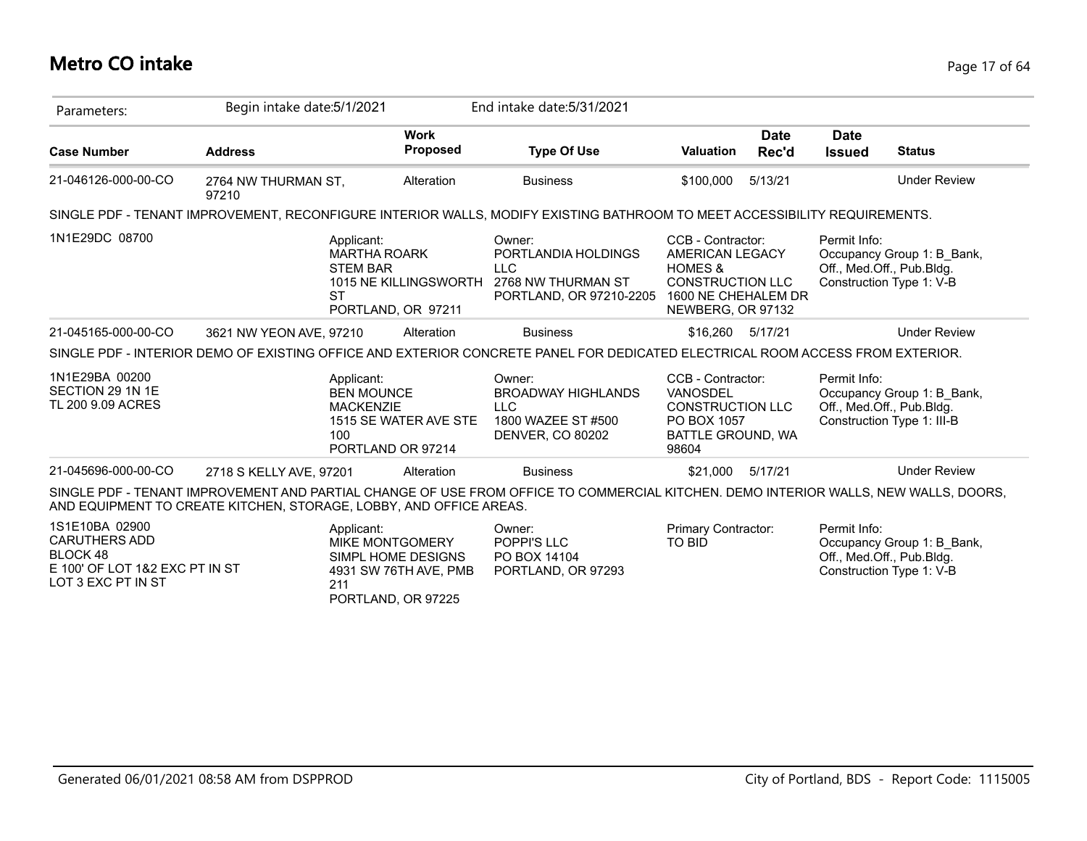## **Metro CO intake** Page 17 of 64

| Parameters:                                                                                                | Begin intake date: 5/1/2021                                        |                                                                                                                  | End intake date: 5/31/2021                                                                                                          |                                                                                                                                   |                      |                                           |                                                                                     |
|------------------------------------------------------------------------------------------------------------|--------------------------------------------------------------------|------------------------------------------------------------------------------------------------------------------|-------------------------------------------------------------------------------------------------------------------------------------|-----------------------------------------------------------------------------------------------------------------------------------|----------------------|-------------------------------------------|-------------------------------------------------------------------------------------|
| <b>Case Number</b>                                                                                         | <b>Address</b>                                                     | <b>Work</b><br>Proposed                                                                                          | <b>Type Of Use</b>                                                                                                                  | <b>Valuation</b>                                                                                                                  | <b>Date</b><br>Rec'd | <b>Date</b><br><b>Issued</b>              | <b>Status</b>                                                                       |
| 21-046126-000-00-CO                                                                                        | 2764 NW THURMAN ST,<br>97210                                       | Alteration                                                                                                       | <b>Business</b>                                                                                                                     | \$100,000                                                                                                                         | 5/13/21              |                                           | <b>Under Review</b>                                                                 |
|                                                                                                            |                                                                    |                                                                                                                  | SINGLE PDF - TENANT IMPROVEMENT, RECONFIGURE INTERIOR WALLS, MODIFY EXISTING BATHROOM TO MEET ACCESSIBILITY REQUIREMENTS.           |                                                                                                                                   |                      |                                           |                                                                                     |
| 1N1E29DC 08700                                                                                             |                                                                    | Applicant:<br><b>MARTHA ROARK</b><br><b>STEM BAR</b><br>1015 NE KILLINGSWORTH<br><b>ST</b><br>PORTLAND, OR 97211 | Owner:<br>PORTLANDIA HOLDINGS<br><b>LLC</b><br>2768 NW THURMAN ST<br>PORTLAND, OR 97210-2205                                        | CCB - Contractor:<br>AMERICAN LEGACY<br><b>HOMES &amp;</b><br><b>CONSTRUCTION LLC</b><br>1600 NE CHEHALEM DR<br>NEWBERG, OR 97132 |                      | Permit Info:<br>Off., Med.Off., Pub.Bldg. | Occupancy Group 1: B_Bank,<br>Construction Type 1: V-B                              |
| 21-045165-000-00-CO                                                                                        | 3621 NW YEON AVE, 97210                                            | Alteration                                                                                                       | <b>Business</b>                                                                                                                     | \$16.260 5/17/21                                                                                                                  |                      |                                           | <b>Under Review</b>                                                                 |
|                                                                                                            |                                                                    |                                                                                                                  | SINGLE PDF - INTERIOR DEMO OF EXISTING OFFICE AND EXTERIOR CONCRETE PANEL FOR DEDICATED ELECTRICAL ROOM ACCESS FROM EXTERIOR.       |                                                                                                                                   |                      |                                           |                                                                                     |
| 1N1E29BA 00200<br>SECTION 29 1N 1E<br>TL 200 9.09 ACRES                                                    |                                                                    | Applicant:<br><b>BEN MOUNCE</b><br><b>MACKENZIE</b><br>1515 SE WATER AVE STE<br>100<br>PORTLAND OR 97214         | Owner:<br><b>BROADWAY HIGHLANDS</b><br><b>LLC</b><br>1800 WAZEE ST #500<br><b>DENVER, CO 80202</b>                                  | CCB - Contractor:<br>VANOSDEL<br><b>CONSTRUCTION LLC</b><br>PO BOX 1057<br>BATTLE GROUND, WA<br>98604                             |                      | Permit Info:<br>Off., Med.Off., Pub.Bldg. | Occupancy Group 1: B_Bank,<br>Construction Type 1: III-B                            |
| 21-045696-000-00-CO                                                                                        | 2718 S KELLY AVE, 97201                                            | Alteration                                                                                                       | <b>Business</b>                                                                                                                     | \$21,000                                                                                                                          | 5/17/21              |                                           | <b>Under Review</b>                                                                 |
|                                                                                                            | AND EQUIPMENT TO CREATE KITCHEN, STORAGE, LOBBY, AND OFFICE AREAS. |                                                                                                                  | SINGLE PDF - TENANT IMPROVEMENT AND PARTIAL CHANGE OF USE FROM OFFICE TO COMMERCIAL KITCHEN. DEMO INTERIOR WALLS, NEW WALLS, DOORS, |                                                                                                                                   |                      |                                           |                                                                                     |
| 1S1E10BA 02900<br><b>CARUTHERS ADD</b><br>BLOCK 48<br>E 100' OF LOT 1&2 EXC PT IN ST<br>LOT 3 EXC PT IN ST |                                                                    | Applicant:<br>MIKE MONTGOMERY<br>SIMPL HOME DESIGNS<br>4931 SW 76TH AVE, PMB<br>211<br>PORTLAND, OR 97225        | Owner:<br>POPPI'S LLC<br>PO BOX 14104<br>PORTLAND, OR 97293                                                                         | Primary Contractor:<br><b>TO BID</b>                                                                                              |                      | Permit Info:                              | Occupancy Group 1: B Bank,<br>Off., Med.Off., Pub.Bldg.<br>Construction Type 1: V-B |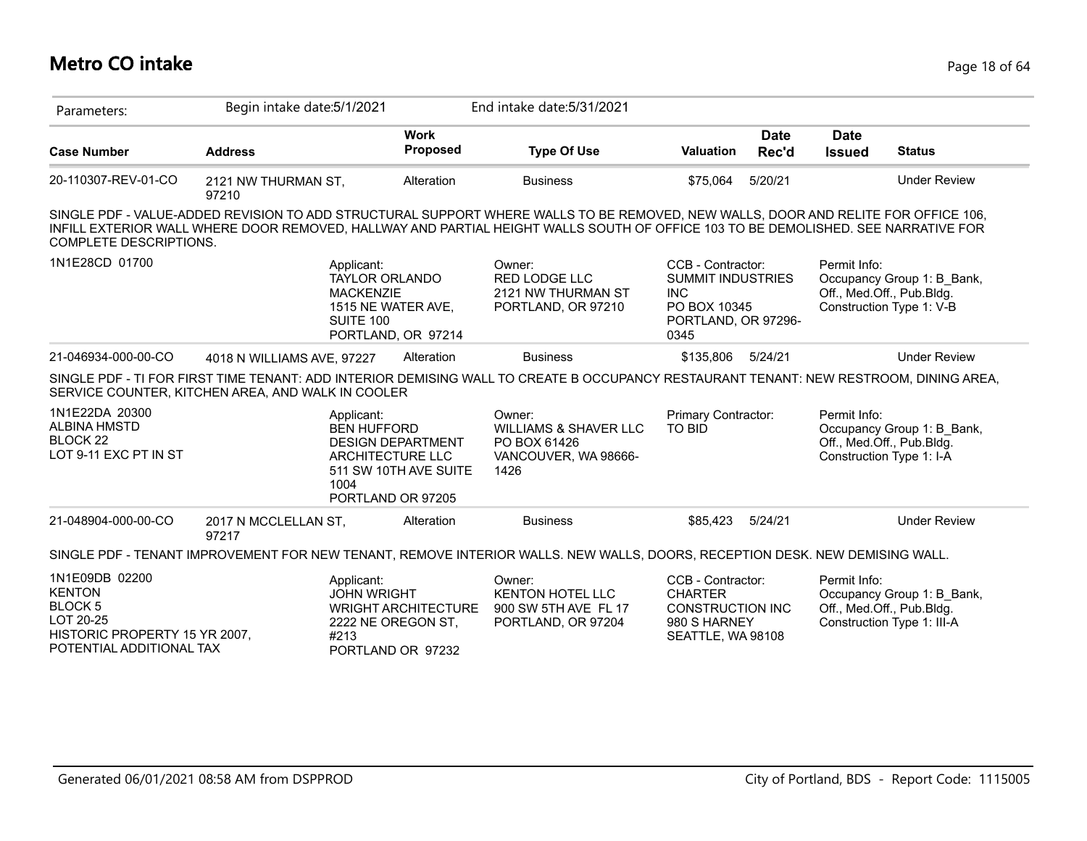## **Metro CO intake** Page 18 of 64

| Parameters:                                                                                                                 | Begin intake date: 5/1/2021                       |                                                                                                                                       | End intake date: 5/31/2021                                                                                                  |                                                                                                            |                                                                                                                                                                                                                                                                        |
|-----------------------------------------------------------------------------------------------------------------------------|---------------------------------------------------|---------------------------------------------------------------------------------------------------------------------------------------|-----------------------------------------------------------------------------------------------------------------------------|------------------------------------------------------------------------------------------------------------|------------------------------------------------------------------------------------------------------------------------------------------------------------------------------------------------------------------------------------------------------------------------|
| <b>Case Number</b>                                                                                                          | <b>Address</b>                                    | <b>Work</b><br><b>Proposed</b>                                                                                                        | <b>Type Of Use</b>                                                                                                          | <b>Date</b><br><b>Valuation</b><br>Rec'd                                                                   | <b>Date</b><br><b>Issued</b><br><b>Status</b>                                                                                                                                                                                                                          |
| 20-110307-REV-01-CO                                                                                                         | 2121 NW THURMAN ST,<br>97210                      | Alteration                                                                                                                            | <b>Business</b>                                                                                                             | 5/20/21<br>\$75,064                                                                                        | <b>Under Review</b>                                                                                                                                                                                                                                                    |
| COMPLETE DESCRIPTIONS.                                                                                                      |                                                   |                                                                                                                                       |                                                                                                                             |                                                                                                            | SINGLE PDF - VALUE-ADDED REVISION TO ADD STRUCTURAL SUPPORT WHERE WALLS TO BE REMOVED, NEW WALLS, DOOR AND RELITE FOR OFFICE 106,<br>INFILL EXTERIOR WALL WHERE DOOR REMOVED, HALLWAY AND PARTIAL HEIGHT WALLS SOUTH OF OFFICE 103 TO BE DEMOLISHED. SEE NARRATIVE FOR |
| 1N1E28CD 01700                                                                                                              |                                                   | Applicant:<br><b>TAYLOR ORLANDO</b><br><b>MACKENZIE</b><br>1515 NE WATER AVE,<br>SUITE 100<br>PORTLAND, OR 97214                      | Owner:<br><b>RED LODGE LLC</b><br>2121 NW THURMAN ST<br>PORTLAND, OR 97210                                                  | CCB - Contractor:<br><b>SUMMIT INDUSTRIES</b><br><b>INC</b><br>PO BOX 10345<br>PORTLAND, OR 97296-<br>0345 | Permit Info:<br>Occupancy Group 1: B Bank,<br>Off., Med.Off., Pub.Bldg.<br>Construction Type 1: V-B                                                                                                                                                                    |
| 21-046934-000-00-CO                                                                                                         | 4018 N WILLIAMS AVE, 97227                        | Alteration                                                                                                                            | <b>Business</b>                                                                                                             | \$135,806<br>5/24/21                                                                                       | <b>Under Review</b>                                                                                                                                                                                                                                                    |
|                                                                                                                             | SERVICE COUNTER, KITCHEN AREA, AND WALK IN COOLER |                                                                                                                                       |                                                                                                                             |                                                                                                            | SINGLE PDF - TI FOR FIRST TIME TENANT: ADD INTERIOR DEMISING WALL TO CREATE B OCCUPANCY RESTAURANT TENANT: NEW RESTROOM, DINING AREA,                                                                                                                                  |
| 1N1E22DA 20300<br><b>ALBINA HMSTD</b><br>BLOCK <sub>22</sub><br>LOT 9-11 EXC PT IN ST                                       | 1004                                              | Applicant:<br><b>BEN HUFFORD</b><br><b>DESIGN DEPARTMENT</b><br><b>ARCHITECTURE LLC</b><br>511 SW 10TH AVE SUITE<br>PORTLAND OR 97205 | Owner:<br><b>WILLIAMS &amp; SHAVER LLC</b><br>PO BOX 61426<br>VANCOUVER, WA 98666-<br>1426                                  | Primary Contractor:<br>TO BID                                                                              | Permit Info:<br>Occupancy Group 1: B_Bank,<br>Off., Med.Off., Pub.Bldg.<br>Construction Type 1: I-A                                                                                                                                                                    |
| 21-048904-000-00-CO                                                                                                         | 2017 N MCCLELLAN ST,<br>97217                     | Alteration                                                                                                                            | <b>Business</b>                                                                                                             | 5/24/21<br>\$85.423                                                                                        | <b>Under Review</b>                                                                                                                                                                                                                                                    |
|                                                                                                                             |                                                   |                                                                                                                                       | SINGLE PDF - TENANT IMPROVEMENT FOR NEW TENANT, REMOVE INTERIOR WALLS. NEW WALLS, DOORS, RECEPTION DESK. NEW DEMISING WALL. |                                                                                                            |                                                                                                                                                                                                                                                                        |
| 1N1E09DB 02200<br><b>KENTON</b><br><b>BLOCK 5</b><br>LOT 20-25<br>HISTORIC PROPERTY 15 YR 2007,<br>POTENTIAL ADDITIONAL TAX | #213                                              | Applicant:<br><b>JOHN WRIGHT</b><br><b>WRIGHT ARCHITECTURE</b><br>2222 NE OREGON ST,<br>PORTLAND OR 97232                             | Owner:<br><b>KENTON HOTEL LLC</b><br>900 SW 5TH AVE FL 17<br>PORTLAND, OR 97204                                             | CCB - Contractor:<br><b>CHARTER</b><br><b>CONSTRUCTION INC</b><br>980 S HARNEY<br>SEATTLE, WA 98108        | Permit Info:<br>Occupancy Group 1: B Bank,<br>Off., Med.Off., Pub.Bldg.<br>Construction Type 1: III-A                                                                                                                                                                  |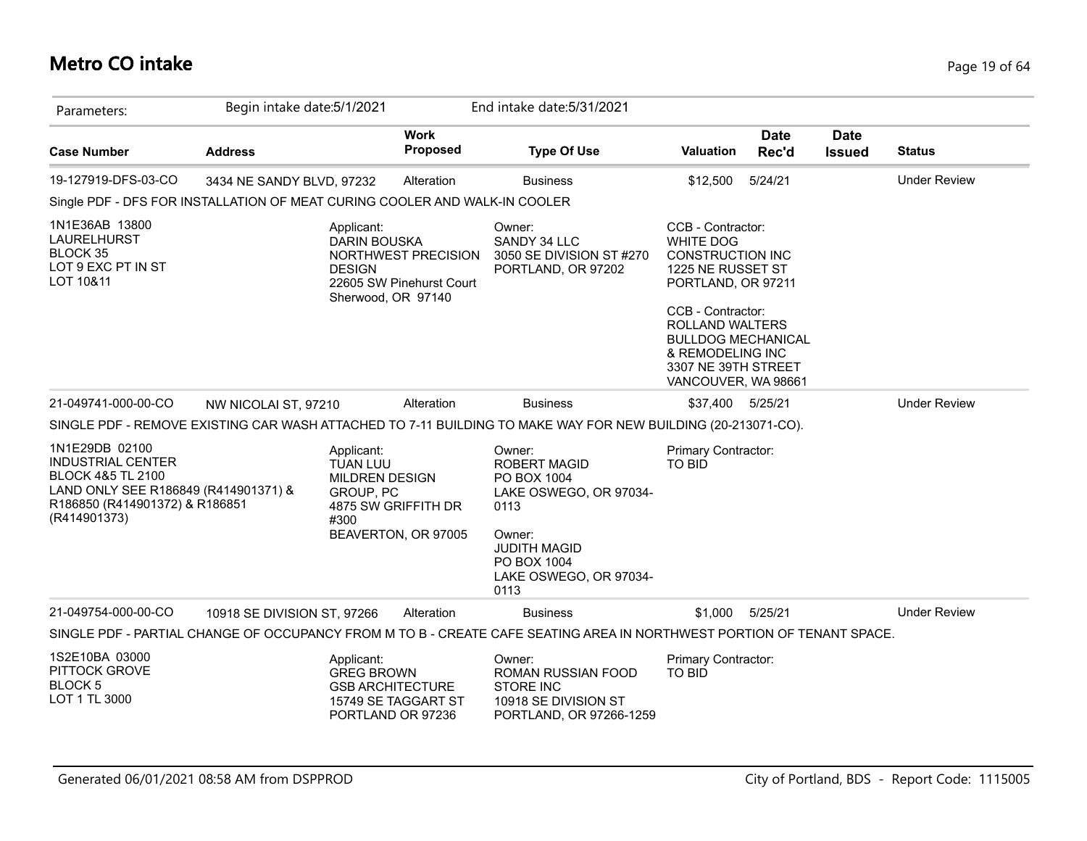## **Metro CO intake** Page 19 of 64

| Parameters:                                                                                                                                                          | Begin intake date: 5/1/2021 |                                                                                                        |                                                 | End intake date: 5/31/2021                                                                                                                               |                                                                                                                                                                                                                                                    |                      |                              |                     |
|----------------------------------------------------------------------------------------------------------------------------------------------------------------------|-----------------------------|--------------------------------------------------------------------------------------------------------|-------------------------------------------------|----------------------------------------------------------------------------------------------------------------------------------------------------------|----------------------------------------------------------------------------------------------------------------------------------------------------------------------------------------------------------------------------------------------------|----------------------|------------------------------|---------------------|
| <b>Case Number</b>                                                                                                                                                   | <b>Address</b>              |                                                                                                        | <b>Work</b><br>Proposed                         | <b>Type Of Use</b>                                                                                                                                       | <b>Valuation</b>                                                                                                                                                                                                                                   | <b>Date</b><br>Rec'd | <b>Date</b><br><b>Issued</b> | <b>Status</b>       |
| 19-127919-DFS-03-CO                                                                                                                                                  | 3434 NE SANDY BLVD, 97232   |                                                                                                        | Alteration                                      | <b>Business</b>                                                                                                                                          | \$12,500                                                                                                                                                                                                                                           | 5/24/21              |                              | <b>Under Review</b> |
| Single PDF - DFS FOR INSTALLATION OF MEAT CURING COOLER AND WALK-IN COOLER                                                                                           |                             |                                                                                                        |                                                 |                                                                                                                                                          |                                                                                                                                                                                                                                                    |                      |                              |                     |
| 1N1E36AB 13800<br>LAURELHURST<br>BLOCK 35<br>LOT 9 EXC PT IN ST<br>LOT 10&11                                                                                         |                             | Applicant:<br><b>DARIN BOUSKA</b><br><b>DESIGN</b><br>Sherwood, OR 97140                               | NORTHWEST PRECISION<br>22605 SW Pinehurst Court | Owner:<br>SANDY 34 LLC<br>3050 SE DIVISION ST #270<br>PORTLAND, OR 97202                                                                                 | CCB - Contractor:<br><b>WHITE DOG</b><br><b>CONSTRUCTION INC</b><br>1225 NE RUSSET ST<br>PORTLAND, OR 97211<br>CCB - Contractor:<br>ROLLAND WALTERS<br><b>BULLDOG MECHANICAL</b><br>& REMODELING INC<br>3307 NE 39TH STREET<br>VANCOUVER, WA 98661 |                      |                              |                     |
| 21-049741-000-00-CO                                                                                                                                                  | NW NICOLAI ST, 97210        |                                                                                                        | Alteration                                      | <b>Business</b>                                                                                                                                          | \$37,400 5/25/21                                                                                                                                                                                                                                   |                      |                              | <b>Under Review</b> |
|                                                                                                                                                                      |                             |                                                                                                        |                                                 | SINGLE PDF - REMOVE EXISTING CAR WASH ATTACHED TO 7-11 BUILDING TO MAKE WAY FOR NEW BUILDING (20-213071-CO).                                             |                                                                                                                                                                                                                                                    |                      |                              |                     |
| 1N1E29DB 02100<br><b>INDUSTRIAL CENTER</b><br><b>BLOCK 4&amp;5 TL 2100</b><br>LAND ONLY SEE R186849 (R414901371) &<br>R186850 (R414901372) & R186851<br>(R414901373) |                             | Applicant:<br><b>TUAN LUU</b><br><b>MILDREN DESIGN</b><br>GROUP, PC<br>4875 SW GRIFFITH DR<br>#300     | BEAVERTON, OR 97005                             | Owner:<br><b>ROBERT MAGID</b><br>PO BOX 1004<br>LAKE OSWEGO, OR 97034-<br>0113<br>Owner:<br><b>JUDITH MAGID</b><br>PO BOX 1004<br>LAKE OSWEGO, OR 97034- | Primary Contractor:<br>TO BID                                                                                                                                                                                                                      |                      |                              |                     |
|                                                                                                                                                                      |                             |                                                                                                        |                                                 | 0113                                                                                                                                                     |                                                                                                                                                                                                                                                    |                      |                              |                     |
| 21-049754-000-00-CO                                                                                                                                                  | 10918 SE DIVISION ST, 97266 |                                                                                                        | Alteration                                      | <b>Business</b>                                                                                                                                          | \$1.000                                                                                                                                                                                                                                            | 5/25/21              |                              | <b>Under Review</b> |
|                                                                                                                                                                      |                             |                                                                                                        |                                                 | SINGLE PDF - PARTIAL CHANGE OF OCCUPANCY FROM M TO B - CREATE CAFE SEATING AREA IN NORTHWEST PORTION OF TENANT SPACE.                                    |                                                                                                                                                                                                                                                    |                      |                              |                     |
| 1S2E10BA 03000<br>PITTOCK GROVE<br>BLOCK <sub>5</sub><br>LOT 1 TL 3000                                                                                               |                             | Applicant:<br><b>GREG BROWN</b><br><b>GSB ARCHITECTURE</b><br>15749 SE TAGGART ST<br>PORTLAND OR 97236 |                                                 | Owner:<br>ROMAN RUSSIAN FOOD<br><b>STORE INC</b><br>10918 SE DIVISION ST<br>PORTLAND, OR 97266-1259                                                      | Primary Contractor:<br>TO BID                                                                                                                                                                                                                      |                      |                              |                     |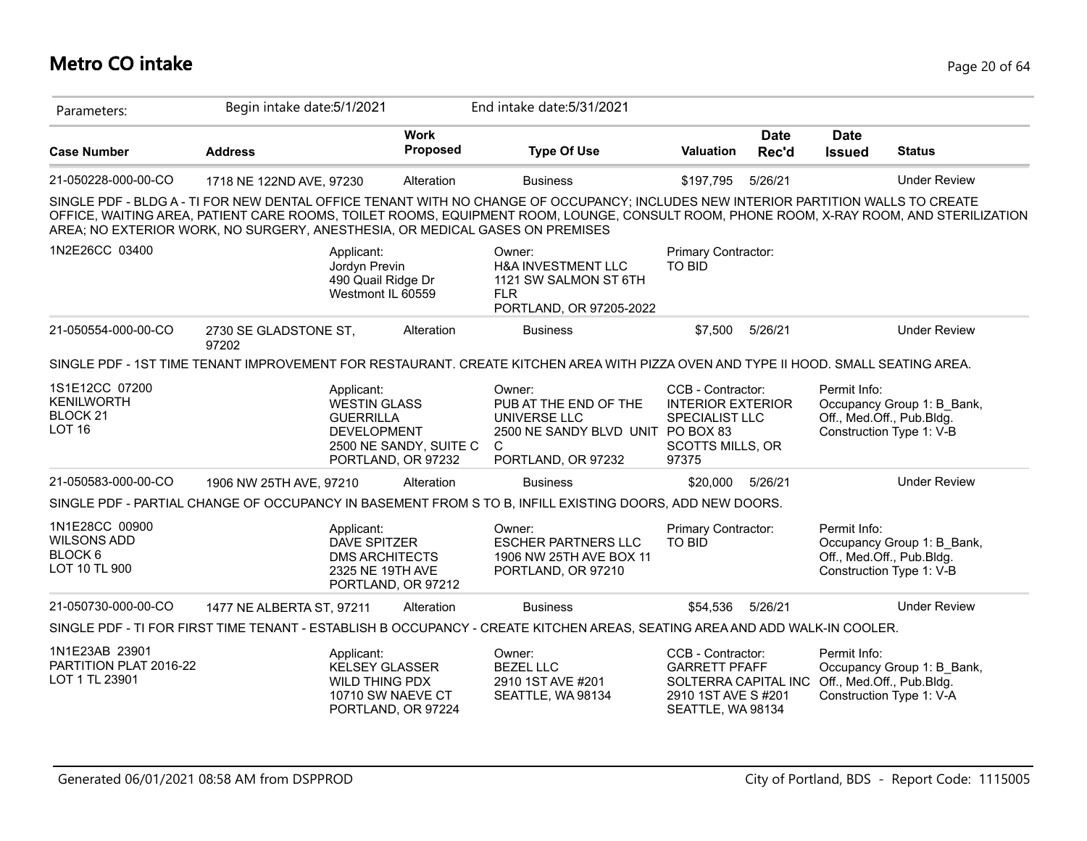# **Metro CO intake** Page 20 of 64

| Parameters:                                                                 | Begin intake date: 5/1/2021                                                  |                                                                                                        | End intake date: 5/31/2021                                                                                                                                                                                                                                                    |                                                                                                                                         |                      |                              |                                                                                     |
|-----------------------------------------------------------------------------|------------------------------------------------------------------------------|--------------------------------------------------------------------------------------------------------|-------------------------------------------------------------------------------------------------------------------------------------------------------------------------------------------------------------------------------------------------------------------------------|-----------------------------------------------------------------------------------------------------------------------------------------|----------------------|------------------------------|-------------------------------------------------------------------------------------|
| <b>Case Number</b>                                                          | <b>Address</b>                                                               | <b>Work</b><br><b>Proposed</b>                                                                         | <b>Type Of Use</b>                                                                                                                                                                                                                                                            | Valuation                                                                                                                               | <b>Date</b><br>Rec'd | <b>Date</b><br><b>Issued</b> | <b>Status</b>                                                                       |
| 21-050228-000-00-CO                                                         | 1718 NE 122ND AVE, 97230                                                     | Alteration                                                                                             | <b>Business</b>                                                                                                                                                                                                                                                               | \$197,795                                                                                                                               | 5/26/21              |                              | <b>Under Review</b>                                                                 |
|                                                                             | AREA; NO EXTERIOR WORK, NO SURGERY, ANESTHESIA, OR MEDICAL GASES ON PREMISES |                                                                                                        | SINGLE PDF - BLDG A - TI FOR NEW DENTAL OFFICE TENANT WITH NO CHANGE OF OCCUPANCY; INCLUDES NEW INTERIOR PARTITION WALLS TO CREATE<br>OFFICE, WAITING AREA, PATIENT CARE ROOMS, TOILET ROOMS, EQUIPMENT ROOM, LOUNGE, CONSULT ROOM, PHONE ROOM, X-RAY ROOM, AND STERILIZATION |                                                                                                                                         |                      |                              |                                                                                     |
| 1N2E26CC 03400                                                              | Applicant:                                                                   | Jordyn Previn<br>490 Quail Ridge Dr<br>Westmont IL 60559                                               | Owner:<br><b>H&amp;A INVESTMENT LLC</b><br>1121 SW SALMON ST 6TH<br><b>FLR</b><br>PORTLAND, OR 97205-2022                                                                                                                                                                     | Primary Contractor:<br><b>TO BID</b>                                                                                                    |                      |                              |                                                                                     |
| 21-050554-000-00-CO                                                         | 2730 SE GLADSTONE ST,<br>97202                                               | Alteration                                                                                             | <b>Business</b>                                                                                                                                                                                                                                                               | \$7,500                                                                                                                                 | 5/26/21              |                              | <b>Under Review</b>                                                                 |
|                                                                             |                                                                              |                                                                                                        | SINGLE PDF - 1ST TIME TENANT IMPROVEMENT FOR RESTAURANT. CREATE KITCHEN AREA WITH PIZZA OVEN AND TYPE II HOOD. SMALL SEATING AREA.                                                                                                                                            |                                                                                                                                         |                      |                              |                                                                                     |
| 1S1E12CC 07200<br><b>KENILWORTH</b><br>BLOCK <sub>21</sub><br><b>LOT 16</b> | Applicant:                                                                   | <b>WESTIN GLASS</b><br><b>GUERRILLA</b><br>DEVELOPMENT<br>2500 NE SANDY, SUITE C<br>PORTLAND, OR 97232 | Owner:<br>PUB AT THE END OF THE<br>UNIVERSE LLC<br>2500 NE SANDY BLVD UNIT PO BOX 83<br>$\mathsf{C}$<br>PORTLAND, OR 97232                                                                                                                                                    | CCB - Contractor:<br><b>INTERIOR EXTERIOR</b><br>SPECIALIST LLC<br><b>SCOTTS MILLS, OR</b><br>97375                                     |                      | Permit Info:                 | Occupancy Group 1: B Bank,<br>Off., Med.Off., Pub.Bldg.<br>Construction Type 1: V-B |
| 21-050583-000-00-CO                                                         | 1906 NW 25TH AVE, 97210                                                      | Alteration                                                                                             | <b>Business</b>                                                                                                                                                                                                                                                               | \$20,000                                                                                                                                | 5/26/21              |                              | <b>Under Review</b>                                                                 |
|                                                                             |                                                                              |                                                                                                        | SINGLE PDF - PARTIAL CHANGE OF OCCUPANCY IN BASEMENT FROM S TO B, INFILL EXISTING DOORS, ADD NEW DOORS.                                                                                                                                                                       |                                                                                                                                         |                      |                              |                                                                                     |
| 1N1E28CC 00900<br><b>WILSONS ADD</b><br>BLOCK 6<br>LOT 10 TL 900            | Applicant:                                                                   | <b>DAVE SPITZER</b><br><b>DMS ARCHITECTS</b><br>2325 NE 19TH AVE<br>PORTLAND, OR 97212                 | Owner:<br><b>ESCHER PARTNERS LLC</b><br>1906 NW 25TH AVE BOX 11<br>PORTLAND, OR 97210                                                                                                                                                                                         | Primary Contractor:<br><b>TO BID</b>                                                                                                    |                      | Permit Info:                 | Occupancy Group 1: B Bank,<br>Off., Med.Off., Pub.Bldg.<br>Construction Type 1: V-B |
| 21-050730-000-00-CO                                                         | 1477 NE ALBERTA ST, 97211                                                    | Alteration                                                                                             | <b>Business</b>                                                                                                                                                                                                                                                               | \$54,536                                                                                                                                | 5/26/21              |                              | <b>Under Review</b>                                                                 |
|                                                                             |                                                                              |                                                                                                        | SINGLE PDF - TI FOR FIRST TIME TENANT - ESTABLISH B OCCUPANCY - CREATE KITCHEN AREAS, SEATING AREA AND ADD WALK-IN COOLER.                                                                                                                                                    |                                                                                                                                         |                      |                              |                                                                                     |
| 1N1E23AB 23901<br>PARTITION PLAT 2016-22<br>LOT 1 TL 23901                  | Applicant:                                                                   | <b>KELSEY GLASSER</b><br><b>WILD THING PDX</b><br>10710 SW NAEVE CT<br>PORTLAND, OR 97224              | Owner:<br><b>BEZEL LLC</b><br>2910 1ST AVE #201<br>SEATTLE, WA 98134                                                                                                                                                                                                          | CCB - Contractor:<br><b>GARRETT PFAFF</b><br>SOLTERRA CAPITAL INC Off., Med.Off., Pub.Bldg.<br>2910 1ST AVE S #201<br>SEATTLE, WA 98134 |                      | Permit Info:                 | Occupancy Group 1: B_Bank,<br>Construction Type 1: V-A                              |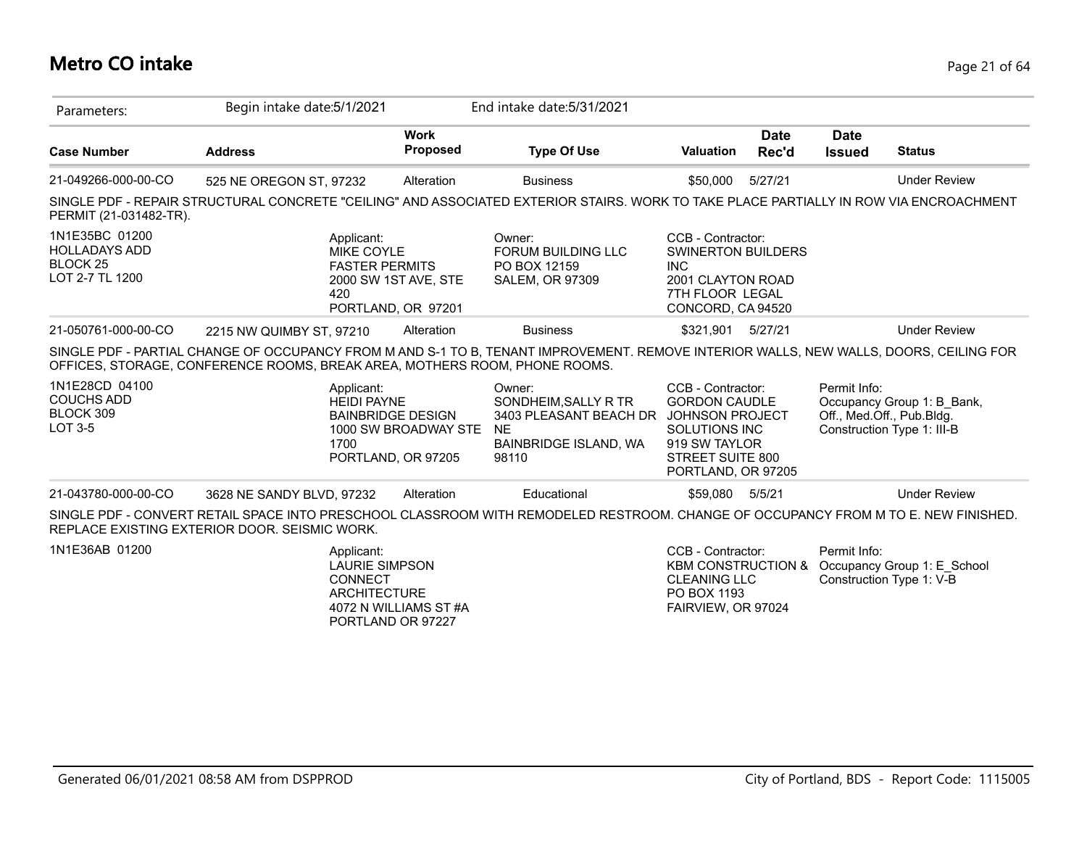# **Metro CO intake** Page 21 of 64

| Parameters:                                                                      | Begin intake date: 5/1/2021                                                                                                                                                                                          |                         | End intake date: 5/31/2021                                                                              |                                                                                                                                                        |                      |                              |                                                                                       |
|----------------------------------------------------------------------------------|----------------------------------------------------------------------------------------------------------------------------------------------------------------------------------------------------------------------|-------------------------|---------------------------------------------------------------------------------------------------------|--------------------------------------------------------------------------------------------------------------------------------------------------------|----------------------|------------------------------|---------------------------------------------------------------------------------------|
| <b>Case Number</b>                                                               | <b>Address</b>                                                                                                                                                                                                       | <b>Work</b><br>Proposed | <b>Type Of Use</b>                                                                                      | <b>Valuation</b>                                                                                                                                       | <b>Date</b><br>Rec'd | <b>Date</b><br><b>Issued</b> | <b>Status</b>                                                                         |
| 21-049266-000-00-CO                                                              | 525 NE OREGON ST, 97232                                                                                                                                                                                              | Alteration              | <b>Business</b>                                                                                         | \$50,000                                                                                                                                               | 5/27/21              |                              | <b>Under Review</b>                                                                   |
| PERMIT (21-031482-TR).                                                           | SINGLE PDF - REPAIR STRUCTURAL CONCRETE "CEILING" AND ASSOCIATED EXTERIOR STAIRS. WORK TO TAKE PLACE PARTIALLY IN ROW VIA ENCROACHMENT                                                                               |                         |                                                                                                         |                                                                                                                                                        |                      |                              |                                                                                       |
| 1N1E35BC 01200<br><b>HOLLADAYS ADD</b><br>BLOCK <sub>25</sub><br>LOT 2-7 TL 1200 | Applicant:<br>MIKE COYLE<br><b>FASTER PERMITS</b><br>420<br>PORTLAND, OR 97201                                                                                                                                       | 2000 SW 1ST AVE, STE    | Owner:<br>FORUM BUILDING LLC<br>PO BOX 12159<br><b>SALEM, OR 97309</b>                                  | CCB - Contractor:<br><b>SWINERTON BUILDERS</b><br><b>INC</b><br>2001 CLAYTON ROAD<br>7TH FLOOR LEGAL<br>CONCORD, CA 94520                              |                      |                              |                                                                                       |
| 21-050761-000-00-CO                                                              | 2215 NW QUIMBY ST, 97210                                                                                                                                                                                             | Alteration              | <b>Business</b>                                                                                         | \$321,901 5/27/21                                                                                                                                      |                      |                              | <b>Under Review</b>                                                                   |
|                                                                                  | SINGLE PDF - PARTIAL CHANGE OF OCCUPANCY FROM M AND S-1 TO B, TENANT IMPROVEMENT. REMOVE INTERIOR WALLS, NEW WALLS, DOORS, CEILING FOR<br>OFFICES, STORAGE, CONFERENCE ROOMS, BREAK AREA, MOTHERS ROOM, PHONE ROOMS. |                         |                                                                                                         |                                                                                                                                                        |                      |                              |                                                                                       |
| 1N1E28CD 04100<br><b>COUCHS ADD</b><br>BLOCK 309<br>LOT 3-5                      | Applicant:<br><b>HEIDI PAYNE</b><br><b>BAINBRIDGE DESIGN</b><br>1700<br>PORTLAND, OR 97205                                                                                                                           | 1000 SW BROADWAY STE    | Owner:<br>SONDHEIM, SALLY R TR<br>3403 PLEASANT BEACH DR<br><b>NE</b><br>BAINBRIDGE ISLAND, WA<br>98110 | CCB - Contractor:<br><b>GORDON CAUDLE</b><br><b>JOHNSON PROJECT</b><br><b>SOLUTIONS INC</b><br>919 SW TAYLOR<br>STREET SUITE 800<br>PORTLAND, OR 97205 |                      | Permit Info:                 | Occupancy Group 1: B Bank,<br>Off., Med.Off., Pub.Bldg.<br>Construction Type 1: III-B |
| 21-043780-000-00-CO                                                              | 3628 NE SANDY BLVD, 97232                                                                                                                                                                                            | Alteration              | Educational                                                                                             | \$59,080 5/5/21                                                                                                                                        |                      |                              | <b>Under Review</b>                                                                   |
|                                                                                  | SINGLE PDF - CONVERT RETAIL SPACE INTO PRESCHOOL CLASSROOM WITH REMODELED RESTROOM. CHANGE OF OCCUPANCY FROM M TO E. NEW FINISHED.<br>REPLACE EXISTING EXTERIOR DOOR. SEISMIC WORK.                                  |                         |                                                                                                         |                                                                                                                                                        |                      |                              |                                                                                       |
| 1N1E36AB 01200                                                                   | Applicant:<br><b>LAURIE SIMPSON</b><br><b>CONNECT</b><br><b>ARCHITECTURE</b><br>PORTLAND OR 97227                                                                                                                    | 4072 N WILLIAMS ST #A   |                                                                                                         | CCB - Contractor:<br><b>KBM CONSTRUCTION &amp;</b><br><b>CLEANING LLC</b><br>PO BOX 1193<br>FAIRVIEW, OR 97024                                         |                      | Permit Info:                 | Occupancy Group 1: E School<br>Construction Type 1: V-B                               |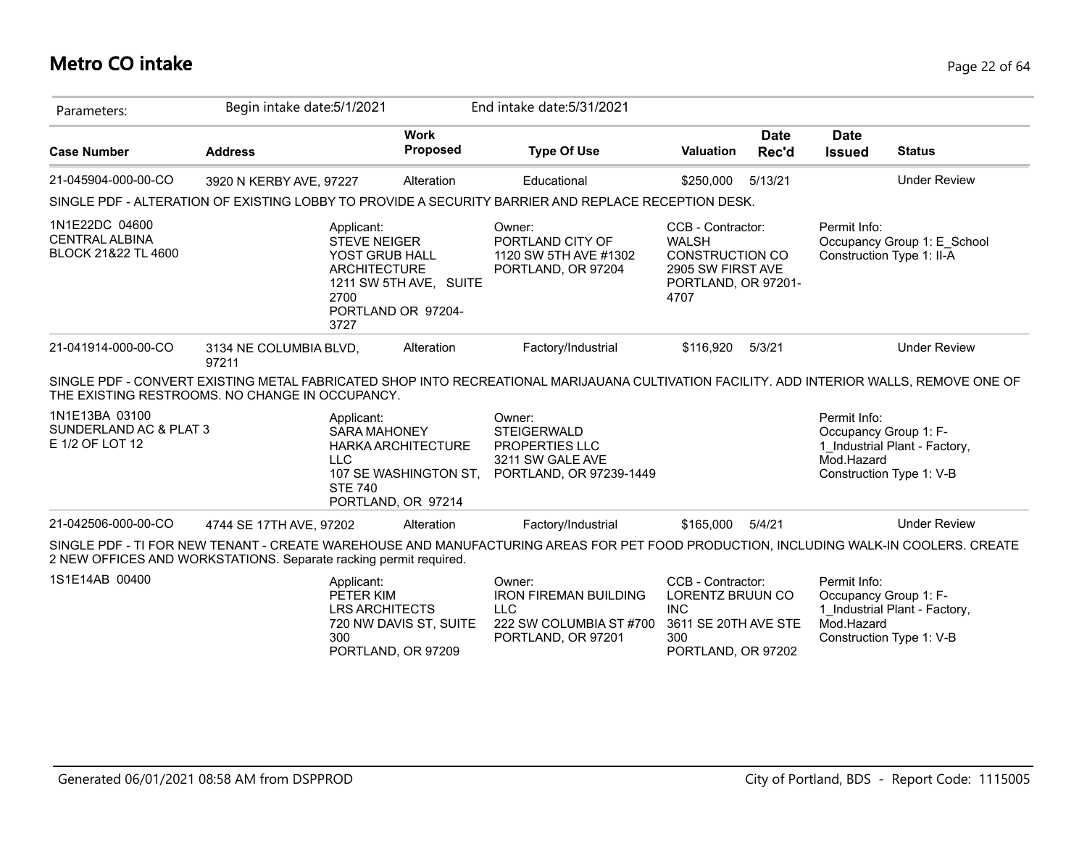# **Metro CO intake** Page 22 of 64

| Parameters:                                                    | Begin intake date: 5/1/2021                                                                                                                                                                               |                                                                   | End intake date: 5/31/2021                                                                            |                                                                                                                 |                      |                                                                                 |                               |
|----------------------------------------------------------------|-----------------------------------------------------------------------------------------------------------------------------------------------------------------------------------------------------------|-------------------------------------------------------------------|-------------------------------------------------------------------------------------------------------|-----------------------------------------------------------------------------------------------------------------|----------------------|---------------------------------------------------------------------------------|-------------------------------|
| <b>Case Number</b>                                             | <b>Address</b>                                                                                                                                                                                            | <b>Work</b><br>Proposed                                           | <b>Type Of Use</b>                                                                                    | <b>Valuation</b>                                                                                                | <b>Date</b><br>Rec'd | <b>Date</b><br><b>Issued</b>                                                    | <b>Status</b>                 |
| 21-045904-000-00-CO                                            | 3920 N KERBY AVE, 97227                                                                                                                                                                                   | Alteration                                                        | Educational                                                                                           | \$250,000                                                                                                       | 5/13/21              |                                                                                 | <b>Under Review</b>           |
|                                                                | SINGLE PDF - ALTERATION OF EXISTING LOBBY TO PROVIDE A SECURITY BARRIER AND REPLACE RECEPTION DESK.                                                                                                       |                                                                   |                                                                                                       |                                                                                                                 |                      |                                                                                 |                               |
| 1N1E22DC 04600<br><b>CENTRAL ALBINA</b><br>BLOCK 21&22 TL 4600 | Applicant:<br><b>STEVE NEIGER</b><br>YOST GRUB HALL<br><b>ARCHITECTURE</b><br>2700<br>3727                                                                                                                | 1211 SW 5TH AVE, SUITE<br>PORTLAND OR 97204-                      | Owner:<br>PORTLAND CITY OF<br>1120 SW 5TH AVE #1302<br>PORTLAND, OR 97204                             | CCB - Contractor:<br><b>WALSH</b><br><b>CONSTRUCTION CO</b><br>2905 SW FIRST AVE<br>PORTLAND, OR 97201-<br>4707 |                      | Permit Info:<br>Construction Type 1: II-A                                       | Occupancy Group 1: E_School   |
| 21-041914-000-00-CO                                            | 3134 NE COLUMBIA BLVD,<br>97211                                                                                                                                                                           | Alteration                                                        | Factory/Industrial                                                                                    | \$116,920                                                                                                       | 5/3/21               |                                                                                 | <b>Under Review</b>           |
|                                                                | SINGLE PDF - CONVERT EXISTING METAL FABRICATED SHOP INTO RECREATIONAL MARIJAUANA CULTIVATION FACILITY. ADD INTERIOR WALLS, REMOVE ONE OF<br>THE EXISTING RESTROOMS. NO CHANGE IN OCCUPANCY.               |                                                                   |                                                                                                       |                                                                                                                 |                      |                                                                                 |                               |
| 1N1E13BA 03100<br>SUNDERLAND AC & PLAT 3<br>E 1/2 OF LOT 12    | Applicant:<br><b>SARA MAHONEY</b><br><b>LLC</b><br><b>STE 740</b>                                                                                                                                         | HARKA ARCHITECTURE<br>107 SE WASHINGTON ST,<br>PORTLAND, OR 97214 | Owner:<br><b>STEIGERWALD</b><br>PROPERTIES LLC<br>3211 SW GALE AVE<br>PORTLAND, OR 97239-1449         |                                                                                                                 |                      | Permit Info:<br>Occupancy Group 1: F-<br>Mod.Hazard<br>Construction Type 1: V-B | 1 Industrial Plant - Factory, |
| 21-042506-000-00-CO                                            | 4744 SE 17TH AVE, 97202                                                                                                                                                                                   | Alteration                                                        | Factory/Industrial                                                                                    | \$165,000                                                                                                       | 5/4/21               |                                                                                 | <b>Under Review</b>           |
|                                                                | SINGLE PDF - TI FOR NEW TENANT - CREATE WAREHOUSE AND MANUFACTURING AREAS FOR PET FOOD PRODUCTION, INCLUDING WALK-IN COOLERS. CREATE<br>2 NEW OFFICES AND WORKSTATIONS. Separate racking permit required. |                                                                   |                                                                                                       |                                                                                                                 |                      |                                                                                 |                               |
| 1S1E14AB 00400                                                 | Applicant:<br>PETER KIM<br><b>LRS ARCHITECTS</b><br>300                                                                                                                                                   | 720 NW DAVIS ST, SUITE<br>PORTLAND, OR 97209                      | Owner:<br><b>IRON FIREMAN BUILDING</b><br><b>LLC</b><br>222 SW COLUMBIA ST #700<br>PORTLAND, OR 97201 | CCB - Contractor:<br><b>LORENTZ BRUUN CO</b><br><b>INC</b><br>3611 SE 20TH AVE STE<br>300<br>PORTLAND, OR 97202 |                      | Permit Info:<br>Occupancy Group 1: F-<br>Mod.Hazard<br>Construction Type 1: V-B | 1 Industrial Plant - Factory, |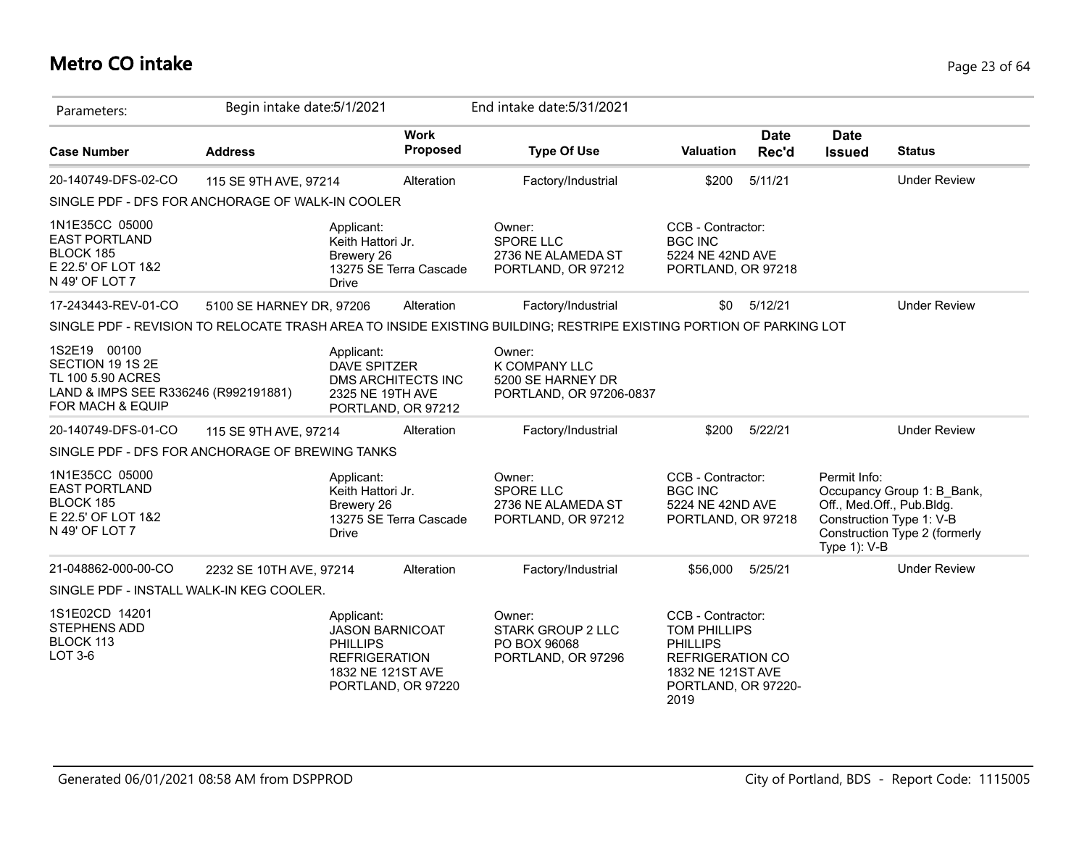# **Metro CO intake** Page 23 of 64

| Parameters:                                                                                                       | Begin intake date: 5/1/2021 |                                                                                                      |                                                 | End intake date: 5/31/2021                                                                                         |                                                                                                                                     |                      |                              |                                                                                                                      |
|-------------------------------------------------------------------------------------------------------------------|-----------------------------|------------------------------------------------------------------------------------------------------|-------------------------------------------------|--------------------------------------------------------------------------------------------------------------------|-------------------------------------------------------------------------------------------------------------------------------------|----------------------|------------------------------|----------------------------------------------------------------------------------------------------------------------|
| <b>Case Number</b>                                                                                                | <b>Address</b>              |                                                                                                      | <b>Work</b><br><b>Proposed</b>                  | <b>Type Of Use</b>                                                                                                 | <b>Valuation</b>                                                                                                                    | <b>Date</b><br>Rec'd | <b>Date</b><br><b>Issued</b> | <b>Status</b>                                                                                                        |
| 20-140749-DFS-02-CO                                                                                               | 115 SE 9TH AVE, 97214       |                                                                                                      | Alteration                                      | Factory/Industrial                                                                                                 | \$200                                                                                                                               | 5/11/21              |                              | <b>Under Review</b>                                                                                                  |
| SINGLE PDF - DFS FOR ANCHORAGE OF WALK-IN COOLER                                                                  |                             |                                                                                                      |                                                 |                                                                                                                    |                                                                                                                                     |                      |                              |                                                                                                                      |
| 1N1E35CC 05000<br><b>EAST PORTLAND</b><br>BLOCK 185<br>E 22.5' OF LOT 1&2<br>N 49' OF LOT 7                       |                             | Applicant:<br>Keith Hattori Jr.<br>Brewery 26<br>Drive                                               | 13275 SE Terra Cascade                          | Owner:<br>SPORE LLC<br>2736 NE ALAMEDA ST<br>PORTLAND, OR 97212                                                    | CCB - Contractor:<br><b>BGC INC</b><br>5224 NE 42ND AVE<br>PORTLAND, OR 97218                                                       |                      |                              |                                                                                                                      |
| 17-243443-REV-01-CO                                                                                               | 5100 SE HARNEY DR, 97206    |                                                                                                      | Alteration                                      | Factory/Industrial                                                                                                 | \$0                                                                                                                                 | 5/12/21              |                              | <b>Under Review</b>                                                                                                  |
|                                                                                                                   |                             |                                                                                                      |                                                 | SINGLE PDF - REVISION TO RELOCATE TRASH AREA TO INSIDE EXISTING BUILDING; RESTRIPE EXISTING PORTION OF PARKING LOT |                                                                                                                                     |                      |                              |                                                                                                                      |
| 1S2E19 00100<br>SECTION 19 1S 2E<br>TL 100 5.90 ACRES<br>LAND & IMPS SEE R336246 (R992191881)<br>FOR MACH & EQUIP |                             | Applicant:<br>DAVE SPITZER<br>2325 NE 19TH AVE                                                       | <b>DMS ARCHITECTS INC</b><br>PORTLAND, OR 97212 | Owner:<br>K COMPANY LLC<br>5200 SE HARNEY DR<br>PORTLAND, OR 97206-0837                                            |                                                                                                                                     |                      |                              |                                                                                                                      |
| 20-140749-DFS-01-CO                                                                                               | 115 SE 9TH AVE, 97214       |                                                                                                      | Alteration                                      | Factory/Industrial                                                                                                 | \$200                                                                                                                               | 5/22/21              |                              | <b>Under Review</b>                                                                                                  |
| SINGLE PDF - DFS FOR ANCHORAGE OF BREWING TANKS                                                                   |                             |                                                                                                      |                                                 |                                                                                                                    |                                                                                                                                     |                      |                              |                                                                                                                      |
| 1N1E35CC 05000<br><b>EAST PORTLAND</b><br>BLOCK 185<br>E 22.5' OF LOT 1&2<br>N 49' OF LOT 7                       |                             | Applicant:<br>Keith Hattori Jr.<br>Brewery 26<br><b>Drive</b>                                        | 13275 SE Terra Cascade                          | Owner:<br><b>SPORE LLC</b><br>2736 NE ALAMEDA ST<br>PORTLAND, OR 97212                                             | CCB - Contractor:<br><b>BGC INC</b><br>5224 NE 42ND AVE<br>PORTLAND, OR 97218                                                       |                      | Permit Info:<br>Type 1): V-B | Occupancy Group 1: B Bank,<br>Off., Med.Off., Pub.Bldg.<br>Construction Type 1: V-B<br>Construction Type 2 (formerly |
| 21-048862-000-00-CO                                                                                               | 2232 SE 10TH AVE, 97214     |                                                                                                      | Alteration                                      | Factory/Industrial                                                                                                 | \$56,000                                                                                                                            | 5/25/21              |                              | <b>Under Review</b>                                                                                                  |
| SINGLE PDF - INSTALL WALK-IN KEG COOLER.                                                                          |                             |                                                                                                      |                                                 |                                                                                                                    |                                                                                                                                     |                      |                              |                                                                                                                      |
| 1S1E02CD 14201<br><b>STEPHENS ADD</b><br>BLOCK 113<br>LOT 3-6                                                     |                             | Applicant:<br><b>JASON BARNICOAT</b><br><b>PHILLIPS</b><br><b>REFRIGERATION</b><br>1832 NE 121ST AVE | PORTLAND, OR 97220                              | Owner:<br>STARK GROUP 2 LLC<br>PO BOX 96068<br>PORTLAND, OR 97296                                                  | CCB - Contractor:<br>TOM PHILLIPS<br><b>PHILLIPS</b><br><b>REFRIGERATION CO</b><br>1832 NE 121ST AVE<br>PORTLAND, OR 97220-<br>2019 |                      |                              |                                                                                                                      |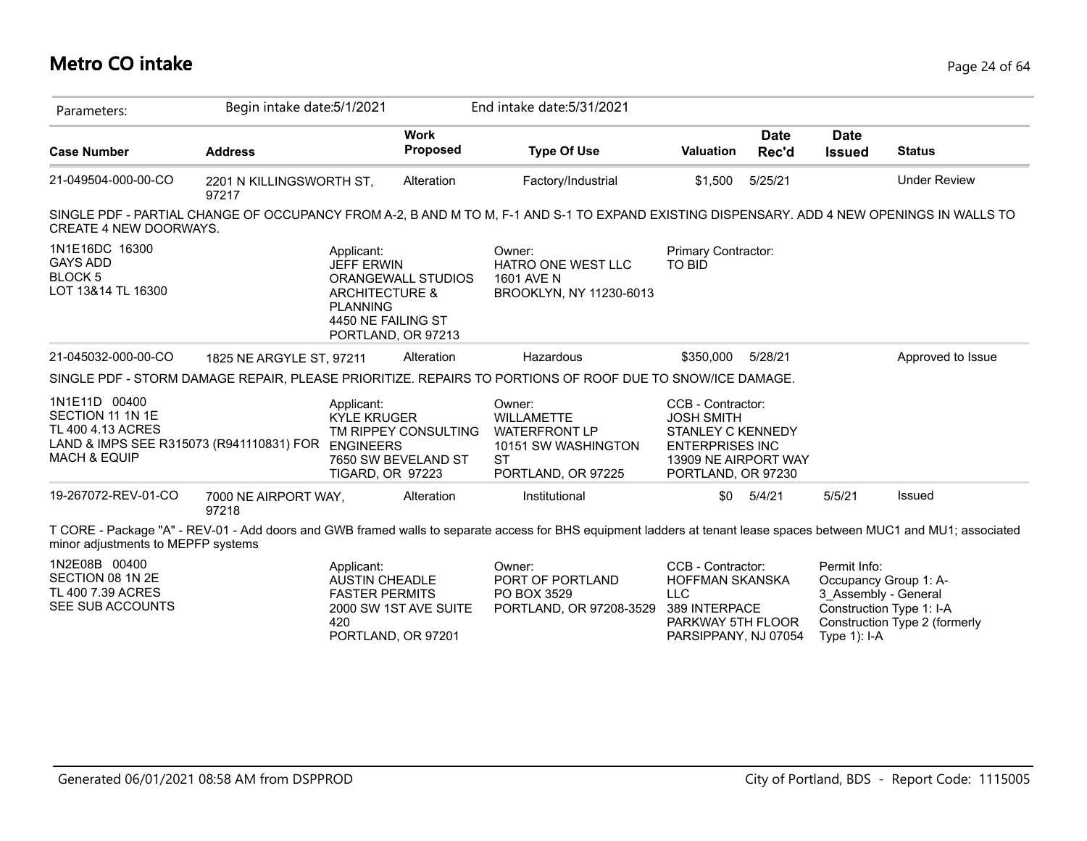# **Metro CO intake** Page 24 of 64

| Parameters:                                                                                                                             | Begin intake date: 5/1/2021       |                                                                                                       |                                             | End intake date: 5/31/2021                                                                                                                                          |                                                                                                                                     |                      |                                                         |                                                                                    |
|-----------------------------------------------------------------------------------------------------------------------------------------|-----------------------------------|-------------------------------------------------------------------------------------------------------|---------------------------------------------|---------------------------------------------------------------------------------------------------------------------------------------------------------------------|-------------------------------------------------------------------------------------------------------------------------------------|----------------------|---------------------------------------------------------|------------------------------------------------------------------------------------|
| <b>Case Number</b>                                                                                                                      | <b>Address</b>                    |                                                                                                       | <b>Work</b><br><b>Proposed</b>              | <b>Type Of Use</b>                                                                                                                                                  | <b>Valuation</b>                                                                                                                    | <b>Date</b><br>Rec'd | <b>Date</b><br><b>Issued</b>                            | <b>Status</b>                                                                      |
| 21-049504-000-00-CO                                                                                                                     | 2201 N KILLINGSWORTH ST,<br>97217 |                                                                                                       | Alteration                                  | Factory/Industrial                                                                                                                                                  | \$1,500                                                                                                                             | 5/25/21              |                                                         | <b>Under Review</b>                                                                |
| <b>CREATE 4 NEW DOORWAYS.</b>                                                                                                           |                                   |                                                                                                       |                                             | SINGLE PDF - PARTIAL CHANGE OF OCCUPANCY FROM A-2, B AND M TO M, F-1 AND S-1 TO EXPAND EXISTING DISPENSARY. ADD 4 NEW OPENINGS IN WALLS TO                          |                                                                                                                                     |                      |                                                         |                                                                                    |
| 1N1E16DC 16300<br><b>GAYS ADD</b><br>BLOCK 5<br>LOT 13&14 TL 16300                                                                      |                                   | Applicant:<br><b>JEFF ERWIN</b><br><b>ARCHITECTURE &amp;</b><br><b>PLANNING</b><br>4450 NE FAILING ST | ORANGEWALL STUDIOS<br>PORTLAND, OR 97213    | Owner:<br>HATRO ONE WEST LLC<br>1601 AVE N<br>BROOKLYN, NY 11230-6013                                                                                               | Primary Contractor:<br><b>TO BID</b>                                                                                                |                      |                                                         |                                                                                    |
| 21-045032-000-00-CO                                                                                                                     | 1825 NE ARGYLE ST, 97211          |                                                                                                       | Alteration                                  | Hazardous                                                                                                                                                           | \$350,000                                                                                                                           | 5/28/21              |                                                         | Approved to Issue                                                                  |
|                                                                                                                                         |                                   |                                                                                                       |                                             | SINGLE PDF - STORM DAMAGE REPAIR, PLEASE PRIORITIZE. REPAIRS TO PORTIONS OF ROOF DUE TO SNOW/ICE DAMAGE.                                                            |                                                                                                                                     |                      |                                                         |                                                                                    |
| 1N1E11D 00400<br>SECTION 11 1N 1E<br>TL 400 4.13 ACRES<br>LAND & IMPS SEE R315073 (R941110831) FOR ENGINEERS<br><b>MACH &amp; EQUIP</b> |                                   | Applicant:<br><b>KYLE KRUGER</b><br><b>TIGARD, OR 97223</b>                                           | TM RIPPEY CONSULTING<br>7650 SW BEVELAND ST | Owner:<br><b>WILLAMETTE</b><br><b>WATERFRONT LP</b><br>10151 SW WASHINGTON<br><b>ST</b><br>PORTLAND, OR 97225                                                       | CCB - Contractor:<br><b>JOSH SMITH</b><br>STANLEY C KENNEDY<br><b>ENTERPRISES INC</b><br>13909 NE AIRPORT WAY<br>PORTLAND, OR 97230 |                      |                                                         |                                                                                    |
| 19-267072-REV-01-CO                                                                                                                     | 7000 NE AIRPORT WAY,<br>97218     |                                                                                                       | Alteration                                  | Institutional                                                                                                                                                       | \$0                                                                                                                                 | 5/4/21               | 5/5/21                                                  | Issued                                                                             |
| minor adjustments to MEPFP systems                                                                                                      |                                   |                                                                                                       |                                             | T CORE - Package "A" - REV-01 - Add doors and GWB framed walls to separate access for BHS equipment ladders at tenant lease spaces between MUC1 and MU1; associated |                                                                                                                                     |                      |                                                         |                                                                                    |
| 1N2E08B 00400<br>SECTION 08 1N 2E<br>TL 400 7.39 ACRES<br>SEE SUB ACCOUNTS                                                              |                                   | Applicant:<br><b>AUSTIN CHEADLE</b><br><b>FASTER PERMITS</b><br>420                                   | 2000 SW 1ST AVE SUITE<br>PORTLAND, OR 97201 | Owner:<br>PORT OF PORTLAND<br>PO BOX 3529<br>PORTLAND, OR 97208-3529                                                                                                | CCB - Contractor:<br>HOFFMAN SKANSKA<br><b>LLC</b><br>389 INTERPACE<br>PARKWAY 5TH FLOOR<br>PARSIPPANY, NJ 07054                    |                      | Permit Info:<br>3 Assembly - General<br>Type $1$ ): I-A | Occupancy Group 1: A-<br>Construction Type 1: I-A<br>Construction Type 2 (formerly |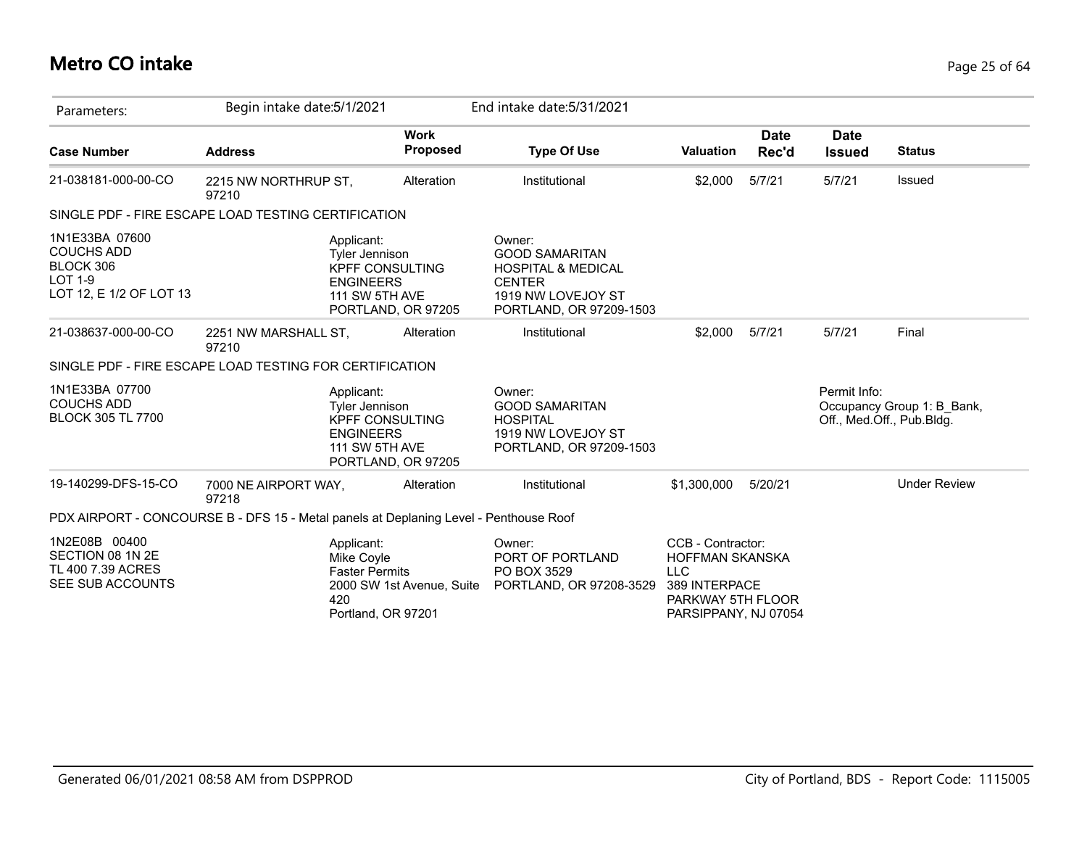# **Metro CO intake** Page 25 of 64

| Parameters:                                                                                   | Begin intake date: 5/1/2021                                                           |                                                                                                                                  | End intake date: 5/31/2021                                                                                                         |                                                                                                                         |                      |                              |                                                         |
|-----------------------------------------------------------------------------------------------|---------------------------------------------------------------------------------------|----------------------------------------------------------------------------------------------------------------------------------|------------------------------------------------------------------------------------------------------------------------------------|-------------------------------------------------------------------------------------------------------------------------|----------------------|------------------------------|---------------------------------------------------------|
| <b>Case Number</b>                                                                            | <b>Address</b>                                                                        | <b>Work</b><br>Proposed                                                                                                          | <b>Type Of Use</b>                                                                                                                 | <b>Valuation</b>                                                                                                        | <b>Date</b><br>Rec'd | <b>Date</b><br><b>Issued</b> | <b>Status</b>                                           |
| 21-038181-000-00-CO                                                                           | 2215 NW NORTHRUP ST,<br>97210                                                         | Alteration                                                                                                                       | Institutional                                                                                                                      | \$2,000                                                                                                                 | 5/7/21               | 5/7/21                       | Issued                                                  |
| SINGLE PDF - FIRE ESCAPE LOAD TESTING CERTIFICATION                                           |                                                                                       |                                                                                                                                  |                                                                                                                                    |                                                                                                                         |                      |                              |                                                         |
| 1N1E33BA 07600<br><b>COUCHS ADD</b><br>BLOCK 306<br><b>LOT 1-9</b><br>LOT 12, E 1/2 OF LOT 13 |                                                                                       | Applicant:<br><b>Tyler Jennison</b><br><b>KPFF CONSULTING</b><br><b>ENGINEERS</b><br><b>111 SW 5TH AVE</b><br>PORTLAND, OR 97205 | Owner:<br><b>GOOD SAMARITAN</b><br><b>HOSPITAL &amp; MEDICAL</b><br><b>CENTER</b><br>1919 NW LOVEJOY ST<br>PORTLAND, OR 97209-1503 |                                                                                                                         |                      |                              |                                                         |
| 21-038637-000-00-CO                                                                           | 2251 NW MARSHALL ST,<br>97210                                                         | Alteration                                                                                                                       | Institutional                                                                                                                      | \$2,000                                                                                                                 | 5/7/21               | 5/7/21                       | Final                                                   |
|                                                                                               | SINGLE PDF - FIRE ESCAPE LOAD TESTING FOR CERTIFICATION                               |                                                                                                                                  |                                                                                                                                    |                                                                                                                         |                      |                              |                                                         |
| 1N1E33BA 07700<br><b>COUCHS ADD</b><br><b>BLOCK 305 TL 7700</b>                               |                                                                                       | Applicant:<br><b>Tyler Jennison</b><br><b>KPFF CONSULTING</b><br><b>ENGINEERS</b><br><b>111 SW 5TH AVE</b><br>PORTLAND, OR 97205 | Owner:<br><b>GOOD SAMARITAN</b><br><b>HOSPITAL</b><br>1919 NW LOVEJOY ST<br>PORTLAND, OR 97209-1503                                |                                                                                                                         |                      | Permit Info:                 | Occupancy Group 1: B Bank,<br>Off., Med.Off., Pub.Bldg. |
| 19-140299-DFS-15-CO                                                                           | 7000 NE AIRPORT WAY,<br>97218                                                         | Alteration                                                                                                                       | Institutional                                                                                                                      | \$1,300,000                                                                                                             | 5/20/21              |                              | <b>Under Review</b>                                     |
|                                                                                               | PDX AIRPORT - CONCOURSE B - DFS 15 - Metal panels at Deplaning Level - Penthouse Roof |                                                                                                                                  |                                                                                                                                    |                                                                                                                         |                      |                              |                                                         |
| 1N2E08B 00400<br>SECTION 08 1N 2E<br>TL 400 7.39 ACRES<br>SEE SUB ACCOUNTS                    | 420                                                                                   | Applicant:<br>Mike Coyle<br><b>Faster Permits</b><br>2000 SW 1st Avenue, Suite<br>Portland, OR 97201                             | Owner:<br>PORT OF PORTLAND<br>PO BOX 3529<br>PORTLAND, OR 97208-3529                                                               | CCB - Contractor:<br><b>HOFFMAN SKANSKA</b><br><b>LLC</b><br>389 INTERPACE<br>PARKWAY 5TH FLOOR<br>PARSIPPANY, NJ 07054 |                      |                              |                                                         |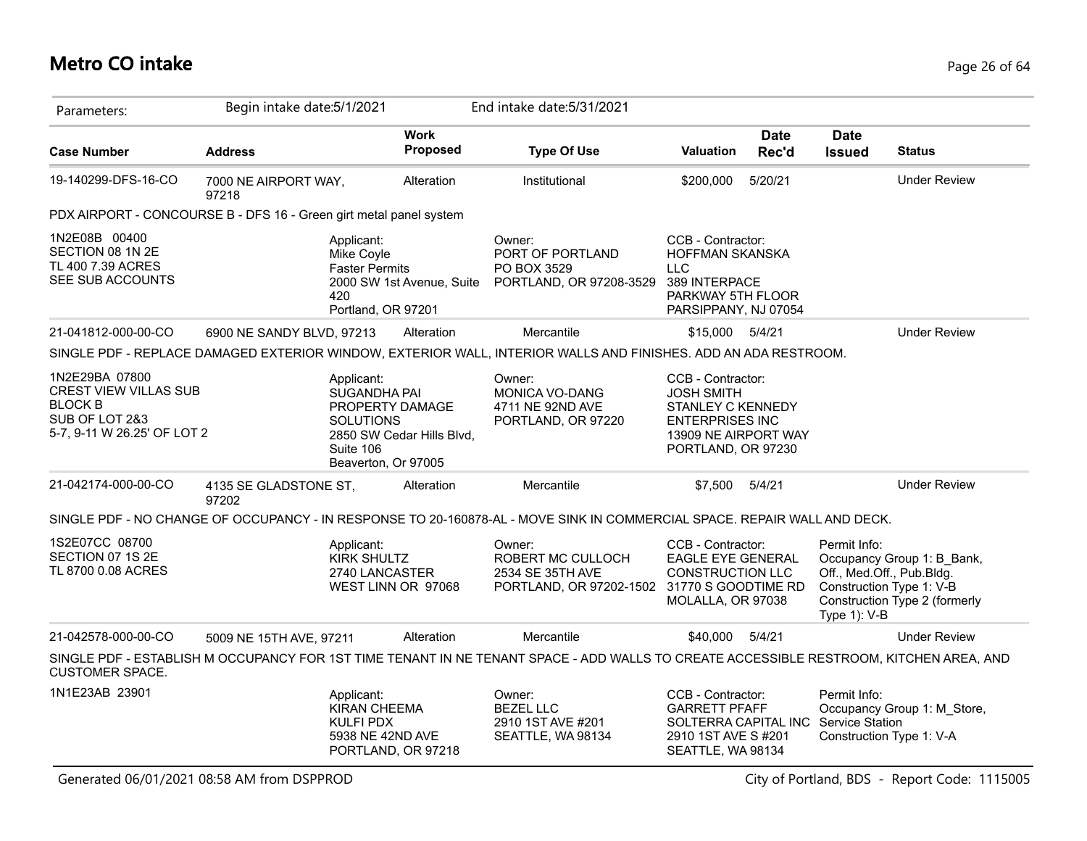## **Metro CO intake** Page 26 of 64

| Parameters:                                                                                                       | Begin intake date: 5/1/2021    |                                                                                                       |                           | End intake date: 5/31/2021                                                                                                             |                                                                                                                                            |                      |                                                                                       |                                                             |
|-------------------------------------------------------------------------------------------------------------------|--------------------------------|-------------------------------------------------------------------------------------------------------|---------------------------|----------------------------------------------------------------------------------------------------------------------------------------|--------------------------------------------------------------------------------------------------------------------------------------------|----------------------|---------------------------------------------------------------------------------------|-------------------------------------------------------------|
| <b>Case Number</b>                                                                                                | <b>Address</b>                 |                                                                                                       | <b>Work</b><br>Proposed   | <b>Type Of Use</b>                                                                                                                     | <b>Valuation</b>                                                                                                                           | <b>Date</b><br>Rec'd | <b>Date</b><br><b>Issued</b>                                                          | <b>Status</b>                                               |
| 19-140299-DFS-16-CO                                                                                               | 7000 NE AIRPORT WAY,<br>97218  |                                                                                                       | Alteration                | Institutional                                                                                                                          | \$200,000                                                                                                                                  | 5/20/21              |                                                                                       | <b>Under Review</b>                                         |
| PDX AIRPORT - CONCOURSE B - DFS 16 - Green girt metal panel system                                                |                                |                                                                                                       |                           |                                                                                                                                        |                                                                                                                                            |                      |                                                                                       |                                                             |
| 1N2E08B 00400<br>SECTION 08 1N 2E<br>TL 400 7.39 ACRES<br>SEE SUB ACCOUNTS                                        |                                | Applicant:<br>Mike Coyle<br><b>Faster Permits</b><br>420<br>Portland, OR 97201                        | 2000 SW 1st Avenue, Suite | Owner:<br>PORT OF PORTLAND<br>PO BOX 3529<br>PORTLAND, OR 97208-3529                                                                   | CCB - Contractor:<br>HOFFMAN SKANSKA<br><b>LLC</b><br>389 INTERPACE<br>PARKWAY 5TH FLOOR<br>PARSIPPANY, NJ 07054                           |                      |                                                                                       |                                                             |
| 21-041812-000-00-CO                                                                                               | 6900 NE SANDY BLVD, 97213      |                                                                                                       | Alteration                | Mercantile                                                                                                                             | \$15,000 5/4/21                                                                                                                            |                      |                                                                                       | <b>Under Review</b>                                         |
|                                                                                                                   |                                |                                                                                                       |                           | SINGLE PDF - REPLACE DAMAGED EXTERIOR WINDOW, EXTERIOR WALL, INTERIOR WALLS AND FINISHES. ADD AN ADA RESTROOM.                         |                                                                                                                                            |                      |                                                                                       |                                                             |
| 1N2E29BA 07800<br><b>CREST VIEW VILLAS SUB</b><br><b>BLOCK B</b><br>SUB OF LOT 2&3<br>5-7, 9-11 W 26.25' OF LOT 2 |                                | Applicant:<br>SUGANDHA PAI<br>PROPERTY DAMAGE<br><b>SOLUTIONS</b><br>Suite 106<br>Beaverton, Or 97005 | 2850 SW Cedar Hills Blvd, | Owner:<br>MONICA VO-DANG<br>4711 NE 92ND AVE<br>PORTLAND, OR 97220                                                                     | CCB - Contractor:<br><b>JOSH SMITH</b><br><b>STANLEY C KENNEDY</b><br><b>ENTERPRISES INC</b><br>13909 NE AIRPORT WAY<br>PORTLAND, OR 97230 |                      |                                                                                       |                                                             |
| 21-042174-000-00-CO                                                                                               | 4135 SE GLADSTONE ST,<br>97202 |                                                                                                       | Alteration                | Mercantile                                                                                                                             | \$7,500                                                                                                                                    | 5/4/21               |                                                                                       | <b>Under Review</b>                                         |
|                                                                                                                   |                                |                                                                                                       |                           | SINGLE PDF - NO CHANGE OF OCCUPANCY - IN RESPONSE TO 20-160878-AL - MOVE SINK IN COMMERCIAL SPACE. REPAIR WALL AND DECK.               |                                                                                                                                            |                      |                                                                                       |                                                             |
| 1S2E07CC 08700<br>SECTION 07 1S 2E<br>TL 8700 0.08 ACRES                                                          |                                | Applicant:<br><b>KIRK SHULTZ</b><br>2740 LANCASTER<br>WEST LINN OR 97068                              |                           | Owner:<br>ROBERT MC CULLOCH<br>2534 SE 35TH AVE<br>PORTLAND, OR 97202-1502 31770 S GOODTIME RD                                         | CCB - Contractor:<br><b>EAGLE EYE GENERAL</b><br><b>CONSTRUCTION LLC</b><br>MOLALLA, OR 97038                                              |                      | Permit Info:<br>Off., Med.Off., Pub.Bldg.<br>Construction Type 1: V-B<br>Type 1): V-B | Occupancy Group 1: B Bank,<br>Construction Type 2 (formerly |
| 21-042578-000-00-CO                                                                                               | 5009 NE 15TH AVE, 97211        |                                                                                                       | Alteration                | Mercantile                                                                                                                             | \$40,000                                                                                                                                   | 5/4/21               |                                                                                       | <b>Under Review</b>                                         |
| <b>CUSTOMER SPACE.</b>                                                                                            |                                |                                                                                                       |                           | SINGLE PDF - ESTABLISH M OCCUPANCY FOR 1ST TIME TENANT IN NE TENANT SPACE - ADD WALLS TO CREATE ACCESSIBLE RESTROOM, KITCHEN AREA, AND |                                                                                                                                            |                      |                                                                                       |                                                             |
| 1N1E23AB 23901                                                                                                    |                                | Applicant:<br><b>KIRAN CHEEMA</b><br>KULFI PDX<br>5938 NE 42ND AVE<br>PORTLAND, OR 97218              |                           | Owner:<br><b>BEZEL LLC</b><br>2910 1ST AVE #201<br>SEATTLE, WA 98134                                                                   | CCB - Contractor:<br><b>GARRETT PFAFF</b><br>SOLTERRA CAPITAL INC<br>2910 1ST AVE S#201<br>SEATTLE, WA 98134                               |                      | Permit Info:<br>Service Station<br>Construction Type 1: V-A                           | Occupancy Group 1: M Store,                                 |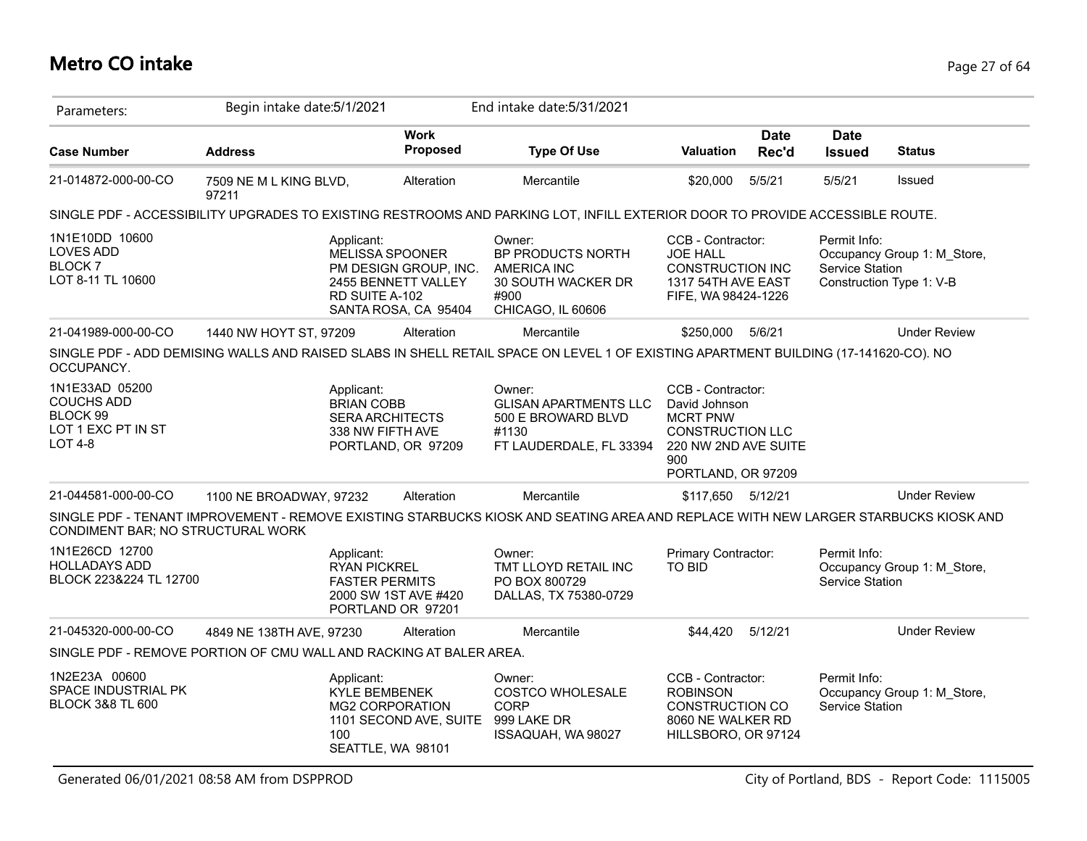# **Metro CO intake** Page 27 of 64

| Parameters:                                                                             | Begin intake date: 5/1/2021                                        |                                                                               |                                                                                                | End intake date: 5/31/2021                                                                                                          |                                                                                                                                       |                      |                                        |                                                         |
|-----------------------------------------------------------------------------------------|--------------------------------------------------------------------|-------------------------------------------------------------------------------|------------------------------------------------------------------------------------------------|-------------------------------------------------------------------------------------------------------------------------------------|---------------------------------------------------------------------------------------------------------------------------------------|----------------------|----------------------------------------|---------------------------------------------------------|
| <b>Case Number</b>                                                                      | <b>Address</b>                                                     |                                                                               | <b>Work</b><br>Proposed                                                                        | <b>Type Of Use</b>                                                                                                                  | <b>Valuation</b>                                                                                                                      | <b>Date</b><br>Rec'd | <b>Date</b><br><b>Issued</b>           | <b>Status</b>                                           |
| 21-014872-000-00-CO                                                                     | 7509 NE M L KING BLVD,<br>97211                                    |                                                                               | Alteration                                                                                     | Mercantile                                                                                                                          | \$20,000                                                                                                                              | 5/5/21               | 5/5/21                                 | <b>Issued</b>                                           |
|                                                                                         |                                                                    |                                                                               |                                                                                                | SINGLE PDF - ACCESSIBILITY UPGRADES TO EXISTING RESTROOMS AND PARKING LOT, INFILL EXTERIOR DOOR TO PROVIDE ACCESSIBLE ROUTE.        |                                                                                                                                       |                      |                                        |                                                         |
| 1N1E10DD 10600<br><b>LOVES ADD</b><br><b>BLOCK7</b><br>LOT 8-11 TL 10600                |                                                                    | Applicant:<br>RD SUITE A-102                                                  | <b>MELISSA SPOONER</b><br>PM DESIGN GROUP, INC.<br>2455 BENNETT VALLEY<br>SANTA ROSA, CA 95404 | Owner:<br>BP PRODUCTS NORTH<br>AMERICA INC<br>30 SOUTH WACKER DR<br>#900<br>CHICAGO, IL 60606                                       | CCB - Contractor:<br><b>JOE HALL</b><br><b>CONSTRUCTION INC</b><br>1317 54TH AVE EAST<br>FIFE, WA 98424-1226                          |                      | Permit Info:<br>Service Station        | Occupancy Group 1: M_Store,<br>Construction Type 1: V-B |
| 21-041989-000-00-CO                                                                     | 1440 NW HOYT ST, 97209                                             |                                                                               | Alteration                                                                                     | Mercantile                                                                                                                          | \$250,000 5/6/21                                                                                                                      |                      |                                        | <b>Under Review</b>                                     |
| OCCUPANCY.                                                                              |                                                                    |                                                                               |                                                                                                | SINGLE PDF - ADD DEMISING WALLS AND RAISED SLABS IN SHELL RETAIL SPACE ON LEVEL 1 OF EXISTING APARTMENT BUILDING (17-141620-CO). NO |                                                                                                                                       |                      |                                        |                                                         |
| 1N1E33AD 05200<br><b>COUCHS ADD</b><br>BLOCK 99<br>LOT 1 EXC PT IN ST<br><b>LOT 4-8</b> |                                                                    | Applicant:<br><b>BRIAN COBB</b><br><b>SERA ARCHITECTS</b><br>338 NW FIFTH AVE | PORTLAND, OR 97209                                                                             | Owner:<br><b>GLISAN APARTMENTS LLC</b><br>500 E BROWARD BLVD<br>#1130<br>FT LAUDERDALE, FL 33394                                    | CCB - Contractor:<br>David Johnson<br><b>MCRT PNW</b><br><b>CONSTRUCTION LLC</b><br>220 NW 2ND AVE SUITE<br>900<br>PORTLAND, OR 97209 |                      |                                        |                                                         |
| 21-044581-000-00-CO                                                                     | 1100 NE BROADWAY, 97232                                            |                                                                               | Alteration                                                                                     | Mercantile                                                                                                                          | \$117,650 5/12/21                                                                                                                     |                      |                                        | <b>Under Review</b>                                     |
| CONDIMENT BAR; NO STRUCTURAL WORK                                                       |                                                                    |                                                                               |                                                                                                | SINGLE PDF - TENANT IMPROVEMENT - REMOVE EXISTING STARBUCKS KIOSK AND SEATING AREA AND REPLACE WITH NEW LARGER STARBUCKS KIOSK AND  |                                                                                                                                       |                      |                                        |                                                         |
| 1N1E26CD 12700<br><b>HOLLADAYS ADD</b><br>BLOCK 223&224 TL 12700                        |                                                                    | Applicant:<br><b>RYAN PICKREL</b><br><b>FASTER PERMITS</b>                    | 2000 SW 1ST AVE #420<br>PORTLAND OR 97201                                                      | Owner:<br>TMT LLOYD RETAIL INC<br>PO BOX 800729<br>DALLAS, TX 75380-0729                                                            | Primary Contractor:<br><b>TO BID</b>                                                                                                  |                      | Permit Info:<br><b>Service Station</b> | Occupancy Group 1: M Store,                             |
| 21-045320-000-00-CO                                                                     | 4849 NE 138TH AVE, 97230                                           |                                                                               | Alteration                                                                                     | Mercantile                                                                                                                          | \$44,420                                                                                                                              | 5/12/21              |                                        | <b>Under Review</b>                                     |
|                                                                                         | SINGLE PDF - REMOVE PORTION OF CMU WALL AND RACKING AT BALER AREA. |                                                                               |                                                                                                |                                                                                                                                     |                                                                                                                                       |                      |                                        |                                                         |
| 1N2E23A 00600<br>SPACE INDUSTRIAL PK<br><b>BLOCK 3&amp;8 TL 600</b>                     |                                                                    | Applicant:<br><b>KYLE BEMBENEK</b><br>100                                     | <b>MG2 CORPORATION</b><br>1101 SECOND AVE, SUITE<br>SEATTLE, WA 98101                          | Owner:<br><b>COSTCO WHOLESALE</b><br><b>CORP</b><br>999 LAKE DR<br>ISSAQUAH, WA 98027                                               | CCB - Contractor:<br><b>ROBINSON</b><br><b>CONSTRUCTION CO</b><br>8060 NE WALKER RD<br>HILLSBORO, OR 97124                            |                      | Permit Info:<br>Service Station        | Occupancy Group 1: M Store,                             |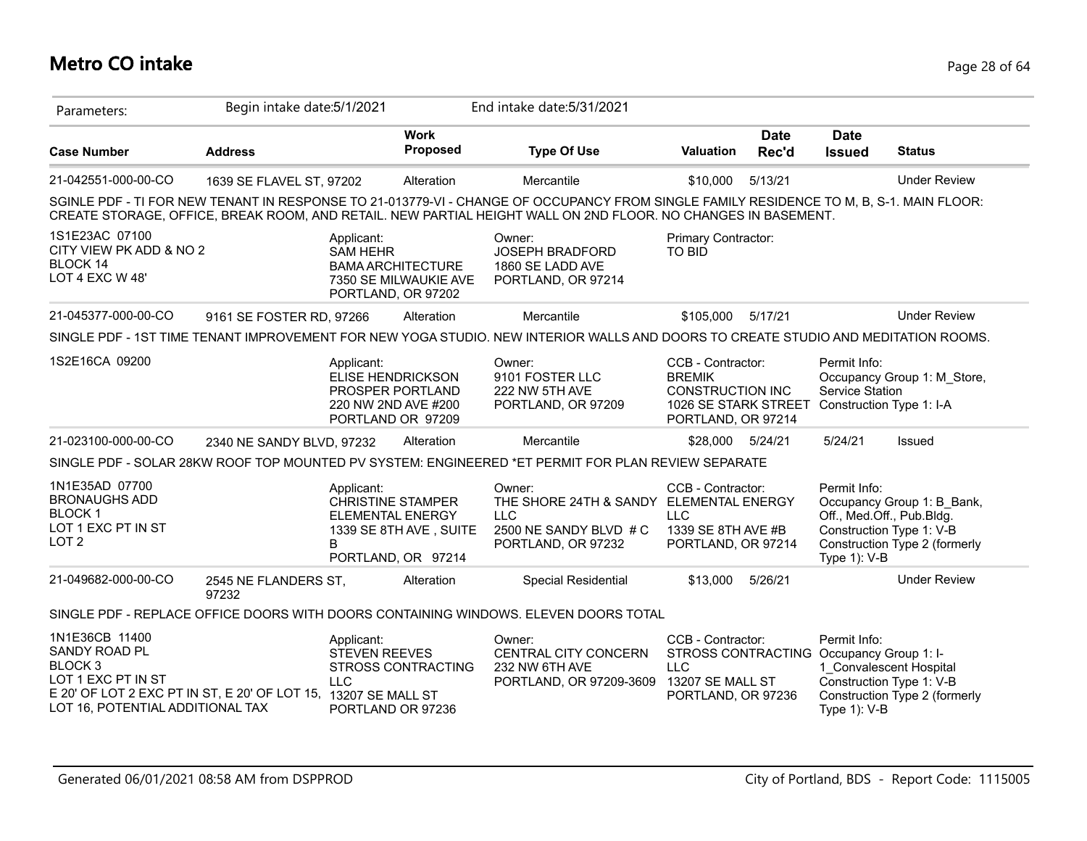# **Metro CO intake** Page 28 of 64

| Parameters:                                                                                                                                                                       | Begin intake date: 5/1/2021   |                                                                                                        |                                                   | End intake date: 5/31/2021                                                                                                                                                                                                                               |                                                                                                                       |                      |                                                                                       |                                                             |
|-----------------------------------------------------------------------------------------------------------------------------------------------------------------------------------|-------------------------------|--------------------------------------------------------------------------------------------------------|---------------------------------------------------|----------------------------------------------------------------------------------------------------------------------------------------------------------------------------------------------------------------------------------------------------------|-----------------------------------------------------------------------------------------------------------------------|----------------------|---------------------------------------------------------------------------------------|-------------------------------------------------------------|
| <b>Case Number</b>                                                                                                                                                                | <b>Address</b>                |                                                                                                        | <b>Work</b><br>Proposed                           | <b>Type Of Use</b>                                                                                                                                                                                                                                       | <b>Valuation</b>                                                                                                      | <b>Date</b><br>Rec'd | <b>Date</b><br><b>Issued</b>                                                          | <b>Status</b>                                               |
| 21-042551-000-00-CO                                                                                                                                                               | 1639 SE FLAVEL ST, 97202      |                                                                                                        | Alteration                                        | Mercantile                                                                                                                                                                                                                                               | \$10,000                                                                                                              | 5/13/21              |                                                                                       | <b>Under Review</b>                                         |
|                                                                                                                                                                                   |                               |                                                                                                        |                                                   | SGINLE PDF - TI FOR NEW TENANT IN RESPONSE TO 21-013779-VI - CHANGE OF OCCUPANCY FROM SINGLE FAMILY RESIDENCE TO M, B, S-1. MAIN FLOOR:<br>CREATE STORAGE, OFFICE, BREAK ROOM, AND RETAIL. NEW PARTIAL HEIGHT WALL ON 2ND FLOOR. NO CHANGES IN BASEMENT. |                                                                                                                       |                      |                                                                                       |                                                             |
| 1S1E23AC 07100<br>CITY VIEW PK ADD & NO 2<br>BLOCK 14<br>LOT 4 EXC W 48'                                                                                                          |                               | Applicant:<br><b>SAM HEHR</b><br>PORTLAND, OR 97202                                                    | <b>BAMA ARCHITECTURE</b><br>7350 SE MILWAUKIE AVE | Owner:<br><b>JOSEPH BRADFORD</b><br>1860 SE LADD AVE<br>PORTLAND, OR 97214                                                                                                                                                                               | <b>Primary Contractor:</b><br>TO BID                                                                                  |                      |                                                                                       |                                                             |
| 21-045377-000-00-CO                                                                                                                                                               | 9161 SE FOSTER RD, 97266      |                                                                                                        | Alteration                                        | Mercantile                                                                                                                                                                                                                                               | \$105,000                                                                                                             | 5/17/21              |                                                                                       | <b>Under Review</b>                                         |
|                                                                                                                                                                                   |                               |                                                                                                        |                                                   | SINGLE PDF - 1ST TIME TENANT IMPROVEMENT FOR NEW YOGA STUDIO. NEW INTERIOR WALLS AND DOORS TO CREATE STUDIO AND MEDITATION ROOMS.                                                                                                                        |                                                                                                                       |                      |                                                                                       |                                                             |
| 1S2E16CA 09200                                                                                                                                                                    |                               | Applicant:<br><b>ELISE HENDRICKSON</b><br>PROSPER PORTLAND<br>220 NW 2ND AVE #200<br>PORTLAND OR 97209 |                                                   | Owner:<br>9101 FOSTER LLC<br>222 NW 5TH AVE<br>PORTLAND, OR 97209                                                                                                                                                                                        | CCB - Contractor:<br><b>BREMIK</b><br><b>CONSTRUCTION INC</b><br>1026 SE STARK STREET<br>PORTLAND, OR 97214           |                      | Permit Info:<br>Service Station<br>Construction Type 1: I-A                           | Occupancy Group 1: M Store,                                 |
| 21-023100-000-00-CO                                                                                                                                                               | 2340 NE SANDY BLVD, 97232     |                                                                                                        | Alteration                                        | Mercantile                                                                                                                                                                                                                                               | \$28,000 5/24/21                                                                                                      |                      | 5/24/21                                                                               | Issued                                                      |
|                                                                                                                                                                                   |                               |                                                                                                        |                                                   | SINGLE PDF - SOLAR 28KW ROOF TOP MOUNTED PV SYSTEM: ENGINEERED *ET PERMIT FOR PLAN REVIEW SEPARATE                                                                                                                                                       |                                                                                                                       |                      |                                                                                       |                                                             |
| 1N1E35AD 07700<br><b>BRONAUGHS ADD</b><br><b>BLOCK1</b><br>LOT 1 EXC PT IN ST<br>LOT <sub>2</sub>                                                                                 |                               | Applicant:<br><b>CHRISTINE STAMPER</b><br><b>ELEMENTAL ENERGY</b><br>B                                 | 1339 SE 8TH AVE, SUITE<br>PORTLAND, OR 97214      | Owner:<br>THE SHORE 24TH & SANDY<br><b>LLC</b><br>2500 NE SANDY BLVD # C<br>PORTLAND, OR 97232                                                                                                                                                           | CCB - Contractor:<br><b>ELEMENTAL ENERGY</b><br><b>LLC</b><br>1339 SE 8TH AVE #B<br>PORTLAND, OR 97214                |                      | Permit Info:<br>Off., Med.Off., Pub.Bldg.<br>Construction Type 1: V-B<br>Type 1): V-B | Occupancy Group 1: B_Bank,<br>Construction Type 2 (formerly |
| 21-049682-000-00-CO                                                                                                                                                               | 2545 NE FLANDERS ST,<br>97232 |                                                                                                        | Alteration                                        | Special Residential                                                                                                                                                                                                                                      | \$13,000                                                                                                              | 5/26/21              |                                                                                       | <b>Under Review</b>                                         |
|                                                                                                                                                                                   |                               |                                                                                                        |                                                   | SINGLE PDF - REPLACE OFFICE DOORS WITH DOORS CONTAINING WINDOWS. ELEVEN DOORS TOTAL                                                                                                                                                                      |                                                                                                                       |                      |                                                                                       |                                                             |
| 1N1E36CB 11400<br>SANDY ROAD PL<br>BLOCK <sub>3</sub><br>LOT 1 EXC PT IN ST<br>E 20' OF LOT 2 EXC PT IN ST, E 20' OF LOT 15, 13207 SE MALL ST<br>LOT 16, POTENTIAL ADDITIONAL TAX |                               | Applicant:<br><b>STEVEN REEVES</b><br>LLC.<br>PORTLAND OR 97236                                        | STROSS CONTRACTING                                | Owner:<br>CENTRAL CITY CONCERN<br>232 NW 6TH AVE<br>PORTLAND, OR 97209-3609                                                                                                                                                                              | CCB - Contractor:<br>STROSS CONTRACTING Occupancy Group 1: I-<br><b>LLC</b><br>13207 SE MALL ST<br>PORTLAND, OR 97236 |                      | Permit Info:<br>1 Convalescent Hospital<br>Construction Type 1: V-B<br>Type 1): V-B   | Construction Type 2 (formerly                               |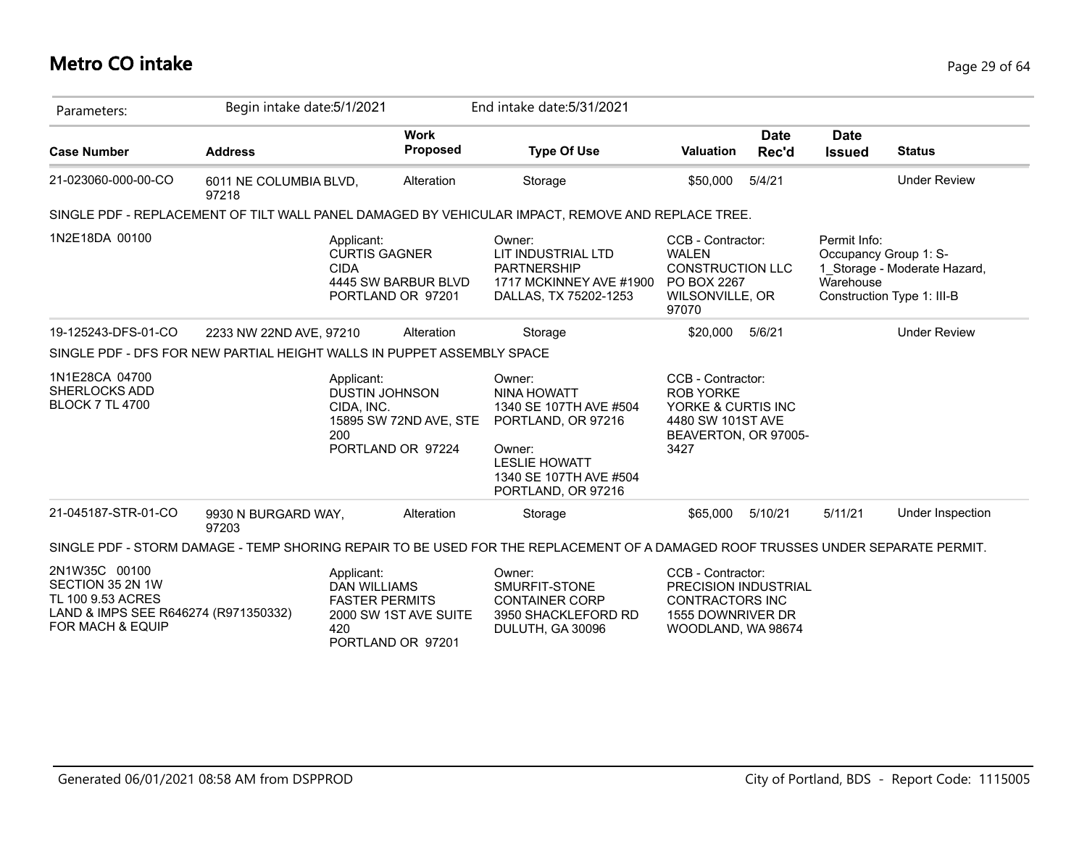# **Metro CO intake** Page 29 of 64

| Parameters:                                                                                                                   | Begin intake date: 5/1/2021     |                                                                   |                                             | End intake date: 5/31/2021                                                                                                                              |                                                                                                                  |               |                              |                                                                                     |
|-------------------------------------------------------------------------------------------------------------------------------|---------------------------------|-------------------------------------------------------------------|---------------------------------------------|---------------------------------------------------------------------------------------------------------------------------------------------------------|------------------------------------------------------------------------------------------------------------------|---------------|------------------------------|-------------------------------------------------------------------------------------|
| <b>Case Number</b>                                                                                                            | <b>Address</b>                  |                                                                   | <b>Work</b><br><b>Proposed</b>              | <b>Type Of Use</b>                                                                                                                                      | <b>Valuation</b>                                                                                                 | Date<br>Rec'd | <b>Date</b><br><b>Issued</b> | <b>Status</b>                                                                       |
| 21-023060-000-00-CO                                                                                                           | 6011 NE COLUMBIA BLVD,<br>97218 |                                                                   | Alteration                                  | Storage                                                                                                                                                 | \$50,000                                                                                                         | 5/4/21        |                              | <b>Under Review</b>                                                                 |
|                                                                                                                               |                                 |                                                                   |                                             | SINGLE PDF - REPLACEMENT OF TILT WALL PANEL DAMAGED BY VEHICULAR IMPACT, REMOVE AND REPLACE TREE.                                                       |                                                                                                                  |               |                              |                                                                                     |
| 1N2E18DA 00100                                                                                                                |                                 | Applicant:<br><b>CURTIS GAGNER</b><br><b>CIDA</b>                 | 4445 SW BARBUR BLVD<br>PORTLAND OR 97201    | Owner:<br>LIT INDUSTRIAL LTD<br><b>PARTNERSHIP</b><br>1717 MCKINNEY AVE #1900<br>DALLAS, TX 75202-1253                                                  | CCB - Contractor:<br><b>WALEN</b><br><b>CONSTRUCTION LLC</b><br>PO BOX 2267<br>WILSONVILLE, OR<br>97070          |               | Permit Info:<br>Warehouse    | Occupancy Group 1: S-<br>1 Storage - Moderate Hazard,<br>Construction Type 1: III-B |
| 19-125243-DFS-01-CO                                                                                                           | 2233 NW 22ND AVE, 97210         |                                                                   | Alteration                                  | Storage                                                                                                                                                 | \$20,000                                                                                                         | 5/6/21        |                              | <b>Under Review</b>                                                                 |
| SINGLE PDF - DFS FOR NEW PARTIAL HEIGHT WALLS IN PUPPET ASSEMBLY SPACE                                                        |                                 |                                                                   |                                             |                                                                                                                                                         |                                                                                                                  |               |                              |                                                                                     |
| 1N1E28CA 04700<br><b>SHERLOCKS ADD</b><br><b>BLOCK 7 TL 4700</b>                                                              |                                 | Applicant:<br><b>DUSTIN JOHNSON</b><br>CIDA, INC.<br>200          | 15895 SW 72ND AVE, STE<br>PORTLAND OR 97224 | Owner:<br>NINA HOWATT<br>1340 SE 107TH AVE #504<br>PORTLAND, OR 97216<br>Owner:<br><b>LESLIE HOWATT</b><br>1340 SE 107TH AVE #504<br>PORTLAND, OR 97216 | CCB - Contractor:<br><b>ROB YORKE</b><br>YORKE & CURTIS INC<br>4480 SW 101ST AVE<br>BEAVERTON, OR 97005-<br>3427 |               |                              |                                                                                     |
| 21-045187-STR-01-CO                                                                                                           | 9930 N BURGARD WAY,<br>97203    |                                                                   | Alteration                                  | Storage                                                                                                                                                 | \$65,000                                                                                                         | 5/10/21       | 5/11/21                      | Under Inspection                                                                    |
|                                                                                                                               |                                 |                                                                   |                                             | SINGLE PDF - STORM DAMAGE - TEMP SHORING REPAIR TO BE USED FOR THE REPLACEMENT OF A DAMAGED ROOF TRUSSES UNDER SEPARATE PERMIT.                         |                                                                                                                  |               |                              |                                                                                     |
| 2N1W35C 00100<br>SECTION 35 2N 1W<br>TL 100 9.53 ACRES<br>LAND & IMPS SEE R646274 (R971350332)<br><b>FOR MACH &amp; EQUIP</b> |                                 | Applicant:<br><b>DAN WILLIAMS</b><br><b>FASTER PERMITS</b><br>420 | 2000 SW 1ST AVE SUITE<br>PORTLAND OR 97201  | Owner:<br>SMURFIT-STONE<br><b>CONTAINER CORP</b><br>3950 SHACKLEFORD RD<br>DULUTH, GA 30096                                                             | CCB - Contractor:<br>PRECISION INDUSTRIAL<br><b>CONTRACTORS INC</b><br>1555 DOWNRIVER DR<br>WOODLAND, WA 98674   |               |                              |                                                                                     |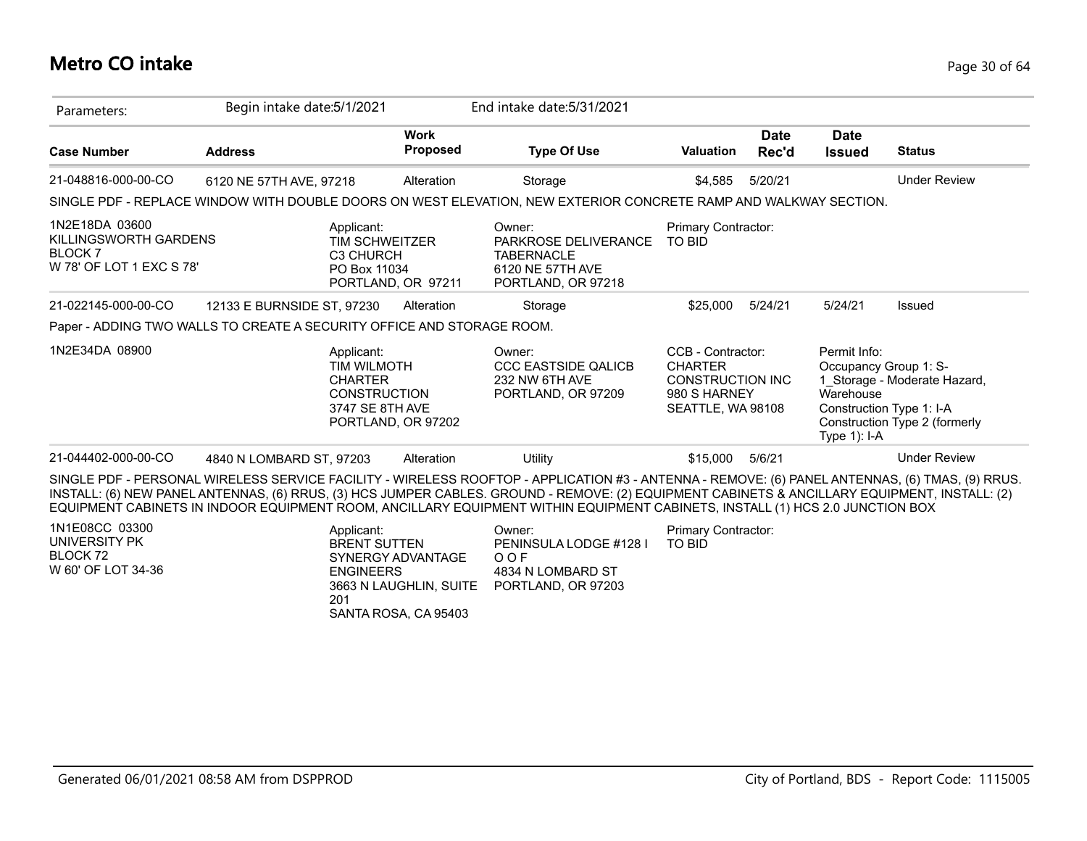# **Metro CO intake** Page 30 of 64

| Parameters:                                                                          | Begin intake date: 5/1/2021 |                                                                                       |                                                                     | End intake date: 5/31/2021                                                                                                                                                                                                                                                                                                                                                                                                       |                                                                                                     |                      |                                                                                                   |                                                               |
|--------------------------------------------------------------------------------------|-----------------------------|---------------------------------------------------------------------------------------|---------------------------------------------------------------------|----------------------------------------------------------------------------------------------------------------------------------------------------------------------------------------------------------------------------------------------------------------------------------------------------------------------------------------------------------------------------------------------------------------------------------|-----------------------------------------------------------------------------------------------------|----------------------|---------------------------------------------------------------------------------------------------|---------------------------------------------------------------|
| <b>Case Number</b>                                                                   | <b>Address</b>              |                                                                                       | <b>Work</b><br>Proposed                                             | <b>Type Of Use</b>                                                                                                                                                                                                                                                                                                                                                                                                               | Valuation                                                                                           | <b>Date</b><br>Rec'd | <b>Date</b><br><b>Issued</b>                                                                      | <b>Status</b>                                                 |
| 21-048816-000-00-CO                                                                  | 6120 NE 57TH AVE, 97218     |                                                                                       | Alteration                                                          | Storage                                                                                                                                                                                                                                                                                                                                                                                                                          | \$4,585                                                                                             | 5/20/21              |                                                                                                   | <b>Under Review</b>                                           |
|                                                                                      |                             |                                                                                       |                                                                     | SINGLE PDF - REPLACE WINDOW WITH DOUBLE DOORS ON WEST ELEVATION, NEW EXTERIOR CONCRETE RAMP AND WALKWAY SECTION.                                                                                                                                                                                                                                                                                                                 |                                                                                                     |                      |                                                                                                   |                                                               |
| 1N2E18DA 03600<br>KILLINGSWORTH GARDENS<br><b>BLOCK7</b><br>W 78' OF LOT 1 EXC S 78' |                             | Applicant:<br><b>TIM SCHWEITZER</b><br>C3 CHURCH<br>PO Box 11034                      | PORTLAND, OR 97211                                                  | Owner:<br>PARKROSE DELIVERANCE<br><b>TABERNACLE</b><br>6120 NE 57TH AVE<br>PORTLAND, OR 97218                                                                                                                                                                                                                                                                                                                                    | Primary Contractor:<br><b>TO BID</b>                                                                |                      |                                                                                                   |                                                               |
| 21-022145-000-00-CO                                                                  | 12133 E BURNSIDE ST. 97230  |                                                                                       | Alteration                                                          | Storage                                                                                                                                                                                                                                                                                                                                                                                                                          | \$25,000                                                                                            | 5/24/21              | 5/24/21                                                                                           | <b>Issued</b>                                                 |
| Paper - ADDING TWO WALLS TO CREATE A SECURITY OFFICE AND STORAGE ROOM.               |                             |                                                                                       |                                                                     |                                                                                                                                                                                                                                                                                                                                                                                                                                  |                                                                                                     |                      |                                                                                                   |                                                               |
| 1N2E34DA 08900                                                                       |                             | Applicant:<br>TIM WILMOTH<br><b>CHARTER</b><br><b>CONSTRUCTION</b><br>3747 SE 8TH AVE | PORTLAND, OR 97202                                                  | Owner:<br><b>CCC EASTSIDE QALICB</b><br>232 NW 6TH AVE<br>PORTLAND, OR 97209                                                                                                                                                                                                                                                                                                                                                     | CCB - Contractor:<br><b>CHARTER</b><br><b>CONSTRUCTION INC</b><br>980 S HARNEY<br>SEATTLE, WA 98108 |                      | Permit Info:<br>Occupancy Group 1: S-<br>Warehouse<br>Construction Type 1: I-A<br>Type $1$ ): I-A | 1_Storage - Moderate Hazard,<br>Construction Type 2 (formerly |
| 21-044402-000-00-CO                                                                  | 4840 N LOMBARD ST, 97203    |                                                                                       | Alteration                                                          | Utility                                                                                                                                                                                                                                                                                                                                                                                                                          | \$15,000                                                                                            | 5/6/21               |                                                                                                   | <b>Under Review</b>                                           |
|                                                                                      |                             |                                                                                       |                                                                     | SINGLE PDF - PERSONAL WIRELESS SERVICE FACILITY - WIRELESS ROOFTOP - APPLICATION #3 - ANTENNA - REMOVE: (6) PANEL ANTENNAS, (6) TMAS, (9) RRUS.<br>INSTALL: (6) NEW PANEL ANTENNAS, (6) RRUS, (3) HCS JUMPER CABLES. GROUND - REMOVE: (2) EQUIPMENT CABINETS & ANCILLARY EQUIPMENT, INSTALL: (2)<br>EQUIPMENT CABINETS IN INDOOR EQUIPMENT ROOM, ANCILLARY EQUIPMENT WITHIN EQUIPMENT CABINETS, INSTALL (1) HCS 2.0 JUNCTION BOX |                                                                                                     |                      |                                                                                                   |                                                               |
| 1N1E08CC 03300<br>UNIVERSITY PK<br>BLOCK 72<br>W 60' OF LOT 34-36                    |                             | Applicant:<br><b>BRENT SUTTEN</b><br><b>ENGINEERS</b><br>201                          | SYNERGY ADVANTAGE<br>3663 N LAUGHLIN, SUITE<br>SANTA ROSA, CA 95403 | Owner:<br>PENINSULA LODGE #128 I<br>OOF<br>4834 N LOMBARD ST<br>PORTLAND, OR 97203                                                                                                                                                                                                                                                                                                                                               | Primary Contractor:<br><b>TO BID</b>                                                                |                      |                                                                                                   |                                                               |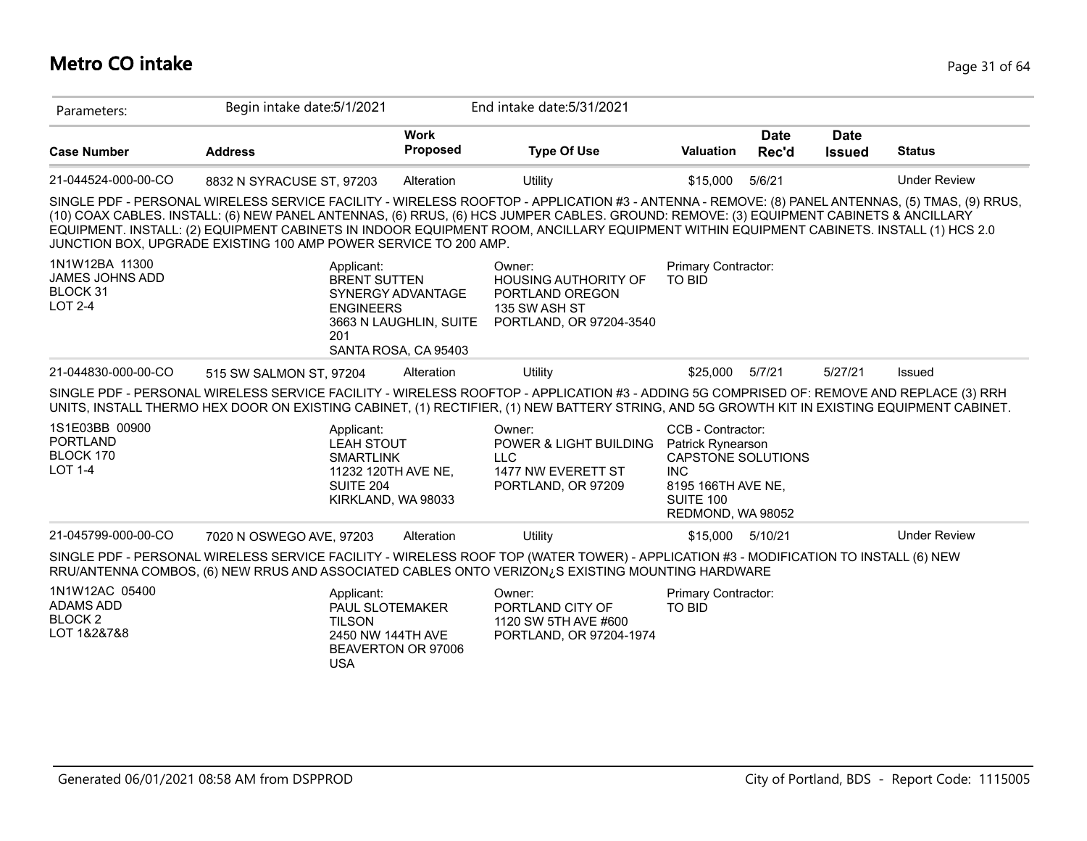# **Metro CO intake** Page 31 of 64

| Parameters:                                                            | Begin intake date: 5/1/2021                                                                                                                                                                                                                                                                                                                                                                                                                                                                              |                                                                     | End intake date: 5/31/2021                                                                           |                                                                                                                                                  |                      |                              |                     |
|------------------------------------------------------------------------|----------------------------------------------------------------------------------------------------------------------------------------------------------------------------------------------------------------------------------------------------------------------------------------------------------------------------------------------------------------------------------------------------------------------------------------------------------------------------------------------------------|---------------------------------------------------------------------|------------------------------------------------------------------------------------------------------|--------------------------------------------------------------------------------------------------------------------------------------------------|----------------------|------------------------------|---------------------|
| <b>Case Number</b>                                                     | <b>Address</b>                                                                                                                                                                                                                                                                                                                                                                                                                                                                                           | <b>Work</b><br><b>Proposed</b>                                      | <b>Type Of Use</b>                                                                                   | <b>Valuation</b>                                                                                                                                 | <b>Date</b><br>Rec'd | <b>Date</b><br><b>Issued</b> | <b>Status</b>       |
| 21-044524-000-00-CO                                                    | 8832 N SYRACUSE ST, 97203                                                                                                                                                                                                                                                                                                                                                                                                                                                                                | Alteration                                                          | Utility                                                                                              | \$15,000                                                                                                                                         | 5/6/21               |                              | <b>Under Review</b> |
|                                                                        | SINGLE PDF - PERSONAL WIRELESS SERVICE FACILITY - WIRELESS ROOFTOP - APPLICATION #3 - ANTENNA - REMOVE: (8) PANEL ANTENNAS, (5) TMAS, (9) RRUS,<br>(10) COAX CABLES. INSTALL: (6) NEW PANEL ANTENNAS, (6) RRUS, (6) HCS JUMPER CABLES. GROUND: REMOVE: (3) EQUIPMENT CABINETS & ANCILLARY<br>EQUIPMENT. INSTALL: (2) EQUIPMENT CABINETS IN INDOOR EQUIPMENT ROOM, ANCILLARY EQUIPMENT WITHIN EQUIPMENT CABINETS. INSTALL (1) HCS 2.0<br>JUNCTION BOX, UPGRADE EXISTING 100 AMP POWER SERVICE TO 200 AMP. |                                                                     |                                                                                                      |                                                                                                                                                  |                      |                              |                     |
| 1N1W12BA 11300<br><b>JAMES JOHNS ADD</b><br>BLOCK 31<br><b>LOT 2-4</b> | Applicant:<br><b>BRENT SUTTEN</b><br><b>ENGINEERS</b><br>201                                                                                                                                                                                                                                                                                                                                                                                                                                             | SYNERGY ADVANTAGE<br>3663 N LAUGHLIN, SUITE<br>SANTA ROSA, CA 95403 | Owner:<br><b>HOUSING AUTHORITY OF</b><br>PORTLAND OREGON<br>135 SW ASH ST<br>PORTLAND, OR 97204-3540 | Primary Contractor:<br><b>TO BID</b>                                                                                                             |                      |                              |                     |
| 21-044830-000-00-CO                                                    | 515 SW SALMON ST, 97204                                                                                                                                                                                                                                                                                                                                                                                                                                                                                  | Alteration                                                          | Utility                                                                                              | \$25,000                                                                                                                                         | 5/7/21               | 5/27/21                      | Issued              |
|                                                                        | SINGLE PDF - PERSONAL WIRELESS SERVICE FACILITY - WIRELESS ROOFTOP - APPLICATION #3 - ADDING 5G COMPRISED OF: REMOVE AND REPLACE (3) RRH<br>UNITS, INSTALL THERMO HEX DOOR ON EXISTING CABINET, (1) RECTIFIER, (1) NEW BATTERY STRING, AND 5G GROWTH KIT IN EXISTING EQUIPMENT CABINET.                                                                                                                                                                                                                  |                                                                     |                                                                                                      |                                                                                                                                                  |                      |                              |                     |
| 1S1E03BB 00900<br><b>PORTLAND</b><br>BLOCK 170<br><b>LOT 1-4</b>       | Applicant:<br><b>LEAH STOUT</b><br><b>SMARTLINK</b><br>11232 120TH AVE NE,<br><b>SUITE 204</b>                                                                                                                                                                                                                                                                                                                                                                                                           | KIRKLAND, WA 98033                                                  | Owner:<br>POWER & LIGHT BUILDING<br><b>LLC</b><br>1477 NW EVERETT ST<br>PORTLAND, OR 97209           | CCB - Contractor:<br><b>Patrick Rynearson</b><br><b>CAPSTONE SOLUTIONS</b><br><b>INC</b><br>8195 166TH AVE NE.<br>SUITE 100<br>REDMOND, WA 98052 |                      |                              |                     |
| 21-045799-000-00-CO                                                    | 7020 N OSWEGO AVE, 97203                                                                                                                                                                                                                                                                                                                                                                                                                                                                                 | Alteration                                                          | Utility                                                                                              | \$15,000 5/10/21                                                                                                                                 |                      |                              | <b>Under Review</b> |
|                                                                        | SINGLE PDF - PERSONAL WIRELESS SERVICE FACILITY - WIRELESS ROOF TOP (WATER TOWER) - APPLICATION #3 - MODIFICATION TO INSTALL (6) NEW<br>RRU/ANTENNA COMBOS, (6) NEW RRUS AND ASSOCIATED CABLES ONTO VERIZON <sub>i</sub> S EXISTING MOUNTING HARDWARE                                                                                                                                                                                                                                                    |                                                                     |                                                                                                      |                                                                                                                                                  |                      |                              |                     |
| 1N1W12AC 05400<br>ADAMS ADD<br>BLOCK <sub>2</sub><br>LOT 1&2&7&8       | Applicant:<br>PAUL SLOTEMAKER<br><b>TILSON</b><br>2450 NW 144TH AVE<br><b>USA</b>                                                                                                                                                                                                                                                                                                                                                                                                                        | BEAVERTON OR 97006                                                  | Owner:<br>PORTLAND CITY OF<br>1120 SW 5TH AVE #600<br>PORTLAND, OR 97204-1974                        | Primary Contractor:<br><b>TO BID</b>                                                                                                             |                      |                              |                     |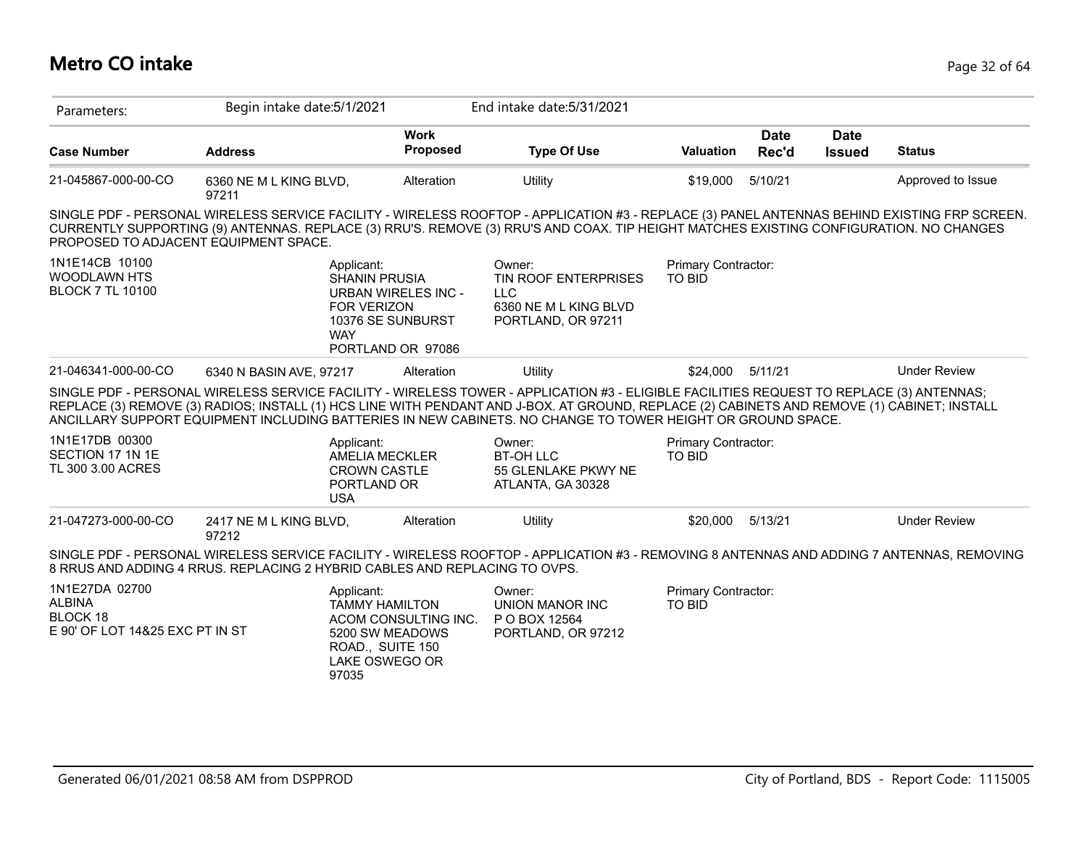# **Metro CO intake** Page 32 of 64

| Parameters:                                                                    | Begin intake date: 5/1/2021                                                                                                                                                                                                                                                                                                                                                                            |                                                                                                        | End intake date: 5/31/2021                                                                         |                                      |                      |                              |                     |
|--------------------------------------------------------------------------------|--------------------------------------------------------------------------------------------------------------------------------------------------------------------------------------------------------------------------------------------------------------------------------------------------------------------------------------------------------------------------------------------------------|--------------------------------------------------------------------------------------------------------|----------------------------------------------------------------------------------------------------|--------------------------------------|----------------------|------------------------------|---------------------|
| <b>Case Number</b>                                                             | <b>Address</b>                                                                                                                                                                                                                                                                                                                                                                                         | <b>Work</b><br><b>Proposed</b>                                                                         | <b>Type Of Use</b>                                                                                 | <b>Valuation</b>                     | <b>Date</b><br>Rec'd | <b>Date</b><br><b>Issued</b> | <b>Status</b>       |
| 21-045867-000-00-CO                                                            | 6360 NE M L KING BLVD,<br>97211                                                                                                                                                                                                                                                                                                                                                                        | Alteration                                                                                             | Utility                                                                                            | \$19,000                             | 5/10/21              |                              | Approved to Issue   |
| PROPOSED TO ADJACENT EQUIPMENT SPACE.                                          | SINGLE PDF - PERSONAL WIRELESS SERVICE FACILITY - WIRELESS ROOFTOP - APPLICATION #3 - REPLACE (3) PANEL ANTENNAS BEHIND EXISTING FRP SCREEN.<br>CURRENTLY SUPPORTING (9) ANTENNAS. REPLACE (3) RRU'S. REMOVE (3) RRU'S AND COAX. TIP HEIGHT MATCHES EXISTING CONFIGURATION. NO CHANGES                                                                                                                 |                                                                                                        |                                                                                                    |                                      |                      |                              |                     |
| 1N1E14CB 10100<br><b>WOODLAWN HTS</b><br><b>BLOCK 7 TL 10100</b>               | Applicant:<br><b>SHANIN PRUSIA</b><br><b>FOR VERIZON</b><br><b>WAY</b>                                                                                                                                                                                                                                                                                                                                 | <b>URBAN WIRELES INC -</b><br>10376 SE SUNBURST<br>PORTLAND OR 97086                                   | Owner:<br><b>TIN ROOF ENTERPRISES</b><br><b>LLC</b><br>6360 NE M L KING BLVD<br>PORTLAND, OR 97211 | Primary Contractor:<br><b>TO BID</b> |                      |                              |                     |
| 21-046341-000-00-CO                                                            | 6340 N BASIN AVE, 97217                                                                                                                                                                                                                                                                                                                                                                                | Alteration                                                                                             | Utility                                                                                            | \$24,000                             | 5/11/21              |                              | <b>Under Review</b> |
|                                                                                | SINGLE PDF - PERSONAL WIRELESS SERVICE FACILITY - WIRELESS TOWER - APPLICATION #3 - ELIGIBLE FACILITIES REQUEST TO REPLACE (3) ANTENNAS;<br>REPLACE (3) REMOVE (3) RADIOS; INSTALL (1) HCS LINE WITH PENDANT AND J-BOX. AT GROUND, REPLACE (2) CABINETS AND REMOVE (1) CABINET; INSTALL<br>ANCILLARY SUPPORT EQUIPMENT INCLUDING BATTERIES IN NEW CABINETS. NO CHANGE TO TOWER HEIGHT OR GROUND SPACE. |                                                                                                        |                                                                                                    |                                      |                      |                              |                     |
| 1N1E17DB 00300<br>SECTION 17 1N 1E<br>TL 300 3.00 ACRES                        | Applicant:<br><b>CROWN CASTLE</b><br>PORTLAND OR<br><b>USA</b>                                                                                                                                                                                                                                                                                                                                         | AMELIA MECKLER                                                                                         | Owner:<br><b>BT-OH LLC</b><br>55 GLENLAKE PKWY NE<br>ATLANTA, GA 30328                             | Primary Contractor:<br><b>TO BID</b> |                      |                              |                     |
| 21-047273-000-00-CO                                                            | 2417 NE M L KING BLVD,<br>97212                                                                                                                                                                                                                                                                                                                                                                        | Alteration                                                                                             | Utility                                                                                            | \$20,000                             | 5/13/21              |                              | <b>Under Review</b> |
|                                                                                | SINGLE PDF - PERSONAL WIRELESS SERVICE FACILITY - WIRELESS ROOFTOP - APPLICATION #3 - REMOVING 8 ANTENNAS AND ADDING 7 ANTENNAS, REMOVING<br>8 RRUS AND ADDING 4 RRUS. REPLACING 2 HYBRID CABLES AND REPLACING TO OVPS.                                                                                                                                                                                |                                                                                                        |                                                                                                    |                                      |                      |                              |                     |
| 1N1E27DA 02700<br><b>ALBINA</b><br>BLOCK 18<br>E 90' OF LOT 14&25 EXC PT IN ST | Applicant:<br>97035                                                                                                                                                                                                                                                                                                                                                                                    | <b>TAMMY HAMILTON</b><br>ACOM CONSULTING INC.<br>5200 SW MEADOWS<br>ROAD., SUITE 150<br>LAKE OSWEGO OR | Owner:<br><b>UNION MANOR INC</b><br>P O BOX 12564<br>PORTLAND, OR 97212                            | Primary Contractor:<br><b>TO BID</b> |                      |                              |                     |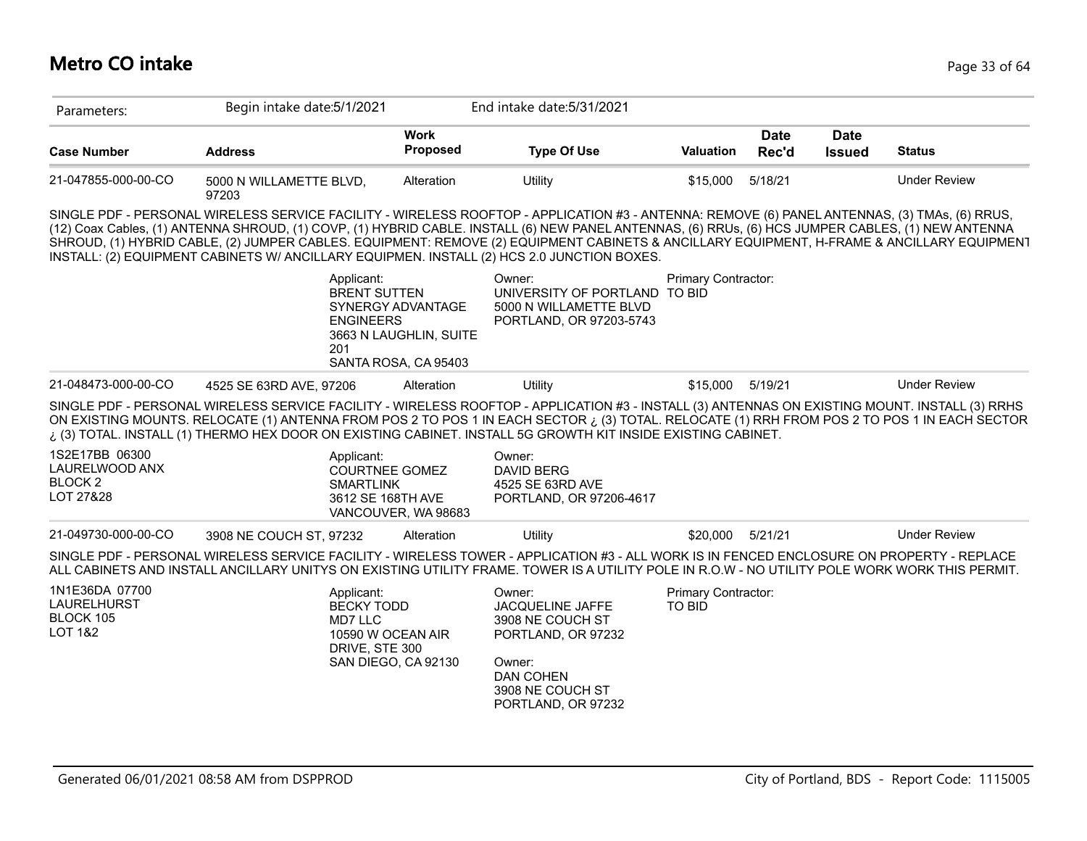| Parameters:                                                     | Begin intake date: 5/1/2021      |                                                                                                                              | End intake date: 5/31/2021                                                                                                                                                                                                                                                                                                                                                                                                                                                                                                                      |                     |                      |                              |                     |
|-----------------------------------------------------------------|----------------------------------|------------------------------------------------------------------------------------------------------------------------------|-------------------------------------------------------------------------------------------------------------------------------------------------------------------------------------------------------------------------------------------------------------------------------------------------------------------------------------------------------------------------------------------------------------------------------------------------------------------------------------------------------------------------------------------------|---------------------|----------------------|------------------------------|---------------------|
| <b>Case Number</b>                                              | <b>Address</b>                   | <b>Work</b><br>Proposed                                                                                                      | <b>Type Of Use</b>                                                                                                                                                                                                                                                                                                                                                                                                                                                                                                                              | Valuation           | <b>Date</b><br>Rec'd | <b>Date</b><br><b>Issued</b> | <b>Status</b>       |
| 21-047855-000-00-CO                                             | 5000 N WILLAMETTE BLVD,<br>97203 | Alteration                                                                                                                   | Utility                                                                                                                                                                                                                                                                                                                                                                                                                                                                                                                                         | \$15,000            | 5/18/21              |                              | <b>Under Review</b> |
|                                                                 |                                  |                                                                                                                              | SINGLE PDF - PERSONAL WIRELESS SERVICE FACILITY - WIRELESS ROOFTOP - APPLICATION #3 - ANTENNA: REMOVE (6) PANEL ANTENNAS, (3) TMAs, (6) RRUS,<br>(12) Coax Cables, (1) ANTENNA SHROUD, (1) COVP, (1) HYBRID CABLE. INSTALL (6) NEW PANEL ANTENNAS, (6) RRUs, (6) HCS JUMPER CABLES, (1) NEW ANTENNA<br>SHROUD, (1) HYBRID CABLE, (2) JUMPER CABLES. EQUIPMENT: REMOVE (2) EQUIPMENT CABINETS & ANCILLARY EQUIPMENT, H-FRAME & ANCILLARY EQUIPMENT<br>INSTALL: (2) EQUIPMENT CABINETS W/ ANCILLARY EQUIPMEN. INSTALL (2) HCS 2.0 JUNCTION BOXES. |                     |                      |                              |                     |
|                                                                 | 201                              | Applicant:<br><b>BRENT SUTTEN</b><br>SYNERGY ADVANTAGE<br><b>ENGINEERS</b><br>3663 N LAUGHLIN, SUITE<br>SANTA ROSA, CA 95403 | Owner:<br>UNIVERSITY OF PORTLAND TO BID<br>5000 N WILLAMETTE BLVD<br>PORTLAND, OR 97203-5743                                                                                                                                                                                                                                                                                                                                                                                                                                                    | Primary Contractor: |                      |                              |                     |
| 21-048473-000-00-CO                                             | 4525 SE 63RD AVE, 97206          | Alteration                                                                                                                   | Utility                                                                                                                                                                                                                                                                                                                                                                                                                                                                                                                                         | \$15,000            | 5/19/21              |                              | <b>Under Review</b> |
|                                                                 |                                  |                                                                                                                              | SINGLE PDF - PERSONAL WIRELESS SERVICE FACILITY - WIRELESS ROOFTOP - APPLICATION #3 - INSTALL (3) ANTENNAS ON EXISTING MOUNT. INSTALL (3) RRHS<br>ON EXISTING MOUNTS. RELOCATE (1) ANTENNA FROM POS 2 TO POS 1 IN EACH SECTOR ¿ (3) TOTAL. RELOCATE (1) RRH FROM POS 2 TO POS 1 IN EACH SECTOR<br>i (3) TOTAL. INSTALL (1) THERMO HEX DOOR ON EXISTING CABINET. INSTALL 5G GROWTH KIT INSIDE EXISTING CABINET.                                                                                                                                  |                     |                      |                              |                     |
| 1S2E17BB 06300<br>LAURELWOOD ANX<br><b>BLOCK 2</b><br>LOT 27&28 |                                  | Applicant:<br><b>COURTNEE GOMEZ</b><br><b>SMARTLINK</b>                                                                      | Owner:<br><b>DAVID BERG</b><br>4525 SE 63RD AVE                                                                                                                                                                                                                                                                                                                                                                                                                                                                                                 |                     |                      |                              |                     |
|                                                                 |                                  | 3612 SE 168TH AVE<br>VANCOUVER, WA 98683                                                                                     | PORTLAND, OR 97206-4617                                                                                                                                                                                                                                                                                                                                                                                                                                                                                                                         |                     |                      |                              |                     |
| 21-049730-000-00-CO                                             | 3908 NE COUCH ST, 97232          | Alteration                                                                                                                   | Utility                                                                                                                                                                                                                                                                                                                                                                                                                                                                                                                                         | \$20,000            | 5/21/21              |                              | <b>Under Review</b> |
|                                                                 |                                  |                                                                                                                              | SINGLE PDF - PERSONAL WIRELESS SERVICE FACILITY - WIRELESS TOWER - APPLICATION #3 - ALL WORK IS IN FENCED ENCLOSURE ON PROPERTY - REPLACE<br>ALL CABINETS AND INSTALL ANCILLARY UNITYS ON EXISTING UTILITY FRAME. TOWER IS A UTILITY POLE IN R.O.W - NO UTILITY POLE WORK WORK THIS PERMIT.                                                                                                                                                                                                                                                     |                     |                      |                              |                     |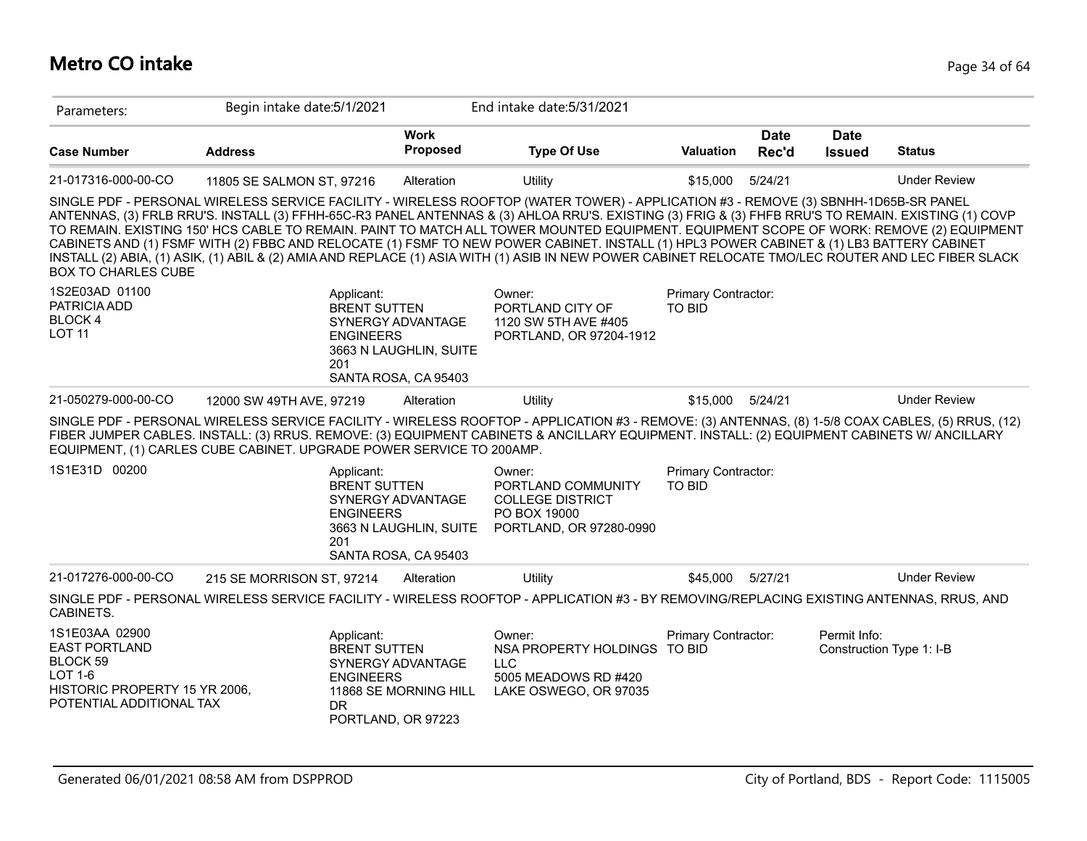## **Metro CO intake** Page 34 of 64

| Parameters:                                                                                                                | Begin intake date: 5/1/2021                                          |                                                                                            | End intake date: 5/31/2021                                                                                                                                                                                                                                                                                                                                                                                                                                                                                                                                                                                                                                                                                                               |                                      |                      |                              |                          |
|----------------------------------------------------------------------------------------------------------------------------|----------------------------------------------------------------------|--------------------------------------------------------------------------------------------|------------------------------------------------------------------------------------------------------------------------------------------------------------------------------------------------------------------------------------------------------------------------------------------------------------------------------------------------------------------------------------------------------------------------------------------------------------------------------------------------------------------------------------------------------------------------------------------------------------------------------------------------------------------------------------------------------------------------------------------|--------------------------------------|----------------------|------------------------------|--------------------------|
| <b>Case Number</b>                                                                                                         | <b>Address</b>                                                       | <b>Work</b><br><b>Proposed</b>                                                             | <b>Type Of Use</b>                                                                                                                                                                                                                                                                                                                                                                                                                                                                                                                                                                                                                                                                                                                       | <b>Valuation</b>                     | <b>Date</b><br>Rec'd | <b>Date</b><br><b>Issued</b> | <b>Status</b>            |
| 21-017316-000-00-CO                                                                                                        | 11805 SE SALMON ST, 97216                                            | Alteration                                                                                 | <b>Utility</b>                                                                                                                                                                                                                                                                                                                                                                                                                                                                                                                                                                                                                                                                                                                           | \$15,000                             | 5/24/21              |                              | <b>Under Review</b>      |
| <b>BOX TO CHARLES CUBE</b>                                                                                                 |                                                                      |                                                                                            | SINGLE PDF - PERSONAL WIRELESS SERVICE FACILITY - WIRELESS ROOFTOP (WATER TOWER) - APPLICATION #3 - REMOVE (3) SBNHH-1D65B-SR PANEL<br>ANTENNAS, (3) FRLB RRU'S. INSTALL (3) FFHH-65C-R3 PANEL ANTENNAS & (3) AHLOA RRU'S. EXISTING (3) FRIG & (3) FHFB RRU'S TO REMAIN. EXISTING (1) COVP<br>TO REMAIN. EXISTING 150' HCS CABLE TO REMAIN. PAINT TO MATCH ALL TOWER MOUNTED EQUIPMENT. EQUIPMENT SCOPE OF WORK: REMOVE (2) EQUIPMENT<br>CABINETS AND (1) FSMF WITH (2) FBBC AND RELOCATE (1) FSMF TO NEW POWER CABINET. INSTALL (1) HPL3 POWER CABINET & (1) LB3 BATTERY CABINET<br>INSTALL (2) ABIA, (1) ASIK, (1) ABIL & (2) AMIA AND REPLACE (1) ASIA WITH (1) ASIB IN NEW POWER CABINET RELOCATE TMO/LEC ROUTER AND LEC FIBER SLACK |                                      |                      |                              |                          |
| 1S2E03AD 01100<br>PATRICIA ADD<br><b>BLOCK4</b><br><b>LOT 11</b>                                                           | Applicant:<br><b>ENGINEERS</b><br>201                                | <b>BRENT SUTTEN</b><br>SYNERGY ADVANTAGE<br>3663 N LAUGHLIN, SUITE<br>SANTA ROSA, CA 95403 | Owner:<br>PORTLAND CITY OF<br>1120 SW 5TH AVE #405<br>PORTLAND, OR 97204-1912                                                                                                                                                                                                                                                                                                                                                                                                                                                                                                                                                                                                                                                            | Primary Contractor:<br><b>TO BID</b> |                      |                              |                          |
| 21-050279-000-00-CO                                                                                                        | 12000 SW 49TH AVE, 97219                                             | Alteration                                                                                 | Utility                                                                                                                                                                                                                                                                                                                                                                                                                                                                                                                                                                                                                                                                                                                                  | \$15,000                             | 5/24/21              |                              | <b>Under Review</b>      |
|                                                                                                                            | EQUIPMENT, (1) CARLES CUBE CABINET. UPGRADE POWER SERVICE TO 200AMP. |                                                                                            | SINGLE PDF - PERSONAL WIRELESS SERVICE FACILITY - WIRELESS ROOFTOP - APPLICATION #3 - REMOVE: (3) ANTENNAS, (8) 1-5/8 COAX CABLES, (5) RRUS, (12)<br>FIBER JUMPER CABLES. INSTALL: (3) RRUS. REMOVE: (3) EQUIPMENT CABINETS & ANCILLARY EQUIPMENT. INSTALL: (2) EQUIPMENT CABINETS W/ ANCILLARY                                                                                                                                                                                                                                                                                                                                                                                                                                          |                                      |                      |                              |                          |
| 1S1E31D 00200                                                                                                              | Applicant:<br><b>ENGINEERS</b><br>201                                | <b>BRENT SUTTEN</b><br>SYNERGY ADVANTAGE<br>3663 N LAUGHLIN, SUITE<br>SANTA ROSA, CA 95403 | Owner:<br>PORTLAND COMMUNITY<br><b>COLLEGE DISTRICT</b><br>PO BOX 19000<br>PORTLAND, OR 97280-0990                                                                                                                                                                                                                                                                                                                                                                                                                                                                                                                                                                                                                                       | Primary Contractor:<br><b>TO BID</b> |                      |                              |                          |
| 21-017276-000-00-CO                                                                                                        | 215 SE MORRISON ST, 97214                                            | Alteration                                                                                 | Utility                                                                                                                                                                                                                                                                                                                                                                                                                                                                                                                                                                                                                                                                                                                                  | \$45.000                             | 5/27/21              |                              | <b>Under Review</b>      |
| CABINETS.                                                                                                                  |                                                                      |                                                                                            | SINGLE PDF - PERSONAL WIRELESS SERVICE FACILITY - WIRELESS ROOFTOP - APPLICATION #3 - BY REMOVING/REPLACING EXISTING ANTENNAS, RRUS, AND                                                                                                                                                                                                                                                                                                                                                                                                                                                                                                                                                                                                 |                                      |                      |                              |                          |
| 1S1E03AA 02900<br><b>EAST PORTLAND</b><br>BLOCK 59<br>LOT 1-6<br>HISTORIC PROPERTY 15 YR 2006,<br>POTENTIAL ADDITIONAL TAX | Applicant:<br><b>ENGINEERS</b><br>DR.                                | <b>BRENT SUTTEN</b><br>SYNERGY ADVANTAGE<br>11868 SE MORNING HILL<br>PORTLAND, OR 97223    | Owner:<br>NSA PROPERTY HOLDINGS TO BID<br><b>LLC</b><br>5005 MEADOWS RD #420<br>LAKE OSWEGO, OR 97035                                                                                                                                                                                                                                                                                                                                                                                                                                                                                                                                                                                                                                    | Primary Contractor:                  |                      | Permit Info:                 | Construction Type 1: I-B |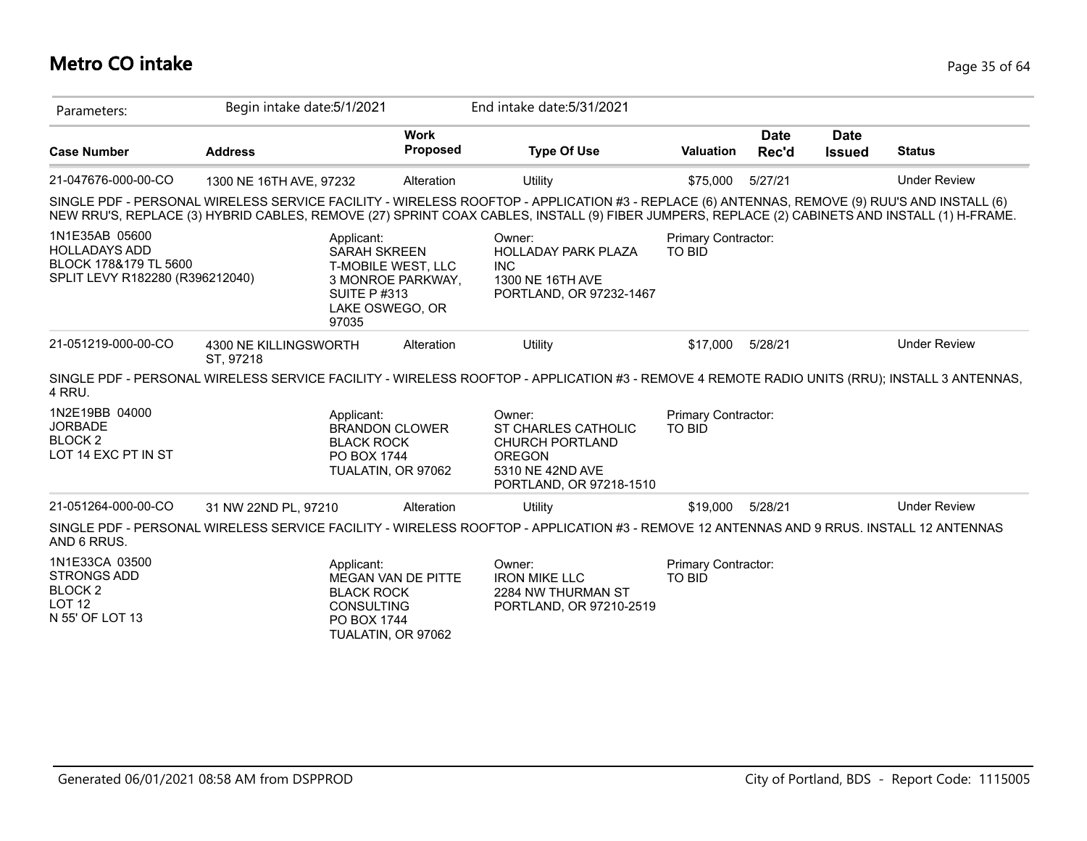# **Metro CO intake** Page 35 of 64

| Parameters:                                                                                        | Begin intake date: 5/1/2021                                         |                                                                                   | End intake date: 5/31/2021                                                                                                                                                                                                                                                                     |                                      |                      |                              |                     |
|----------------------------------------------------------------------------------------------------|---------------------------------------------------------------------|-----------------------------------------------------------------------------------|------------------------------------------------------------------------------------------------------------------------------------------------------------------------------------------------------------------------------------------------------------------------------------------------|--------------------------------------|----------------------|------------------------------|---------------------|
| <b>Case Number</b>                                                                                 | <b>Address</b>                                                      | <b>Work</b><br><b>Proposed</b>                                                    | <b>Type Of Use</b>                                                                                                                                                                                                                                                                             | <b>Valuation</b>                     | <b>Date</b><br>Rec'd | <b>Date</b><br><b>Issued</b> | <b>Status</b>       |
| 21-047676-000-00-CO                                                                                | 1300 NE 16TH AVE, 97232                                             | Alteration                                                                        | Utility                                                                                                                                                                                                                                                                                        | \$75,000                             | 5/27/21              |                              | <b>Under Review</b> |
|                                                                                                    |                                                                     |                                                                                   | SINGLE PDF - PERSONAL WIRELESS SERVICE FACILITY - WIRELESS ROOFTOP - APPLICATION #3 - REPLACE (6) ANTENNAS, REMOVE (9) RUU'S AND INSTALL (6)<br>NEW RRU'S, REPLACE (3) HYBRID CABLES, REMOVE (27) SPRINT COAX CABLES, INSTALL (9) FIBER JUMPERS, REPLACE (2) CABINETS AND INSTALL (1) H-FRAME. |                                      |                      |                              |                     |
| 1N1E35AB 05600<br><b>HOLLADAYS ADD</b><br>BLOCK 178&179 TL 5600<br>SPLIT LEVY R182280 (R396212040) | Applicant:<br><b>SUITE P#313</b><br>97035                           | <b>SARAH SKREEN</b><br>T-MOBILE WEST, LLC<br>3 MONROE PARKWAY,<br>LAKE OSWEGO, OR | Owner:<br><b>HOLLADAY PARK PLAZA</b><br><b>INC</b><br>1300 NE 16TH AVE<br>PORTLAND, OR 97232-1467                                                                                                                                                                                              | Primary Contractor:<br><b>TO BID</b> |                      |                              |                     |
| 21-051219-000-00-CO                                                                                | 4300 NE KILLINGSWORTH<br>ST, 97218                                  | Alteration                                                                        | Utility                                                                                                                                                                                                                                                                                        | \$17,000                             | 5/28/21              |                              | <b>Under Review</b> |
| 4 RRU.                                                                                             |                                                                     |                                                                                   | SINGLE PDF - PERSONAL WIRELESS SERVICE FACILITY - WIRELESS ROOFTOP - APPLICATION #3 - REMOVE 4 REMOTE RADIO UNITS (RRU); INSTALL 3 ANTENNAS,                                                                                                                                                   |                                      |                      |                              |                     |
| 1N2E19BB 04000<br><b>JORBADE</b><br>BLOCK <sub>2</sub><br>LOT 14 EXC PT IN ST                      | Applicant:<br><b>BLACK ROCK</b><br>PO BOX 1744                      | <b>BRANDON CLOWER</b><br>TUALATIN, OR 97062                                       | Owner:<br>ST CHARLES CATHOLIC<br><b>CHURCH PORTLAND</b><br><b>OREGON</b><br>5310 NE 42ND AVE<br>PORTLAND, OR 97218-1510                                                                                                                                                                        | Primary Contractor:<br>TO BID        |                      |                              |                     |
| 21-051264-000-00-CO                                                                                | 31 NW 22ND PL, 97210                                                | Alteration                                                                        | Utility                                                                                                                                                                                                                                                                                        | \$19,000                             | 5/28/21              |                              | <b>Under Review</b> |
| AND 6 RRUS.                                                                                        |                                                                     |                                                                                   | SINGLE PDF - PERSONAL WIRELESS SERVICE FACILITY - WIRELESS ROOFTOP - APPLICATION #3 - REMOVE 12 ANTENNAS AND 9 RRUS. INSTALL 12 ANTENNAS                                                                                                                                                       |                                      |                      |                              |                     |
| 1N1E33CA 03500<br><b>STRONGS ADD</b><br><b>BLOCK2</b><br>LOT <sub>12</sub><br>N 55' OF LOT 13      | Applicant:<br><b>BLACK ROCK</b><br><b>CONSULTING</b><br>PO BOX 1744 | <b>MEGAN VAN DE PITTE</b><br>TUALATIN, OR 97062                                   | Owner:<br><b>IRON MIKE LLC</b><br>2284 NW THURMAN ST<br>PORTLAND, OR 97210-2519                                                                                                                                                                                                                | Primary Contractor:<br>TO BID        |                      |                              |                     |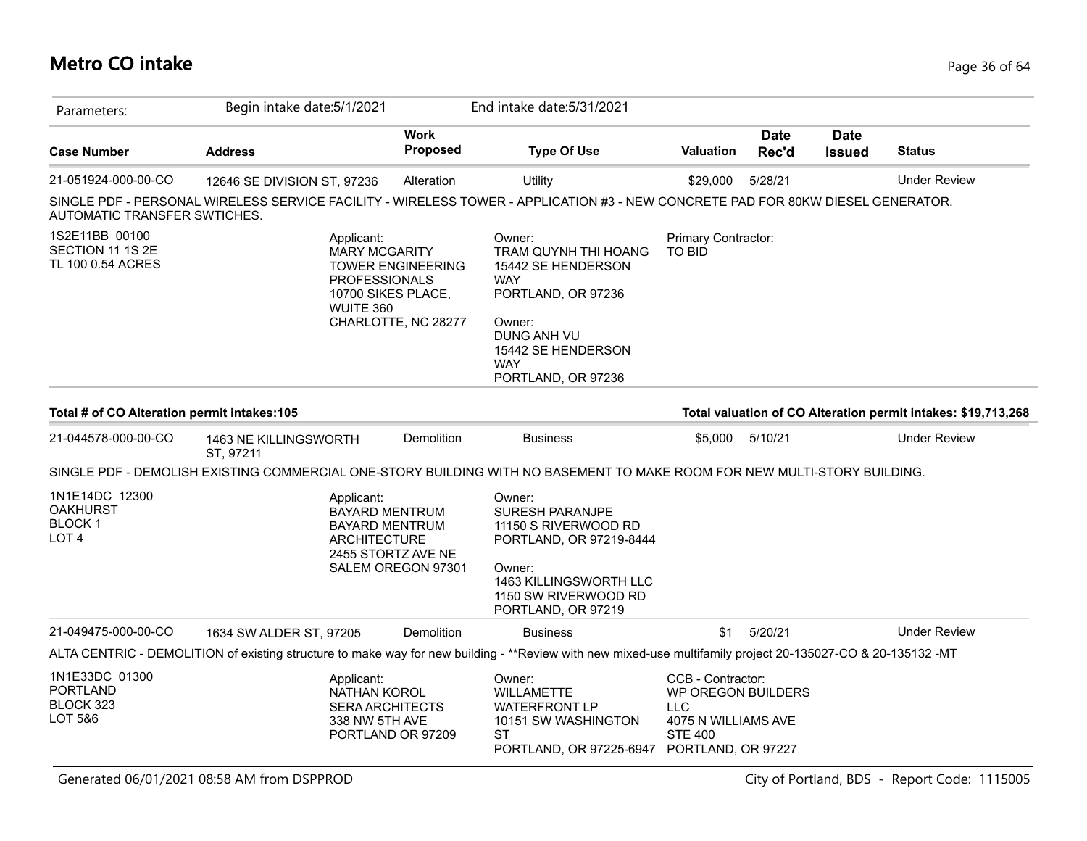# **Metro CO intake** Page 36 of 64

| Parameters:                                                            | Begin intake date: 5/1/2021                                                                                                                                 |                                                 | End intake date: 5/31/2021                                                                                                                                                  |                                                                                                               |                      |                              |                                                               |
|------------------------------------------------------------------------|-------------------------------------------------------------------------------------------------------------------------------------------------------------|-------------------------------------------------|-----------------------------------------------------------------------------------------------------------------------------------------------------------------------------|---------------------------------------------------------------------------------------------------------------|----------------------|------------------------------|---------------------------------------------------------------|
| <b>Case Number</b>                                                     | <b>Address</b>                                                                                                                                              | <b>Work</b><br>Proposed                         | <b>Type Of Use</b>                                                                                                                                                          | <b>Valuation</b>                                                                                              | <b>Date</b><br>Rec'd | <b>Date</b><br><b>Issued</b> | <b>Status</b>                                                 |
| 21-051924-000-00-CO                                                    | 12646 SE DIVISION ST, 97236                                                                                                                                 | Alteration                                      | Utility                                                                                                                                                                     | \$29,000                                                                                                      | 5/28/21              |                              | <b>Under Review</b>                                           |
| AUTOMATIC TRANSFER SWTICHES.                                           | SINGLE PDF - PERSONAL WIRELESS SERVICE FACILITY - WIRELESS TOWER - APPLICATION #3 - NEW CONCRETE PAD FOR 80KW DIESEL GENERATOR.                             |                                                 |                                                                                                                                                                             |                                                                                                               |                      |                              |                                                               |
| 1S2E11BB 00100<br>SECTION 11 1S 2E<br>TL 100 0.54 ACRES                | Applicant:<br><b>MARY MCGARITY</b><br><b>PROFESSIONALS</b><br>10700 SIKES PLACE,<br>WUITE 360                                                               | <b>TOWER ENGINEERING</b><br>CHARLOTTE, NC 28277 | Owner:<br>TRAM QUYNH THI HOANG<br>15442 SE HENDERSON<br><b>WAY</b><br>PORTLAND, OR 97236<br>Owner:<br>DUNG ANH VU<br>15442 SE HENDERSON<br><b>WAY</b><br>PORTLAND, OR 97236 | Primary Contractor:<br><b>TO BID</b>                                                                          |                      |                              |                                                               |
| Total # of CO Alteration permit intakes: 105                           |                                                                                                                                                             |                                                 |                                                                                                                                                                             |                                                                                                               |                      |                              | Total valuation of CO Alteration permit intakes: \$19,713,268 |
| 21-044578-000-00-CO                                                    | 1463 NE KILLINGSWORTH<br>ST, 97211                                                                                                                          | Demolition                                      | <b>Business</b>                                                                                                                                                             | \$5,000                                                                                                       | 5/10/21              |                              | <b>Under Review</b>                                           |
|                                                                        | SINGLE PDF - DEMOLISH EXISTING COMMERCIAL ONE-STORY BUILDING WITH NO BASEMENT TO MAKE ROOM FOR NEW MULTI-STORY BUILDING.                                    |                                                 |                                                                                                                                                                             |                                                                                                               |                      |                              |                                                               |
| 1N1E14DC 12300<br><b>OAKHURST</b><br><b>BLOCK1</b><br>LOT <sub>4</sub> | Applicant:<br><b>BAYARD MENTRUM</b><br><b>BAYARD MENTRUM</b><br><b>ARCHITECTURE</b>                                                                         | 2455 STORTZ AVE NE<br>SALEM OREGON 97301        | Owner:<br><b>SURESH PARANJPE</b><br>11150 S RIVERWOOD RD<br>PORTLAND, OR 97219-8444<br>Owner:<br>1463 KILLINGSWORTH LLC<br>1150 SW RIVERWOOD RD<br>PORTLAND, OR 97219       |                                                                                                               |                      |                              |                                                               |
| 21-049475-000-00-CO                                                    | 1634 SW ALDER ST, 97205                                                                                                                                     | Demolition                                      | <b>Business</b>                                                                                                                                                             | \$1                                                                                                           | 5/20/21              |                              | <b>Under Review</b>                                           |
|                                                                        | ALTA CENTRIC - DEMOLITION of existing structure to make way for new building - **Review with new mixed-use multifamily project 20-135027-CO & 20-135132 -MT |                                                 |                                                                                                                                                                             |                                                                                                               |                      |                              |                                                               |
| 1N1E33DC 01300<br>PORTLAND<br>BLOCK 323<br>LOT 5&6                     | Applicant:<br>NATHAN KOROL<br><b>SERA ARCHITECTS</b><br>338 NW 5TH AVE                                                                                      | PORTLAND OR 97209                               | Owner:<br><b>WILLAMETTE</b><br><b>WATERFRONT LP</b><br>10151 SW WASHINGTON<br><b>ST</b><br>PORTLAND, OR 97225-6947                                                          | CCB - Contractor:<br>WP OREGON BUILDERS<br>LLC<br>4075 N WILLIAMS AVE<br><b>STE 400</b><br>PORTLAND, OR 97227 |                      |                              |                                                               |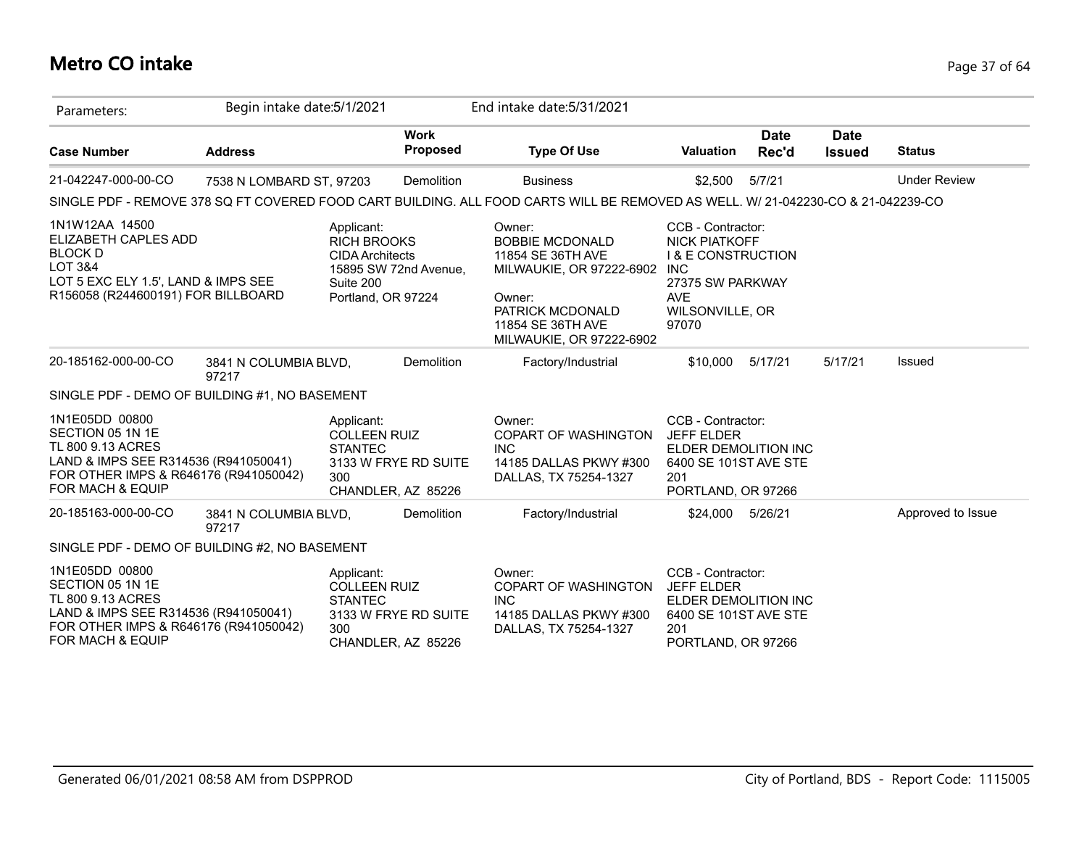## **Metro CO intake** Page 37 of 64

| Parameters:                                                                                                                                                             | Begin intake date: 5/1/2021    |                                                                                               |                                            | End intake date: 5/31/2021                                                                                                                                       |                                                                                                                                                        |                      |                              |                     |
|-------------------------------------------------------------------------------------------------------------------------------------------------------------------------|--------------------------------|-----------------------------------------------------------------------------------------------|--------------------------------------------|------------------------------------------------------------------------------------------------------------------------------------------------------------------|--------------------------------------------------------------------------------------------------------------------------------------------------------|----------------------|------------------------------|---------------------|
| <b>Case Number</b>                                                                                                                                                      | <b>Address</b>                 |                                                                                               | <b>Work</b><br><b>Proposed</b>             | <b>Type Of Use</b>                                                                                                                                               | <b>Valuation</b>                                                                                                                                       | <b>Date</b><br>Rec'd | <b>Date</b><br><b>Issued</b> | <b>Status</b>       |
| 21-042247-000-00-CO                                                                                                                                                     | 7538 N LOMBARD ST, 97203       |                                                                                               | Demolition                                 | <b>Business</b>                                                                                                                                                  | \$2,500                                                                                                                                                | 5/7/21               |                              | <b>Under Review</b> |
|                                                                                                                                                                         |                                |                                                                                               |                                            | SINGLE PDF - REMOVE 378 SQ FT COVERED FOOD CART BUILDING. ALL FOOD CARTS WILL BE REMOVED AS WELL. W/ 21-042230-CO & 21-042239-CO                                 |                                                                                                                                                        |                      |                              |                     |
| 1N1W12AA 14500<br>ELIZABETH CAPLES ADD<br><b>BLOCK D</b><br>LOT 3&4<br>LOT 5 EXC ELY 1.5', LAND & IMPS SEE<br>R156058 (R244600191) FOR BILLBOARD                        |                                | Applicant:<br><b>RICH BROOKS</b><br><b>CIDA Architects</b><br>Suite 200<br>Portland, OR 97224 | 15895 SW 72nd Avenue,                      | Owner:<br><b>BOBBIE MCDONALD</b><br>11854 SE 36TH AVE<br>MILWAUKIE, OR 97222-6902<br>Owner:<br>PATRICK MCDONALD<br>11854 SE 36TH AVE<br>MILWAUKIE, OR 97222-6902 | CCB - Contractor:<br><b>NICK PIATKOFF</b><br><b>I &amp; E CONSTRUCTION</b><br><b>INC</b><br>27375 SW PARKWAY<br><b>AVE</b><br>WILSONVILLE, OR<br>97070 |                      |                              |                     |
| 20-185162-000-00-CO                                                                                                                                                     | 3841 N COLUMBIA BLVD,<br>97217 |                                                                                               | Demolition                                 | Factory/Industrial                                                                                                                                               | \$10,000                                                                                                                                               | 5/17/21              | 5/17/21                      | Issued              |
| SINGLE PDF - DEMO OF BUILDING #1, NO BASEMENT                                                                                                                           |                                |                                                                                               |                                            |                                                                                                                                                                  |                                                                                                                                                        |                      |                              |                     |
| 1N1E05DD 00800<br>SECTION 05 1N 1E<br>TL 800 9.13 ACRES<br>LAND & IMPS SEE R314536 (R941050041)<br>FOR OTHER IMPS & R646176 (R941050042)<br><b>FOR MACH &amp; EQUIP</b> |                                | Applicant:<br><b>COLLEEN RUIZ</b><br><b>STANTEC</b><br>300                                    | 3133 W FRYE RD SUITE<br>CHANDLER, AZ 85226 | Owner:<br>COPART OF WASHINGTON<br><b>INC</b><br>14185 DALLAS PKWY #300<br>DALLAS, TX 75254-1327                                                                  | CCB - Contractor:<br><b>JEFF ELDER</b><br>ELDER DEMOLITION INC<br>6400 SE 101ST AVE STE<br>201<br>PORTLAND, OR 97266                                   |                      |                              |                     |
| 20-185163-000-00-CO                                                                                                                                                     | 3841 N COLUMBIA BLVD,<br>97217 |                                                                                               | Demolition                                 | Factory/Industrial                                                                                                                                               | \$24,000                                                                                                                                               | 5/26/21              |                              | Approved to Issue   |
| SINGLE PDF - DEMO OF BUILDING #2, NO BASEMENT                                                                                                                           |                                |                                                                                               |                                            |                                                                                                                                                                  |                                                                                                                                                        |                      |                              |                     |
| 1N1E05DD 00800<br>SECTION 05 1N 1E<br>TL 800 9.13 ACRES<br>LAND & IMPS SEE R314536 (R941050041)<br>FOR OTHER IMPS & R646176 (R941050042)<br>FOR MACH & EQUIP            |                                | Applicant:<br><b>COLLEEN RUIZ</b><br><b>STANTEC</b><br>300                                    | 3133 W FRYE RD SUITE<br>CHANDLER, AZ 85226 | Owner:<br>COPART OF WASHINGTON<br><b>INC</b><br>14185 DALLAS PKWY #300<br>DALLAS, TX 75254-1327                                                                  | CCB - Contractor:<br><b>JEFF ELDER</b><br>ELDER DEMOLITION INC<br>6400 SE 101ST AVE STE<br>201<br>PORTLAND, OR 97266                                   |                      |                              |                     |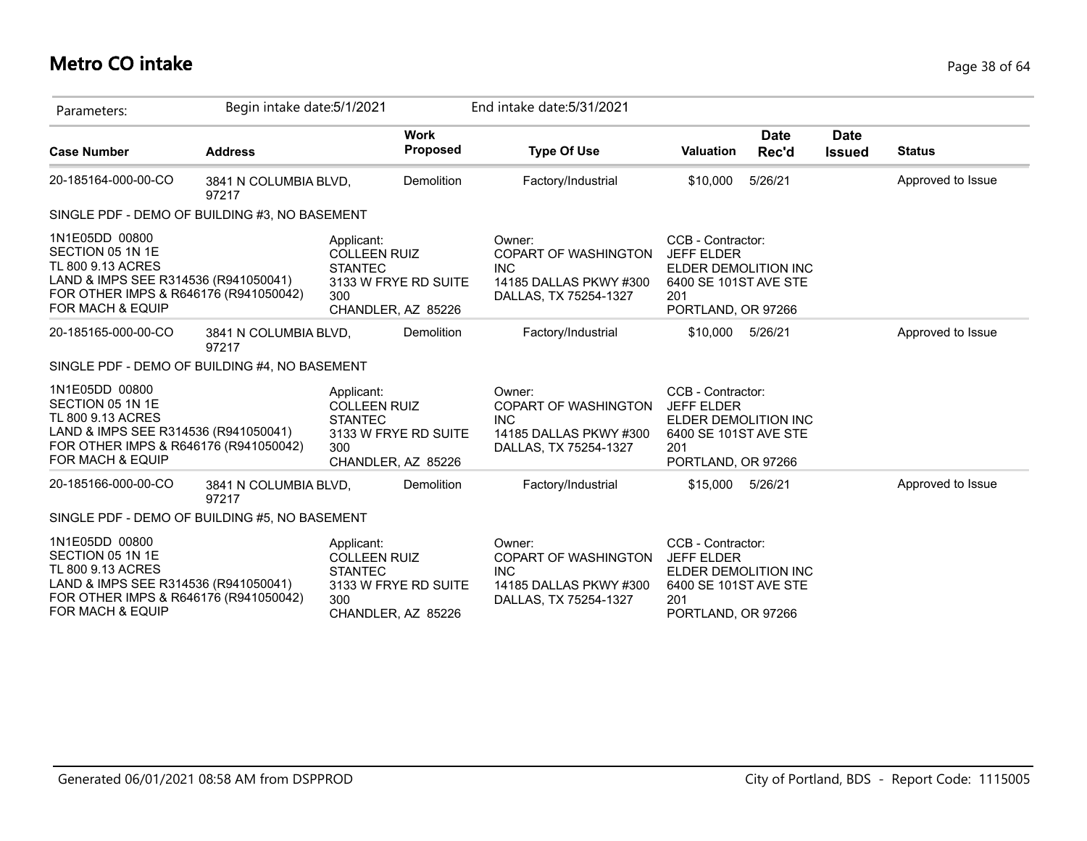## **Metro CO intake** Page 38 of 64

| Parameters:                                                                                                                                                  | Begin intake date: 5/1/2021    |                                                                                                          | End intake date: 5/31/2021                                                                             |                                                                                                                      |                      |                              |                   |
|--------------------------------------------------------------------------------------------------------------------------------------------------------------|--------------------------------|----------------------------------------------------------------------------------------------------------|--------------------------------------------------------------------------------------------------------|----------------------------------------------------------------------------------------------------------------------|----------------------|------------------------------|-------------------|
| <b>Case Number</b>                                                                                                                                           | <b>Address</b>                 | <b>Work</b><br>Proposed                                                                                  | <b>Type Of Use</b>                                                                                     | <b>Valuation</b>                                                                                                     | <b>Date</b><br>Rec'd | <b>Date</b><br><b>Issued</b> | <b>Status</b>     |
| 20-185164-000-00-CO                                                                                                                                          | 3841 N COLUMBIA BLVD,<br>97217 | <b>Demolition</b>                                                                                        | Factory/Industrial                                                                                     | \$10,000                                                                                                             | 5/26/21              |                              | Approved to Issue |
| SINGLE PDF - DEMO OF BUILDING #3, NO BASEMENT                                                                                                                |                                |                                                                                                          |                                                                                                        |                                                                                                                      |                      |                              |                   |
| 1N1E05DD 00800<br>SECTION 05 1N 1E<br>TL 800 9.13 ACRES<br>LAND & IMPS SEE R314536 (R941050041)<br>FOR OTHER IMPS & R646176 (R941050042)<br>FOR MACH & EQUIP |                                | Applicant:<br><b>COLLEEN RUIZ</b><br><b>STANTEC</b><br>3133 W FRYE RD SUITE<br>300<br>CHANDLER, AZ 85226 | Owner:<br><b>COPART OF WASHINGTON</b><br><b>INC</b><br>14185 DALLAS PKWY #300<br>DALLAS, TX 75254-1327 | CCB - Contractor:<br><b>JEFF ELDER</b><br>ELDER DEMOLITION INC<br>6400 SE 101ST AVE STE<br>201<br>PORTLAND, OR 97266 |                      |                              |                   |
| 20-185165-000-00-CO                                                                                                                                          | 3841 N COLUMBIA BLVD,<br>97217 | Demolition                                                                                               | Factory/Industrial                                                                                     | 5/26/21<br>\$10,000                                                                                                  |                      |                              | Approved to Issue |
| SINGLE PDF - DEMO OF BUILDING #4, NO BASEMENT                                                                                                                |                                |                                                                                                          |                                                                                                        |                                                                                                                      |                      |                              |                   |
| 1N1E05DD 00800<br>SECTION 05 1N 1E<br>TL 800 9.13 ACRES<br>LAND & IMPS SEE R314536 (R941050041)<br>FOR OTHER IMPS & R646176 (R941050042)<br>FOR MACH & EQUIP |                                | Applicant:<br><b>COLLEEN RUIZ</b><br><b>STANTEC</b><br>3133 W FRYE RD SUITE<br>300<br>CHANDLER, AZ 85226 | Owner:<br>COPART OF WASHINGTON<br><b>INC</b><br>14185 DALLAS PKWY #300<br>DALLAS, TX 75254-1327        | CCB - Contractor:<br><b>JEFF ELDER</b><br>ELDER DEMOLITION INC<br>6400 SE 101ST AVE STE<br>201<br>PORTLAND, OR 97266 |                      |                              |                   |
| 20-185166-000-00-CO                                                                                                                                          | 3841 N COLUMBIA BLVD,<br>97217 | <b>Demolition</b>                                                                                        | Factory/Industrial                                                                                     | \$15,000 5/26/21                                                                                                     |                      |                              | Approved to Issue |
| SINGLE PDF - DEMO OF BUILDING #5, NO BASEMENT                                                                                                                |                                |                                                                                                          |                                                                                                        |                                                                                                                      |                      |                              |                   |
| 1N1E05DD 00800<br>SECTION 05 1N 1E<br>TL 800 9.13 ACRES<br>LAND & IMPS SEE R314536 (R941050041)<br>FOR OTHER IMPS & R646176 (R941050042)<br>FOR MACH & EQUIP |                                | Applicant:<br><b>COLLEEN RUIZ</b><br><b>STANTEC</b><br>3133 W FRYE RD SUITE<br>300<br>CHANDLER, AZ 85226 | Owner:<br>COPART OF WASHINGTON<br><b>INC</b><br>14185 DALLAS PKWY #300<br>DALLAS, TX 75254-1327        | CCB - Contractor:<br><b>JEFF ELDER</b><br>ELDER DEMOLITION INC<br>6400 SE 101ST AVE STE<br>201<br>PORTLAND, OR 97266 |                      |                              |                   |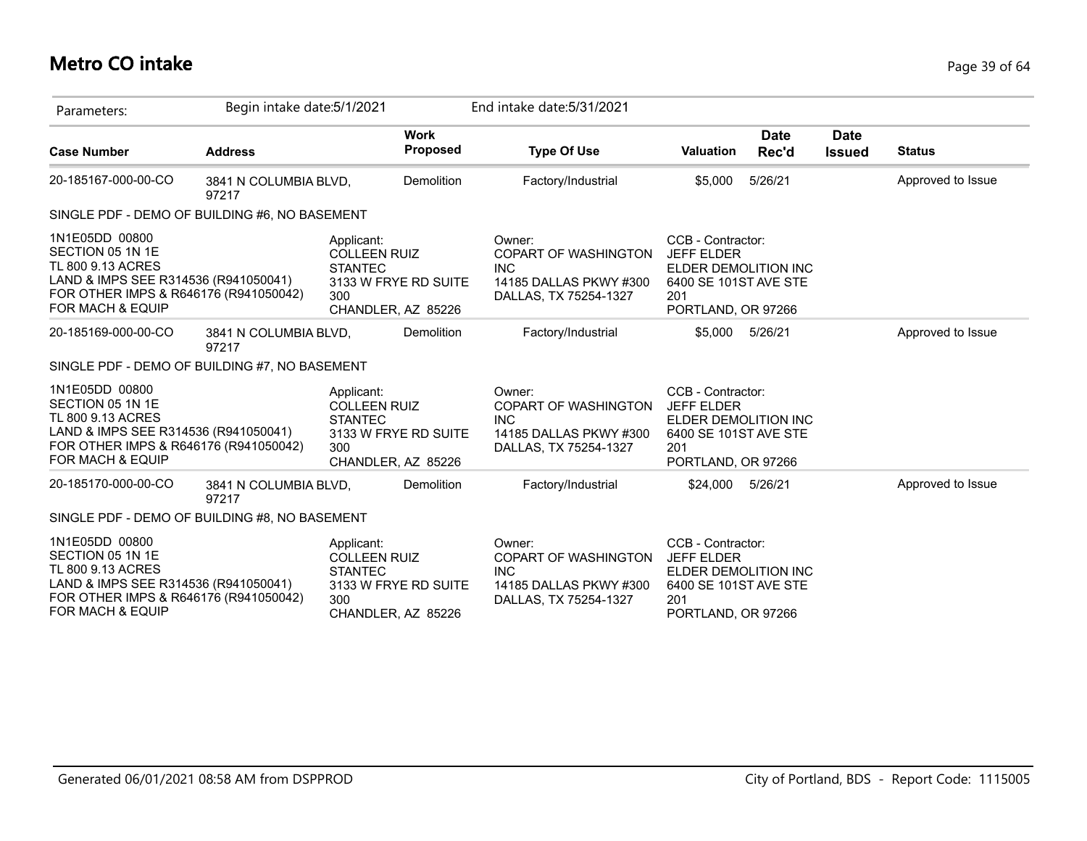# **Metro CO intake** Page 39 of 64

| Parameters:                                                                                                                                                  | Begin intake date: 5/1/2021    |                                                                                                          |                   | End intake date: 5/31/2021                                                                             |                                                                                                                      |                      |                              |                   |
|--------------------------------------------------------------------------------------------------------------------------------------------------------------|--------------------------------|----------------------------------------------------------------------------------------------------------|-------------------|--------------------------------------------------------------------------------------------------------|----------------------------------------------------------------------------------------------------------------------|----------------------|------------------------------|-------------------|
| <b>Case Number</b>                                                                                                                                           | <b>Address</b>                 | <b>Work</b>                                                                                              | Proposed          | <b>Type Of Use</b>                                                                                     | <b>Valuation</b>                                                                                                     | <b>Date</b><br>Rec'd | <b>Date</b><br><b>Issued</b> | <b>Status</b>     |
| 20-185167-000-00-CO                                                                                                                                          | 3841 N COLUMBIA BLVD,<br>97217 |                                                                                                          | <b>Demolition</b> | Factory/Industrial                                                                                     | \$5,000                                                                                                              | 5/26/21              |                              | Approved to Issue |
| SINGLE PDF - DEMO OF BUILDING #6, NO BASEMENT                                                                                                                |                                |                                                                                                          |                   |                                                                                                        |                                                                                                                      |                      |                              |                   |
| 1N1E05DD 00800<br>SECTION 05 1N 1E<br>TL 800 9.13 ACRES<br>LAND & IMPS SEE R314536 (R941050041)<br>FOR OTHER IMPS & R646176 (R941050042)<br>FOR MACH & EQUIP |                                | Applicant:<br><b>COLLEEN RUIZ</b><br><b>STANTEC</b><br>3133 W FRYE RD SUITE<br>300<br>CHANDLER, AZ 85226 |                   | Owner:<br><b>COPART OF WASHINGTON</b><br><b>INC</b><br>14185 DALLAS PKWY #300<br>DALLAS, TX 75254-1327 | CCB - Contractor:<br><b>JEFF ELDER</b><br>ELDER DEMOLITION INC<br>6400 SE 101ST AVE STE<br>201<br>PORTLAND, OR 97266 |                      |                              |                   |
| 20-185169-000-00-CO                                                                                                                                          | 3841 N COLUMBIA BLVD,<br>97217 |                                                                                                          | Demolition        | Factory/Industrial                                                                                     | \$5,000                                                                                                              | 5/26/21              |                              | Approved to Issue |
| SINGLE PDF - DEMO OF BUILDING #7, NO BASEMENT                                                                                                                |                                |                                                                                                          |                   |                                                                                                        |                                                                                                                      |                      |                              |                   |
| 1N1E05DD 00800<br>SECTION 05 1N 1E<br>TL 800 9.13 ACRES<br>LAND & IMPS SEE R314536 (R941050041)<br>FOR OTHER IMPS & R646176 (R941050042)<br>FOR MACH & EQUIP |                                | Applicant:<br><b>COLLEEN RUIZ</b><br><b>STANTEC</b><br>3133 W FRYE RD SUITE<br>300<br>CHANDLER, AZ 85226 |                   | Owner:<br>COPART OF WASHINGTON<br><b>INC</b><br>14185 DALLAS PKWY #300<br>DALLAS, TX 75254-1327        | CCB - Contractor:<br><b>JEFF ELDER</b><br>ELDER DEMOLITION INC<br>6400 SE 101ST AVE STE<br>201<br>PORTLAND, OR 97266 |                      |                              |                   |
| 20-185170-000-00-CO                                                                                                                                          | 3841 N COLUMBIA BLVD,<br>97217 |                                                                                                          | <b>Demolition</b> | Factory/Industrial                                                                                     | \$24,000                                                                                                             | 5/26/21              |                              | Approved to Issue |
| SINGLE PDF - DEMO OF BUILDING #8, NO BASEMENT                                                                                                                |                                |                                                                                                          |                   |                                                                                                        |                                                                                                                      |                      |                              |                   |
| 1N1E05DD 00800<br>SECTION 05 1N 1E<br>TL 800 9.13 ACRES<br>LAND & IMPS SEE R314536 (R941050041)<br>FOR OTHER IMPS & R646176 (R941050042)<br>FOR MACH & EQUIP |                                | Applicant:<br><b>COLLEEN RUIZ</b><br><b>STANTEC</b><br>3133 W FRYE RD SUITE<br>300<br>CHANDLER, AZ 85226 |                   | Owner:<br>COPART OF WASHINGTON<br><b>INC</b><br>14185 DALLAS PKWY #300<br>DALLAS, TX 75254-1327        | CCB - Contractor:<br><b>JEFF ELDER</b><br>ELDER DEMOLITION INC<br>6400 SE 101ST AVE STE<br>201<br>PORTLAND, OR 97266 |                      |                              |                   |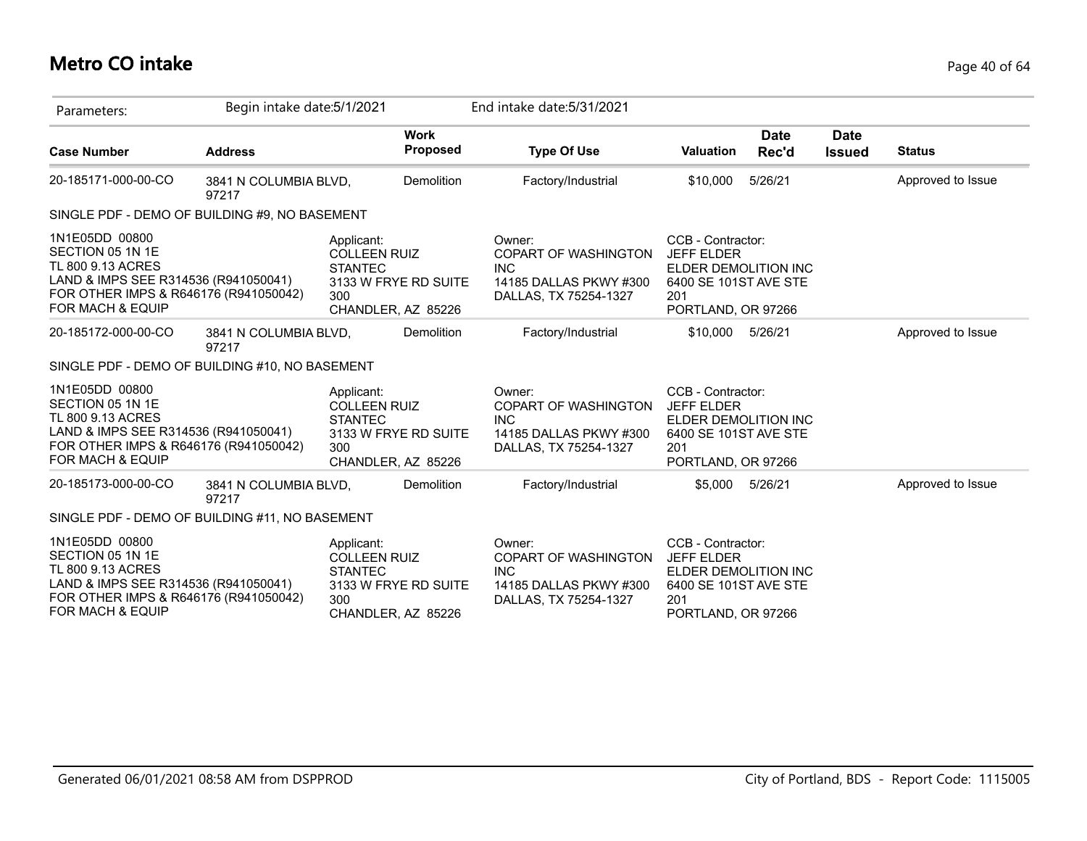## **Metro CO intake** Page 40 of 64

| Parameters:                                                                                                                                                  | Begin intake date: 5/1/2021    |                                                                                                          | End intake date: 5/31/2021                                                                             |                                                                                                                      |                              |                   |
|--------------------------------------------------------------------------------------------------------------------------------------------------------------|--------------------------------|----------------------------------------------------------------------------------------------------------|--------------------------------------------------------------------------------------------------------|----------------------------------------------------------------------------------------------------------------------|------------------------------|-------------------|
| <b>Case Number</b>                                                                                                                                           | <b>Address</b>                 | <b>Work</b><br>Proposed                                                                                  | <b>Type Of Use</b>                                                                                     | <b>Date</b><br><b>Valuation</b><br>Rec'd                                                                             | <b>Date</b><br><b>Issued</b> | <b>Status</b>     |
| 20-185171-000-00-CO                                                                                                                                          | 3841 N COLUMBIA BLVD,<br>97217 | <b>Demolition</b>                                                                                        | Factory/Industrial                                                                                     | 5/26/21<br>\$10,000                                                                                                  |                              | Approved to Issue |
| SINGLE PDF - DEMO OF BUILDING #9, NO BASEMENT                                                                                                                |                                |                                                                                                          |                                                                                                        |                                                                                                                      |                              |                   |
| 1N1E05DD 00800<br>SECTION 05 1N 1E<br>TL 800 9.13 ACRES<br>LAND & IMPS SEE R314536 (R941050041)<br>FOR OTHER IMPS & R646176 (R941050042)<br>FOR MACH & EQUIP |                                | Applicant:<br><b>COLLEEN RUIZ</b><br><b>STANTEC</b><br>3133 W FRYE RD SUITE<br>300<br>CHANDLER, AZ 85226 | Owner:<br><b>COPART OF WASHINGTON</b><br><b>INC</b><br>14185 DALLAS PKWY #300<br>DALLAS, TX 75254-1327 | CCB - Contractor:<br><b>JEFF ELDER</b><br>ELDER DEMOLITION INC<br>6400 SE 101ST AVE STE<br>201<br>PORTLAND, OR 97266 |                              |                   |
| 20-185172-000-00-CO                                                                                                                                          | 3841 N COLUMBIA BLVD,<br>97217 | Demolition                                                                                               | Factory/Industrial                                                                                     | 5/26/21<br>\$10,000                                                                                                  |                              | Approved to Issue |
| SINGLE PDF - DEMO OF BUILDING #10, NO BASEMENT                                                                                                               |                                |                                                                                                          |                                                                                                        |                                                                                                                      |                              |                   |
| 1N1E05DD 00800<br>SECTION 05 1N 1E<br>TL 800 9.13 ACRES<br>LAND & IMPS SEE R314536 (R941050041)<br>FOR OTHER IMPS & R646176 (R941050042)<br>FOR MACH & EQUIP |                                | Applicant:<br><b>COLLEEN RUIZ</b><br><b>STANTEC</b><br>3133 W FRYE RD SUITE<br>300<br>CHANDLER, AZ 85226 | Owner:<br><b>COPART OF WASHINGTON</b><br><b>INC</b><br>14185 DALLAS PKWY #300<br>DALLAS, TX 75254-1327 | CCB - Contractor:<br><b>JEFF ELDER</b><br>ELDER DEMOLITION INC<br>6400 SE 101ST AVE STE<br>201<br>PORTLAND, OR 97266 |                              |                   |
| 20-185173-000-00-CO                                                                                                                                          | 3841 N COLUMBIA BLVD,<br>97217 | Demolition                                                                                               | Factory/Industrial                                                                                     | \$5,000<br>5/26/21                                                                                                   |                              | Approved to Issue |
| SINGLE PDF - DEMO OF BUILDING #11, NO BASEMENT                                                                                                               |                                |                                                                                                          |                                                                                                        |                                                                                                                      |                              |                   |
| 1N1E05DD 00800<br>SECTION 05 1N 1E<br>TL 800 9.13 ACRES<br>LAND & IMPS SEE R314536 (R941050041)<br>FOR OTHER IMPS & R646176 (R941050042)<br>FOR MACH & EQUIP |                                | Applicant:<br><b>COLLEEN RUIZ</b><br><b>STANTEC</b><br>3133 W FRYE RD SUITE<br>300<br>CHANDLER, AZ 85226 | Owner:<br>COPART OF WASHINGTON<br><b>INC</b><br>14185 DALLAS PKWY #300<br>DALLAS, TX 75254-1327        | CCB - Contractor:<br><b>JEFF ELDER</b><br>ELDER DEMOLITION INC<br>6400 SE 101ST AVE STE<br>201<br>PORTLAND, OR 97266 |                              |                   |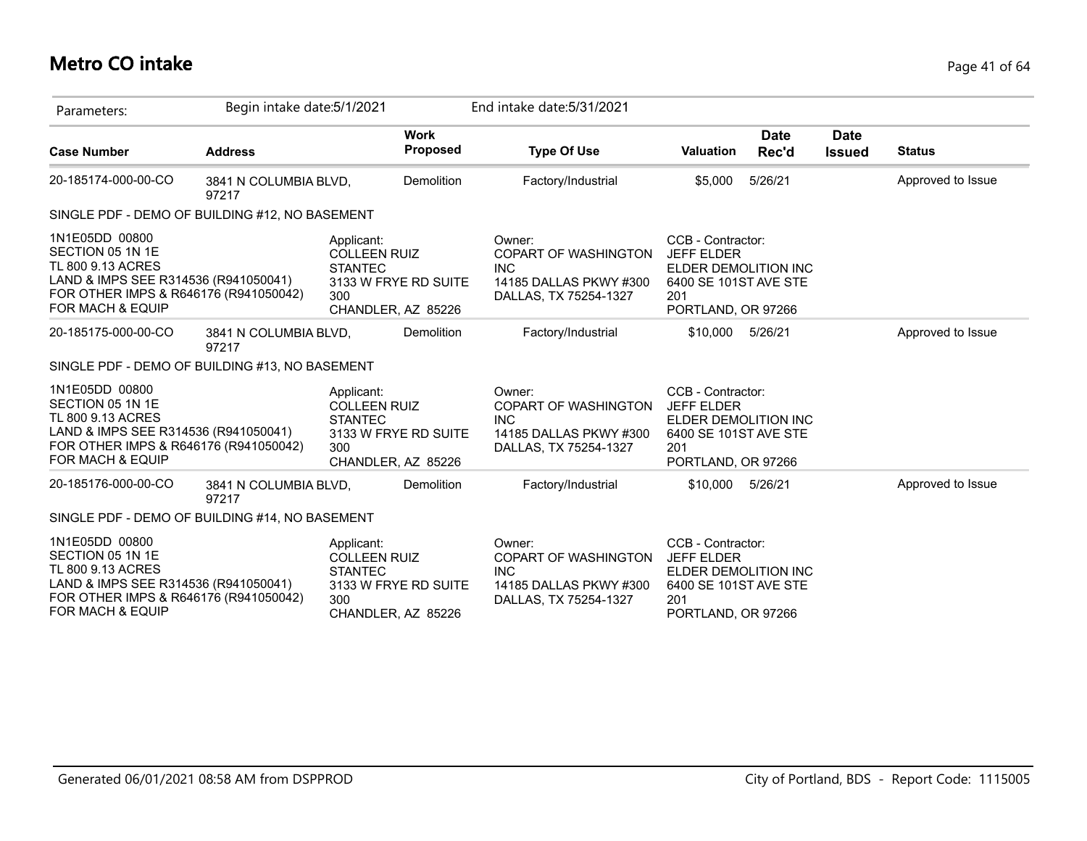## **Metro CO intake** Page 41 of 64

| Parameters:                                                                                                                                                  | Begin intake date: 5/1/2021    |                                                                                                          |                   | End intake date: 5/31/2021                                                                             |                                                                                                                      |                      |                              |                   |
|--------------------------------------------------------------------------------------------------------------------------------------------------------------|--------------------------------|----------------------------------------------------------------------------------------------------------|-------------------|--------------------------------------------------------------------------------------------------------|----------------------------------------------------------------------------------------------------------------------|----------------------|------------------------------|-------------------|
| <b>Case Number</b>                                                                                                                                           | <b>Address</b>                 | <b>Work</b>                                                                                              | Proposed          | <b>Type Of Use</b>                                                                                     | <b>Valuation</b>                                                                                                     | <b>Date</b><br>Rec'd | <b>Date</b><br><b>Issued</b> | <b>Status</b>     |
| 20-185174-000-00-CO                                                                                                                                          | 3841 N COLUMBIA BLVD,<br>97217 |                                                                                                          | <b>Demolition</b> | Factory/Industrial                                                                                     | \$5,000                                                                                                              | 5/26/21              |                              | Approved to Issue |
| SINGLE PDF - DEMO OF BUILDING #12, NO BASEMENT                                                                                                               |                                |                                                                                                          |                   |                                                                                                        |                                                                                                                      |                      |                              |                   |
| 1N1E05DD 00800<br>SECTION 05 1N 1E<br>TL 800 9.13 ACRES<br>LAND & IMPS SEE R314536 (R941050041)<br>FOR OTHER IMPS & R646176 (R941050042)<br>FOR MACH & EQUIP |                                | Applicant:<br><b>COLLEEN RUIZ</b><br><b>STANTEC</b><br>3133 W FRYE RD SUITE<br>300<br>CHANDLER, AZ 85226 |                   | Owner:<br><b>COPART OF WASHINGTON</b><br><b>INC</b><br>14185 DALLAS PKWY #300<br>DALLAS, TX 75254-1327 | CCB - Contractor:<br><b>JEFF ELDER</b><br>ELDER DEMOLITION INC<br>6400 SE 101ST AVE STE<br>201<br>PORTLAND, OR 97266 |                      |                              |                   |
| 20-185175-000-00-CO                                                                                                                                          | 3841 N COLUMBIA BLVD,<br>97217 |                                                                                                          | Demolition        | Factory/Industrial                                                                                     | \$10,000                                                                                                             | 5/26/21              |                              | Approved to Issue |
| SINGLE PDF - DEMO OF BUILDING #13, NO BASEMENT                                                                                                               |                                |                                                                                                          |                   |                                                                                                        |                                                                                                                      |                      |                              |                   |
| 1N1E05DD 00800<br>SECTION 05 1N 1E<br>TL 800 9.13 ACRES<br>LAND & IMPS SEE R314536 (R941050041)<br>FOR OTHER IMPS & R646176 (R941050042)<br>FOR MACH & EQUIP |                                | Applicant:<br><b>COLLEEN RUIZ</b><br><b>STANTEC</b><br>3133 W FRYE RD SUITE<br>300<br>CHANDLER, AZ 85226 |                   | Owner:<br>COPART OF WASHINGTON<br><b>INC</b><br>14185 DALLAS PKWY #300<br>DALLAS, TX 75254-1327        | CCB - Contractor:<br><b>JEFF ELDER</b><br>ELDER DEMOLITION INC<br>6400 SE 101ST AVE STE<br>201<br>PORTLAND, OR 97266 |                      |                              |                   |
| 20-185176-000-00-CO                                                                                                                                          | 3841 N COLUMBIA BLVD,<br>97217 |                                                                                                          | Demolition        | Factory/Industrial                                                                                     | \$10,000                                                                                                             | 5/26/21              |                              | Approved to Issue |
| SINGLE PDF - DEMO OF BUILDING #14, NO BASEMENT                                                                                                               |                                |                                                                                                          |                   |                                                                                                        |                                                                                                                      |                      |                              |                   |
| 1N1E05DD 00800<br>SECTION 05 1N 1E<br>TL 800 9.13 ACRES<br>LAND & IMPS SEE R314536 (R941050041)<br>FOR OTHER IMPS & R646176 (R941050042)<br>FOR MACH & EQUIP |                                | Applicant:<br><b>COLLEEN RUIZ</b><br><b>STANTEC</b><br>3133 W FRYE RD SUITE<br>300<br>CHANDLER, AZ 85226 |                   | Owner:<br><b>COPART OF WASHINGTON</b><br><b>INC</b><br>14185 DALLAS PKWY #300<br>DALLAS, TX 75254-1327 | CCB - Contractor:<br><b>JEFF ELDER</b><br>ELDER DEMOLITION INC<br>6400 SE 101ST AVE STE<br>201<br>PORTLAND, OR 97266 |                      |                              |                   |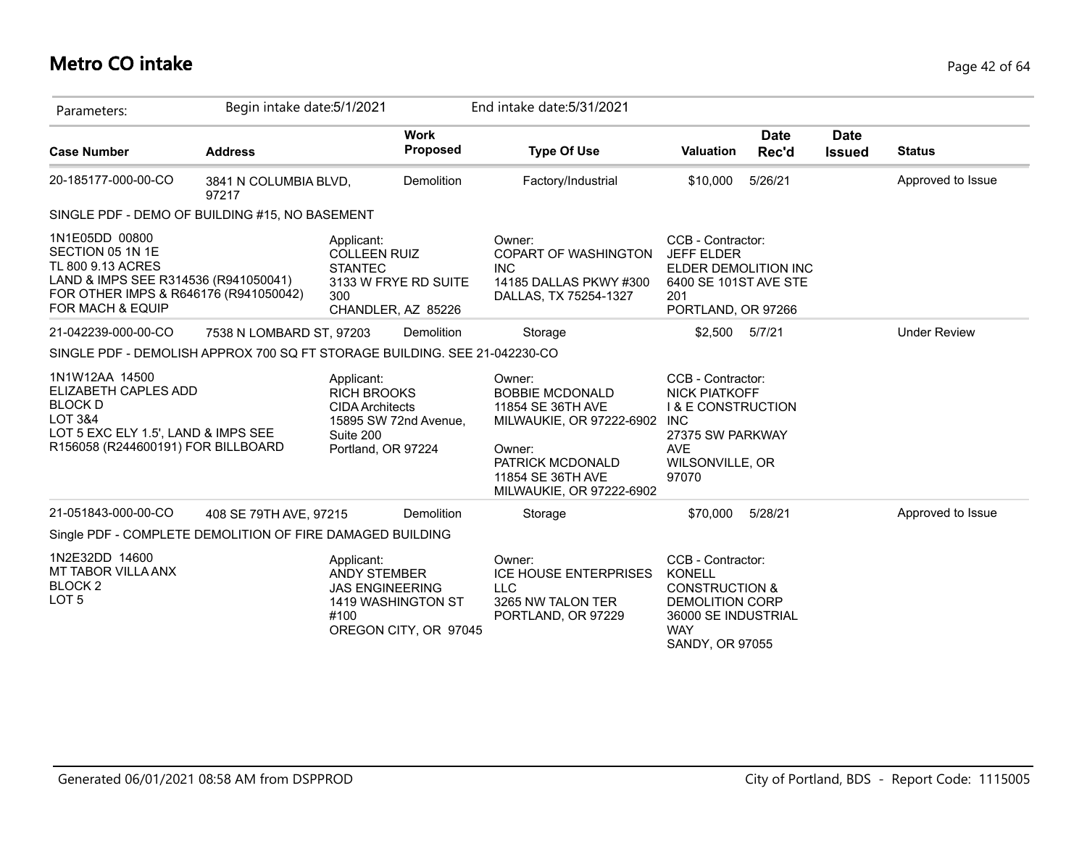# **Metro CO intake** Page 42 of 64

| Parameters:                                                                                                                                                             | Begin intake date: 5/1/2021                               |                                                                                                                        | End intake date: 5/31/2021                                                                                                                                           |                                                                                                                                                   |                              |                     |
|-------------------------------------------------------------------------------------------------------------------------------------------------------------------------|-----------------------------------------------------------|------------------------------------------------------------------------------------------------------------------------|----------------------------------------------------------------------------------------------------------------------------------------------------------------------|---------------------------------------------------------------------------------------------------------------------------------------------------|------------------------------|---------------------|
| <b>Case Number</b>                                                                                                                                                      | <b>Address</b>                                            | <b>Work</b><br><b>Proposed</b>                                                                                         | <b>Type Of Use</b>                                                                                                                                                   | <b>Date</b><br><b>Valuation</b><br>Rec'd                                                                                                          | <b>Date</b><br><b>Issued</b> | <b>Status</b>       |
| 20-185177-000-00-CO                                                                                                                                                     | 3841 N COLUMBIA BLVD,<br>97217                            | Demolition                                                                                                             | Factory/Industrial                                                                                                                                                   | 5/26/21<br>\$10,000                                                                                                                               |                              | Approved to Issue   |
|                                                                                                                                                                         | SINGLE PDF - DEMO OF BUILDING #15, NO BASEMENT            |                                                                                                                        |                                                                                                                                                                      |                                                                                                                                                   |                              |                     |
| 1N1E05DD 00800<br>SECTION 05 1N 1E<br>TL 800 9.13 ACRES<br>LAND & IMPS SEE R314536 (R941050041)<br>FOR OTHER IMPS & R646176 (R941050042)<br><b>FOR MACH &amp; EQUIP</b> |                                                           | Applicant:<br><b>COLLEEN RUIZ</b><br><b>STANTEC</b><br>3133 W FRYE RD SUITE<br>300<br>CHANDLER, AZ 85226               | Owner:<br>COPART OF WASHINGTON<br><b>INC</b><br>14185 DALLAS PKWY #300<br>DALLAS, TX 75254-1327                                                                      | CCB - Contractor:<br><b>JEFF ELDER</b><br>ELDER DEMOLITION INC<br>6400 SE 101ST AVE STE<br>201<br>PORTLAND, OR 97266                              |                              |                     |
| 21-042239-000-00-CO                                                                                                                                                     | 7538 N LOMBARD ST, 97203                                  | Demolition                                                                                                             | Storage                                                                                                                                                              | \$2,500 5/7/21                                                                                                                                    |                              | <b>Under Review</b> |
|                                                                                                                                                                         |                                                           | SINGLE PDF - DEMOLISH APPROX 700 SQ FT STORAGE BUILDING. SEE 21-042230-CO                                              |                                                                                                                                                                      |                                                                                                                                                   |                              |                     |
| 1N1W12AA 14500<br>ELIZABETH CAPLES ADD<br><b>BLOCK D</b><br>LOT 3&4<br>LOT 5 EXC ELY 1.5', LAND & IMPS SEE<br>R156058 (R244600191) FOR BILLBOARD                        |                                                           | Applicant:<br><b>RICH BROOKS</b><br><b>CIDA Architects</b><br>15895 SW 72nd Avenue,<br>Suite 200<br>Portland, OR 97224 | Owner:<br><b>BOBBIE MCDONALD</b><br>11854 SE 36TH AVE<br>MILWAUKIE, OR 97222-6902 INC<br>Owner:<br>PATRICK MCDONALD<br>11854 SE 36TH AVE<br>MILWAUKIE, OR 97222-6902 | CCB - Contractor:<br><b>NICK PIATKOFF</b><br><b>I &amp; E CONSTRUCTION</b><br>27375 SW PARKWAY<br><b>AVE</b><br>WILSONVILLE, OR<br>97070          |                              |                     |
| 21-051843-000-00-CO                                                                                                                                                     | 408 SE 79TH AVE, 97215                                    | <b>Demolition</b>                                                                                                      | Storage                                                                                                                                                              | 5/28/21<br>\$70,000                                                                                                                               |                              | Approved to Issue   |
|                                                                                                                                                                         | Single PDF - COMPLETE DEMOLITION OF FIRE DAMAGED BUILDING |                                                                                                                        |                                                                                                                                                                      |                                                                                                                                                   |                              |                     |
| 1N2E32DD 14600<br>MT TABOR VILLA ANX<br>BLOCK <sub>2</sub><br>LOT <sub>5</sub>                                                                                          |                                                           | Applicant:<br><b>ANDY STEMBER</b><br><b>JAS ENGINEERING</b><br>1419 WASHINGTON ST<br>#100<br>OREGON CITY, OR 97045     | Owner:<br><b>ICE HOUSE ENTERPRISES</b><br><b>LLC</b><br>3265 NW TALON TER<br>PORTLAND, OR 97229                                                                      | CCB - Contractor:<br><b>KONELL</b><br><b>CONSTRUCTION &amp;</b><br><b>DEMOLITION CORP</b><br>36000 SE INDUSTRIAL<br><b>WAY</b><br>SANDY, OR 97055 |                              |                     |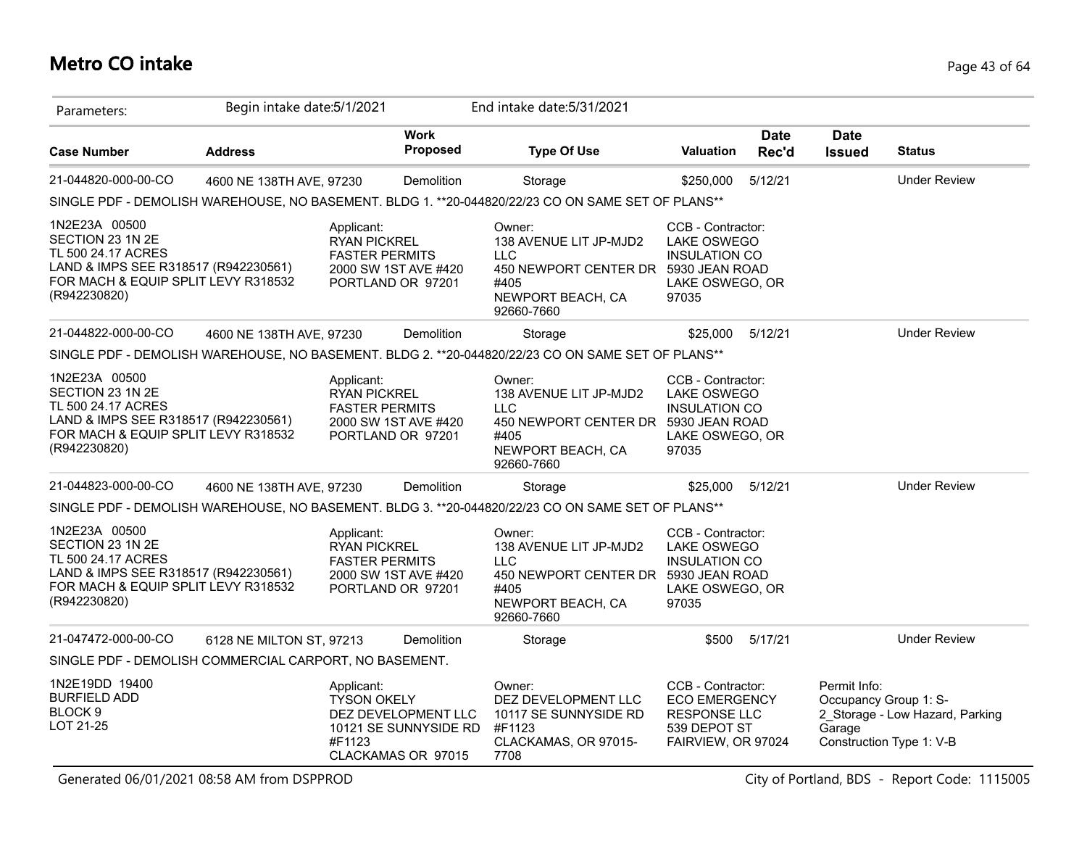# **Metro CO intake** Page 43 of 64

| Parameters:                                                                                                                                            | Begin intake date: 5/1/2021 |                                                                                 |                                                                    | End intake date: 5/31/2021                                                                                                        |                                                                                                        |                      |                                                 |                                                             |
|--------------------------------------------------------------------------------------------------------------------------------------------------------|-----------------------------|---------------------------------------------------------------------------------|--------------------------------------------------------------------|-----------------------------------------------------------------------------------------------------------------------------------|--------------------------------------------------------------------------------------------------------|----------------------|-------------------------------------------------|-------------------------------------------------------------|
| <b>Case Number</b>                                                                                                                                     | <b>Address</b>              |                                                                                 | Work<br>Proposed                                                   | <b>Type Of Use</b>                                                                                                                | <b>Valuation</b>                                                                                       | <b>Date</b><br>Rec'd | <b>Date</b><br><b>Issued</b>                    | <b>Status</b>                                               |
| 21-044820-000-00-CO                                                                                                                                    | 4600 NE 138TH AVE, 97230    |                                                                                 | Demolition                                                         | Storage                                                                                                                           | \$250,000                                                                                              | 5/12/21              |                                                 | <b>Under Review</b>                                         |
|                                                                                                                                                        |                             |                                                                                 |                                                                    | SINGLE PDF - DEMOLISH WAREHOUSE, NO BASEMENT. BLDG 1. **20-044820/22/23 CO ON SAME SET OF PLANS**                                 |                                                                                                        |                      |                                                 |                                                             |
| 1N2E23A 00500<br>SECTION 23 1N 2E<br>TL 500 24.17 ACRES<br>LAND & IMPS SEE R318517 (R942230561)<br>FOR MACH & EQUIP SPLIT LEVY R318532<br>(R942230820) |                             | Applicant:<br><b>RYAN PICKREL</b><br><b>FASTER PERMITS</b><br>PORTLAND OR 97201 | 2000 SW 1ST AVE #420                                               | Owner:<br>138 AVENUE LIT JP-MJD2<br><b>LLC</b><br>450 NEWPORT CENTER DR 5930 JEAN ROAD<br>#405<br>NEWPORT BEACH, CA<br>92660-7660 | CCB - Contractor:<br><b>LAKE OSWEGO</b><br><b>INSULATION CO</b><br>LAKE OSWEGO, OR<br>97035            |                      |                                                 |                                                             |
| 21-044822-000-00-CO                                                                                                                                    | 4600 NE 138TH AVE, 97230    |                                                                                 | Demolition                                                         | Storage                                                                                                                           | \$25,000                                                                                               | 5/12/21              |                                                 | <b>Under Review</b>                                         |
|                                                                                                                                                        |                             |                                                                                 |                                                                    | SINGLE PDF - DEMOLISH WAREHOUSE, NO BASEMENT. BLDG 2. **20-044820/22/23 CO ON SAME SET OF PLANS**                                 |                                                                                                        |                      |                                                 |                                                             |
| 1N2E23A 00500<br>SECTION 23 1N 2E<br>TL 500 24.17 ACRES<br>LAND & IMPS SEE R318517 (R942230561)<br>FOR MACH & EQUIP SPLIT LEVY R318532<br>(R942230820) |                             | Applicant:<br><b>RYAN PICKREL</b><br><b>FASTER PERMITS</b>                      | 2000 SW 1ST AVE #420<br>PORTLAND OR 97201                          | Owner:<br>138 AVENUE LIT JP-MJD2<br><b>LLC</b><br>450 NEWPORT CENTER DR 5930 JEAN ROAD<br>#405<br>NEWPORT BEACH, CA<br>92660-7660 | CCB - Contractor:<br>LAKE OSWEGO<br><b>INSULATION CO</b><br>LAKE OSWEGO, OR<br>97035                   |                      |                                                 |                                                             |
| 21-044823-000-00-CO                                                                                                                                    | 4600 NE 138TH AVE, 97230    |                                                                                 | Demolition                                                         | Storage                                                                                                                           | \$25,000                                                                                               | 5/12/21              |                                                 | <b>Under Review</b>                                         |
|                                                                                                                                                        |                             |                                                                                 |                                                                    | SINGLE PDF - DEMOLISH WAREHOUSE, NO BASEMENT. BLDG 3. **20-044820/22/23 CO ON SAME SET OF PLANS**                                 |                                                                                                        |                      |                                                 |                                                             |
| 1N2E23A 00500<br>SECTION 23 1N 2E<br>TL 500 24.17 ACRES<br>LAND & IMPS SEE R318517 (R942230561)<br>FOR MACH & EQUIP SPLIT LEVY R318532<br>(R942230820) |                             | Applicant:<br><b>RYAN PICKREL</b><br><b>FASTER PERMITS</b><br>PORTLAND OR 97201 | 2000 SW 1ST AVE #420                                               | Owner:<br>138 AVENUE LIT JP-MJD2<br><b>LLC</b><br>450 NEWPORT CENTER DR 5930 JEAN ROAD<br>#405<br>NEWPORT BEACH, CA<br>92660-7660 | CCB - Contractor:<br>LAKE OSWEGO<br><b>INSULATION CO</b><br>LAKE OSWEGO, OR<br>97035                   |                      |                                                 |                                                             |
| 21-047472-000-00-CO                                                                                                                                    | 6128 NE MILTON ST, 97213    |                                                                                 | Demolition                                                         | Storage                                                                                                                           | \$500                                                                                                  | 5/17/21              |                                                 | <b>Under Review</b>                                         |
| SINGLE PDF - DEMOLISH COMMERCIAL CARPORT, NO BASEMENT.                                                                                                 |                             |                                                                                 |                                                                    |                                                                                                                                   |                                                                                                        |                      |                                                 |                                                             |
| 1N2E19DD 19400<br><b>BURFIELD ADD</b><br>BLOCK <sub>9</sub><br>LOT 21-25                                                                               |                             | Applicant:<br><b>TYSON OKELY</b><br>#F1123                                      | DEZ DEVELOPMENT LLC<br>10121 SE SUNNYSIDE RD<br>CLACKAMAS OR 97015 | Owner:<br>DEZ DEVELOPMENT LLC<br>10117 SE SUNNYSIDE RD<br>#F1123<br>CLACKAMAS, OR 97015-<br>7708                                  | CCB - Contractor:<br><b>ECO EMERGENCY</b><br><b>RESPONSE LLC</b><br>539 DEPOT ST<br>FAIRVIEW, OR 97024 |                      | Permit Info:<br>Occupancy Group 1: S-<br>Garage | 2 Storage - Low Hazard, Parking<br>Construction Type 1: V-B |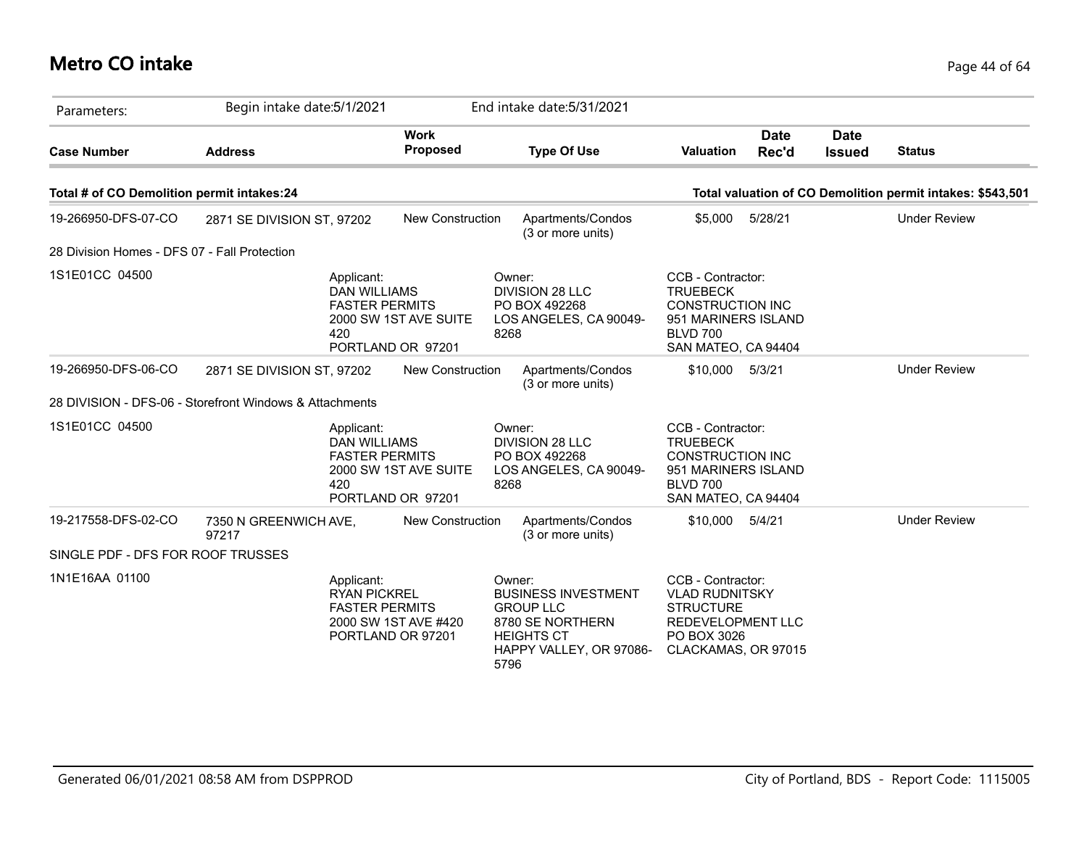## **Metro CO intake** Page 44 of 64

| Parameters:                                  | Begin intake date: 5/1/2021                             |                                                                                                                 | End intake date: 5/31/2021                                                                                                           |                                                                                                                                  |                              |                                                            |
|----------------------------------------------|---------------------------------------------------------|-----------------------------------------------------------------------------------------------------------------|--------------------------------------------------------------------------------------------------------------------------------------|----------------------------------------------------------------------------------------------------------------------------------|------------------------------|------------------------------------------------------------|
| <b>Case Number</b>                           | <b>Address</b>                                          | <b>Work</b><br>Proposed                                                                                         | <b>Type Of Use</b>                                                                                                                   | <b>Date</b><br><b>Valuation</b><br>Rec'd                                                                                         | <b>Date</b><br><b>Issued</b> | <b>Status</b>                                              |
| Total # of CO Demolition permit intakes:24   |                                                         |                                                                                                                 |                                                                                                                                      |                                                                                                                                  |                              | Total valuation of CO Demolition permit intakes: \$543,501 |
| 19-266950-DFS-07-CO                          | 2871 SE DIVISION ST, 97202                              | <b>New Construction</b>                                                                                         | Apartments/Condos<br>(3 or more units)                                                                                               | 5/28/21<br>\$5,000                                                                                                               |                              | <b>Under Review</b>                                        |
| 28 Division Homes - DFS 07 - Fall Protection |                                                         |                                                                                                                 |                                                                                                                                      |                                                                                                                                  |                              |                                                            |
| 1S1E01CC 04500                               |                                                         | Applicant:<br><b>DAN WILLIAMS</b><br><b>FASTER PERMITS</b><br>2000 SW 1ST AVE SUITE<br>420<br>PORTLAND OR 97201 | Owner:<br><b>DIVISION 28 LLC</b><br>PO BOX 492268<br>LOS ANGELES, CA 90049-<br>8268                                                  | CCB - Contractor:<br><b>TRUEBECK</b><br><b>CONSTRUCTION INC</b><br>951 MARINERS ISLAND<br><b>BLVD 700</b><br>SAN MATEO, CA 94404 |                              |                                                            |
| 19-266950-DFS-06-CO                          | 2871 SE DIVISION ST, 97202                              | <b>New Construction</b>                                                                                         | Apartments/Condos<br>(3 or more units)                                                                                               | \$10,000<br>5/3/21                                                                                                               |                              | <b>Under Review</b>                                        |
|                                              | 28 DIVISION - DFS-06 - Storefront Windows & Attachments |                                                                                                                 |                                                                                                                                      |                                                                                                                                  |                              |                                                            |
| 1S1E01CC 04500                               |                                                         | Applicant:<br><b>DAN WILLIAMS</b><br><b>FASTER PERMITS</b><br>2000 SW 1ST AVE SUITE<br>420<br>PORTLAND OR 97201 | Owner:<br><b>DIVISION 28 LLC</b><br>PO BOX 492268<br>LOS ANGELES, CA 90049-<br>8268                                                  | CCB - Contractor:<br><b>TRUEBECK</b><br><b>CONSTRUCTION INC</b><br>951 MARINERS ISLAND<br><b>BLVD 700</b><br>SAN MATEO, CA 94404 |                              |                                                            |
| 19-217558-DFS-02-CO                          | 7350 N GREENWICH AVE,<br>97217                          | New Construction                                                                                                | Apartments/Condos<br>(3 or more units)                                                                                               | \$10,000 5/4/21                                                                                                                  |                              | <b>Under Review</b>                                        |
| SINGLE PDF - DFS FOR ROOF TRUSSES            |                                                         |                                                                                                                 |                                                                                                                                      |                                                                                                                                  |                              |                                                            |
| 1N1E16AA 01100                               |                                                         | Applicant:<br><b>RYAN PICKREL</b><br><b>FASTER PERMITS</b><br>2000 SW 1ST AVE #420<br>PORTLAND OR 97201         | Owner:<br><b>BUSINESS INVESTMENT</b><br><b>GROUP LLC</b><br>8780 SE NORTHERN<br><b>HEIGHTS CT</b><br>HAPPY VALLEY, OR 97086-<br>5796 | CCB - Contractor:<br><b>VLAD RUDNITSKY</b><br><b>STRUCTURE</b><br><b>REDEVELOPMENT LLC</b><br>PO BOX 3026<br>CLACKAMAS, OR 97015 |                              |                                                            |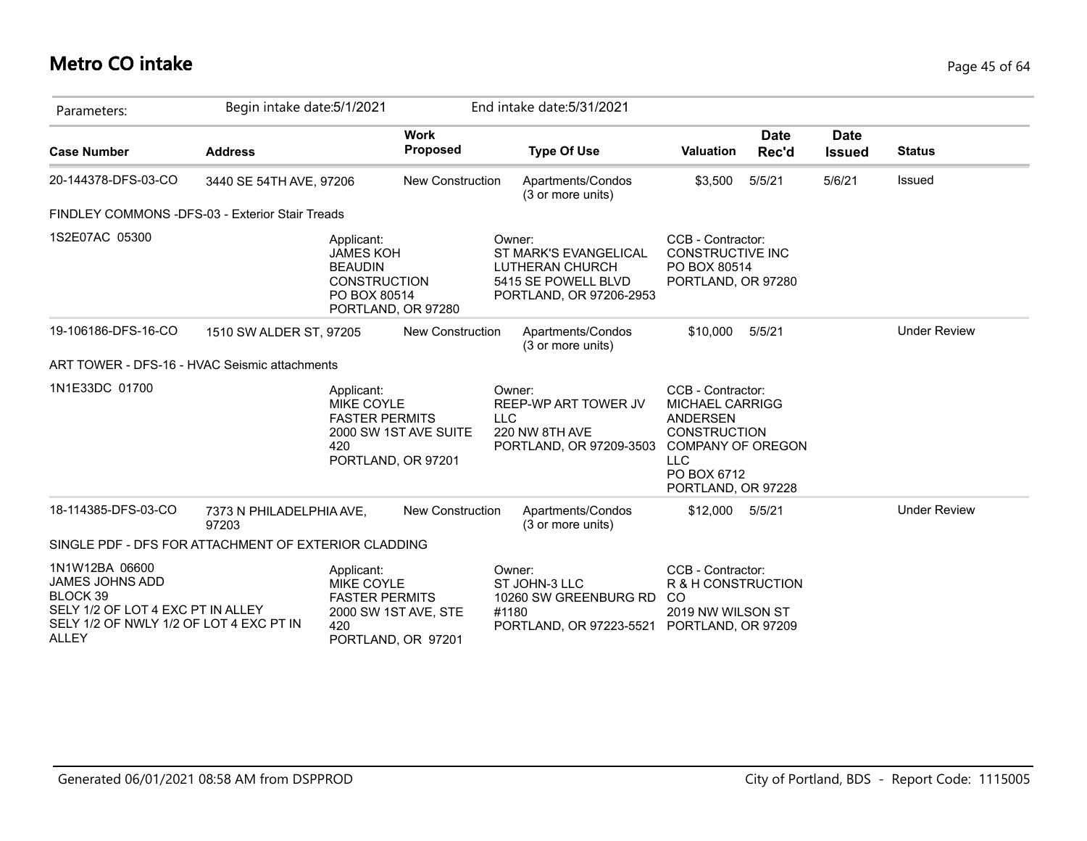# **Metro CO intake** Page 45 of 64

| Parameters:                                                                                                                                   | Begin intake date: 5/1/2021       |                                                                                         |                                            |            | End intake date: 5/31/2021                                                                           |                                                                                                                                                               |                      |                              |                     |
|-----------------------------------------------------------------------------------------------------------------------------------------------|-----------------------------------|-----------------------------------------------------------------------------------------|--------------------------------------------|------------|------------------------------------------------------------------------------------------------------|---------------------------------------------------------------------------------------------------------------------------------------------------------------|----------------------|------------------------------|---------------------|
| <b>Case Number</b>                                                                                                                            | <b>Address</b>                    |                                                                                         | <b>Work</b><br><b>Proposed</b>             |            | <b>Type Of Use</b>                                                                                   | <b>Valuation</b>                                                                                                                                              | <b>Date</b><br>Rec'd | <b>Date</b><br><b>Issued</b> | <b>Status</b>       |
| 20-144378-DFS-03-CO                                                                                                                           | 3440 SE 54TH AVE, 97206           |                                                                                         | <b>New Construction</b>                    |            | Apartments/Condos<br>(3 or more units)                                                               | \$3,500                                                                                                                                                       | 5/5/21               | 5/6/21                       | Issued              |
| FINDLEY COMMONS -DFS-03 - Exterior Stair Treads                                                                                               |                                   |                                                                                         |                                            |            |                                                                                                      |                                                                                                                                                               |                      |                              |                     |
| 1S2E07AC 05300                                                                                                                                |                                   | Applicant:<br><b>JAMES KOH</b><br><b>BEAUDIN</b><br><b>CONSTRUCTION</b><br>PO BOX 80514 | PORTLAND, OR 97280                         |            | Owner:<br>ST MARK'S EVANGELICAL<br>LUTHERAN CHURCH<br>5415 SE POWELL BLVD<br>PORTLAND, OR 97206-2953 | CCB - Contractor:<br><b>CONSTRUCTIVE INC</b><br>PO BOX 80514<br>PORTLAND, OR 97280                                                                            |                      |                              |                     |
| 19-106186-DFS-16-CO                                                                                                                           | 1510 SW ALDER ST, 97205           |                                                                                         | <b>New Construction</b>                    |            | Apartments/Condos<br>(3 or more units)                                                               | \$10,000                                                                                                                                                      | 5/5/21               |                              | <b>Under Review</b> |
| ART TOWER - DFS-16 - HVAC Seismic attachments                                                                                                 |                                   |                                                                                         |                                            |            |                                                                                                      |                                                                                                                                                               |                      |                              |                     |
| 1N1E33DC 01700                                                                                                                                |                                   | Applicant:<br>MIKE COYLE<br><b>FASTER PERMITS</b><br>420<br>PORTLAND, OR 97201          | 2000 SW 1ST AVE SUITE                      | <b>LLC</b> | Owner:<br>REEP-WP ART TOWER JV<br>220 NW 8TH AVE<br>PORTLAND, OR 97209-3503                          | CCB - Contractor:<br><b>MICHAEL CARRIGG</b><br>ANDERSEN<br><b>CONSTRUCTION</b><br><b>COMPANY OF OREGON</b><br><b>LLC</b><br>PO BOX 6712<br>PORTLAND, OR 97228 |                      |                              |                     |
| 18-114385-DFS-03-CO                                                                                                                           | 7373 N PHILADELPHIA AVE,<br>97203 |                                                                                         | <b>New Construction</b>                    |            | Apartments/Condos<br>(3 or more units)                                                               | \$12,000 5/5/21                                                                                                                                               |                      |                              | <b>Under Review</b> |
| SINGLE PDF - DFS FOR ATTACHMENT OF EXTERIOR CLADDING                                                                                          |                                   |                                                                                         |                                            |            |                                                                                                      |                                                                                                                                                               |                      |                              |                     |
| 1N1W12BA 06600<br>JAMES JOHNS ADD<br>BLOCK 39<br>SELY 1/2 OF LOT 4 EXC PT IN ALLEY<br>SELY 1/2 OF NWLY 1/2 OF LOT 4 EXC PT IN<br><b>ALLEY</b> |                                   | Applicant:<br><b>MIKE COYLE</b><br><b>FASTER PERMITS</b><br>420                         | 2000 SW 1ST AVE, STE<br>PORTLAND, OR 97201 | #1180      | Owner:<br>ST JOHN-3 LLC<br>10260 SW GREENBURG RD<br>PORTLAND, OR 97223-5521                          | CCB - Contractor:<br>R & H CONSTRUCTION<br><sub>CO</sub><br>2019 NW WILSON ST<br>PORTLAND, OR 97209                                                           |                      |                              |                     |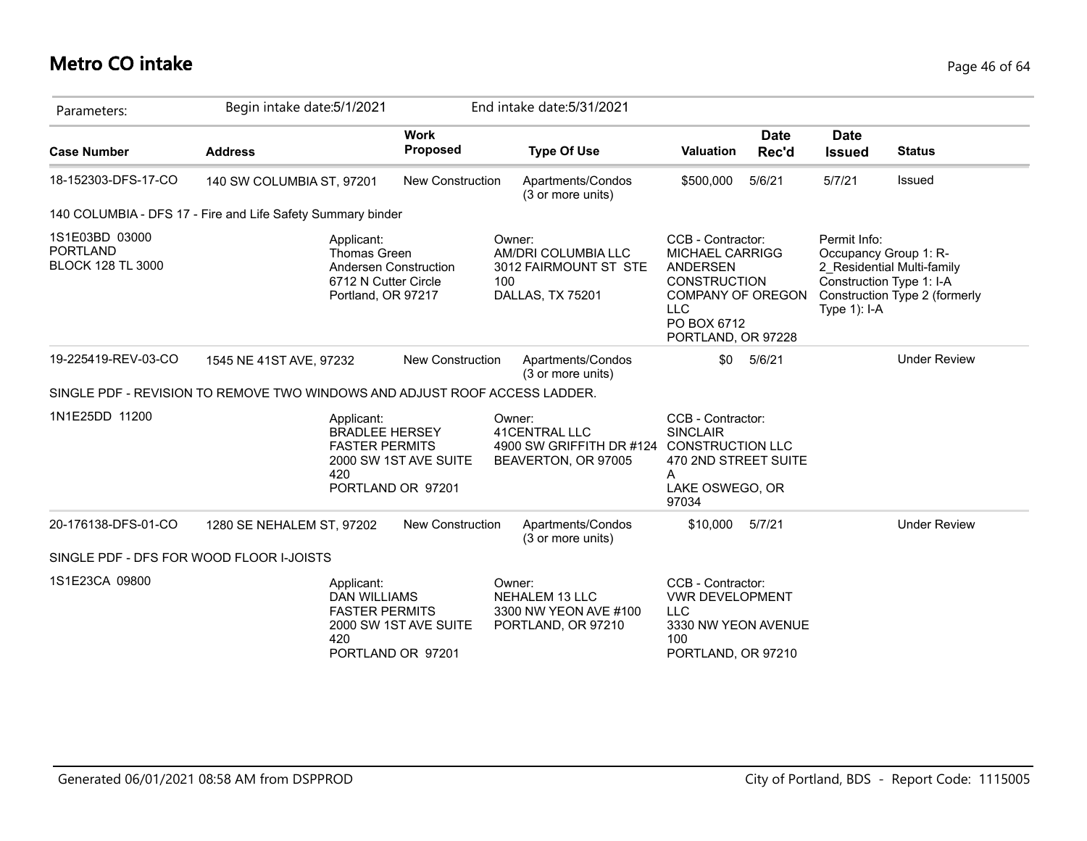## **Metro CO intake** Page 46 of 64

| Parameters:                                                   | Begin intake date: 5/1/2021                                                     |                                            | End intake date: 5/31/2021                                                        |                                                                                                                                                               |                      |                                                                                      |                                                             |
|---------------------------------------------------------------|---------------------------------------------------------------------------------|--------------------------------------------|-----------------------------------------------------------------------------------|---------------------------------------------------------------------------------------------------------------------------------------------------------------|----------------------|--------------------------------------------------------------------------------------|-------------------------------------------------------------|
| <b>Case Number</b>                                            | <b>Address</b>                                                                  | <b>Work</b><br><b>Proposed</b>             | <b>Type Of Use</b>                                                                | Valuation                                                                                                                                                     | <b>Date</b><br>Rec'd | <b>Date</b><br><b>Issued</b>                                                         | <b>Status</b>                                               |
| 18-152303-DFS-17-CO                                           | 140 SW COLUMBIA ST, 97201                                                       | <b>New Construction</b>                    | Apartments/Condos<br>(3 or more units)                                            | \$500,000                                                                                                                                                     | 5/6/21               | 5/7/21                                                                               | Issued                                                      |
|                                                               | 140 COLUMBIA - DFS 17 - Fire and Life Safety Summary binder                     |                                            |                                                                                   |                                                                                                                                                               |                      |                                                                                      |                                                             |
| 1S1E03BD 03000<br><b>PORTLAND</b><br><b>BLOCK 128 TL 3000</b> | Applicant:<br><b>Thomas Green</b><br>6712 N Cutter Circle<br>Portland, OR 97217 | Andersen Construction                      | Owner:<br>AM/DRI COLUMBIA LLC<br>3012 FAIRMOUNT ST STE<br>100<br>DALLAS, TX 75201 | CCB - Contractor:<br><b>MICHAEL CARRIGG</b><br>ANDERSEN<br><b>CONSTRUCTION</b><br><b>COMPANY OF OREGON</b><br><b>LLC</b><br>PO BOX 6712<br>PORTLAND, OR 97228 |                      | Permit Info:<br>Occupancy Group 1: R-<br>Construction Type 1: I-A<br>Type $1$ ): I-A | 2 Residential Multi-family<br>Construction Type 2 (formerly |
| 19-225419-REV-03-CO                                           | 1545 NE 41ST AVE, 97232                                                         | <b>New Construction</b>                    | Apartments/Condos<br>(3 or more units)                                            | \$0                                                                                                                                                           | 5/6/21               |                                                                                      | <b>Under Review</b>                                         |
|                                                               | SINGLE PDF - REVISION TO REMOVE TWO WINDOWS AND ADJUST ROOF ACCESS LADDER.      |                                            |                                                                                   |                                                                                                                                                               |                      |                                                                                      |                                                             |
| 1N1E25DD 11200                                                | Applicant:<br><b>BRADLEE HERSEY</b><br><b>FASTER PERMITS</b><br>420             | 2000 SW 1ST AVE SUITE<br>PORTLAND OR 97201 | Owner:<br><b>41CENTRAL LLC</b><br>4900 SW GRIFFITH DR #124<br>BEAVERTON, OR 97005 | CCB - Contractor:<br><b>SINCLAIR</b><br><b>CONSTRUCTION LLC</b><br>470 2ND STREET SUITE<br>A<br>LAKE OSWEGO, OR<br>97034                                      |                      |                                                                                      |                                                             |
| 20-176138-DFS-01-CO                                           | 1280 SE NEHALEM ST, 97202                                                       | <b>New Construction</b>                    | Apartments/Condos<br>(3 or more units)                                            | \$10,000                                                                                                                                                      | 5/7/21               |                                                                                      | <b>Under Review</b>                                         |
| SINGLE PDF - DFS FOR WOOD FLOOR I-JOISTS                      |                                                                                 |                                            |                                                                                   |                                                                                                                                                               |                      |                                                                                      |                                                             |
| 1S1E23CA 09800                                                | Applicant:<br><b>DAN WILLIAMS</b><br><b>FASTER PERMITS</b><br>420               | 2000 SW 1ST AVE SUITE<br>PORTLAND OR 97201 | Owner:<br><b>NEHALEM 13 LLC</b><br>3300 NW YEON AVE #100<br>PORTLAND, OR 97210    | CCB - Contractor:<br><b>VWR DEVELOPMENT</b><br><b>LLC</b><br>3330 NW YEON AVENUE<br>100<br>PORTLAND, OR 97210                                                 |                      |                                                                                      |                                                             |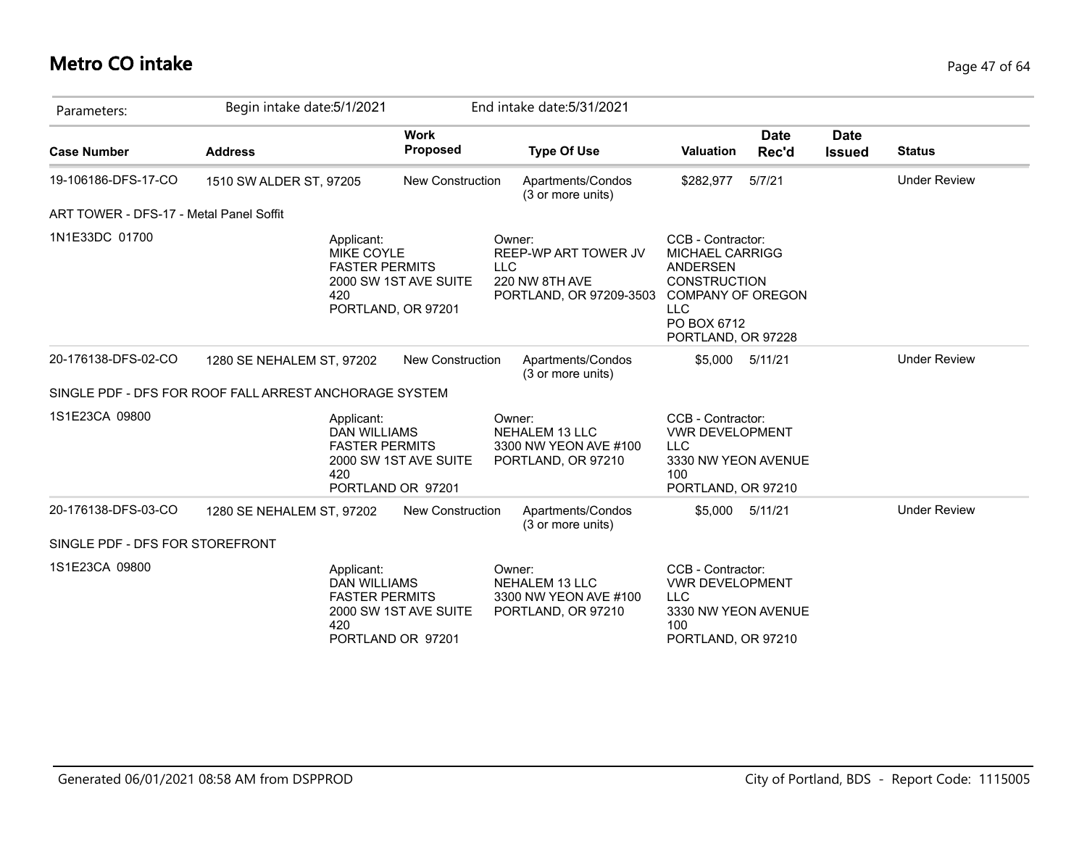## **Metro CO intake** Page 47 of 64

| Parameters:                             | Begin intake date: 5/1/2021                                       |                                             | End intake date: 5/31/2021                                                                |                                                                                                                                                                      |                      |                              |                     |
|-----------------------------------------|-------------------------------------------------------------------|---------------------------------------------|-------------------------------------------------------------------------------------------|----------------------------------------------------------------------------------------------------------------------------------------------------------------------|----------------------|------------------------------|---------------------|
| <b>Case Number</b>                      | <b>Address</b>                                                    | <b>Work</b><br>Proposed                     | <b>Type Of Use</b>                                                                        | Valuation                                                                                                                                                            | <b>Date</b><br>Rec'd | <b>Date</b><br><b>Issued</b> | <b>Status</b>       |
| 19-106186-DFS-17-CO                     | 1510 SW ALDER ST, 97205                                           | <b>New Construction</b>                     | Apartments/Condos<br>(3 or more units)                                                    | \$282,977                                                                                                                                                            | 5/7/21               |                              | <b>Under Review</b> |
| ART TOWER - DFS-17 - Metal Panel Soffit |                                                                   |                                             |                                                                                           |                                                                                                                                                                      |                      |                              |                     |
| 1N1E33DC 01700                          | Applicant:<br><b>MIKE COYLE</b><br><b>FASTER PERMITS</b><br>420   | 2000 SW 1ST AVE SUITE<br>PORTLAND, OR 97201 | Owner:<br>REEP-WP ART TOWER JV<br><b>LLC</b><br>220 NW 8TH AVE<br>PORTLAND, OR 97209-3503 | CCB - Contractor:<br><b>MICHAEL CARRIGG</b><br><b>ANDERSEN</b><br><b>CONSTRUCTION</b><br><b>COMPANY OF OREGON</b><br><b>LLC</b><br>PO BOX 6712<br>PORTLAND, OR 97228 |                      |                              |                     |
| 20-176138-DFS-02-CO                     | 1280 SE NEHALEM ST, 97202                                         | New Construction                            | Apartments/Condos<br>(3 or more units)                                                    | \$5,000                                                                                                                                                              | 5/11/21              |                              | <b>Under Review</b> |
|                                         | SINGLE PDF - DFS FOR ROOF FALL ARREST ANCHORAGE SYSTEM            |                                             |                                                                                           |                                                                                                                                                                      |                      |                              |                     |
| 1S1E23CA 09800                          | Applicant:<br><b>DAN WILLIAMS</b><br><b>FASTER PERMITS</b><br>420 | 2000 SW 1ST AVE SUITE<br>PORTLAND OR 97201  | Owner:<br><b>NEHALEM 13 LLC</b><br>3300 NW YEON AVE #100<br>PORTLAND, OR 97210            | CCB - Contractor:<br><b>VWR DEVELOPMENT</b><br><b>LLC</b><br>3330 NW YEON AVENUE<br>100<br>PORTLAND, OR 97210                                                        |                      |                              |                     |
| 20-176138-DFS-03-CO                     | 1280 SE NEHALEM ST, 97202                                         | <b>New Construction</b>                     | Apartments/Condos<br>(3 or more units)                                                    | \$5,000                                                                                                                                                              | 5/11/21              |                              | <b>Under Review</b> |
| SINGLE PDF - DFS FOR STOREFRONT         |                                                                   |                                             |                                                                                           |                                                                                                                                                                      |                      |                              |                     |
| 1S1E23CA 09800                          | Applicant:<br><b>DAN WILLIAMS</b><br><b>FASTER PERMITS</b><br>420 | 2000 SW 1ST AVE SUITE<br>PORTLAND OR 97201  | Owner:<br><b>NEHALEM 13 LLC</b><br>3300 NW YEON AVE #100<br>PORTLAND, OR 97210            | CCB - Contractor:<br><b>VWR DEVELOPMENT</b><br><b>LLC</b><br>3330 NW YEON AVENUE<br>100<br>PORTLAND, OR 97210                                                        |                      |                              |                     |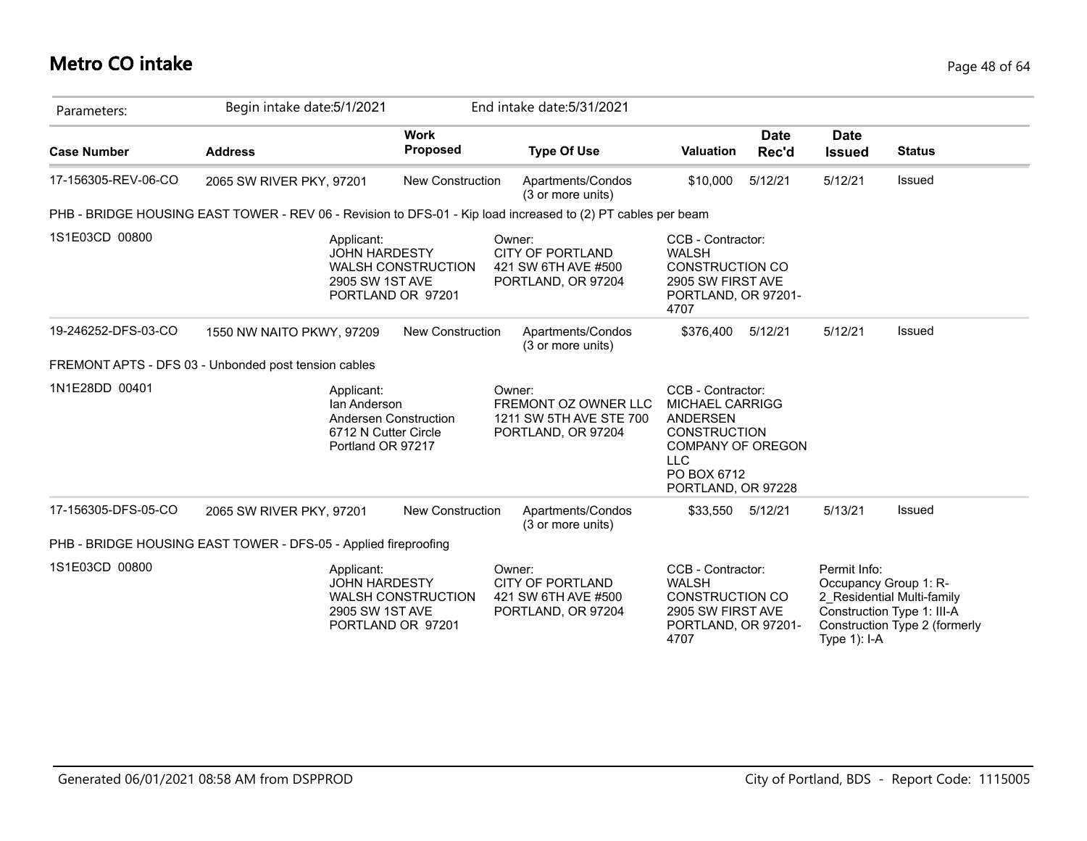# **Metro CO intake** Page 48 of 64

| Parameters:         | Begin intake date: 5/1/2021                                                                                  |                                                | End intake date: 5/31/2021                                                      |                                                                                                                                                                      |                      |                                                       |                                                                                           |
|---------------------|--------------------------------------------------------------------------------------------------------------|------------------------------------------------|---------------------------------------------------------------------------------|----------------------------------------------------------------------------------------------------------------------------------------------------------------------|----------------------|-------------------------------------------------------|-------------------------------------------------------------------------------------------|
| <b>Case Number</b>  | <b>Address</b>                                                                                               | <b>Work</b><br><b>Proposed</b>                 | <b>Type Of Use</b>                                                              | Valuation                                                                                                                                                            | <b>Date</b><br>Rec'd | <b>Date</b><br><b>Issued</b>                          | <b>Status</b>                                                                             |
| 17-156305-REV-06-CO | 2065 SW RIVER PKY, 97201                                                                                     | <b>New Construction</b>                        | Apartments/Condos<br>(3 or more units)                                          | \$10,000                                                                                                                                                             | 5/12/21              | 5/12/21                                               | Issued                                                                                    |
|                     | PHB - BRIDGE HOUSING EAST TOWER - REV 06 - Revision to DFS-01 - Kip load increased to (2) PT cables per beam |                                                |                                                                                 |                                                                                                                                                                      |                      |                                                       |                                                                                           |
| 1S1E03CD 00800      | Applicant:<br><b>JOHN HARDESTY</b><br>2905 SW 1ST AVE                                                        | <b>WALSH CONSTRUCTION</b><br>PORTLAND OR 97201 | Owner:<br><b>CITY OF PORTLAND</b><br>421 SW 6TH AVE #500<br>PORTLAND, OR 97204  | CCB - Contractor:<br><b>WALSH</b><br><b>CONSTRUCTION CO</b><br>2905 SW FIRST AVE<br>PORTLAND, OR 97201-<br>4707                                                      |                      |                                                       |                                                                                           |
| 19-246252-DFS-03-CO | 1550 NW NAITO PKWY, 97209                                                                                    | <b>New Construction</b>                        | Apartments/Condos<br>(3 or more units)                                          | \$376,400                                                                                                                                                            | 5/12/21              | 5/12/21                                               | <b>Issued</b>                                                                             |
|                     | FREMONT APTS - DFS 03 - Unbonded post tension cables                                                         |                                                |                                                                                 |                                                                                                                                                                      |                      |                                                       |                                                                                           |
| 1N1E28DD 00401      | Applicant:<br>lan Anderson<br>Andersen Construction<br>6712 N Cutter Circle<br>Portland OR 97217             |                                                | Owner:<br>FREMONT OZ OWNER LLC<br>1211 SW 5TH AVE STE 700<br>PORTLAND, OR 97204 | CCB - Contractor:<br><b>MICHAEL CARRIGG</b><br><b>ANDERSEN</b><br><b>CONSTRUCTION</b><br><b>COMPANY OF OREGON</b><br><b>LLC</b><br>PO BOX 6712<br>PORTLAND, OR 97228 |                      |                                                       |                                                                                           |
| 17-156305-DFS-05-CO | 2065 SW RIVER PKY, 97201                                                                                     | <b>New Construction</b>                        | Apartments/Condos<br>(3 or more units)                                          | \$33,550 5/12/21                                                                                                                                                     |                      | 5/13/21                                               | <b>Issued</b>                                                                             |
|                     | PHB - BRIDGE HOUSING EAST TOWER - DFS-05 - Applied fireproofing                                              |                                                |                                                                                 |                                                                                                                                                                      |                      |                                                       |                                                                                           |
| 1S1E03CD 00800      | Applicant:<br><b>JOHN HARDESTY</b><br>2905 SW 1ST AVE                                                        | <b>WALSH CONSTRUCTION</b><br>PORTLAND OR 97201 | Owner:<br><b>CITY OF PORTLAND</b><br>421 SW 6TH AVE #500<br>PORTLAND, OR 97204  | CCB - Contractor:<br><b>WALSH</b><br><b>CONSTRUCTION CO</b><br>2905 SW FIRST AVE<br>PORTLAND, OR 97201-<br>4707                                                      |                      | Permit Info:<br>Occupancy Group 1: R-<br>Type 1): I-A | 2 Residential Multi-family<br>Construction Type 1: III-A<br>Construction Type 2 (formerly |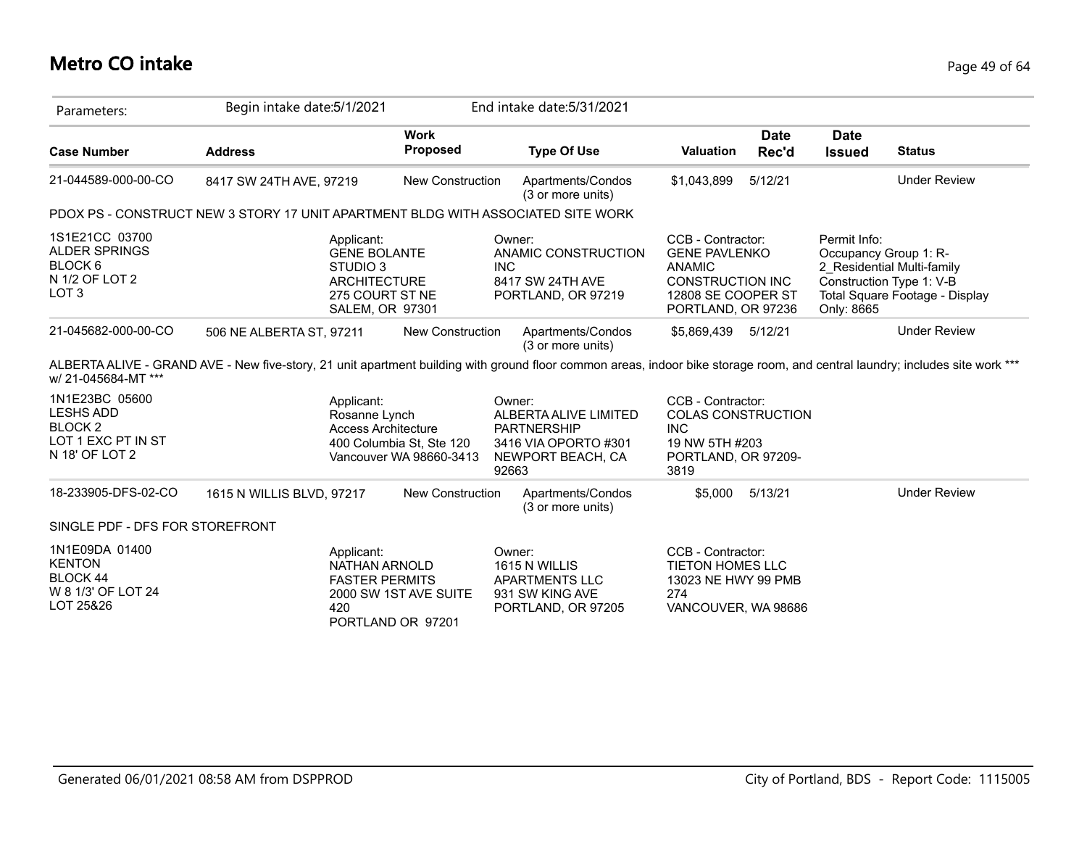# **Metro CO intake** Page 49 of 64

| Parameters:                                                                                        | Begin intake date: 5/1/2021                                                                                       |                                                     | End intake date: 5/31/2021                                                                                  |                                                                                                                                   |                                                                                                                                                                              |
|----------------------------------------------------------------------------------------------------|-------------------------------------------------------------------------------------------------------------------|-----------------------------------------------------|-------------------------------------------------------------------------------------------------------------|-----------------------------------------------------------------------------------------------------------------------------------|------------------------------------------------------------------------------------------------------------------------------------------------------------------------------|
| <b>Case Number</b>                                                                                 | <b>Address</b>                                                                                                    | <b>Work</b><br>Proposed                             | <b>Type Of Use</b>                                                                                          | <b>Date</b><br><b>Valuation</b><br>Rec'd                                                                                          | <b>Date</b><br><b>Issued</b><br><b>Status</b>                                                                                                                                |
| 21-044589-000-00-CO                                                                                | 8417 SW 24TH AVE, 97219                                                                                           | <b>New Construction</b>                             | Apartments/Condos<br>(3 or more units)                                                                      | 5/12/21<br>\$1,043,899                                                                                                            | <b>Under Review</b>                                                                                                                                                          |
|                                                                                                    | PDOX PS - CONSTRUCT NEW 3 STORY 17 UNIT APARTMENT BLDG WITH ASSOCIATED SITE WORK                                  |                                                     |                                                                                                             |                                                                                                                                   |                                                                                                                                                                              |
| 1S1E21CC 03700<br><b>ALDER SPRINGS</b><br>BLOCK <sub>6</sub><br>N 1/2 OF LOT 2<br>LOT <sub>3</sub> | Applicant:<br><b>GENE BOLANTE</b><br>STUDIO 3<br><b>ARCHITECTURE</b><br>275 COURT ST NE<br><b>SALEM, OR 97301</b> |                                                     | Owner:<br>ANAMIC CONSTRUCTION<br><b>INC</b><br>8417 SW 24TH AVE<br>PORTLAND, OR 97219                       | CCB - Contractor:<br><b>GENE PAVLENKO</b><br><b>ANAMIC</b><br><b>CONSTRUCTION INC</b><br>12808 SE COOPER ST<br>PORTLAND, OR 97236 | Permit Info:<br>Occupancy Group 1: R-<br>2 Residential Multi-family<br>Construction Type 1: V-B<br>Total Square Footage - Display<br>Only: 8665                              |
| 21-045682-000-00-CO                                                                                | 506 NE ALBERTA ST, 97211                                                                                          | <b>New Construction</b>                             | Apartments/Condos<br>(3 or more units)                                                                      | 5/12/21<br>\$5,869,439                                                                                                            | <b>Under Review</b>                                                                                                                                                          |
| w/ 21-045684-MT ***                                                                                |                                                                                                                   |                                                     |                                                                                                             |                                                                                                                                   | ALBERTA ALIVE - GRAND AVE - New five-story, 21 unit apartment building with ground floor common areas, indoor bike storage room, and central laundry; includes site work *** |
| 1N1E23BC 05600<br><b>LESHS ADD</b><br>BLOCK <sub>2</sub><br>LOT 1 EXC PT IN ST<br>N 18' OF LOT 2   | Applicant:<br>Rosanne Lynch<br><b>Access Architecture</b>                                                         | 400 Columbia St, Ste 120<br>Vancouver WA 98660-3413 | Owner:<br>ALBERTA ALIVE LIMITED<br><b>PARTNERSHIP</b><br>3416 VIA OPORTO #301<br>NEWPORT BEACH, CA<br>92663 | CCB - Contractor:<br><b>COLAS CONSTRUCTION</b><br><b>INC</b><br>19 NW 5TH #203<br>PORTLAND, OR 97209-<br>3819                     |                                                                                                                                                                              |
| 18-233905-DFS-02-CO                                                                                | 1615 N WILLIS BLVD, 97217                                                                                         | New Construction                                    | Apartments/Condos<br>(3 or more units)                                                                      | 5/13/21<br>\$5,000                                                                                                                | <b>Under Review</b>                                                                                                                                                          |
| SINGLE PDF - DFS FOR STOREFRONT                                                                    |                                                                                                                   |                                                     |                                                                                                             |                                                                                                                                   |                                                                                                                                                                              |
| 1N1E09DA 01400<br><b>KENTON</b><br>BLOCK 44<br>W 8 1/3' OF LOT 24<br>LOT 25&26                     | Applicant:<br>NATHAN ARNOLD<br><b>FASTER PERMITS</b><br>420                                                       | 2000 SW 1ST AVE SUITE<br>PORTLAND OR 97201          | Owner:<br>1615 N WILLIS<br>APARTMENTS LLC<br>931 SW KING AVE<br>PORTLAND, OR 97205                          | CCB - Contractor:<br>TIETON HOMES LLC<br>13023 NE HWY 99 PMB<br>274<br>VANCOUVER, WA 98686                                        |                                                                                                                                                                              |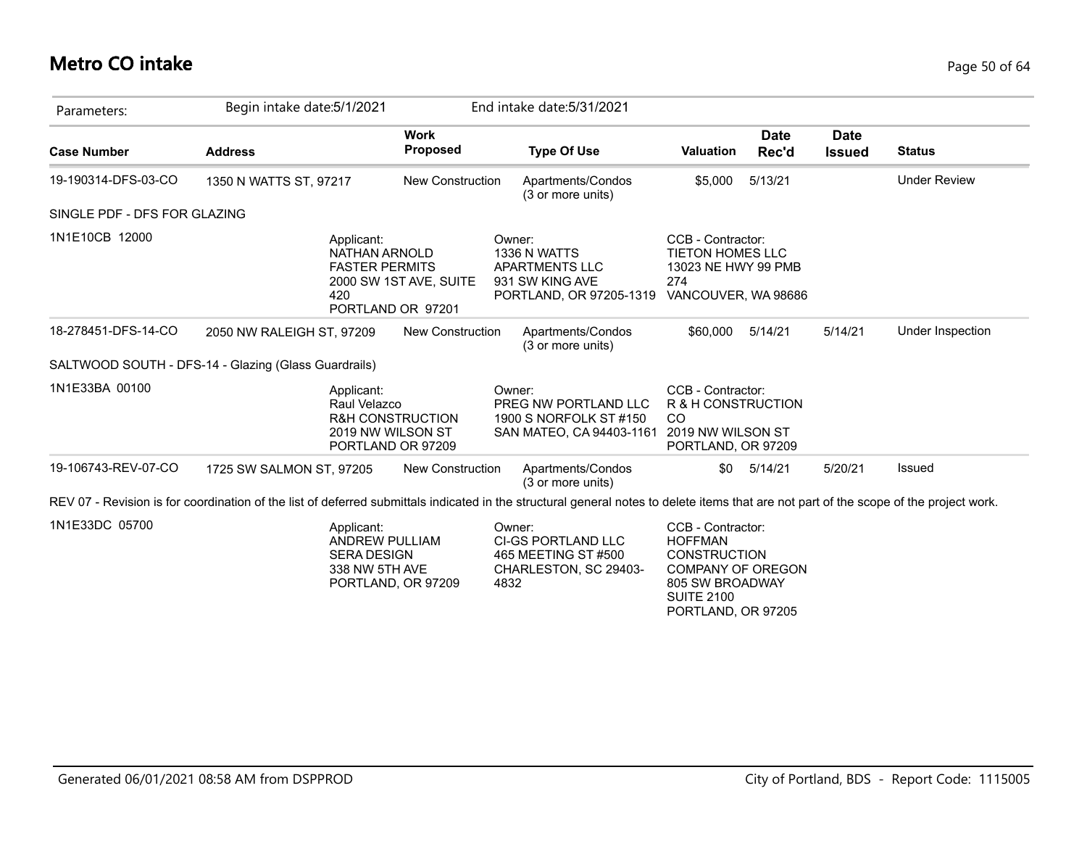## **Metro CO intake** Page 50 of 64

| Parameters:                  | Begin intake date: 5/1/2021                                                                                                                                                            |                                                  | End intake date: 5/31/2021                                                                                        |                                                                                                                                |                      |                              |                     |
|------------------------------|----------------------------------------------------------------------------------------------------------------------------------------------------------------------------------------|--------------------------------------------------|-------------------------------------------------------------------------------------------------------------------|--------------------------------------------------------------------------------------------------------------------------------|----------------------|------------------------------|---------------------|
| <b>Case Number</b>           | <b>Address</b>                                                                                                                                                                         | <b>Work</b><br><b>Proposed</b>                   | <b>Type Of Use</b>                                                                                                | <b>Valuation</b>                                                                                                               | <b>Date</b><br>Rec'd | <b>Date</b><br><b>Issued</b> | <b>Status</b>       |
| 19-190314-DFS-03-CO          | 1350 N WATTS ST, 97217                                                                                                                                                                 | <b>New Construction</b>                          | Apartments/Condos<br>(3 or more units)                                                                            | \$5,000                                                                                                                        | 5/13/21              |                              | <b>Under Review</b> |
| SINGLE PDF - DFS FOR GLAZING |                                                                                                                                                                                        |                                                  |                                                                                                                   |                                                                                                                                |                      |                              |                     |
| 1N1E10CB 12000               | Applicant:<br><b>NATHAN ARNOLD</b><br><b>FASTER PERMITS</b><br>420                                                                                                                     | 2000 SW 1ST AVE, SUITE<br>PORTLAND OR 97201      | Owner:<br>1336 N WATTS<br><b>APARTMENTS LLC</b><br>931 SW KING AVE<br>PORTLAND, OR 97205-1319 VANCOUVER, WA 98686 | CCB - Contractor:<br><b>TIETON HOMES LLC</b><br>13023 NE HWY 99 PMB<br>274                                                     |                      |                              |                     |
| 18-278451-DFS-14-CO          | 2050 NW RALEIGH ST, 97209                                                                                                                                                              | New Construction                                 | Apartments/Condos<br>(3 or more units)                                                                            | \$60,000                                                                                                                       | 5/14/21              | 5/14/21                      | Under Inspection    |
|                              | SALTWOOD SOUTH - DFS-14 - Glazing (Glass Guardrails)                                                                                                                                   |                                                  |                                                                                                                   |                                                                                                                                |                      |                              |                     |
| 1N1E33BA 00100               | Applicant:<br>Raul Velazco<br>2019 NW WILSON ST                                                                                                                                        | <b>R&amp;H CONSTRUCTION</b><br>PORTLAND OR 97209 | Owner:<br>PREG NW PORTLAND LLC<br>1900 S NORFOLK ST #150<br>SAN MATEO, CA 94403-1161                              | CCB - Contractor:<br>R & H CONSTRUCTION<br>CO<br>2019 NW WILSON ST<br>PORTLAND, OR 97209                                       |                      |                              |                     |
| 19-106743-REV-07-CO          | 1725 SW SALMON ST, 97205                                                                                                                                                               | <b>New Construction</b>                          | Apartments/Condos<br>(3 or more units)                                                                            | \$0                                                                                                                            | 5/14/21              | 5/20/21                      | <b>Issued</b>       |
|                              | REV 07 - Revision is for coordination of the list of deferred submittals indicated in the structural general notes to delete items that are not part of the scope of the project work. |                                                  |                                                                                                                   |                                                                                                                                |                      |                              |                     |
| 1N1E33DC 05700               | Applicant:<br><b>ANDREW PULLIAM</b><br><b>SERA DESIGN</b><br>338 NW 5TH AVE                                                                                                            | PORTLAND, OR 97209                               | Owner:<br><b>CI-GS PORTLAND LLC</b><br>465 MEETING ST #500<br>CHARLESTON, SC 29403-<br>4832                       | CCB - Contractor:<br><b>HOFFMAN</b><br><b>CONSTRUCTION</b><br><b>COMPANY OF OREGON</b><br>805 SW BROADWAY<br><b>SUITE 2100</b> |                      |                              |                     |

PORTLAND, OR 97205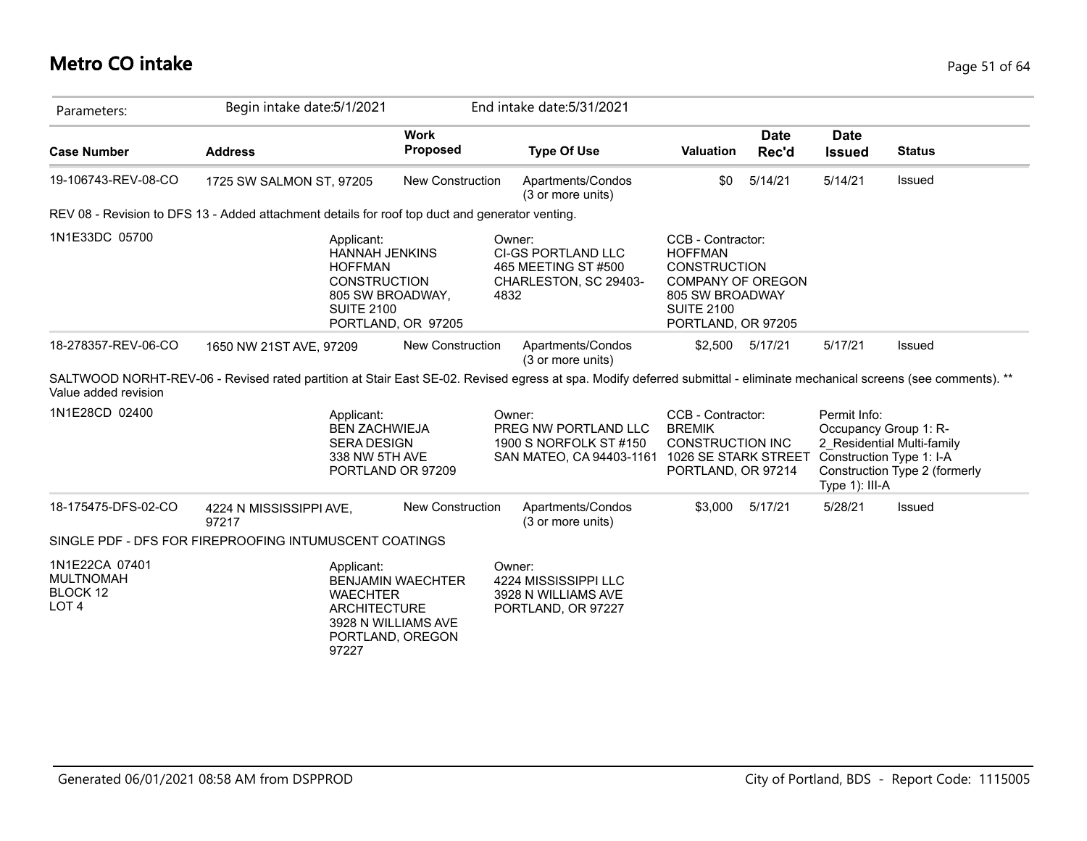# **Metro CO intake** Page 51 of 64

| Parameters:                                                        | Begin intake date: 5/1/2021                                                                                                                                             |                                                                     | End intake date: 5/31/2021                                                                                |                                                                                                                                                      |                      |                                                                                     |                                                             |
|--------------------------------------------------------------------|-------------------------------------------------------------------------------------------------------------------------------------------------------------------------|---------------------------------------------------------------------|-----------------------------------------------------------------------------------------------------------|------------------------------------------------------------------------------------------------------------------------------------------------------|----------------------|-------------------------------------------------------------------------------------|-------------------------------------------------------------|
| <b>Case Number</b>                                                 | <b>Address</b>                                                                                                                                                          | <b>Work</b><br><b>Proposed</b>                                      | <b>Type Of Use</b>                                                                                        | Valuation                                                                                                                                            | <b>Date</b><br>Rec'd | <b>Date</b><br><b>Issued</b>                                                        | <b>Status</b>                                               |
| 19-106743-REV-08-CO                                                | 1725 SW SALMON ST, 97205                                                                                                                                                | <b>New Construction</b>                                             | Apartments/Condos<br>(3 or more units)                                                                    | \$0                                                                                                                                                  | 5/14/21              | 5/14/21                                                                             | Issued                                                      |
|                                                                    | REV 08 - Revision to DFS 13 - Added attachment details for roof top duct and generator venting.                                                                         |                                                                     |                                                                                                           |                                                                                                                                                      |                      |                                                                                     |                                                             |
| 1N1E33DC 05700                                                     | Applicant:<br><b>HANNAH JENKINS</b><br><b>HOFFMAN</b><br><b>CONSTRUCTION</b><br>805 SW BROADWAY,<br><b>SUITE 2100</b>                                                   | PORTLAND, OR 97205                                                  | Owner:<br>CI-GS PORTLAND LLC<br>465 MEETING ST #500<br>CHARLESTON, SC 29403-<br>4832                      | CCB - Contractor:<br><b>HOFFMAN</b><br><b>CONSTRUCTION</b><br><b>COMPANY OF OREGON</b><br>805 SW BROADWAY<br><b>SUITE 2100</b><br>PORTLAND, OR 97205 |                      |                                                                                     |                                                             |
| 18-278357-REV-06-CO                                                | 1650 NW 21ST AVE, 97209                                                                                                                                                 | <b>New Construction</b>                                             | Apartments/Condos<br>(3 or more units)                                                                    | \$2,500                                                                                                                                              | 5/17/21              | 5/17/21                                                                             | Issued                                                      |
| Value added revision                                               | SALTWOOD NORHT-REV-06 - Revised rated partition at Stair East SE-02. Revised egress at spa. Modify deferred submittal - eliminate mechanical screens (see comments). ** |                                                                     |                                                                                                           |                                                                                                                                                      |                      |                                                                                     |                                                             |
| 1N1E28CD 02400                                                     | Applicant:<br><b>BEN ZACHWIEJA</b><br><b>SERA DESIGN</b><br>338 NW 5TH AVE                                                                                              | PORTLAND OR 97209                                                   | Owner:<br>PREG NW PORTLAND LLC<br>1900 S NORFOLK ST #150<br>SAN MATEO, CA 94403-1161 1026 SE STARK STREET | CCB - Contractor:<br><b>BREMIK</b><br><b>CONSTRUCTION INC</b><br>PORTLAND, OR 97214                                                                  |                      | Permit Info:<br>Occupancy Group 1: R-<br>Construction Type 1: I-A<br>Type 1): III-A | 2 Residential Multi-family<br>Construction Type 2 (formerly |
| 18-175475-DFS-02-CO                                                | 4224 N MISSISSIPPI AVE,<br>97217                                                                                                                                        | <b>New Construction</b>                                             | Apartments/Condos<br>(3 or more units)                                                                    | \$3.000                                                                                                                                              | 5/17/21              | 5/28/21                                                                             | Issued                                                      |
|                                                                    | SINGLE PDF - DFS FOR FIREPROOFING INTUMUSCENT COATINGS                                                                                                                  |                                                                     |                                                                                                           |                                                                                                                                                      |                      |                                                                                     |                                                             |
| 1N1E22CA 07401<br><b>MULTNOMAH</b><br>BLOCK 12<br>LOT <sub>4</sub> | Applicant:<br><b>WAECHTER</b><br><b>ARCHITECTURE</b><br>97227                                                                                                           | <b>BENJAMIN WAECHTER</b><br>3928 N WILLIAMS AVE<br>PORTLAND, OREGON | Owner:<br>4224 MISSISSIPPI LLC<br>3928 N WILLIAMS AVE<br>PORTLAND, OR 97227                               |                                                                                                                                                      |                      |                                                                                     |                                                             |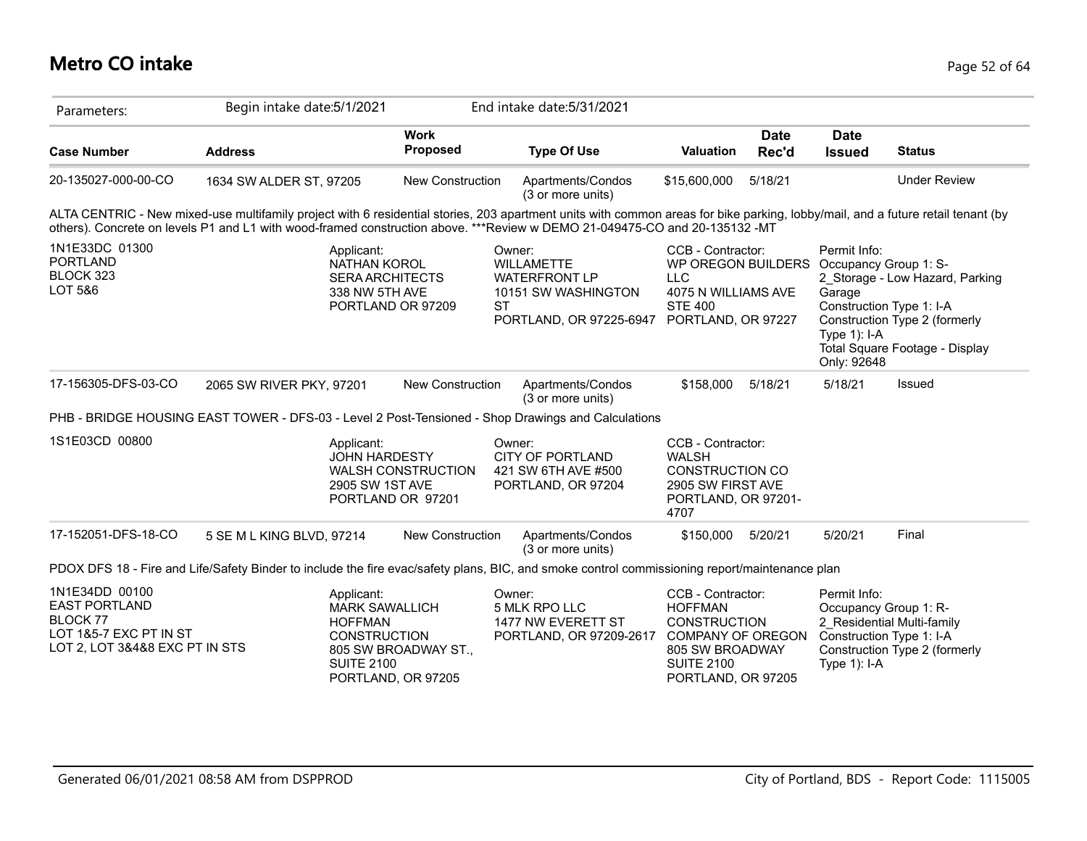# **Metro CO intake** Page 52 of 64

| Parameters:                                                                                                           | Begin intake date: 5/1/2021                                                                                                                                                                                                                                                                                   |                                                | End intake date: 5/31/2021                                                                                                            |                                                                                                                                               |                      |                                                                                                               |                                                                                                    |
|-----------------------------------------------------------------------------------------------------------------------|---------------------------------------------------------------------------------------------------------------------------------------------------------------------------------------------------------------------------------------------------------------------------------------------------------------|------------------------------------------------|---------------------------------------------------------------------------------------------------------------------------------------|-----------------------------------------------------------------------------------------------------------------------------------------------|----------------------|---------------------------------------------------------------------------------------------------------------|----------------------------------------------------------------------------------------------------|
| <b>Case Number</b>                                                                                                    | <b>Address</b>                                                                                                                                                                                                                                                                                                | <b>Work</b><br><b>Proposed</b>                 | <b>Type Of Use</b>                                                                                                                    | Valuation                                                                                                                                     | <b>Date</b><br>Rec'd | <b>Date</b><br><b>Issued</b>                                                                                  | <b>Status</b>                                                                                      |
| 20-135027-000-00-CO                                                                                                   | 1634 SW ALDER ST, 97205                                                                                                                                                                                                                                                                                       | New Construction                               | Apartments/Condos<br>(3 or more units)                                                                                                | \$15,600,000                                                                                                                                  | 5/18/21              |                                                                                                               | <b>Under Review</b>                                                                                |
|                                                                                                                       | ALTA CENTRIC - New mixed-use multifamily project with 6 residential stories, 203 apartment units with common areas for bike parking, lobby/mail, and a future retail tenant (by<br>others). Concrete on levels P1 and L1 with wood-framed construction above. ***Review w DEMO 21-049475-CO and 20-135132 -MT |                                                |                                                                                                                                       |                                                                                                                                               |                      |                                                                                                               |                                                                                                    |
| 1N1E33DC 01300<br><b>PORTLAND</b><br>BLOCK 323<br>LOT 5&6                                                             | Applicant:<br><b>NATHAN KOROL</b><br><b>SERA ARCHITECTS</b><br>338 NW 5TH AVE                                                                                                                                                                                                                                 | PORTLAND OR 97209                              | Owner:<br><b>WILLAMETTE</b><br><b>WATERFRONT LP</b><br>10151 SW WASHINGTON<br><b>ST</b><br>PORTLAND, OR 97225-6947 PORTLAND, OR 97227 | CCB - Contractor:<br>WP OREGON BUILDERS<br><b>LLC</b><br>4075 N WILLIAMS AVE<br><b>STE 400</b>                                                |                      | Permit Info:<br>Occupancy Group 1: S-<br>Garage<br>Construction Type 1: I-A<br>Type $1$ ): I-A<br>Only: 92648 | 2 Storage - Low Hazard, Parking<br>Construction Type 2 (formerly<br>Total Square Footage - Display |
| 17-156305-DFS-03-CO                                                                                                   | 2065 SW RIVER PKY, 97201                                                                                                                                                                                                                                                                                      | New Construction                               | Apartments/Condos<br>(3 or more units)                                                                                                | \$158,000                                                                                                                                     | 5/18/21              | 5/18/21                                                                                                       | Issued                                                                                             |
|                                                                                                                       | PHB - BRIDGE HOUSING EAST TOWER - DFS-03 - Level 2 Post-Tensioned - Shop Drawings and Calculations                                                                                                                                                                                                            |                                                |                                                                                                                                       |                                                                                                                                               |                      |                                                                                                               |                                                                                                    |
| 1S1E03CD 00800                                                                                                        | Applicant:<br><b>JOHN HARDESTY</b><br>2905 SW 1ST AVE                                                                                                                                                                                                                                                         | <b>WALSH CONSTRUCTION</b><br>PORTLAND OR 97201 | Owner:<br><b>CITY OF PORTLAND</b><br>421 SW 6TH AVE #500<br>PORTLAND, OR 97204                                                        | CCB - Contractor:<br><b>WALSH</b><br><b>CONSTRUCTION CO</b><br>2905 SW FIRST AVE<br>PORTLAND, OR 97201-<br>4707                               |                      |                                                                                                               |                                                                                                    |
| 17-152051-DFS-18-CO                                                                                                   | 5 SE M L KING BLVD, 97214                                                                                                                                                                                                                                                                                     | <b>New Construction</b>                        | Apartments/Condos<br>(3 or more units)                                                                                                | \$150,000 5/20/21                                                                                                                             |                      | 5/20/21                                                                                                       | Final                                                                                              |
|                                                                                                                       | PDOX DFS 18 - Fire and Life/Safety Binder to include the fire evac/safety plans, BIC, and smoke control commissioning report/maintenance plan                                                                                                                                                                 |                                                |                                                                                                                                       |                                                                                                                                               |                      |                                                                                                               |                                                                                                    |
| 1N1E34DD 00100<br><b>EAST PORTLAND</b><br><b>BLOCK 77</b><br>LOT 1&5-7 EXC PT IN ST<br>LOT 2, LOT 3&4&8 EXC PT IN STS | Applicant:<br><b>MARK SAWALLICH</b><br><b>HOFFMAN</b><br><b>CONSTRUCTION</b><br><b>SUITE 2100</b>                                                                                                                                                                                                             | 805 SW BROADWAY ST.,<br>PORTLAND, OR 97205     | Owner:<br>5 MLK RPO LLC<br>1477 NW EVERETT ST<br>PORTLAND, OR 97209-2617                                                              | CCB - Contractor:<br><b>HOFFMAN</b><br><b>CONSTRUCTION</b><br>COMPANY OF OREGON<br>805 SW BROADWAY<br><b>SUITE 2100</b><br>PORTLAND, OR 97205 |                      | Permit Info:<br>Occupancy Group 1: R-<br>Construction Type 1: I-A<br>Type $1$ : I-A                           | 2 Residential Multi-family<br>Construction Type 2 (formerly                                        |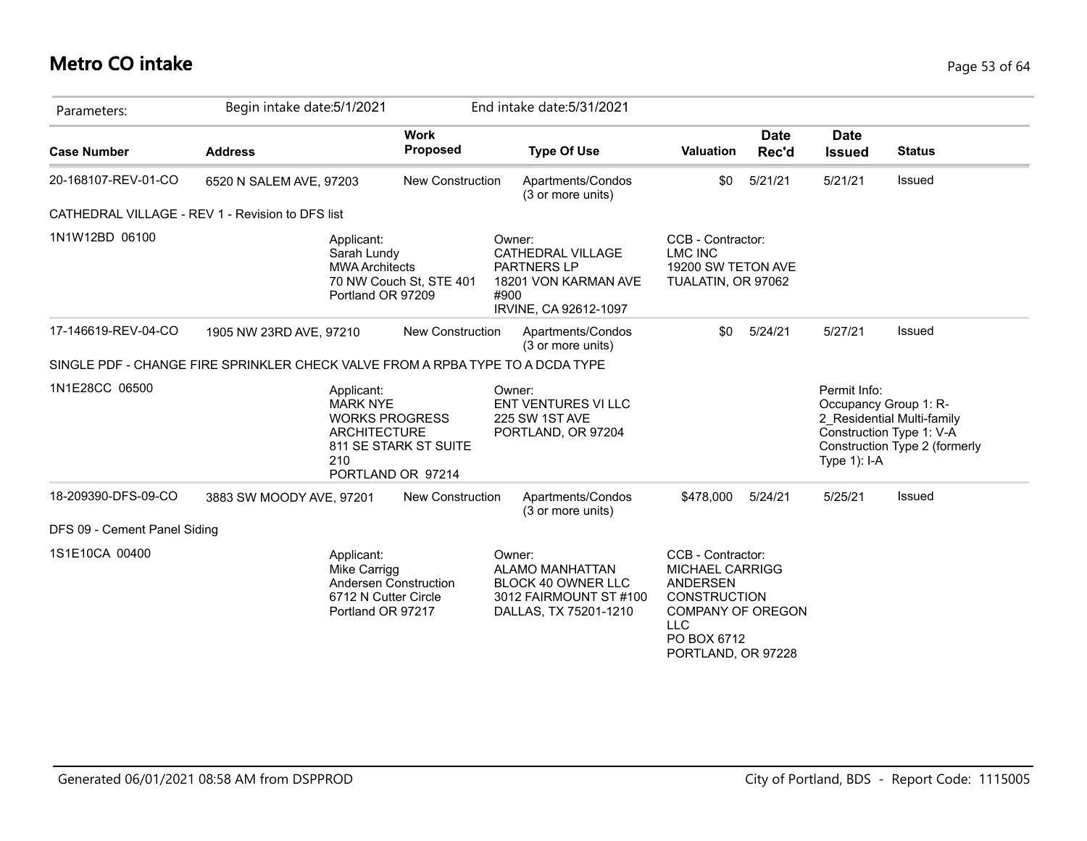# **Metro CO intake** Page 53 of 64

| Parameters:                  | Begin intake date: 5/1/2021                                                    |                                                                                                                                    |      | End intake date: 5/31/2021                                                                                       |                                                                                                                                                                      |                      |                                                          |                                                                                         |
|------------------------------|--------------------------------------------------------------------------------|------------------------------------------------------------------------------------------------------------------------------------|------|------------------------------------------------------------------------------------------------------------------|----------------------------------------------------------------------------------------------------------------------------------------------------------------------|----------------------|----------------------------------------------------------|-----------------------------------------------------------------------------------------|
| <b>Case Number</b>           | <b>Address</b>                                                                 | <b>Work</b><br>Proposed                                                                                                            |      | <b>Type Of Use</b>                                                                                               | <b>Valuation</b>                                                                                                                                                     | <b>Date</b><br>Rec'd | <b>Date</b><br><b>Issued</b>                             | <b>Status</b>                                                                           |
| 20-168107-REV-01-CO          | 6520 N SALEM AVE, 97203                                                        | <b>New Construction</b>                                                                                                            |      | Apartments/Condos<br>(3 or more units)                                                                           | \$0                                                                                                                                                                  | 5/21/21              | 5/21/21                                                  | Issued                                                                                  |
|                              | CATHEDRAL VILLAGE - REV 1 - Revision to DFS list                               |                                                                                                                                    |      |                                                                                                                  |                                                                                                                                                                      |                      |                                                          |                                                                                         |
| 1N1W12BD 06100               |                                                                                | Applicant:<br>Sarah Lundy<br><b>MWA Architects</b><br>70 NW Couch St, STE 401<br>Portland OR 97209                                 | #900 | Owner:<br>CATHEDRAL VILLAGE<br>PARTNERS LP<br>18201 VON KARMAN AVE<br>IRVINE, CA 92612-1097                      | CCB - Contractor:<br><b>LMC INC</b><br>19200 SW TETON AVE<br>TUALATIN, OR 97062                                                                                      |                      |                                                          |                                                                                         |
| 17-146619-REV-04-CO          | 1905 NW 23RD AVE, 97210                                                        | <b>New Construction</b>                                                                                                            |      | Apartments/Condos<br>(3 or more units)                                                                           | \$0                                                                                                                                                                  | 5/24/21              | 5/27/21                                                  | Issued                                                                                  |
|                              | SINGLE PDF - CHANGE FIRE SPRINKLER CHECK VALVE FROM A RPBA TYPE TO A DCDA TYPE |                                                                                                                                    |      |                                                                                                                  |                                                                                                                                                                      |                      |                                                          |                                                                                         |
| 1N1E28CC 06500               |                                                                                | Applicant:<br><b>MARK NYE</b><br><b>WORKS PROGRESS</b><br><b>ARCHITECTURE</b><br>811 SE STARK ST SUITE<br>210<br>PORTLAND OR 97214 |      | Owner:<br><b>ENT VENTURES VI LLC</b><br>225 SW 1ST AVE<br>PORTLAND, OR 97204                                     |                                                                                                                                                                      |                      | Permit Info:<br>Occupancy Group 1: R-<br>Type $1$ ): I-A | 2 Residential Multi-family<br>Construction Type 1: V-A<br>Construction Type 2 (formerly |
| 18-209390-DFS-09-CO          | 3883 SW MOODY AVE, 97201                                                       | <b>New Construction</b>                                                                                                            |      | Apartments/Condos<br>(3 or more units)                                                                           | \$478,000                                                                                                                                                            | 5/24/21              | 5/25/21                                                  | Issued                                                                                  |
| DFS 09 - Cement Panel Siding |                                                                                |                                                                                                                                    |      |                                                                                                                  |                                                                                                                                                                      |                      |                                                          |                                                                                         |
| 1S1E10CA 00400               |                                                                                | Applicant:<br>Mike Carrigg<br>Andersen Construction<br>6712 N Cutter Circle<br>Portland OR 97217                                   |      | Owner:<br><b>ALAMO MANHATTAN</b><br><b>BLOCK 40 OWNER LLC</b><br>3012 FAIRMOUNT ST #100<br>DALLAS, TX 75201-1210 | CCB - Contractor:<br><b>MICHAEL CARRIGG</b><br><b>ANDERSEN</b><br><b>CONSTRUCTION</b><br><b>COMPANY OF OREGON</b><br><b>LLC</b><br>PO BOX 6712<br>PORTLAND, OR 97228 |                      |                                                          |                                                                                         |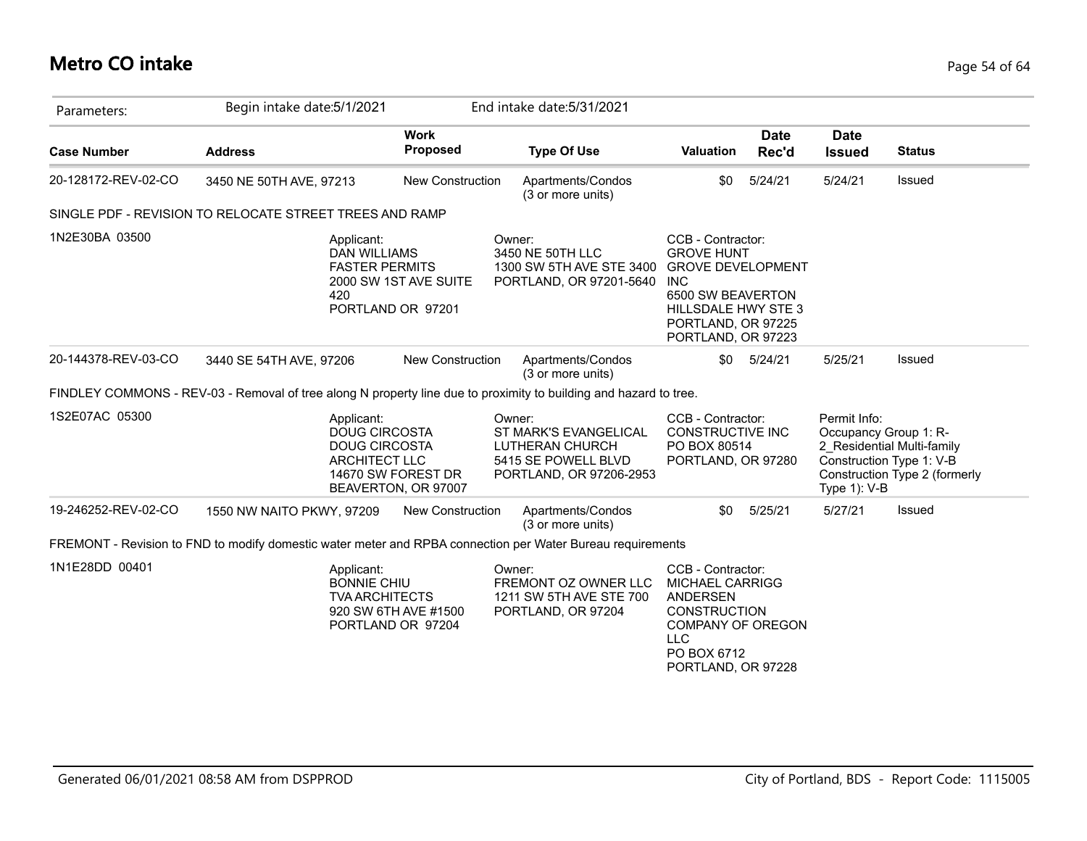## **Metro CO intake** Page 54 of 64

| Parameters:         | Begin intake date: 5/1/2021                                                                                       |                                            | End intake date: 5/31/2021                                                                           |                                                                                                                                                                          |                      |                                                       |                                                                                         |
|---------------------|-------------------------------------------------------------------------------------------------------------------|--------------------------------------------|------------------------------------------------------------------------------------------------------|--------------------------------------------------------------------------------------------------------------------------------------------------------------------------|----------------------|-------------------------------------------------------|-----------------------------------------------------------------------------------------|
| <b>Case Number</b>  | <b>Address</b>                                                                                                    | <b>Work</b><br>Proposed                    | <b>Type Of Use</b>                                                                                   | Valuation                                                                                                                                                                | <b>Date</b><br>Rec'd | <b>Date</b><br><b>Issued</b>                          | <b>Status</b>                                                                           |
| 20-128172-REV-02-CO | 3450 NE 50TH AVE, 97213                                                                                           | <b>New Construction</b>                    | Apartments/Condos<br>(3 or more units)                                                               | \$0                                                                                                                                                                      | 5/24/21              | 5/24/21                                               | Issued                                                                                  |
|                     | SINGLE PDF - REVISION TO RELOCATE STREET TREES AND RAMP                                                           |                                            |                                                                                                      |                                                                                                                                                                          |                      |                                                       |                                                                                         |
| 1N2E30BA 03500      | Applicant:<br><b>DAN WILLIAMS</b><br><b>FASTER PERMITS</b><br>420                                                 | 2000 SW 1ST AVE SUITE<br>PORTLAND OR 97201 | Owner:<br>3450 NE 50TH LLC<br>1300 SW 5TH AVE STE 3400<br>PORTLAND, OR 97201-5640                    | CCB - Contractor:<br><b>GROVE HUNT</b><br><b>GROVE DEVELOPMENT</b><br><b>INC</b><br>6500 SW BEAVERTON<br>HILLSDALE HWY STE 3<br>PORTLAND, OR 97225<br>PORTLAND, OR 97223 |                      |                                                       |                                                                                         |
| 20-144378-REV-03-CO | 3440 SE 54TH AVE, 97206                                                                                           | <b>New Construction</b>                    | Apartments/Condos<br>(3 or more units)                                                               | \$0                                                                                                                                                                      | 5/24/21              | 5/25/21                                               | Issued                                                                                  |
|                     | FINDLEY COMMONS - REV-03 - Removal of tree along N property line due to proximity to building and hazard to tree. |                                            |                                                                                                      |                                                                                                                                                                          |                      |                                                       |                                                                                         |
| 1S2E07AC 05300      | Applicant:<br><b>DOUG CIRCOSTA</b><br><b>DOUG CIRCOSTA</b><br><b>ARCHITECT LLC</b>                                | 14670 SW FOREST DR<br>BEAVERTON, OR 97007  | Owner:<br>ST MARK'S EVANGELICAL<br>LUTHERAN CHURCH<br>5415 SE POWELL BLVD<br>PORTLAND, OR 97206-2953 | CCB - Contractor:<br>CONSTRUCTIVE INC<br>PO BOX 80514<br>PORTLAND, OR 97280                                                                                              |                      | Permit Info:<br>Occupancy Group 1: R-<br>Type 1): V-B | 2 Residential Multi-family<br>Construction Type 1: V-B<br>Construction Type 2 (formerly |
| 19-246252-REV-02-CO | 1550 NW NAITO PKWY, 97209                                                                                         | <b>New Construction</b>                    | Apartments/Condos<br>(3 or more units)                                                               | \$0                                                                                                                                                                      | 5/25/21              | 5/27/21                                               | Issued                                                                                  |
|                     | FREMONT - Revision to FND to modify domestic water meter and RPBA connection per Water Bureau requirements        |                                            |                                                                                                      |                                                                                                                                                                          |                      |                                                       |                                                                                         |
| 1N1E28DD 00401      | Applicant:<br><b>BONNIE CHIU</b><br><b>TVA ARCHITECTS</b>                                                         | 920 SW 6TH AVE #1500<br>PORTLAND OR 97204  | Owner:<br>FREMONT OZ OWNER LLC<br>1211 SW 5TH AVE STE 700<br>PORTLAND, OR 97204                      | CCB - Contractor:<br><b>MICHAEL CARRIGG</b><br><b>ANDERSEN</b><br><b>CONSTRUCTION</b><br><b>COMPANY OF OREGON</b><br><b>LLC</b><br>PO BOX 6712<br>PORTLAND, OR 97228     |                      |                                                       |                                                                                         |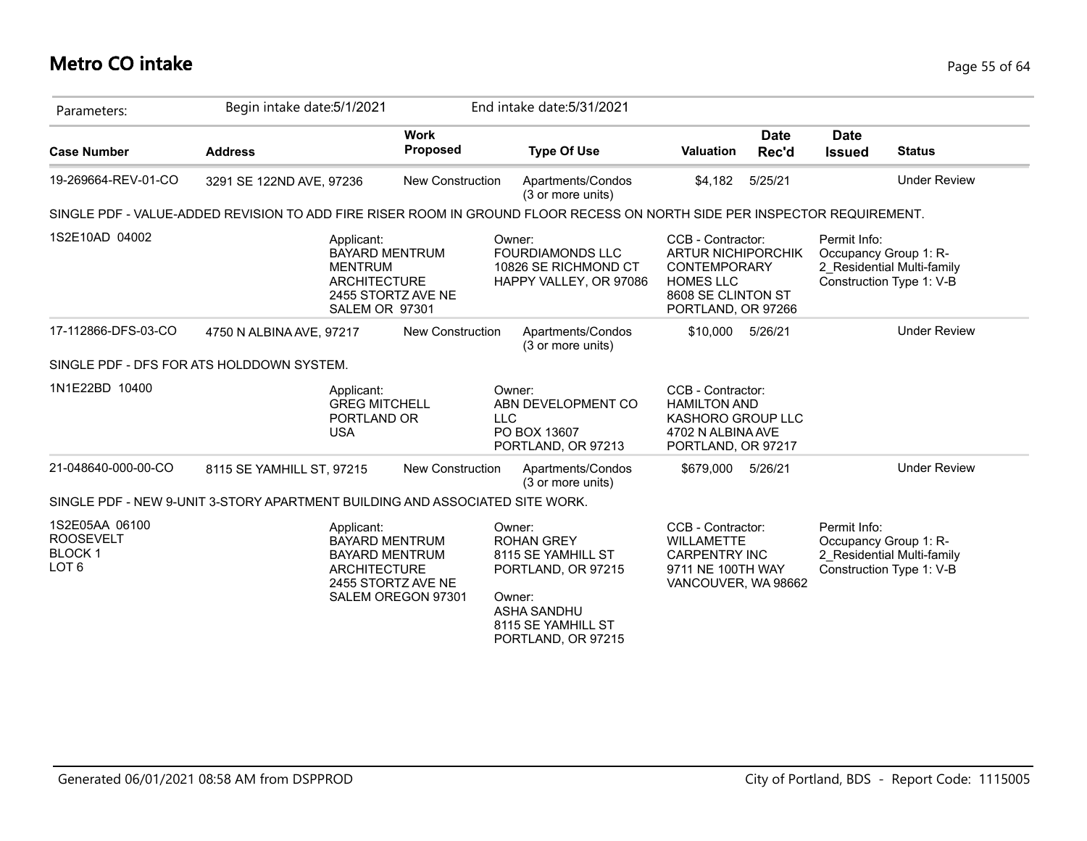## **Metro CO intake** Page 55 of 64

| Parameters:                                                             | Begin intake date: 5/1/2021                                                                                              |                                                                                            | End intake date: 5/31/2021                                                                                                                   |                                                                                                                                       |                      |                              |                                                                                 |
|-------------------------------------------------------------------------|--------------------------------------------------------------------------------------------------------------------------|--------------------------------------------------------------------------------------------|----------------------------------------------------------------------------------------------------------------------------------------------|---------------------------------------------------------------------------------------------------------------------------------------|----------------------|------------------------------|---------------------------------------------------------------------------------|
| <b>Case Number</b>                                                      | <b>Address</b>                                                                                                           | <b>Work</b><br><b>Proposed</b>                                                             | <b>Type Of Use</b>                                                                                                                           | <b>Valuation</b>                                                                                                                      | <b>Date</b><br>Rec'd | <b>Date</b><br><b>Issued</b> | <b>Status</b>                                                                   |
| 19-269664-REV-01-CO                                                     | 3291 SE 122ND AVE, 97236                                                                                                 | <b>New Construction</b>                                                                    | Apartments/Condos<br>(3 or more units)                                                                                                       | \$4,182                                                                                                                               | 5/25/21              |                              | <b>Under Review</b>                                                             |
|                                                                         | SINGLE PDF - VALUE-ADDED REVISION TO ADD FIRE RISER ROOM IN GROUND FLOOR RECESS ON NORTH SIDE PER INSPECTOR REQUIREMENT. |                                                                                            |                                                                                                                                              |                                                                                                                                       |                      |                              |                                                                                 |
| 1S2E10AD 04002                                                          | Applicant:<br><b>MENTRUM</b><br><b>ARCHITECTURE</b><br><b>SALEM OR 97301</b>                                             | <b>BAYARD MENTRUM</b><br>2455 STORTZ AVE NE                                                | Owner:<br><b>FOURDIAMONDS LLC</b><br>10826 SE RICHMOND CT<br>HAPPY VALLEY, OR 97086                                                          | CCB - Contractor:<br><b>ARTUR NICHIPORCHIK</b><br><b>CONTEMPORARY</b><br><b>HOMES LLC</b><br>8608 SE CLINTON ST<br>PORTLAND, OR 97266 |                      | Permit Info:                 | Occupancy Group 1: R-<br>2 Residential Multi-family<br>Construction Type 1: V-B |
| 17-112866-DFS-03-CO                                                     | 4750 N ALBINA AVE, 97217                                                                                                 | <b>New Construction</b>                                                                    | Apartments/Condos<br>(3 or more units)                                                                                                       | \$10,000                                                                                                                              | 5/26/21              |                              | <b>Under Review</b>                                                             |
|                                                                         | SINGLE PDF - DFS FOR ATS HOLDDOWN SYSTEM.                                                                                |                                                                                            |                                                                                                                                              |                                                                                                                                       |                      |                              |                                                                                 |
| 1N1E22BD 10400                                                          | Applicant:<br><b>GREG MITCHELL</b><br>PORTLAND OR<br><b>USA</b>                                                          |                                                                                            | Owner:<br>ABN DEVELOPMENT CO<br><b>LLC</b><br>PO BOX 13607<br>PORTLAND, OR 97213                                                             | CCB - Contractor:<br><b>HAMILTON AND</b><br>KASHORO GROUP LLC<br>4702 N ALBINA AVE<br>PORTLAND, OR 97217                              |                      |                              |                                                                                 |
| 21-048640-000-00-CO                                                     | 8115 SE YAMHILL ST, 97215                                                                                                | <b>New Construction</b>                                                                    | Apartments/Condos<br>(3 or more units)                                                                                                       | \$679,000 5/26/21                                                                                                                     |                      |                              | <b>Under Review</b>                                                             |
|                                                                         | SINGLE PDF - NEW 9-UNIT 3-STORY APARTMENT BUILDING AND ASSOCIATED SITE WORK.                                             |                                                                                            |                                                                                                                                              |                                                                                                                                       |                      |                              |                                                                                 |
| 1S2E05AA 06100<br><b>ROOSEVELT</b><br><b>BLOCK1</b><br>LOT <sub>6</sub> | Applicant:<br><b>ARCHITECTURE</b>                                                                                        | <b>BAYARD MENTRUM</b><br><b>BAYARD MENTRUM</b><br>2455 STORTZ AVE NE<br>SALEM OREGON 97301 | Owner:<br><b>ROHAN GREY</b><br>8115 SE YAMHILL ST<br>PORTLAND, OR 97215<br>Owner:<br>ASHA SANDHU<br>8115 SE YAMHILL ST<br>PORTLAND, OR 97215 | CCB - Contractor:<br><b>WILLAMETTE</b><br><b>CARPENTRY INC</b><br>9711 NE 100TH WAY<br>VANCOUVER, WA 98662                            |                      | Permit Info:                 | Occupancy Group 1: R-<br>2 Residential Multi-family<br>Construction Type 1: V-B |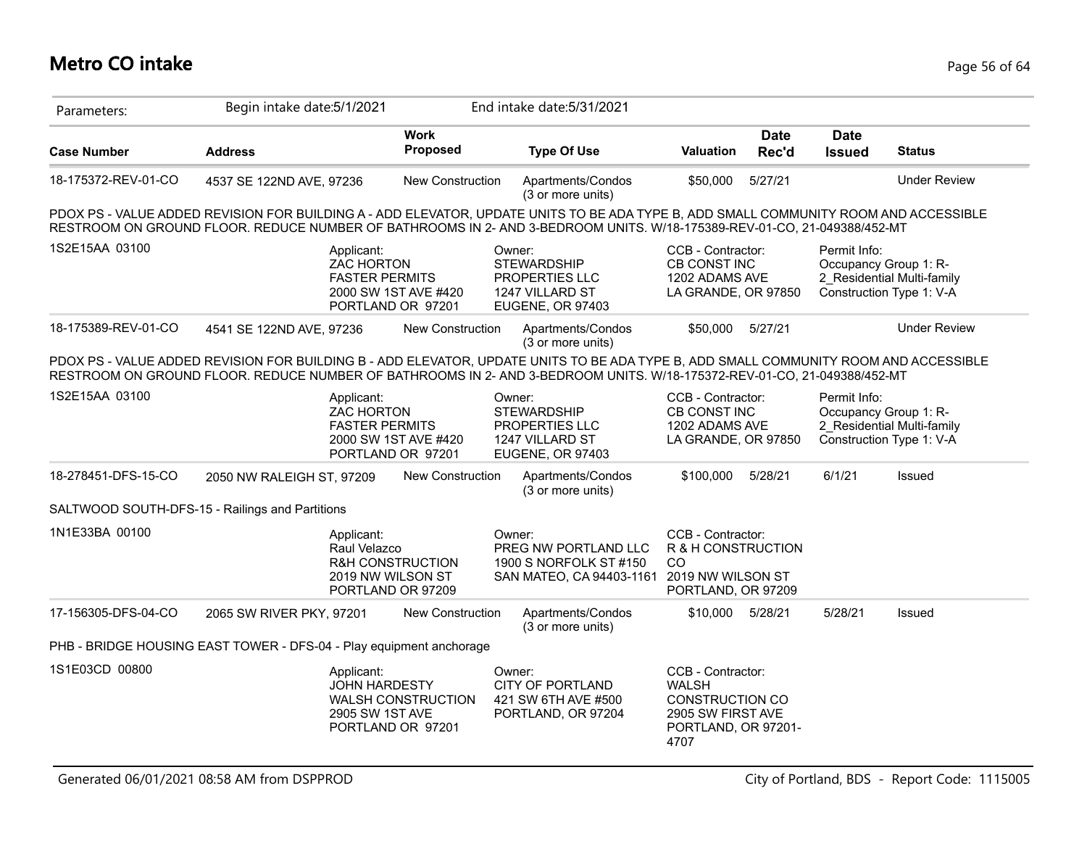| Parameters:         | Begin intake date: 5/1/2021                                                                                                                                                                                                                                     |                                                                       | End intake date: 5/31/2021                                                            |                                                                                                                 |                      |                              |                                                                                 |
|---------------------|-----------------------------------------------------------------------------------------------------------------------------------------------------------------------------------------------------------------------------------------------------------------|-----------------------------------------------------------------------|---------------------------------------------------------------------------------------|-----------------------------------------------------------------------------------------------------------------|----------------------|------------------------------|---------------------------------------------------------------------------------|
| <b>Case Number</b>  | <b>Address</b>                                                                                                                                                                                                                                                  | <b>Work</b><br>Proposed                                               | <b>Type Of Use</b>                                                                    | <b>Valuation</b>                                                                                                | <b>Date</b><br>Rec'd | <b>Date</b><br><b>Issued</b> | <b>Status</b>                                                                   |
| 18-175372-REV-01-CO | 4537 SE 122ND AVE, 97236                                                                                                                                                                                                                                        | <b>New Construction</b>                                               | Apartments/Condos<br>(3 or more units)                                                | \$50,000                                                                                                        | 5/27/21              |                              | <b>Under Review</b>                                                             |
|                     | PDOX PS - VALUE ADDED REVISION FOR BUILDING A - ADD ELEVATOR, UPDATE UNITS TO BE ADA TYPE B, ADD SMALL COMMUNITY ROOM AND ACCESSIBLE<br>RESTROOM ON GROUND FLOOR. REDUCE NUMBER OF BATHROOMS IN 2- AND 3-BEDROOM UNITS. W/18-175389-REV-01-CO, 21-049388/452-MT |                                                                       |                                                                                       |                                                                                                                 |                      |                              |                                                                                 |
| 1S2E15AA 03100      | Applicant:<br><b>ZAC HORTON</b><br><b>FASTER PERMITS</b>                                                                                                                                                                                                        | 2000 SW 1ST AVE #420<br>PORTLAND OR 97201                             | Owner:<br><b>STEWARDSHIP</b><br>PROPERTIES LLC<br>1247 VILLARD ST<br>EUGENE, OR 97403 | CCB - Contractor:<br>CB CONST INC<br>1202 ADAMS AVE<br>LA GRANDE, OR 97850                                      |                      | Permit Info:                 | Occupancy Group 1: R-<br>2 Residential Multi-family<br>Construction Type 1: V-A |
| 18-175389-REV-01-CO | 4541 SE 122ND AVE, 97236                                                                                                                                                                                                                                        | New Construction                                                      | Apartments/Condos<br>(3 or more units)                                                | \$50,000                                                                                                        | 5/27/21              |                              | <b>Under Review</b>                                                             |
|                     | PDOX PS - VALUE ADDED REVISION FOR BUILDING B - ADD ELEVATOR, UPDATE UNITS TO BE ADA TYPE B, ADD SMALL COMMUNITY ROOM AND ACCESSIBLE<br>RESTROOM ON GROUND FLOOR. REDUCE NUMBER OF BATHROOMS IN 2- AND 3-BEDROOM UNITS. W/18-175372-REV-01-CO, 21-049388/452-MT |                                                                       |                                                                                       |                                                                                                                 |                      |                              |                                                                                 |
| 1S2E15AA 03100      | Applicant:<br><b>ZAC HORTON</b><br><b>FASTER PERMITS</b>                                                                                                                                                                                                        | 2000 SW 1ST AVE #420<br>PORTLAND OR 97201                             | Owner:<br><b>STEWARDSHIP</b><br>PROPERTIES LLC<br>1247 VILLARD ST<br>EUGENE, OR 97403 | CCB - Contractor:<br>CB CONST INC<br>1202 ADAMS AVE<br>LA GRANDE, OR 97850                                      |                      | Permit Info:                 | Occupancy Group 1: R-<br>2 Residential Multi-family<br>Construction Type 1: V-A |
| 18-278451-DFS-15-CO | 2050 NW RALEIGH ST, 97209                                                                                                                                                                                                                                       | New Construction                                                      | Apartments/Condos<br>(3 or more units)                                                | \$100,000                                                                                                       | 5/28/21              | 6/1/21                       | Issued                                                                          |
|                     | SALTWOOD SOUTH-DFS-15 - Railings and Partitions                                                                                                                                                                                                                 |                                                                       |                                                                                       |                                                                                                                 |                      |                              |                                                                                 |
| 1N1E33BA 00100      | Applicant:<br>Raul Velazco                                                                                                                                                                                                                                      | <b>R&amp;H CONSTRUCTION</b><br>2019 NW WILSON ST<br>PORTLAND OR 97209 | Owner:<br>PREG NW PORTLAND LLC<br>1900 S NORFOLK ST #150<br>SAN MATEO, CA 94403-1161  | CCB - Contractor:<br>R & H CONSTRUCTION<br>CO<br>2019 NW WILSON ST<br>PORTLAND, OR 97209                        |                      |                              |                                                                                 |
| 17-156305-DFS-04-CO | 2065 SW RIVER PKY, 97201                                                                                                                                                                                                                                        | New Construction                                                      | Apartments/Condos<br>(3 or more units)                                                | \$10,000 5/28/21                                                                                                |                      | 5/28/21                      | Issued                                                                          |
|                     | PHB - BRIDGE HOUSING EAST TOWER - DFS-04 - Play equipment anchorage                                                                                                                                                                                             |                                                                       |                                                                                       |                                                                                                                 |                      |                              |                                                                                 |
| 1S1E03CD 00800      | Applicant:<br><b>JOHN HARDESTY</b><br>2905 SW 1ST AVE                                                                                                                                                                                                           | <b>WALSH CONSTRUCTION</b><br>PORTLAND OR 97201                        | Owner:<br><b>CITY OF PORTLAND</b><br>421 SW 6TH AVE #500<br>PORTLAND, OR 97204        | CCB - Contractor:<br><b>WALSH</b><br><b>CONSTRUCTION CO</b><br>2905 SW FIRST AVE<br>PORTLAND, OR 97201-<br>4707 |                      |                              |                                                                                 |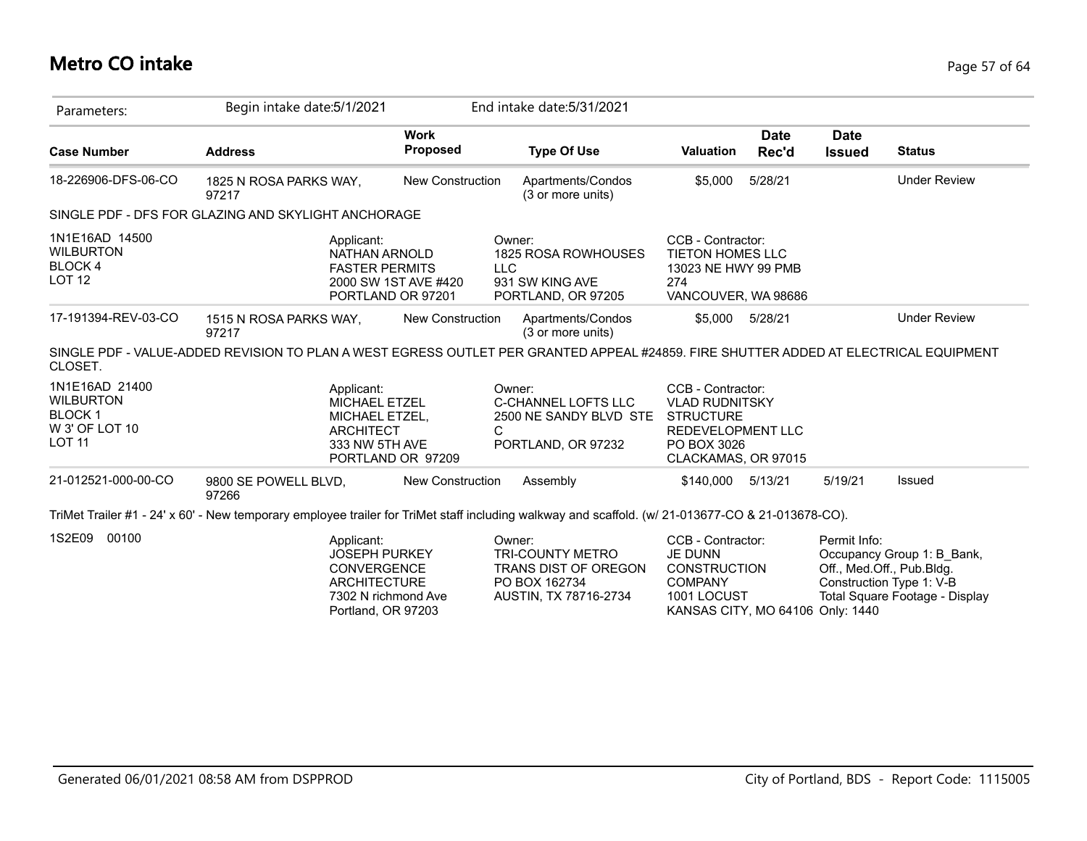## **Metro CO intake** Page 57 of 64

| Parameters:                                                                            | Begin intake date: 5/1/2021                                                                                                                       |                                | End intake date: 5/31/2021                                                                          |                                                                                                                                  |                      |                              |                                                                                                                       |
|----------------------------------------------------------------------------------------|---------------------------------------------------------------------------------------------------------------------------------------------------|--------------------------------|-----------------------------------------------------------------------------------------------------|----------------------------------------------------------------------------------------------------------------------------------|----------------------|------------------------------|-----------------------------------------------------------------------------------------------------------------------|
| <b>Case Number</b>                                                                     | <b>Address</b>                                                                                                                                    | <b>Work</b><br><b>Proposed</b> | <b>Type Of Use</b>                                                                                  | <b>Valuation</b>                                                                                                                 | <b>Date</b><br>Rec'd | <b>Date</b><br><b>Issued</b> | <b>Status</b>                                                                                                         |
| 18-226906-DFS-06-CO                                                                    | 1825 N ROSA PARKS WAY,<br>97217                                                                                                                   | <b>New Construction</b>        | Apartments/Condos<br>(3 or more units)                                                              | \$5,000                                                                                                                          | 5/28/21              |                              | <b>Under Review</b>                                                                                                   |
|                                                                                        | SINGLE PDF - DFS FOR GLAZING AND SKYLIGHT ANCHORAGE                                                                                               |                                |                                                                                                     |                                                                                                                                  |                      |                              |                                                                                                                       |
| 1N1E16AD 14500<br><b>WILBURTON</b><br>BLOCK 4<br>LOT <sub>12</sub>                     | Applicant:<br>NATHAN ARNOLD<br><b>FASTER PERMITS</b><br>PORTLAND OR 97201                                                                         | 2000 SW 1ST AVE #420           | Owner:<br>1825 ROSA ROWHOUSES<br><b>LLC</b><br>931 SW KING AVE<br>PORTLAND, OR 97205                | CCB - Contractor:<br><b>TIETON HOMES LLC</b><br>13023 NE HWY 99 PMB<br>274<br>VANCOUVER, WA 98686                                |                      |                              |                                                                                                                       |
| 17-191394-REV-03-CO                                                                    | 1515 N ROSA PARKS WAY,<br>97217                                                                                                                   | <b>New Construction</b>        | Apartments/Condos<br>(3 or more units)                                                              | \$5.000                                                                                                                          | 5/28/21              |                              | <b>Under Review</b>                                                                                                   |
| CLOSET.                                                                                | SINGLE PDF - VALUE-ADDED REVISION TO PLAN A WEST EGRESS OUTLET PER GRANTED APPEAL #24859. FIRE SHUTTER ADDED AT ELECTRICAL EQUIPMENT              |                                |                                                                                                     |                                                                                                                                  |                      |                              |                                                                                                                       |
| 1N1E16AD 21400<br><b>WILBURTON</b><br><b>BLOCK1</b><br>W 3' OF LOT 10<br><b>LOT 11</b> | Applicant:<br>MICHAEL ETZEL<br>MICHAEL ETZEL,<br><b>ARCHITECT</b><br>333 NW 5TH AVE                                                               | PORTLAND OR 97209              | Owner:<br>C-CHANNEL LOFTS LLC<br>2500 NE SANDY BLVD STE<br>C<br>PORTLAND, OR 97232                  | CCB - Contractor:<br><b>VLAD RUDNITSKY</b><br><b>STRUCTURE</b><br><b>REDEVELOPMENT LLC</b><br>PO BOX 3026<br>CLACKAMAS, OR 97015 |                      |                              |                                                                                                                       |
| 21-012521-000-00-CO                                                                    | 9800 SE POWELL BLVD,<br>97266                                                                                                                     | New Construction               | Assembly                                                                                            | \$140,000 5/13/21                                                                                                                |                      | 5/19/21                      | Issued                                                                                                                |
|                                                                                        | TriMet Trailer #1 - 24' x 60' - New temporary employee trailer for TriMet staff including walkway and scaffold. (w/ 21-013677-CO & 21-013678-CO). |                                |                                                                                                     |                                                                                                                                  |                      |                              |                                                                                                                       |
| 1S2E09<br>00100                                                                        | Applicant:<br><b>JOSEPH PURKEY</b><br><b>CONVERGENCE</b><br><b>ARCHITECTURE</b><br>7302 N richmond Ave<br>Portland, OR 97203                      |                                | Owner:<br><b>TRI-COUNTY METRO</b><br>TRANS DIST OF OREGON<br>PO BOX 162734<br>AUSTIN, TX 78716-2734 | CCB - Contractor:<br>JE DUNN<br><b>CONSTRUCTION</b><br><b>COMPANY</b><br>1001 LOCUST<br>KANSAS CITY, MO 64106 Only: 1440         |                      | Permit Info:                 | Occupancy Group 1: B Bank,<br>Off., Med.Off., Pub.Bldg.<br>Construction Type 1: V-B<br>Total Square Footage - Display |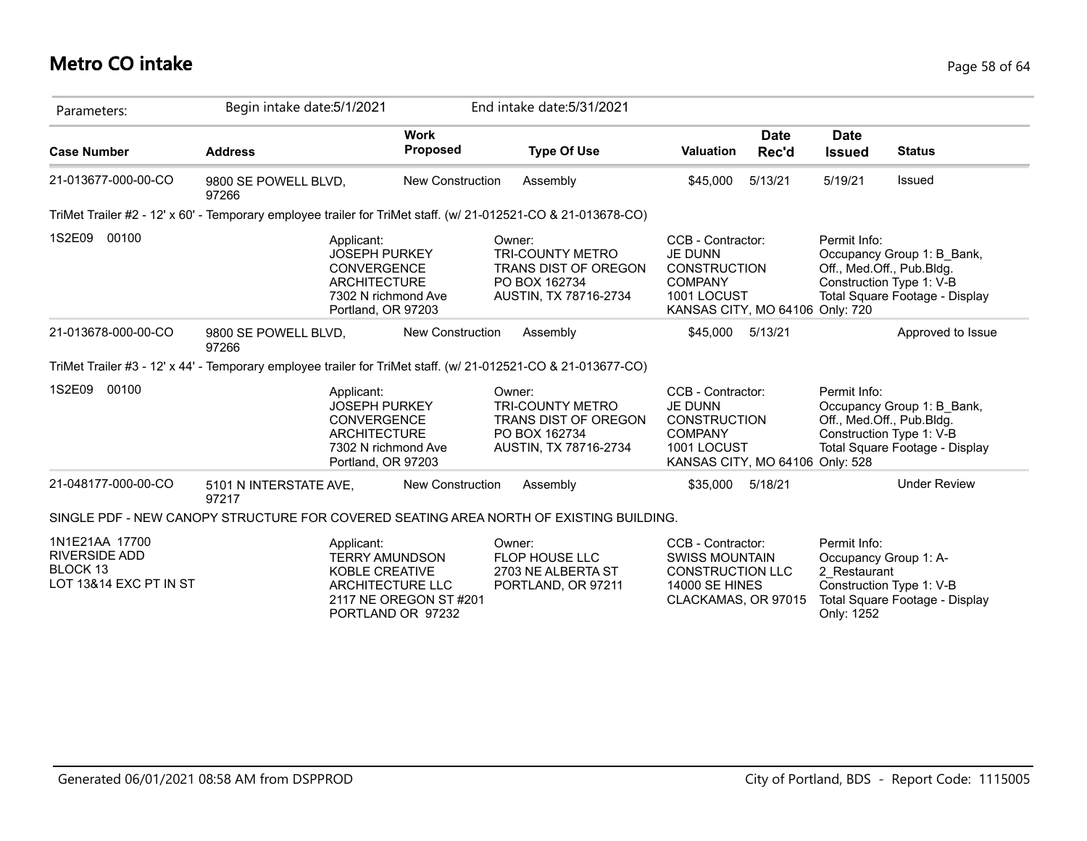## **Metro CO intake** Page 58 of 64

| Parameters:                                                                  | Begin intake date: 5/1/2021                                                                                   |                                                                                                 | End intake date: 5/31/2021                                                                                 |                                                                                                                                |                                                                                                                                       |
|------------------------------------------------------------------------------|---------------------------------------------------------------------------------------------------------------|-------------------------------------------------------------------------------------------------|------------------------------------------------------------------------------------------------------------|--------------------------------------------------------------------------------------------------------------------------------|---------------------------------------------------------------------------------------------------------------------------------------|
| <b>Case Number</b>                                                           | <b>Address</b>                                                                                                | <b>Work</b><br>Proposed                                                                         | <b>Type Of Use</b>                                                                                         | <b>Date</b><br><b>Valuation</b><br>Rec'd                                                                                       | <b>Date</b><br><b>Status</b><br><b>Issued</b>                                                                                         |
| 21-013677-000-00-CO                                                          | 9800 SE POWELL BLVD,<br>97266                                                                                 | <b>New Construction</b>                                                                         | Assembly                                                                                                   | 5/13/21<br>\$45,000                                                                                                            | 5/19/21<br>Issued                                                                                                                     |
|                                                                              | TriMet Trailer #2 - 12' x 60' - Temporary employee trailer for TriMet staff. (w/ 21-012521-CO & 21-013678-CO) |                                                                                                 |                                                                                                            |                                                                                                                                |                                                                                                                                       |
| 1S2E09<br>00100                                                              | Applicant:<br><b>JOSEPH PURKEY</b><br>CONVERGENCE<br><b>ARCHITECTURE</b><br>Portland, OR 97203                | 7302 N richmond Ave                                                                             | Owner:<br><b>TRI-COUNTY METRO</b><br>TRANS DIST OF OREGON<br>PO BOX 162734<br>AUSTIN, TX 78716-2734        | CCB - Contractor:<br><b>JE DUNN</b><br><b>CONSTRUCTION</b><br><b>COMPANY</b><br>1001 LOCUST<br>KANSAS CITY, MO 64106 Only: 720 | Permit Info:<br>Occupancy Group 1: B Bank,<br>Off., Med.Off., Pub.Bldg.<br>Construction Type 1: V-B<br>Total Square Footage - Display |
| 21-013678-000-00-CO                                                          | 9800 SE POWELL BLVD,<br>97266                                                                                 | New Construction                                                                                | Assembly                                                                                                   | \$45,000<br>5/13/21                                                                                                            | Approved to Issue                                                                                                                     |
|                                                                              | TriMet Trailer #3 - 12' x 44' - Temporary employee trailer for TriMet staff. (w/ 21-012521-CO & 21-013677-CO) |                                                                                                 |                                                                                                            |                                                                                                                                |                                                                                                                                       |
| 00100<br>1S2E09                                                              | Applicant:<br><b>JOSEPH PURKEY</b><br><b>CONVERGENCE</b><br><b>ARCHITECTURE</b><br>Portland, OR 97203         | 7302 N richmond Ave                                                                             | Owner:<br><b>TRI-COUNTY METRO</b><br><b>TRANS DIST OF OREGON</b><br>PO BOX 162734<br>AUSTIN, TX 78716-2734 | CCB - Contractor:<br><b>JE DUNN</b><br><b>CONSTRUCTION</b><br><b>COMPANY</b><br>1001 LOCUST<br>KANSAS CITY, MO 64106 Only: 528 | Permit Info:<br>Occupancy Group 1: B_Bank,<br>Off., Med.Off., Pub.Bldg.<br>Construction Type 1: V-B<br>Total Square Footage - Display |
| 21-048177-000-00-CO                                                          | 5101 N INTERSTATE AVE,<br>97217                                                                               | <b>New Construction</b>                                                                         | Assembly                                                                                                   | \$35.000<br>5/18/21                                                                                                            | <b>Under Review</b>                                                                                                                   |
|                                                                              | SINGLE PDF - NEW CANOPY STRUCTURE FOR COVERED SEATING AREA NORTH OF EXISTING BUILDING.                        |                                                                                                 |                                                                                                            |                                                                                                                                |                                                                                                                                       |
| 1N1E21AA 17700<br><b>RIVERSIDE ADD</b><br>BLOCK 13<br>LOT 13&14 EXC PT IN ST | Applicant:<br><b>KOBLE CREATIVE</b>                                                                           | <b>TERRY AMUNDSON</b><br><b>ARCHITECTURE LLC</b><br>2117 NE OREGON ST #201<br>PORTLAND OR 97232 | Owner:<br><b>FLOP HOUSE LLC</b><br>2703 NE ALBERTA ST<br>PORTLAND, OR 97211                                | CCB - Contractor:<br><b>SWISS MOUNTAIN</b><br><b>CONSTRUCTION LLC</b><br><b>14000 SE HINES</b><br>CLACKAMAS, OR 97015          | Permit Info:<br>Occupancy Group 1: A-<br>2 Restaurant<br>Construction Type 1: V-B<br>Total Square Footage - Display<br>Only: 1252     |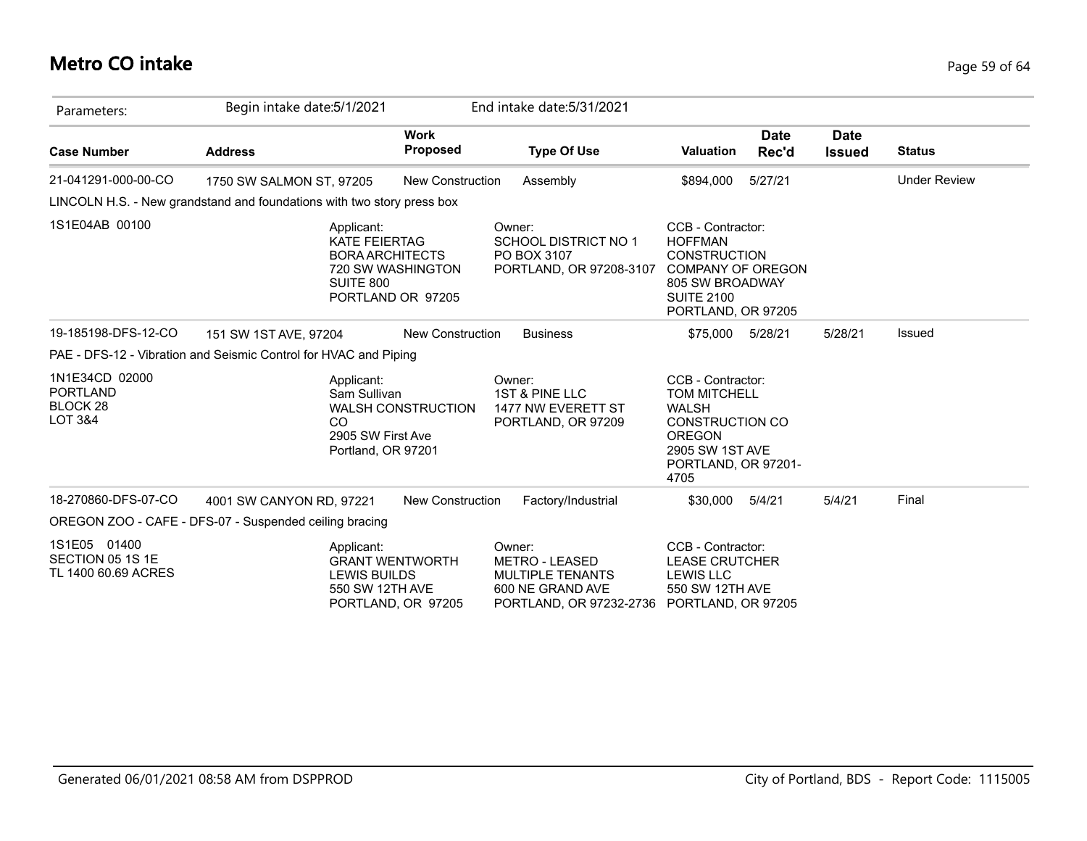# **Metro CO intake** Page 59 of 64

| Parameters:                                                                    | Begin intake date: 5/1/2021                                                                                                |                                | End intake date: 5/31/2021                                                                                |                                                                                                                                                       |               |                              |                     |
|--------------------------------------------------------------------------------|----------------------------------------------------------------------------------------------------------------------------|--------------------------------|-----------------------------------------------------------------------------------------------------------|-------------------------------------------------------------------------------------------------------------------------------------------------------|---------------|------------------------------|---------------------|
| <b>Case Number</b>                                                             | <b>Address</b>                                                                                                             | <b>Work</b><br><b>Proposed</b> | <b>Type Of Use</b>                                                                                        | <b>Valuation</b>                                                                                                                                      | Date<br>Rec'd | <b>Date</b><br><b>Issued</b> | <b>Status</b>       |
| 21-041291-000-00-CO                                                            | 1750 SW SALMON ST, 97205                                                                                                   | <b>New Construction</b>        | Assembly                                                                                                  | \$894,000                                                                                                                                             | 5/27/21       |                              | <b>Under Review</b> |
|                                                                                | LINCOLN H.S. - New grandstand and foundations with two story press box                                                     |                                |                                                                                                           |                                                                                                                                                       |               |                              |                     |
| 1S1E04AB 00100                                                                 | Applicant:<br><b>KATE FEIERTAG</b><br><b>BORA ARCHITECTS</b><br>720 SW WASHINGTON<br><b>SUITE 800</b><br>PORTLAND OR 97205 |                                | Owner:<br><b>SCHOOL DISTRICT NO 1</b><br>PO BOX 3107<br>PORTLAND, OR 97208-3107                           | CCB - Contractor:<br><b>HOFFMAN</b><br><b>CONSTRUCTION</b><br><b>COMPANY OF OREGON</b><br>805 SW BROADWAY<br><b>SUITE 2100</b><br>PORTLAND, OR 97205  |               |                              |                     |
| 19-185198-DFS-12-CO                                                            | 151 SW 1ST AVE, 97204                                                                                                      | <b>New Construction</b>        | <b>Business</b>                                                                                           | \$75,000                                                                                                                                              | 5/28/21       | 5/28/21                      | Issued              |
|                                                                                | PAE - DFS-12 - Vibration and Seismic Control for HVAC and Piping                                                           |                                |                                                                                                           |                                                                                                                                                       |               |                              |                     |
| 1N1E34CD 02000<br><b>PORTLAND</b><br>BLOCK <sub>28</sub><br><b>LOT 3&amp;4</b> | Applicant:<br>Sam Sullivan<br>CO<br>2905 SW First Ave<br>Portland, OR 97201                                                | <b>WALSH CONSTRUCTION</b>      | Owner:<br>1ST & PINE LLC<br>1477 NW EVERETT ST<br>PORTLAND, OR 97209                                      | CCB - Contractor:<br><b>TOM MITCHELL</b><br><b>WALSH</b><br><b>CONSTRUCTION CO</b><br><b>OREGON</b><br>2905 SW 1ST AVE<br>PORTLAND, OR 97201-<br>4705 |               |                              |                     |
| 18-270860-DFS-07-CO                                                            | 4001 SW CANYON RD, 97221                                                                                                   | <b>New Construction</b>        | Factory/Industrial                                                                                        | \$30,000                                                                                                                                              | 5/4/21        | 5/4/21                       | Final               |
|                                                                                | OREGON ZOO - CAFE - DFS-07 - Suspended ceiling bracing                                                                     |                                |                                                                                                           |                                                                                                                                                       |               |                              |                     |
| 1S1E05 01400<br>SECTION 05 1S 1E<br>TL 1400 60.69 ACRES                        | Applicant:<br><b>GRANT WENTWORTH</b><br><b>LEWIS BUILDS</b><br>550 SW 12TH AVE                                             | PORTLAND, OR 97205             | Owner:<br><b>METRO - LEASED</b><br><b>MULTIPLE TENANTS</b><br>600 NE GRAND AVE<br>PORTLAND, OR 97232-2736 | CCB - Contractor:<br><b>LEASE CRUTCHER</b><br><b>LEWIS LLC</b><br>550 SW 12TH AVE<br>PORTLAND, OR 97205                                               |               |                              |                     |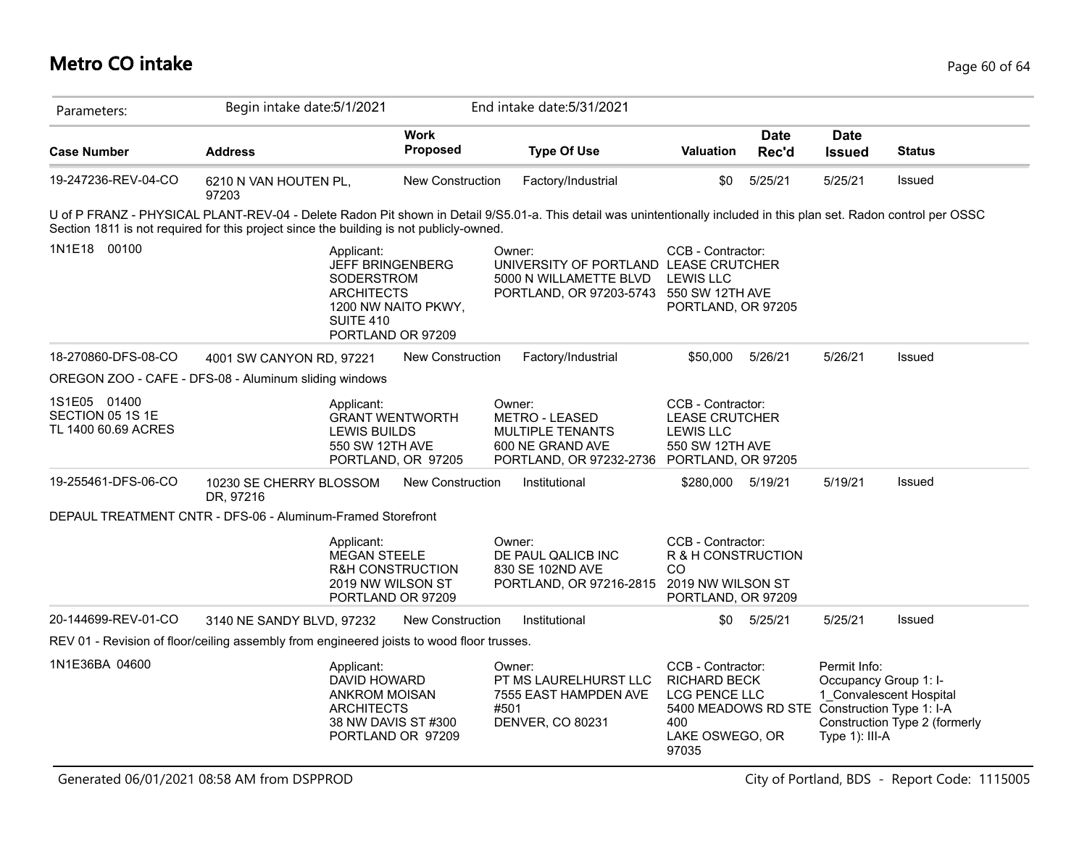# **Metro CO intake** Page 60 of 64

| Parameters:                                             | Begin intake date: 5/1/2021                                                                                                                                                                                                                                     |                                              | End intake date: 5/31/2021                                                                                           |                                                                                                                                              |                      |                                                         |                                                          |
|---------------------------------------------------------|-----------------------------------------------------------------------------------------------------------------------------------------------------------------------------------------------------------------------------------------------------------------|----------------------------------------------|----------------------------------------------------------------------------------------------------------------------|----------------------------------------------------------------------------------------------------------------------------------------------|----------------------|---------------------------------------------------------|----------------------------------------------------------|
| <b>Case Number</b>                                      | <b>Address</b>                                                                                                                                                                                                                                                  | <b>Work</b><br>Proposed                      | <b>Type Of Use</b>                                                                                                   | <b>Valuation</b>                                                                                                                             | <b>Date</b><br>Rec'd | <b>Date</b><br><b>Issued</b>                            | <b>Status</b>                                            |
| 19-247236-REV-04-CO                                     | 6210 N VAN HOUTEN PL,<br>97203                                                                                                                                                                                                                                  | <b>New Construction</b>                      | Factory/Industrial                                                                                                   | \$0                                                                                                                                          | 5/25/21              | 5/25/21                                                 | Issued                                                   |
|                                                         | U of P FRANZ - PHYSICAL PLANT-REV-04 - Delete Radon Pit shown in Detail 9/S5.01-a. This detail was unintentionally included in this plan set. Radon control per OSSC<br>Section 1811 is not required for this project since the building is not publicly-owned. |                                              |                                                                                                                      |                                                                                                                                              |                      |                                                         |                                                          |
| 00100<br>1N1E18                                         | Applicant:<br><b>JEFF BRINGENBERG</b><br>SODERSTROM<br><b>ARCHITECTS</b><br><b>SUITE 410</b><br>PORTLAND OR 97209                                                                                                                                               | 1200 NW NAITO PKWY,                          | Owner:<br>UNIVERSITY OF PORTLAND LEASE CRUTCHER<br>5000 N WILLAMETTE BLVD<br>PORTLAND, OR 97203-5743 550 SW 12TH AVE | CCB - Contractor:<br><b>LEWIS LLC</b><br>PORTLAND, OR 97205                                                                                  |                      |                                                         |                                                          |
| 18-270860-DFS-08-CO                                     | 4001 SW CANYON RD, 97221                                                                                                                                                                                                                                        | <b>New Construction</b>                      | Factory/Industrial                                                                                                   | \$50,000                                                                                                                                     | 5/26/21              | 5/26/21                                                 | Issued                                                   |
|                                                         | OREGON ZOO - CAFE - DFS-08 - Aluminum sliding windows                                                                                                                                                                                                           |                                              |                                                                                                                      |                                                                                                                                              |                      |                                                         |                                                          |
| 1S1E05 01400<br>SECTION 05 1S 1E<br>TL 1400 60.69 ACRES | Applicant:<br><b>LEWIS BUILDS</b><br>550 SW 12TH AVE                                                                                                                                                                                                            | <b>GRANT WENTWORTH</b><br>PORTLAND, OR 97205 | Owner:<br><b>METRO - LEASED</b><br><b>MULTIPLE TENANTS</b><br>600 NE GRAND AVE<br>PORTLAND, OR 97232-2736            | CCB - Contractor:<br><b>LEASE CRUTCHER</b><br><b>LEWIS LLC</b><br>550 SW 12TH AVE<br>PORTLAND, OR 97205                                      |                      |                                                         |                                                          |
| 19-255461-DFS-06-CO                                     | 10230 SE CHERRY BLOSSOM<br>DR, 97216                                                                                                                                                                                                                            | New Construction                             | Institutional                                                                                                        | \$280,000 5/19/21                                                                                                                            |                      | 5/19/21                                                 | Issued                                                   |
|                                                         | DEPAUL TREATMENT CNTR - DFS-06 - Aluminum-Framed Storefront                                                                                                                                                                                                     |                                              |                                                                                                                      |                                                                                                                                              |                      |                                                         |                                                          |
|                                                         | Applicant:<br><b>MEGAN STEELE</b><br>2019 NW WILSON ST<br>PORTLAND OR 97209                                                                                                                                                                                     | <b>R&amp;H CONSTRUCTION</b>                  | Owner:<br>DE PAUL QALICB INC<br>830 SE 102ND AVE<br>PORTLAND, OR 97216-2815                                          | CCB - Contractor:<br>R & H CONSTRUCTION<br>CO<br>2019 NW WILSON ST<br>PORTLAND, OR 97209                                                     |                      |                                                         |                                                          |
| 20-144699-REV-01-CO                                     | 3140 NE SANDY BLVD, 97232                                                                                                                                                                                                                                       | New Construction                             | Institutional                                                                                                        |                                                                                                                                              | \$0 5/25/21          | 5/25/21                                                 | Issued                                                   |
|                                                         | REV 01 - Revision of floor/ceiling assembly from engineered joists to wood floor trusses.                                                                                                                                                                       |                                              |                                                                                                                      |                                                                                                                                              |                      |                                                         |                                                          |
| 1N1E36BA 04600                                          | Applicant:<br>DAVID HOWARD<br>ANKROM MOISAN<br><b>ARCHITECTS</b>                                                                                                                                                                                                | 38 NW DAVIS ST #300<br>PORTLAND OR 97209     | Owner:<br>PT MS LAURELHURST LLC<br>7555 EAST HAMPDEN AVE<br>#501<br>DENVER, CO 80231                                 | CCB - Contractor:<br><b>RICHARD BECK</b><br>LCG PENCE LLC<br>5400 MEADOWS RD STE Construction Type 1: I-A<br>400<br>LAKE OSWEGO, OR<br>97035 |                      | Permit Info:<br>Occupancy Group 1: I-<br>Type 1): III-A | 1 Convalescent Hospital<br>Construction Type 2 (formerly |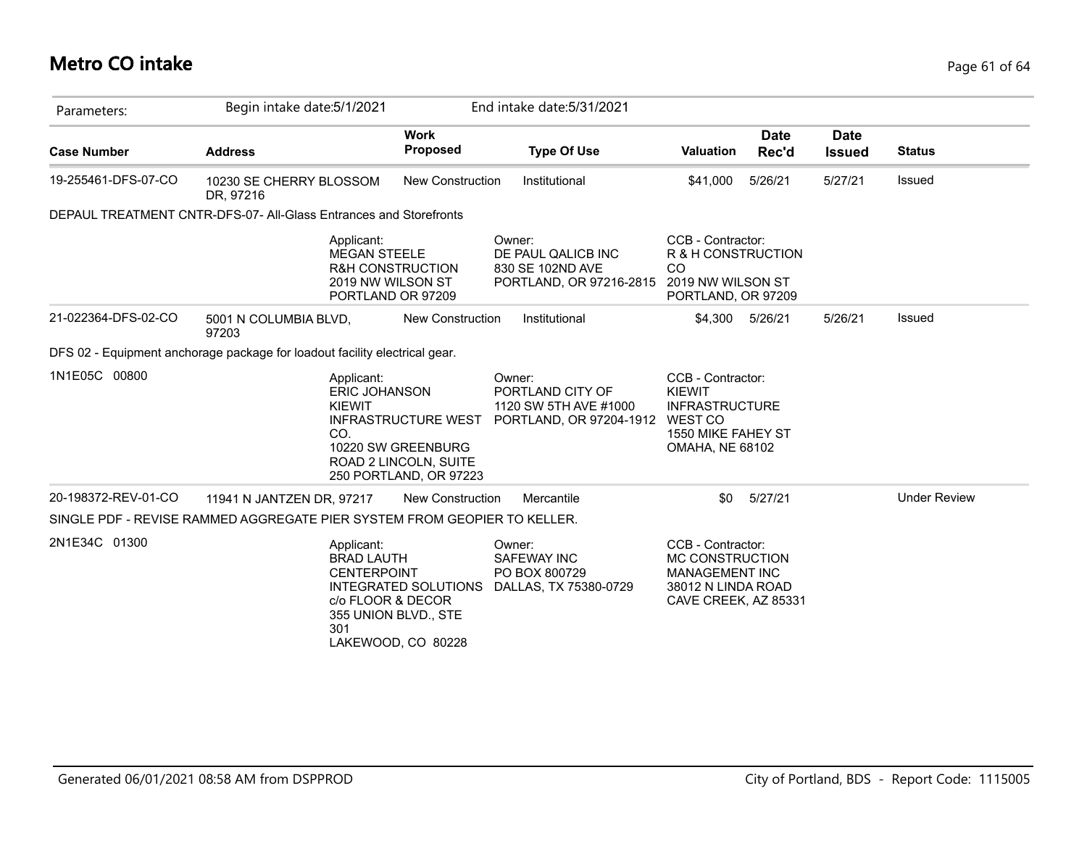# **Metro CO intake** Page 61 of 64

| Parameters:         | Begin intake date: 5/1/2021                                                |                                                                                                     | End intake date: 5/31/2021                                                             |                                                                                                             |                      |                              |                     |
|---------------------|----------------------------------------------------------------------------|-----------------------------------------------------------------------------------------------------|----------------------------------------------------------------------------------------|-------------------------------------------------------------------------------------------------------------|----------------------|------------------------------|---------------------|
| <b>Case Number</b>  | <b>Address</b>                                                             | <b>Work</b><br><b>Proposed</b>                                                                      | <b>Type Of Use</b>                                                                     | <b>Valuation</b>                                                                                            | <b>Date</b><br>Rec'd | <b>Date</b><br><b>Issued</b> | <b>Status</b>       |
| 19-255461-DFS-07-CO | 10230 SE CHERRY BLOSSOM<br>DR, 97216                                       | <b>New Construction</b>                                                                             | Institutional                                                                          | \$41,000                                                                                                    | 5/26/21              | 5/27/21                      | Issued              |
|                     | DEPAUL TREATMENT CNTR-DFS-07- All-Glass Entrances and Storefronts          |                                                                                                     |                                                                                        |                                                                                                             |                      |                              |                     |
|                     | Applicant:<br><b>MEGAN STEELE</b>                                          | R&H CONSTRUCTION<br>2019 NW WILSON ST<br>PORTLAND OR 97209                                          | Owner:<br>DE PAUL QALICB INC<br>830 SE 102ND AVE<br>PORTLAND, OR 97216-2815            | CCB - Contractor:<br>R & H CONSTRUCTION<br>CO<br>2019 NW WILSON ST<br>PORTLAND, OR 97209                    |                      |                              |                     |
| 21-022364-DFS-02-CO | 5001 N COLUMBIA BLVD,<br>97203                                             | <b>New Construction</b>                                                                             | Institutional                                                                          | \$4,300                                                                                                     | 5/26/21              | 5/26/21                      | Issued              |
|                     | DFS 02 - Equipment anchorage package for loadout facility electrical gear. |                                                                                                     |                                                                                        |                                                                                                             |                      |                              |                     |
| 1N1E05C 00800       | Applicant:<br>ERIC JOHANSON<br><b>KIEWIT</b><br>CO.                        | <b>INFRASTRUCTURE WEST</b><br>10220 SW GREENBURG<br>ROAD 2 LINCOLN, SUITE<br>250 PORTLAND, OR 97223 | Owner:<br>PORTLAND CITY OF<br>1120 SW 5TH AVE #1000<br>PORTLAND, OR 97204-1912 WEST CO | CCB - Contractor:<br><b>KIEWIT</b><br><b>INFRASTRUCTURE</b><br>1550 MIKE FAHEY ST<br><b>OMAHA, NE 68102</b> |                      |                              |                     |
| 20-198372-REV-01-CO | 11941 N JANTZEN DR, 97217                                                  | <b>New Construction</b>                                                                             | Mercantile                                                                             | \$0                                                                                                         | 5/27/21              |                              | <b>Under Review</b> |
|                     | SINGLE PDF - REVISE RAMMED AGGREGATE PIER SYSTEM FROM GEOPIER TO KELLER.   |                                                                                                     |                                                                                        |                                                                                                             |                      |                              |                     |
| 2N1E34C 01300       | Applicant:<br><b>BRAD LAUTH</b><br><b>CENTERPOINT</b><br>301               | <b>INTEGRATED SOLUTIONS</b><br>c/o FLOOR & DECOR<br>355 UNION BLVD., STE<br>LAKEWOOD, CO 80228      | Owner:<br><b>SAFEWAY INC</b><br>PO BOX 800729<br>DALLAS, TX 75380-0729                 | CCB - Contractor:<br>MC CONSTRUCTION<br><b>MANAGEMENT INC</b><br>38012 N LINDA ROAD<br>CAVE CREEK, AZ 85331 |                      |                              |                     |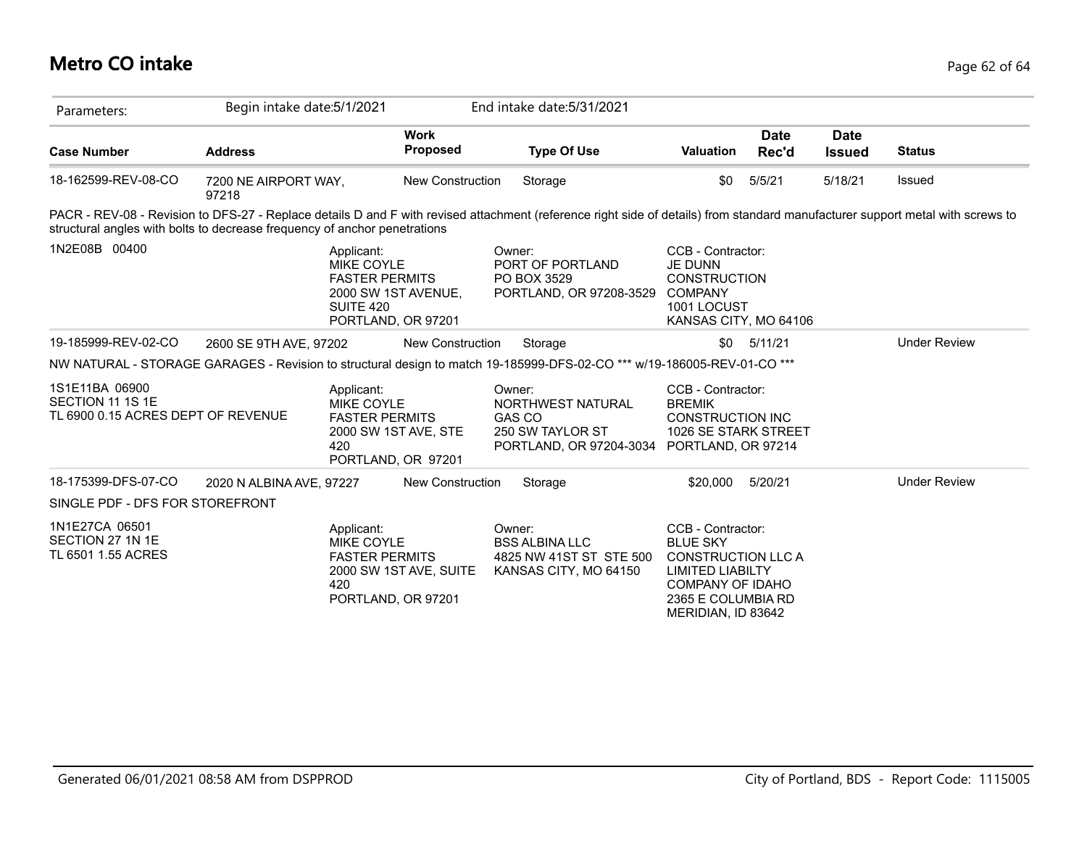# **Metro CO intake** Page 62 of 64

| Parameters:                                                               | Begin intake date: 5/1/2021   |                                                                                                                           |                         | End intake date: 5/31/2021                                                                                                                                                     |                                                                                                                                                                     |                      |                              |                     |
|---------------------------------------------------------------------------|-------------------------------|---------------------------------------------------------------------------------------------------------------------------|-------------------------|--------------------------------------------------------------------------------------------------------------------------------------------------------------------------------|---------------------------------------------------------------------------------------------------------------------------------------------------------------------|----------------------|------------------------------|---------------------|
| <b>Case Number</b>                                                        | <b>Address</b>                |                                                                                                                           | <b>Work</b><br>Proposed | <b>Type Of Use</b>                                                                                                                                                             | <b>Valuation</b>                                                                                                                                                    | <b>Date</b><br>Rec'd | <b>Date</b><br><b>Issued</b> | <b>Status</b>       |
| 18-162599-REV-08-CO                                                       | 7200 NE AIRPORT WAY,<br>97218 |                                                                                                                           | New Construction        | Storage                                                                                                                                                                        | \$0                                                                                                                                                                 | 5/5/21               | 5/18/21                      | Issued              |
| structural angles with bolts to decrease frequency of anchor penetrations |                               |                                                                                                                           |                         | PACR - REV-08 - Revision to DFS-27 - Replace details D and F with revised attachment (reference right side of details) from standard manufacturer support metal with screws to |                                                                                                                                                                     |                      |                              |                     |
| 1N2E08B 00400                                                             |                               | Applicant:<br><b>MIKE COYLE</b><br><b>FASTER PERMITS</b><br>2000 SW 1ST AVENUE,<br><b>SUITE 420</b><br>PORTLAND, OR 97201 |                         | Owner:<br>PORT OF PORTLAND<br>PO BOX 3529<br>PORTLAND, OR 97208-3529                                                                                                           | CCB - Contractor:<br><b>JE DUNN</b><br><b>CONSTRUCTION</b><br><b>COMPANY</b><br>1001 LOCUST<br>KANSAS CITY, MO 64106                                                |                      |                              |                     |
| 19-185999-REV-02-CO                                                       | 2600 SE 9TH AVE, 97202        |                                                                                                                           | New Construction        | Storage                                                                                                                                                                        |                                                                                                                                                                     | $$0$ $5/11/21$       |                              | <b>Under Review</b> |
|                                                                           |                               |                                                                                                                           |                         | NW NATURAL - STORAGE GARAGES - Revision to structural design to match 19-185999-DFS-02-CO <sup>***</sup> w/19-186005-REV-01-CO <sup>***</sup>                                  |                                                                                                                                                                     |                      |                              |                     |
| 1S1E11BA 06900<br>SECTION 11 1S 1E<br>TL 6900 0.15 ACRES DEPT OF REVENUE  |                               | Applicant:<br><b>MIKE COYLE</b><br><b>FASTER PERMITS</b><br>2000 SW 1ST AVE, STE<br>420<br>PORTLAND, OR 97201             |                         | Owner:<br>NORTHWEST NATURAL<br>GAS CO<br>250 SW TAYLOR ST<br>PORTLAND, OR 97204-3034 PORTLAND, OR 97214                                                                        | CCB - Contractor:<br><b>BREMIK</b><br><b>CONSTRUCTION INC</b><br>1026 SE STARK STREET                                                                               |                      |                              |                     |
| 18-175399-DFS-07-CO                                                       | 2020 N ALBINA AVE, 97227      |                                                                                                                           | <b>New Construction</b> | Storage                                                                                                                                                                        | \$20,000 5/20/21                                                                                                                                                    |                      |                              | <b>Under Review</b> |
| SINGLE PDF - DFS FOR STOREFRONT                                           |                               |                                                                                                                           |                         |                                                                                                                                                                                |                                                                                                                                                                     |                      |                              |                     |
| 1N1E27CA 06501<br>SECTION 27 1N 1E<br>TL 6501 1.55 ACRES                  |                               | Applicant:<br><b>MIKE COYLE</b><br><b>FASTER PERMITS</b><br>420<br>PORTLAND, OR 97201                                     | 2000 SW 1ST AVE, SUITE  | Owner:<br><b>BSS ALBINA LLC</b><br>4825 NW 41ST ST STE 500<br>KANSAS CITY, MO 64150                                                                                            | CCB - Contractor:<br><b>BLUE SKY</b><br><b>CONSTRUCTION LLC A</b><br><b>LIMITED LIABILTY</b><br><b>COMPANY OF IDAHO</b><br>2365 E COLUMBIA RD<br>MERIDIAN, ID 83642 |                      |                              |                     |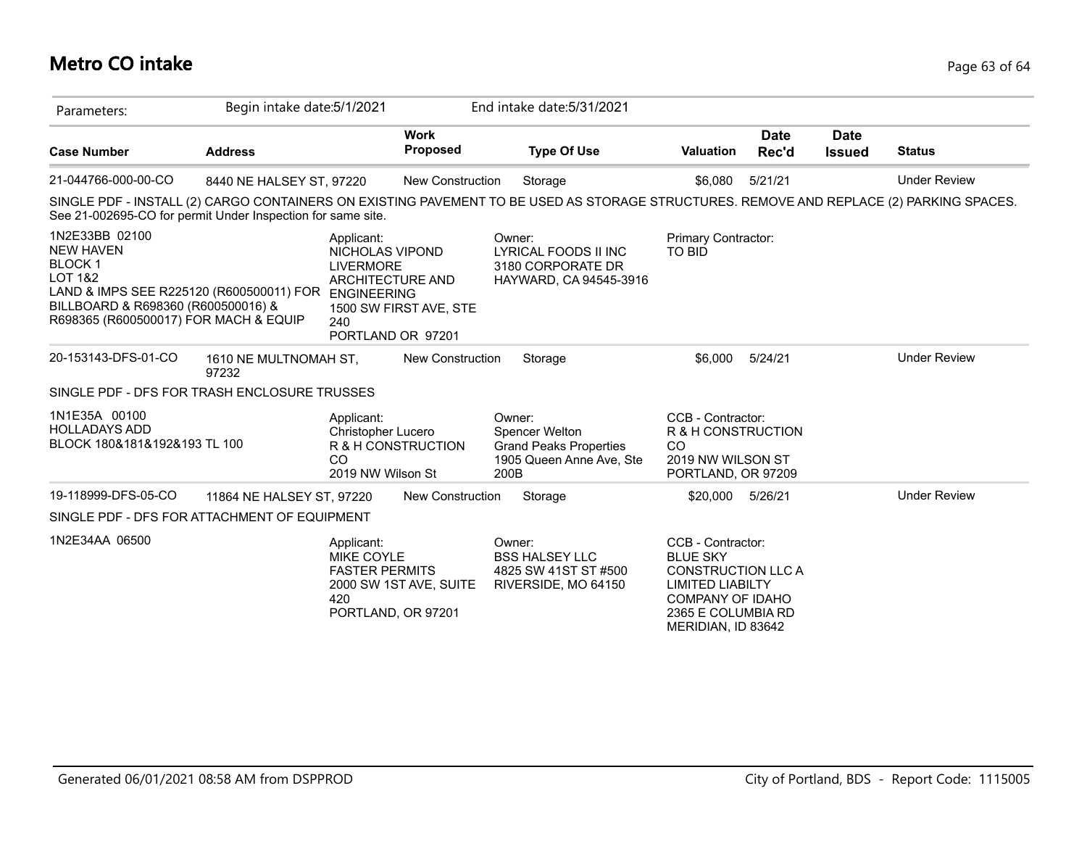# **Metro CO intake** Page 63 of 64

| Parameters:                                                                                                                                                                                          | Begin intake date: 5/1/2021    |                                                                                                                                |                                | End intake date: 5/31/2021                                                                                                              |                                                                                                                                                                     |                      |                              |                     |
|------------------------------------------------------------------------------------------------------------------------------------------------------------------------------------------------------|--------------------------------|--------------------------------------------------------------------------------------------------------------------------------|--------------------------------|-----------------------------------------------------------------------------------------------------------------------------------------|---------------------------------------------------------------------------------------------------------------------------------------------------------------------|----------------------|------------------------------|---------------------|
| <b>Case Number</b>                                                                                                                                                                                   | <b>Address</b>                 |                                                                                                                                | <b>Work</b><br><b>Proposed</b> | <b>Type Of Use</b>                                                                                                                      | <b>Valuation</b>                                                                                                                                                    | <b>Date</b><br>Rec'd | <b>Date</b><br><b>Issued</b> | <b>Status</b>       |
| 21-044766-000-00-CO                                                                                                                                                                                  | 8440 NE HALSEY ST, 97220       |                                                                                                                                | <b>New Construction</b>        | Storage                                                                                                                                 | \$6,080                                                                                                                                                             | 5/21/21              |                              | <b>Under Review</b> |
| See 21-002695-CO for permit Under Inspection for same site.                                                                                                                                          |                                |                                                                                                                                |                                | SINGLE PDF - INSTALL (2) CARGO CONTAINERS ON EXISTING PAVEMENT TO BE USED AS STORAGE STRUCTURES. REMOVE AND REPLACE (2) PARKING SPACES. |                                                                                                                                                                     |                      |                              |                     |
| 1N2E33BB 02100<br><b>NEW HAVEN</b><br><b>BLOCK1</b><br><b>LOT 1&amp;2</b><br>LAND & IMPS SEE R225120 (R600500011) FOR<br>BILLBOARD & R698360 (R600500016) &<br>R698365 (R600500017) FOR MACH & EQUIP |                                | Applicant:<br>NICHOLAS VIPOND<br><b>LIVERMORE</b><br><b>ARCHITECTURE AND</b><br><b>ENGINEERING</b><br>240<br>PORTLAND OR 97201 | 1500 SW FIRST AVE, STE         | Owner:<br>LYRICAL FOODS II INC<br>3180 CORPORATE DR<br>HAYWARD, CA 94545-3916                                                           | Primary Contractor:<br>TO BID                                                                                                                                       |                      |                              |                     |
| 20-153143-DFS-01-CO                                                                                                                                                                                  | 1610 NE MULTNOMAH ST,<br>97232 |                                                                                                                                | <b>New Construction</b>        | Storage                                                                                                                                 | \$6,000                                                                                                                                                             | 5/24/21              |                              | <b>Under Review</b> |
| SINGLE PDF - DFS FOR TRASH ENCLOSURE TRUSSES                                                                                                                                                         |                                |                                                                                                                                |                                |                                                                                                                                         |                                                                                                                                                                     |                      |                              |                     |
| 1N1E35A 00100<br><b>HOLLADAYS ADD</b><br>BLOCK 180&181&192&193 TL 100                                                                                                                                |                                | Applicant:<br>Christopher Lucero<br>CO<br>2019 NW Wilson St                                                                    | R & H CONSTRUCTION             | Owner:<br>Spencer Welton<br><b>Grand Peaks Properties</b><br>1905 Queen Anne Ave, Ste<br>200B                                           | CCB - Contractor:<br>R & H CONSTRUCTION<br>CO<br>2019 NW WILSON ST<br>PORTLAND, OR 97209                                                                            |                      |                              |                     |
| 19-118999-DFS-05-CO                                                                                                                                                                                  | 11864 NE HALSEY ST, 97220      |                                                                                                                                | <b>New Construction</b>        | Storage                                                                                                                                 | \$20,000                                                                                                                                                            | 5/26/21              |                              | <b>Under Review</b> |
| SINGLE PDF - DFS FOR ATTACHMENT OF EQUIPMENT                                                                                                                                                         |                                |                                                                                                                                |                                |                                                                                                                                         |                                                                                                                                                                     |                      |                              |                     |
| 1N2E34AA 06500                                                                                                                                                                                       |                                | Applicant:<br>MIKE COYLE<br><b>FASTER PERMITS</b><br>420<br>PORTLAND, OR 97201                                                 | 2000 SW 1ST AVE, SUITE         | Owner:<br><b>BSS HALSEY LLC</b><br>4825 SW 41ST ST #500<br>RIVERSIDE, MO 64150                                                          | CCB - Contractor:<br><b>BLUE SKY</b><br><b>CONSTRUCTION LLC A</b><br><b>LIMITED LIABILTY</b><br><b>COMPANY OF IDAHO</b><br>2365 E COLUMBIA RD<br>MERIDIAN, ID 83642 |                      |                              |                     |